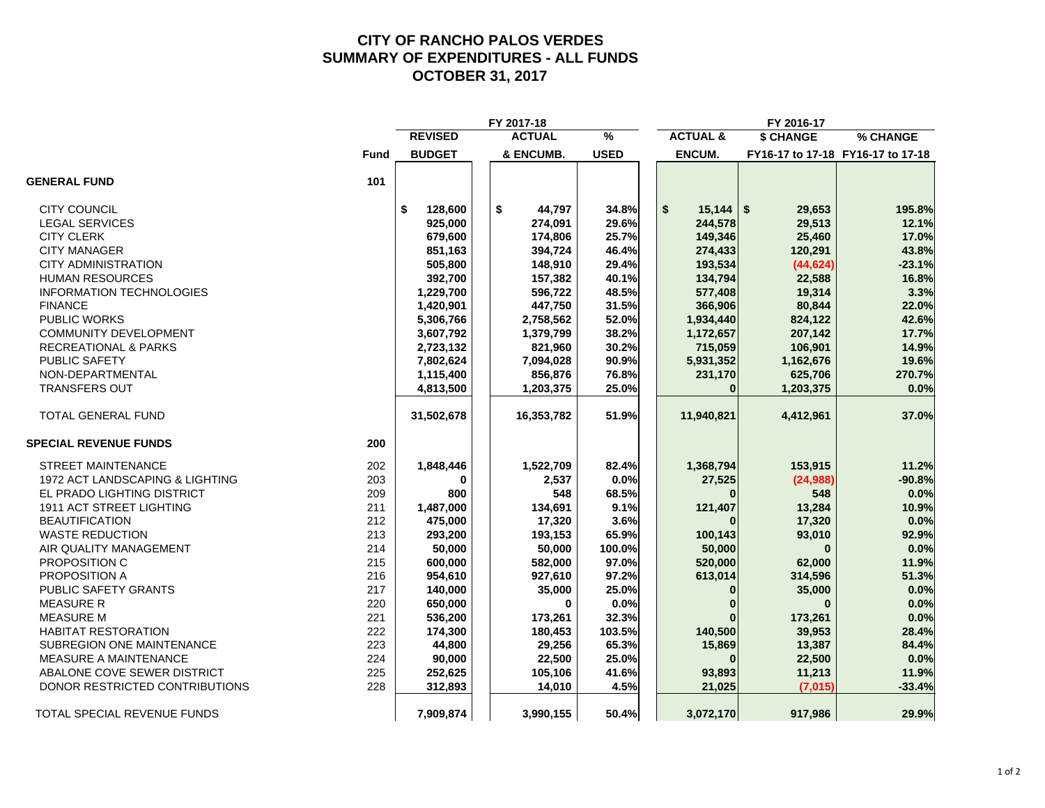# **CITY OF RANCHO PALOS VERDES SUMMARY OF EXPENDITURES - ALL FUNDS OCTOBER 31, 2017**

|                                  |             |                | FY 2017-18    |             |                     | FY 2016-17   |                                   |
|----------------------------------|-------------|----------------|---------------|-------------|---------------------|--------------|-----------------------------------|
|                                  |             | <b>REVISED</b> | <b>ACTUAL</b> | %           | <b>ACTUAL &amp;</b> | \$ CHANGE    | % CHANGE                          |
|                                  | <b>Fund</b> | <b>BUDGET</b>  | & ENCUMB.     | <b>USED</b> | <b>ENCUM.</b>       |              | FY16-17 to 17-18 FY16-17 to 17-18 |
| <b>GENERAL FUND</b>              | 101         |                |               |             |                     |              |                                   |
| <b>CITY COUNCIL</b>              |             | \$<br>128,600  | \$<br>44,797  | 34.8%       | \$<br>15,144        | \$<br>29,653 | 195.8%                            |
| <b>LEGAL SERVICES</b>            |             | 925,000        | 274,091       | 29.6%       | 244,578             | 29,513       | 12.1%                             |
| <b>CITY CLERK</b>                |             | 679,600        | 174,806       | 25.7%       | 149,346             | 25,460       | 17.0%                             |
| <b>CITY MANAGER</b>              |             | 851,163        | 394,724       | 46.4%       | 274,433             | 120,291      | 43.8%                             |
| <b>CITY ADMINISTRATION</b>       |             | 505,800        | 148,910       | 29.4%       | 193,534             | (44, 624)    | $-23.1%$                          |
| <b>HUMAN RESOURCES</b>           |             | 392,700        | 157,382       | 40.1%       | 134,794             | 22,588       | 16.8%                             |
| <b>INFORMATION TECHNOLOGIES</b>  |             | 1,229,700      | 596,722       | 48.5%       | 577,408             | 19,314       | 3.3%                              |
| <b>FINANCE</b>                   |             | 1,420,901      | 447,750       | 31.5%       | 366,906             | 80,844       | 22.0%                             |
| <b>PUBLIC WORKS</b>              |             | 5,306,766      | 2,758,562     | 52.0%       | 1,934,440           | 824,122      | 42.6%                             |
| <b>COMMUNITY DEVELOPMENT</b>     |             | 3,607,792      | 1,379,799     | 38.2%       | 1,172,657           | 207,142      | 17.7%                             |
| <b>RECREATIONAL &amp; PARKS</b>  |             | 2,723,132      | 821,960       | 30.2%       | 715,059             | 106,901      | 14.9%                             |
| PUBLIC SAFETY                    |             | 7,802,624      | 7,094,028     | 90.9%       | 5,931,352           | 1,162,676    | 19.6%                             |
| NON-DEPARTMENTAL                 |             | 1,115,400      | 856,876       | 76.8%       | 231,170             | 625,706      | 270.7%                            |
| <b>TRANSFERS OUT</b>             |             | 4,813,500      | 1,203,375     | 25.0%       | $\bf{0}$            | 1,203,375    | 0.0%                              |
| TOTAL GENERAL FUND               |             | 31,502,678     | 16,353,782    | 51.9%       | 11,940,821          | 4,412,961    | 37.0%                             |
| <b>SPECIAL REVENUE FUNDS</b>     | 200         |                |               |             |                     |              |                                   |
| <b>STREET MAINTENANCE</b>        | 202         | 1,848,446      | 1,522,709     | 82.4%       | 1,368,794           | 153,915      | 11.2%                             |
| 1972 ACT LANDSCAPING & LIGHTING  | 203         | $\bf{0}$       | 2,537         | 0.0%        | 27,525              | (24, 988)    | $-90.8%$                          |
| EL PRADO LIGHTING DISTRICT       | 209         | 800            | 548           | 68.5%       |                     | 548          | 0.0%                              |
| 1911 ACT STREET LIGHTING         | 211         | 1,487,000      | 134,691       | 9.1%        | 121,407             | 13,284       | 10.9%                             |
| <b>BEAUTIFICATION</b>            | 212         | 475,000        | 17,320        | 3.6%        |                     | 17,320       | 0.0%                              |
| <b>WASTE REDUCTION</b>           | 213         | 293,200        | 193,153       | 65.9%       | 100,143             | 93,010       | 92.9%                             |
| AIR QUALITY MANAGEMENT           | 214         | 50,000         | 50,000        | 100.0%      | 50,000              |              | 0.0%                              |
| PROPOSITION C                    | 215         | 600,000        | 582,000       | 97.0%       | 520,000             | 62,000       | 11.9%                             |
| PROPOSITION A                    | 216         | 954,610        | 927,610       | 97.2%       | 613,014             | 314,596      | 51.3%                             |
| PUBLIC SAFETY GRANTS             | 217         | 140,000        | 35,000        | 25.0%       | $\Omega$            | 35,000       | 0.0%                              |
| <b>MEASURE R</b>                 | 220         | 650,000        | 0             | 0.0%        | $\bf{0}$            | $\bf{0}$     | 0.0%                              |
| <b>MEASURE M</b>                 | 221         | 536,200        | 173,261       | 32.3%       |                     | 173,261      | 0.0%                              |
| <b>HABITAT RESTORATION</b>       | 222         | 174,300        | 180,453       | 103.5%      | 140,500             | 39,953       | 28.4%                             |
| <b>SUBREGION ONE MAINTENANCE</b> | 223         | 44,800         | 29,256        | 65.3%       | 15,869              | 13,387       | 84.4%                             |
| MEASURE A MAINTENANCE            | 224         | 90,000         | 22,500        | 25.0%       |                     | 22,500       | 0.0%                              |
| ABALONE COVE SEWER DISTRICT      | 225         | 252,625        | 105,106       | 41.6%       | 93,893              | 11,213       | 11.9%                             |
| DONOR RESTRICTED CONTRIBUTIONS   | 228         | 312,893        | 14,010        | 4.5%        | 21,025              | (7,015)      | $-33.4%$                          |
| TOTAL SPECIAL REVENUE FUNDS      |             | 7,909,874      | 3,990,155     | 50.4%       | 3,072,170           | 917,986      | 29.9%                             |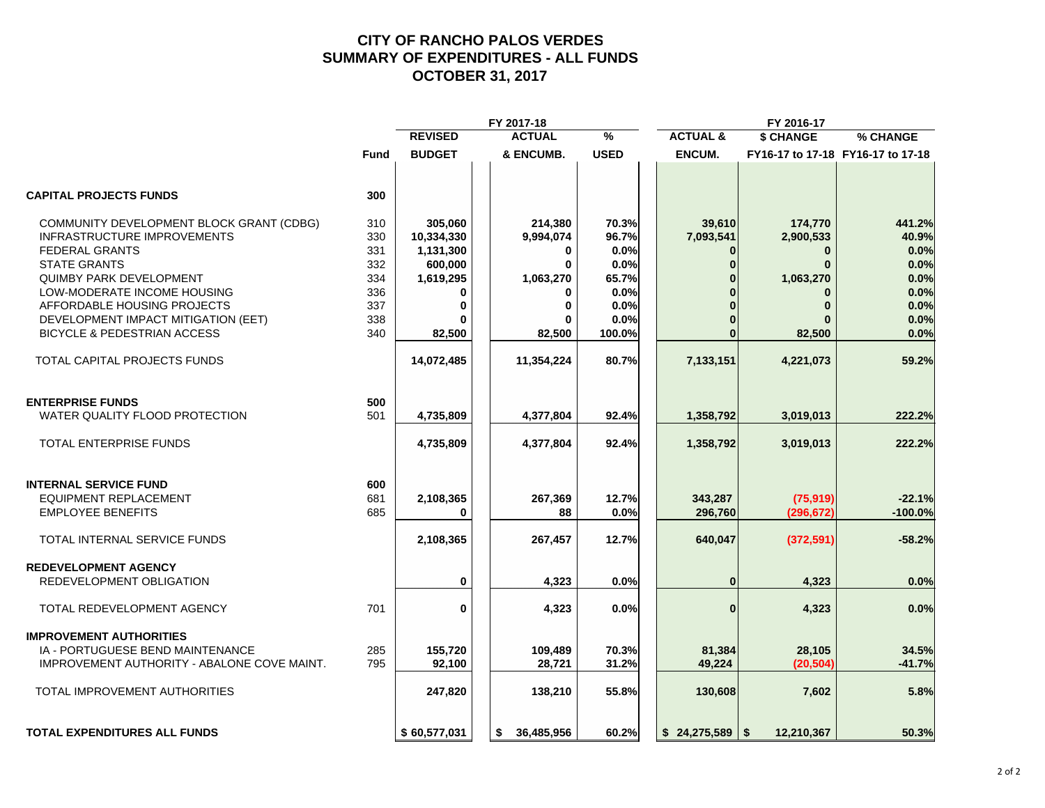# **CITY OF RANCHO PALOS VERDES SUMMARY OF EXPENDITURES - ALL FUNDS OCTOBER 31, 2017**

|                                             |             |                | FY 2017-18       |             |                     | FY 2016-17         |                                   |
|---------------------------------------------|-------------|----------------|------------------|-------------|---------------------|--------------------|-----------------------------------|
|                                             |             | <b>REVISED</b> | <b>ACTUAL</b>    | %           | <b>ACTUAL &amp;</b> | <b>\$ CHANGE</b>   | % CHANGE                          |
|                                             | <b>Fund</b> | <b>BUDGET</b>  | & ENCUMB.        | <b>USED</b> | <b>ENCUM.</b>       |                    | FY16-17 to 17-18 FY16-17 to 17-18 |
| <b>CAPITAL PROJECTS FUNDS</b>               | 300         |                |                  |             |                     |                    |                                   |
| COMMUNITY DEVELOPMENT BLOCK GRANT (CDBG)    | 310         | 305,060        | 214,380          | 70.3%       | 39,610              | 174,770            | 441.2%                            |
| <b>INFRASTRUCTURE IMPROVEMENTS</b>          | 330         | 10,334,330     | 9,994,074        | 96.7%       | 7,093,541           | 2,900,533          | 40.9%                             |
| <b>FEDERAL GRANTS</b>                       | 331         | 1,131,300      | 0                | 0.0%        | 0                   | $\bf{0}$           | 0.0%                              |
| <b>STATE GRANTS</b>                         | 332         | 600,000        | $\bf{0}$         | 0.0%        | $\bf{0}$            | $\bf{0}$           | 0.0%                              |
| <b>QUIMBY PARK DEVELOPMENT</b>              | 334         | 1,619,295      | 1,063,270        | 65.7%       |                     | 1,063,270          | 0.0%                              |
| LOW-MODERATE INCOME HOUSING                 | 336         |                |                  | 0.0%        |                     |                    | 0.0%                              |
| AFFORDABLE HOUSING PROJECTS                 | 337         | $\bf{0}$       | 0                | 0.0%        |                     | $\bf{0}$           | 0.0%                              |
|                                             |             |                |                  |             |                     |                    |                                   |
| DEVELOPMENT IMPACT MITIGATION (EET)         | 338         | ŋ              |                  | 0.0%        |                     |                    | 0.0%                              |
| <b>BICYCLE &amp; PEDESTRIAN ACCESS</b>      | 340         | 82,500         | 82,500           | 100.0%      |                     | 82,500             | 0.0%                              |
| TOTAL CAPITAL PROJECTS FUNDS                |             | 14,072,485     | 11,354,224       | 80.7%       | 7,133,151           | 4,221,073          | 59.2%                             |
| <b>ENTERPRISE FUNDS</b>                     | 500         |                |                  |             |                     |                    |                                   |
|                                             | 501         |                |                  |             |                     |                    |                                   |
| WATER QUALITY FLOOD PROTECTION              |             | 4,735,809      | 4,377,804        | 92.4%       | 1,358,792           | 3,019,013          | 222.2%                            |
| <b>TOTAL ENTERPRISE FUNDS</b>               |             | 4,735,809      | 4,377,804        | 92.4%       | 1,358,792           | 3,019,013          | 222.2%                            |
| <b>INTERNAL SERVICE FUND</b>                | 600         |                |                  |             |                     |                    |                                   |
| <b>EQUIPMENT REPLACEMENT</b>                | 681         | 2,108,365      | 267,369          | 12.7%       | 343,287             | (75, 919)          | $-22.1%$                          |
| <b>EMPLOYEE BENEFITS</b>                    | 685         | 0              | 88               | 0.0%        | 296,760             | (296.672)          | $-100.0%$                         |
| <b>TOTAL INTERNAL SERVICE FUNDS</b>         |             | 2,108,365      | 267,457          | 12.7%       | 640,047             | (372, 591)         | $-58.2%$                          |
|                                             |             |                |                  |             |                     |                    |                                   |
| <b>REDEVELOPMENT AGENCY</b>                 |             |                |                  |             |                     |                    |                                   |
| REDEVELOPMENT OBLIGATION                    |             | 0              | 4.323            | 0.0%        | $\bf{0}$            | 4.323              | 0.0%                              |
| TOTAL REDEVELOPMENT AGENCY                  | 701         | 0              | 4,323            | 0.0%        | $\mathbf{0}$        | 4,323              | 0.0%                              |
| <b>IMPROVEMENT AUTHORITIES</b>              |             |                |                  |             |                     |                    |                                   |
| IA - PORTUGUESE BEND MAINTENANCE            | 285         | 155.720        | 109,489          | 70.3%       | 81,384              | 28,105             | 34.5%                             |
| IMPROVEMENT AUTHORITY - ABALONE COVE MAINT. | 795         | 92,100         | 28,721           | 31.2%       | 49,224              | (20, 504)          | $-41.7%$                          |
| TOTAL IMPROVEMENT AUTHORITIES               |             | 247,820        | 138,210          | 55.8%       | 130,608             | 7,602              | 5.8%                              |
| <b>TOTAL EXPENDITURES ALL FUNDS</b>         |             | \$60,577,031   | 36,485,956<br>s. | 60.2%       | \$24,275,589        | 12,210,367<br>- \$ | 50.3%                             |
|                                             |             |                |                  |             |                     |                    |                                   |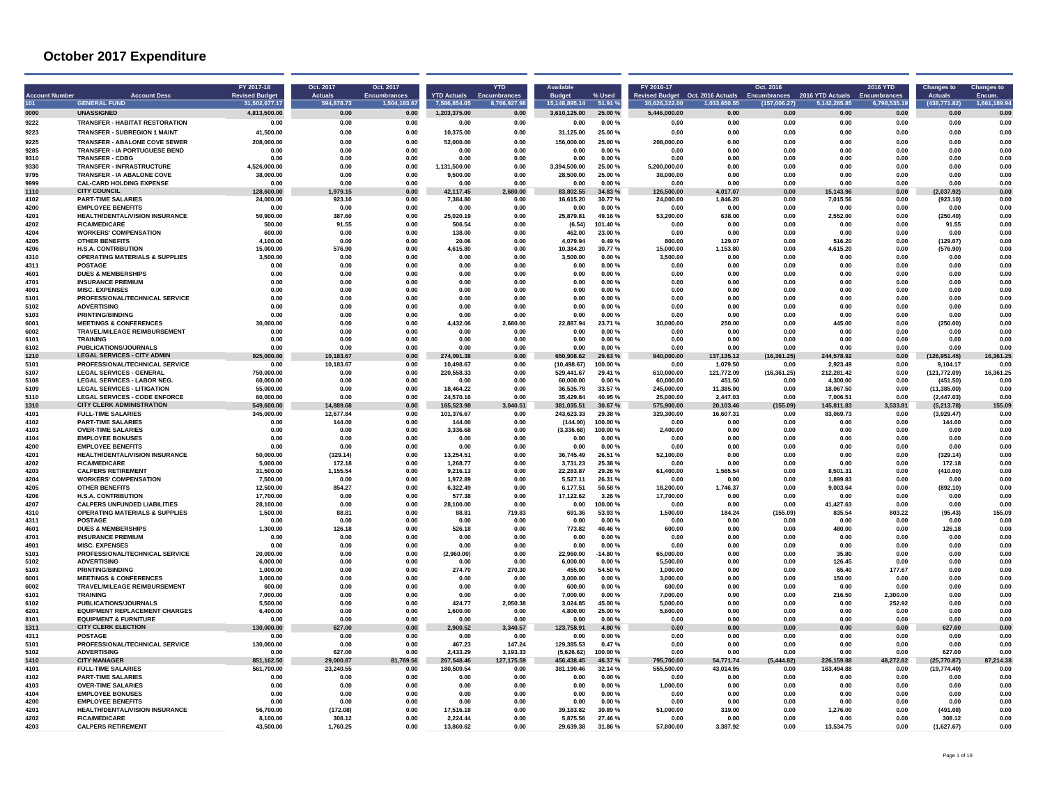| <b>Account Number</b><br>101 | <b>Account Desc</b><br><b>GENERAL FUND</b>                            | FY 2017-18<br><b>Revised Budge</b><br>31,502,677.17 | Oct. 2017<br><b>Actuals</b><br>594,878.73 | Oct. 2017<br>Encumbrances<br>1,504,183.67 | <b>YTD Actuals</b><br>7,586,854.05 | <b>YTD</b><br><b>Encumbrances</b><br>8,766,927.98 | <b>Available</b><br><b>Budget</b><br>15,148,895.14 | % Used<br>51.91%   | FY 2016-17<br>30,626,322.00 | evised Budget Oct. 2016 Actuals<br>1,033,650.55 | Oct. 2016<br><b>Encumbrances</b><br>(157,006.27) | 2016 YTD Actuals<br>5,142,285.85 | <b>2016 YTD</b><br>Encumbrances<br>6,798,535.19 | <b>Changes to</b><br><b>Actuals</b><br>(438, 771.82) | <b>Changes to</b><br>Encum.<br>1,661,189.94 |
|------------------------------|-----------------------------------------------------------------------|-----------------------------------------------------|-------------------------------------------|-------------------------------------------|------------------------------------|---------------------------------------------------|----------------------------------------------------|--------------------|-----------------------------|-------------------------------------------------|--------------------------------------------------|----------------------------------|-------------------------------------------------|------------------------------------------------------|---------------------------------------------|
| 0000                         | <b>UNASSIGNED</b>                                                     | 4,813,500.00                                        | 0.00                                      | 0.00                                      | 1,203,375.00                       | 0.00                                              | 3,610,125.00                                       | 25.00 %            | 5,446,000.00                | 0.00                                            | 0.00                                             | 0.00                             | 0.00                                            | 0.00                                                 | 0.00                                        |
| 9222                         | <b>TRANSFER - HABITAT RESTORATION</b>                                 | 0.00                                                | 0.00                                      | 0.00                                      | 0.00                               | 0.00                                              | 0.00                                               | 0.00%              | 0.00                        | 0.00                                            | 0.00                                             | 0.00                             | 0.00                                            | 0.00                                                 | 0.00                                        |
| 9223                         | <b>TRANSFER - SUBREGION 1 MAINT</b>                                   | 41,500.00                                           | 0.00                                      | 0.00                                      | 10,375.00                          | 0.00                                              | 31,125.00                                          | 25.00 %            | 0.00                        | 0.00                                            | 0.00                                             | 0.00                             | 0.00                                            | 0.00                                                 | 0.00                                        |
| 9225                         | <b>TRANSFER - ABALONE COVE SEWER</b>                                  | 208.000.00                                          | <b>0.00</b>                               | 0.00                                      | 52.000.00                          | 0.00                                              | 156.000.00                                         | 25.00%             | 208,000.00                  | 0.00                                            | n nn                                             | n nn                             | n nn                                            | n nn                                                 | 0.00                                        |
| 9285                         | TRANSFER - IA PORTUGUESE BEND                                         | 0.00                                                | 0.00                                      | 0.00                                      | 0.00                               | 0.00                                              | 0.00                                               | 0.00%              | 0.00                        | 0.00                                            | 0.00                                             | 0.00                             | 0.00                                            | 0.00                                                 | 0.00                                        |
| 9310                         | <b>TRANSFER - CDBG</b>                                                | 0.00                                                | 0.00                                      | 0.00                                      | 0.00                               | 0.00                                              | 0.00                                               | 0.00%              | 0.00                        | 0.00                                            | 0.00                                             | 0.00                             | 0.00                                            | 0.00                                                 | 0.00                                        |
| 9330<br>9795                 | <b>TRANSFER - INFRASTRUCTURE</b><br><b>TRANSFER - IA ABALONE COVE</b> | 4,526,000.00<br>38,000.00                           | 0.00<br>0.00                              | 0.00<br>0.00                              | 1,131,500.00<br>9.500.00           | 0.00<br>0.00                                      | 3,394,500.00<br>28,500.00                          | 25.00 %<br>25.00%  | 5,200,000.00<br>38,000,00   | 0.00<br>0.00                                    | 0.00<br>0.00                                     | 0.00<br>0.00                     | 0.00<br>0.00                                    | 0.00<br>0.00                                         | 0.00<br>0.00                                |
| 9999                         | <b>CAL-CARD HOLDING EXPENSE</b>                                       | 0.00                                                | 0.00                                      | 0.00                                      | 0.00                               | 0.00                                              | 0.00                                               | 0.00%              | 0.00                        | 0.00                                            | 0.00                                             | 0.00                             | 0.00                                            | 0.00                                                 | 0.00                                        |
| 1110                         | <b>CITY COUNCIL</b>                                                   | 128,600.00                                          | 1,979.15                                  | 0.00                                      | 42.117.45                          | 2,680.00                                          | 83.802.55                                          | 34.83%             | 126.500.00                  | 4.017.07                                        | 0.00                                             | 15.143.96                        | 0.00                                            | (2.037.92)                                           | 0.00                                        |
| 4102                         | <b>PART-TIME SALARIES</b>                                             | 24,000.00                                           | 923.10                                    | 0.00                                      | 7.384.80                           | 0.00                                              | 16,615.20                                          | 30.77%             | 24,000.00                   | 1,846.20                                        | 0.00                                             | 7,015.56                         | 0.00                                            | (923.10)                                             | 0.00                                        |
| 4200                         | <b>EMPLOYEE BENEFITS</b>                                              | 0.00                                                | 0.00                                      | 0.00                                      | 0.00                               | 0.00                                              | 0.00                                               | 0.00%              | 0.00                        | 0.00                                            | 0.00                                             | 0.00                             | 0.00                                            | 0.00                                                 | 0.00                                        |
| 4201<br>4202                 | <b>HEALTH/DENTAL/VISION INSURANCE</b><br><b>FICA/MEDICARE</b>         | 50,900.00<br>500.00                                 | 387.60<br>91.55                           | 0.00<br>0.00                              | 25.020.19<br>506.54                | 0.00<br>0.00                                      | 25,879.81<br>(6.54)                                | 49.16%<br>101.40%  | 53,200.00<br>0.00           | 638.00<br>0.00                                  | 0.00<br>0.00                                     | 2.552.00<br>0.00                 | 0.00<br>0.00                                    | (250.40)<br>91.55                                    | 0.00<br>0.00                                |
| 4204                         | <b>WORKERS' COMPENSATION</b>                                          | 600.00                                              | 0.00                                      | 0.00                                      | 138.00                             | 0.00                                              | 462.00                                             | 23.00 %            | 0.00                        | 0.00                                            | 0.00                                             | 0.00                             | 0.00                                            | 0.00                                                 | 0.00                                        |
| 4205                         | <b>OTHER BENEFITS</b>                                                 | 4,100.00                                            | 0.00                                      | 0.00                                      | 20.06                              | 0.00                                              | 4,079.94                                           | 0.49%              | 800.00                      | 129.07                                          | 0.00                                             | 516.20                           | 0.00                                            | (129.07)                                             | 0.00                                        |
| 4206                         | <b>H.S.A. CONTRIBUTION</b>                                            | 15,000.00                                           | 576.90                                    | 0.00                                      | 4.615.80                           | 0.00                                              | 10.384.20                                          | 30.77%             | 15,000.00                   | 1,153.80                                        | 0.00                                             | 4.615.20                         | 0.00                                            | (576.90)                                             | 0.00                                        |
| 4310                         | <b>OPERATING MATERIALS &amp; SUPPLIES</b>                             | 3,500.00                                            | 0.00                                      | 0.00                                      | 0.00                               | 0.00                                              | 3,500.00                                           | 0.00%              | 3,500.00                    | 0.00                                            | 0.00                                             | 0.00                             | 0.00                                            | 0.00                                                 | 0.00                                        |
| 4311<br>4601                 | <b>POSTAGE</b><br><b>DUES &amp; MEMBERSHIPS</b>                       | 0.00<br>0.00                                        | 0.00<br>0.00                              | 0.00<br>0.00                              | 0.00<br>0.00                       | 0.00<br>0.00                                      | 0.00<br>0.00                                       | 0.00%<br>0.00%     | 0.00<br>0.00                | 0.00<br>0.00                                    | 0.00<br>0.00                                     | 0.00<br>0.00                     | 0.00<br>0.00                                    | 0.00<br>0.00                                         | 0.00<br>0.00                                |
| 4701                         | <b>INSURANCE PREMIUM</b>                                              | 0.00                                                | 0.00                                      | 0.00                                      | 0.00                               | 0.00                                              | 0.00                                               | $0.00 \%$          | 0.00                        | 0.00                                            | 0.00                                             | 0.00                             | 0.00                                            | 0.00                                                 | 0.00                                        |
| 4901                         | <b>MISC. EXPENSES</b>                                                 | 0.00                                                | 0.00                                      | 0.00                                      | 0.00                               | 0.00                                              | 0.00                                               | 0.00%              | 0.00                        | 0.00                                            | 0.00                                             | 0.00                             | 0.00                                            | 0.00                                                 | 0.00                                        |
| 5101                         | PROFESSIONAL/TECHNICAL SERVICE                                        | 0.00                                                | 0.00                                      | 0.00                                      | 0.00                               | 0.00                                              | 0.00                                               | 0.00%              | 0.00                        | 0.00                                            | 0.00                                             | 0.00                             | 0.00                                            | 0.00                                                 | 0.00                                        |
| 5102<br>5103                 | <b>ADVERTISING</b><br><b>PRINTING/BINDING</b>                         | 0.00                                                | 0.00                                      | 0.00                                      | 0.00                               | 0.00                                              | 0.00                                               | 0.00%              | 0.00                        | 0.00<br>0.00                                    | 0.00                                             | 0.00                             | 0.00                                            | 0.00                                                 | 0.00                                        |
| 6001                         | <b>MEETINGS &amp; CONFERENCES</b>                                     | 0.00<br>30.000.00                                   | 0.00<br>0.00                              | 0.00<br>0.00                              | 0.00<br>4,432.06                   | 0.00<br>2,680.00                                  | 0.00<br>22,887.94                                  | 0.00%<br>23.71%    | 0.00<br>30.000.00           | 250.00                                          | 0.00<br>0.00                                     | 0.00<br>445.00                   | 0.00<br>0.00                                    | 0.00<br>(250.00)                                     | 0.00<br>0.00                                |
| 6002                         | TRAVEL/MILEAGE REIMBURSEMENT                                          | 0.00                                                | 0.00                                      | 0.00                                      | 0.00                               | 0.00                                              | 0.00                                               | 0.00%              | 0.00                        | 0.00                                            | 0.00                                             | 0.00                             | 0.00                                            | 0.00                                                 | 0.00                                        |
| 6101                         | <b>TRAINING</b>                                                       | 0.00                                                | 0.00                                      | 0.00                                      | 0.00                               | 0.00                                              | 0.00                                               | 0.00%              | 0.00                        | 0.00                                            | 0.00                                             | 0.00                             | 0.00                                            | 0.00                                                 | 0.00                                        |
| 6102                         | <b>PUBLICATIONS/JOURNALS</b>                                          | 0.00                                                | 0.00                                      | 0.00                                      | 0.00                               | 0.00                                              | 0.00                                               | $0.00 \%$          | 0.00                        | 0.00                                            | 0.00                                             | 0.00                             | 0.00                                            | 0.00                                                 | 0.00                                        |
| 1210                         | <b>LEGAL SERVICES - CITY ADMIN</b>                                    | 925,000.00                                          | 10,183.67                                 | 0.00                                      | 274,091.38                         | 0.00                                              | 650,908.62                                         | 29.63%             | 940,000.00                  | 137,135.12                                      | (16, 361.25)                                     | 244,578.92                       | 0.00                                            | (126, 951.45)                                        | 16,361.25                                   |
| 5101<br>5107                 | PROFESSIONAL/TECHNICAL SERVICE<br><b>LEGAL SERVICES - GENERAL</b>     | 0.00<br>750,000.00                                  | 10.183.67<br>0.00                         | 0.00<br>0.00                              | 10.498.67<br>220,558.33            | 0.00<br>0.00                                      | (10.498.67)<br>529,441.67                          | 100.00%<br>29.41 % | 0.00<br>610,000.00          | 1.079.50<br>121,772.09                          | 0.00<br>(16, 361.25)                             | 2.923.49<br>212,281.42           | 0.00<br>0.00                                    | 9.104.17<br>(121, 772.09)                            | 0.00<br>16,361.25                           |
| 5108                         | <b>LEGAL SERVICES - LABOR NEG</b>                                     | 60,000.00                                           | 0.00                                      | 0.00                                      | 0.00                               | 0.00                                              | 60,000.00                                          | $0.00 \%$          | 60,000.00                   | 451.50                                          | 0.00                                             | 4.300.00                         | 0.00                                            | (451.50)                                             | 0.00                                        |
| 5109                         | <b>LEGAL SERVICES - LITIGATION</b>                                    | 55.000.00                                           | 0.00                                      | 0.00                                      | 18.464.22                          | 0.00                                              | 36,535.78                                          | 33.57%             | 245,000.00                  | 11,385.00                                       | 0.00                                             | 18.067.50                        | 0.00                                            | (11, 385.00)                                         | 0.00                                        |
| 5110                         | <b>LEGAL SERVICES - CODE ENFORCE</b>                                  | 60,000.00                                           | 0.00                                      | 0.00                                      | 24.570.16                          | 0.00                                              | 35,429.84                                          | 40.95%             | 25,000.00                   | 2,447.03                                        | 0.00                                             | 7,006.51                         | 0.00                                            | (2, 447.03)                                          | 0.00                                        |
| 1310<br>4101                 | <b>CITY CLERK ADMINISTRATION</b><br><b>FULL-TIME SALARIES</b>         | 549,600.00                                          | 14.889.68                                 | 0.00<br>0.00                              | 165.523.98<br>101.376.67           | 040.51<br>0.00                                    | 381,035.51<br>243,623.33                           | 30.67%<br>29.38%   | 575.900.00<br>329,300.00    | 20.103.46<br>16,607.31                          | (155.09)                                         | 45.811.83                        | 533.81<br>0.00                                  | (5.213.78)                                           | 55.09<br>0.00                               |
| 4102                         | <b>PART-TIME SALARIES</b>                                             | 345,000.00<br>0.00                                  | 12,677.84<br>144.00                       | 0.00                                      | 144.00                             | 0.00                                              | (144.00)                                           | 100.00%            | 0.00                        | 0.00                                            | 0.00<br>0.00                                     | 83,069.73<br>0.00                | 0.00                                            | (3,929.47)<br>144.00                                 | 0.00                                        |
| 4103                         | <b>OVER-TIME SALARIES</b>                                             | 0.00                                                | 0.00                                      | 0.00                                      | 3.336.68                           | 0.00                                              | (3.336.68)                                         | 100.00%            | 2,400.00                    | 0.00                                            | 0.00                                             | 0.00                             | 0.00                                            | 0.00                                                 | 0.00                                        |
| 4104                         | <b>EMPLOYEE BONUSES</b>                                               | 0.00                                                | 0.00                                      | 0.00                                      | 0.00                               | 0.00                                              | 0.00                                               | 0.00%              | 0.00                        | 0.00                                            | 0.00                                             | 0.00                             | 0.00                                            | 0.00                                                 | 0.00                                        |
| 4200                         | <b>EMPLOYEE BENEFITS</b>                                              | 0.00                                                | 0.00                                      | 0.00                                      | 0.00                               | 0.00                                              | 0.00                                               | 0.00%              | 0.00                        | 0.00                                            | 0.00                                             | 0.00                             | 0.00                                            | 0.00                                                 | 0.00                                        |
| 4201<br>4202                 | <b>HEALTH/DENTAL/VISION INSURANCE</b><br><b>FICA/MEDICARE</b>         | 50,000.00<br>5.000.00                               | (329.14)<br>172.18                        | 0.00<br>0.00                              | 13.254.51<br>1.268.77              | 0.00<br>0.00                                      | 36.745.49<br>3.731.23                              | 26.51%<br>25.38%   | 52.100.00<br>0.00           | 0.00<br>0.00                                    | 0.00<br>0.00                                     | 0.00<br>0.00                     | 0.00<br>0.00                                    | (329.14)<br>172.18                                   | 0.00<br>0.00                                |
| 4203                         | <b>CALPERS RETIREMENT</b>                                             | 31,500.00                                           | 1,155.54                                  | 0.00                                      | 9.216.13                           | 0.00                                              | 22.283.87                                          | 29.26 %            | 61,400.00                   | 1,565.54                                        | 0.00                                             | 8,501.31                         | 0.00                                            | (410.00)                                             | 0.00                                        |
| 4204                         | <b>WORKERS' COMPENSATION</b>                                          | 7.500.00                                            | 0.00                                      | 0.00                                      | 1.972.89                           | 0.00                                              | 5.527.11                                           | 26.31 %            | 0.00                        | 0.00                                            | 0.00                                             | 1.899.83                         | 0.00                                            | 0.00                                                 | 0.00                                        |
| 4205                         | <b>OTHER BENEFITS</b>                                                 | 12,500.00                                           | 854.27                                    | 0.00                                      | 6.322.49                           | 0.00                                              | 6.177.51                                           | 50.58%             | 18,200.00                   | 1.746.37                                        | 0.00                                             | 9.003.64                         | 0.00                                            | (892.10)                                             | 0.00                                        |
| 4206                         | H.S.A. CONTRIBUTION                                                   | 17,700.00                                           | 0.00                                      | 0.00                                      | 577.38                             | 0.00                                              | 17,122.62                                          | 3.26%              | 17,700.00                   | 0.00                                            | 0.00                                             | 0.00                             | 0.00                                            | 0.00                                                 | 0.00                                        |
| 4207<br>4310                 | <b>CALPERS UNFUNDED LIABILITIES</b><br>OPERATING MATERIALS & SUPPLIES | 28.100.00<br>1,500.00                               | 0.00<br>88.81                             | 0.00<br>0.00                              | 28.100.00<br>88.81                 | 0.00<br>719.83                                    | 0.00<br>691.36                                     | 100.00%<br>53.93 % | 0.00<br>1,500.00            | 0.00<br>184.24                                  | 0.00<br>(155.09)                                 | 41.427.63<br>835.54              | 0.00<br>803.22                                  | 0.00<br>(95.43)                                      | 0.00<br>155.09                              |
| 4311                         | <b>POSTAGE</b>                                                        | 0.00                                                | 0.00                                      | 0.00                                      | 0.00                               | 0.00                                              | 0.00                                               | 0.00%              | 0.00                        | 0.00                                            | 0.00                                             | 0.00                             | 0.00                                            | 0.00                                                 | 0.00                                        |
| 4601                         | <b>DUES &amp; MEMBERSHIPS</b>                                         | 1,300.00                                            | 126.18                                    | 0.00                                      | 526.18                             | 0.00                                              | 773.82                                             | 40.46%             | 600.00                      | 0.00                                            | 0.00                                             | 480.00                           | 0.00                                            | 126.18                                               | 0.00                                        |
| 4701                         | <b>INSURANCE PREMIUM</b>                                              | 0.00                                                | 0.00                                      | 0.00                                      | 0.00                               | 0.00                                              | 0.00                                               | 0.00%              | 0.00                        | 0.00                                            | 0.00                                             | 0.00                             | 0.00                                            | 0.00                                                 | 0.00                                        |
| 4901                         | <b>MISC. EXPENSES</b>                                                 | 0.00                                                | 0.00                                      | 0.00                                      | 0.00                               | 0.00                                              | 0.00                                               | 0.00%              | 0.00                        | 0.00                                            | 0.00                                             | 0.00                             | 0.00                                            | 0.00                                                 | 0.00                                        |
| 5101<br>5102                 | PROFESSIONAL/TECHNICAL SERVICE<br><b>ADVERTISING</b>                  | 20.000.00<br>6,000.00                               | 0.00<br>0.00                              | 0.00<br>0.00                              | (2.960.00)<br>0.00                 | 0.00<br>0.00                                      | 22.960.00<br>6,000.00                              | $-14.80%$<br>0.00% | 65,000.00<br>5,500.00       | 0.00<br>0.00                                    | 0.00<br>0.00                                     | 35.80<br>126.45                  | 0.00<br>0.00                                    | 0.00<br>0.00                                         | 0.00<br>0.00                                |
| 5103                         | <b>PRINTING/BINDING</b>                                               | 1.000.00                                            | 0.00                                      | 0.00                                      | 274.70                             | 270.30                                            | 455.00                                             | 54.50 %            | 1.000.00                    | 0.00                                            | 0.00                                             | 65.40                            | 177.67                                          | 0.00                                                 | 0.00                                        |
| 6001                         | <b>MEETINGS &amp; CONFERENCES</b>                                     | 3,000.00                                            | 0.00                                      | 0.00                                      | 0.00                               | 0.00                                              | 3,000.00                                           | 0.00%              | 3,000.00                    | 0.00                                            | 0.00                                             | 150.00                           | 0.00                                            | 0.00                                                 | 0.00                                        |
| 6002                         | TRAVEL/MILEAGE REIMBURSEMENT                                          | 600.00                                              | 0.00                                      | 0.00                                      | 0.00                               | 0.00                                              | 600.00                                             | 0.00%              | 600.00                      | 0.00                                            | 0.00                                             | 0.00                             | 0.00                                            | 0.00                                                 | 0.00                                        |
| 6101<br>6102                 | <b>TRAINING</b><br><b>PUBLICATIONS/JOURNALS</b>                       | 7,000.00<br>5.500.00                                | 0.00                                      | 0.00<br>0.00                              | 0.00<br>424.77                     | 0.00                                              | 7,000.00<br>3.024.85                               | 0.00%<br>45.00%    | 7.000.00<br>5.000.00        | 0.00<br>0.00                                    | 0.00<br>0.00                                     | 216.50<br>0.00                   | 2.300.00<br>252.92                              | 0.00<br>0.00                                         | 0.00<br>0.00                                |
| 6201                         | <b>EQUIPMENT REPLACEMENT CHARGES</b>                                  | 6,400.00                                            | 0.00<br>0.00                              | 0.00                                      | 1,600.00                           | 2,050.38<br>0.00                                  | 4,800.00                                           | 25.00 %            | 5,600.00                    | 0.00                                            | 0.00                                             | 0.00                             | 0.00                                            | 0.00                                                 | 0.00                                        |
| 8101                         | <b>EQUIPMENT &amp; FURNITURE</b>                                      | 0.00                                                | 0.00                                      | 0.00                                      | <b>. 00</b>                        | 0.00                                              | 0.00                                               | $0.00 \%$          | n nr                        | n nn                                            | n nn                                             | n nn                             | n nn                                            | n nn                                                 | n nn                                        |
| 1311                         | <b>CITY CLERK ELECTION</b>                                            | 130.000.00                                          | 627.00                                    | 0.00                                      | 2.900.52                           | 3.340.57                                          | 123.758.91                                         | 4.80%              | 0.00                        | 0.00                                            | 0.00                                             | 0.00                             | 0.00                                            | 627.00                                               | 0.00                                        |
| 4311                         | <b>POSTAGE</b>                                                        | 0.00                                                | 0.00                                      | 0.00                                      | 0.00                               | 0.00                                              | 0.00                                               | 0.00%              | 0.00                        | 0.00                                            | 0.00                                             | 0.00                             | 0.00                                            | 0.00                                                 | 0.00                                        |
| 5101                         | PROFESSIONAL/TECHNICAL SERVICE<br><b>ADVERTISING</b>                  | 130.000.00                                          | 0.00                                      | 0.00                                      | 467.23                             | 147.24                                            | 129,385.53                                         | 0.47%              | 0.00                        | 0.00                                            | 0.00                                             | 0.00                             | 0.00<br>0.00                                    | 0.00                                                 | 0.00<br>0.00                                |
| 5102<br>1410                 | <b>CITY MANAGER</b>                                                   | 0.00<br>851.162.50                                  | 627.00<br>29.000.87                       | 0.00<br>81,769.56                         | 2.433.29<br>267.548.46             | 3.193.33<br>127,175.59                            | (5,626.62)<br>456.438.45                           | 100.00%<br>46.37%  | 0.00<br>795.700.00          | 0.00<br>54,771.74                               | 0.00<br>(5, 444.82)                              | 0.00<br>226.159.88               | 272.82                                          | 627.00<br>(25.770.87)                                | 87.214.38                                   |
| 4101                         | <b>FULL-TIME SALARIES</b>                                             | 561,700.00                                          | 23,240.55                                 | 0.00                                      | 180.509.54                         | 0.00                                              | 381,190.46                                         | 32.14 %            | 555,500.00                  | 43,014.95                                       | 0.00                                             | 163,494.88                       | 0.00                                            | (19, 774.40)                                         | 0.00                                        |
| 4102                         | <b>PART-TIME SALARIES</b>                                             | 0.00                                                | 0.00                                      | 0.00                                      | 0.00                               | 0.00                                              | 0.00                                               | 0.00%              | 0.00                        | 0.00                                            | 0.00                                             | 0.00                             | 0.00                                            | 0.00                                                 | 0.00                                        |
| 4103                         | <b>OVER-TIME SALARIES</b>                                             | 0.00                                                | 0.00                                      | 0.00                                      | 0.00                               | 0.00                                              | 0.00                                               | 0.00%              | 1.000.00                    | 0.00                                            | 0.00                                             | 0.00                             | 0.00                                            | 0.00                                                 | 0.00                                        |
| 4104<br>4200                 | <b>EMPLOYEE BONUSES</b><br><b>EMPLOYEE BENEFITS</b>                   | 0.00<br>0.00                                        | 0.00<br>0.00                              | 0.00<br>0.00                              | 0.00<br>0.00                       | 0.00<br>0.00                                      | 0.00<br>0.00                                       | $0.00 \%$          | 0.00<br>0.00                | 0.00<br>0.00                                    | 0.00<br>0.00                                     | 0.00<br>0.00                     | 0.00<br>0.00                                    | 0.00<br>0.00                                         | 0.00<br>0.00                                |
| 4201                         | HEALTH/DENTAL/VISION INSURANCE                                        | 56.700.00                                           | (172.08)                                  | 0.00                                      | 17.516.18                          | 0.00                                              | 39.183.82                                          | 0.00%<br>30.89 %   | 51.000.00                   | 319.00                                          | 0.00                                             | 1.276.00                         | 0.00                                            | (491.08)                                             | 0.00                                        |
| 4202                         | <b>FICA/MEDICARE</b>                                                  | 8.100.00                                            | 308.12                                    | 0.00                                      | 2.224.44                           | 0.00                                              | 5.875.56                                           | 27.46%             | 0.00                        | 0.00                                            | 0.00                                             | 0.00                             | 0.00                                            | 308.12                                               | 0.00                                        |
| 4203                         | <b>CALPERS RETIREMENT</b>                                             | 43.500.00                                           | 1.760.25                                  | 0.00                                      | 13.860.62                          | 0.00                                              | 29.639.38                                          | 31.86%             | 57,800.00                   | 3.387.92                                        | 0.00                                             | 13.534.75                        | 0.00                                            | (1.627.67)                                           | 0.00                                        |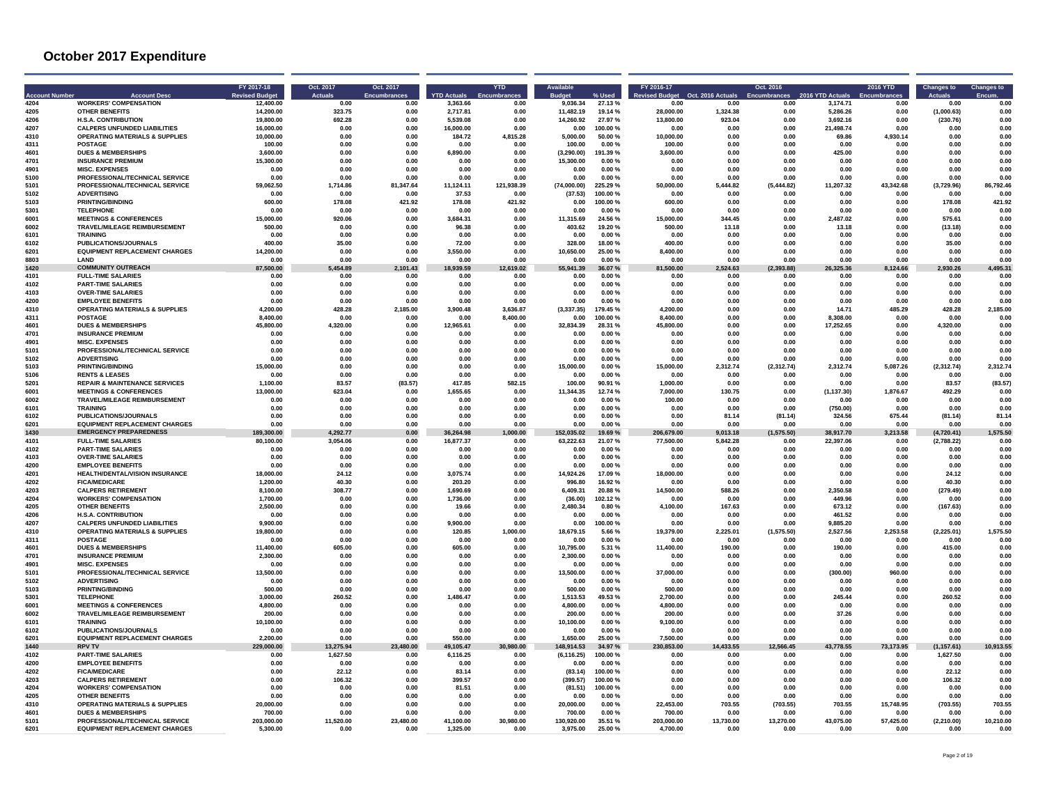| <b>Account Numbe</b> | <b>Account Desc</b>                                                  | FY 2017-18<br><b>Revised Budge</b> | Oct. 2017<br><b>Actuals</b> | Oct. 2017<br><b>Encumbrances</b> | <b>YTD Actuals</b> | <b>YTD</b><br>Encumbrar | Available          | % Used           | FY 2016-17<br>evised Budget | Oct. 2016 Actuals | Oct. 2016<br>Encumbrances | 2016 YTD Actuals   | 2016 YTD         | <b>Changes to</b> | <b>Changes to</b><br>Encum |
|----------------------|----------------------------------------------------------------------|------------------------------------|-----------------------------|----------------------------------|--------------------|-------------------------|--------------------|------------------|-----------------------------|-------------------|---------------------------|--------------------|------------------|-------------------|----------------------------|
| 4204                 | <b>WORKERS' COMPENSATION</b>                                         | 12.400.00                          | 0.00                        | 0.00                             | 3.363.66           | 0.00                    | 9.036.34           | 27.13%           | 0.00                        | 0.00              | 0.00                      | 3,174.71           | 0.00             | 0.00              | 0.00                       |
| 4205                 | OTHER RENEFITS                                                       | 14.200.00                          | 323.75                      | 0.00                             | 2.717.81           | 0.00                    | 11,482.19          | 19.14 %          | 28.000.00                   | 1.324,38          | 0.00                      | 5.286.26           | 0.00             | (1.000.63)        | 0.00                       |
| 4206                 | <b>H.S.A. CONTRIBUTION</b>                                           | 19.800.00                          | 692.28                      | 0.00                             | 5.539.08           | 0.00                    | 14.260.92          | 27.97%           | 13.800.00                   | 923.04            | 0.00                      | 3.692.16           | 0.00             | (230.76)          | 0.00                       |
| 4207                 | <b>CALPERS UNFUNDED LIABILITIES</b>                                  | 16,000.00                          | 0.00                        | 0.00                             | 16,000.00          | 0.00                    | 0.00               | 100.00%          | 0.00                        | 0.00              | 0.00                      | 21,498.74          | 0.00             | 0.00              | 0.00                       |
| 4310<br>4311         | <b>OPERATING MATERIALS &amp; SUPPLIES</b><br><b>POSTAGE</b>          | 10,000.00<br>100.00                | 0.00<br>0.00                | $0.00\,$<br>0.00                 | 184.72<br>0.00     | 4,815.28<br>0.00        | 5,000.00<br>100.00 | 50.00 %<br>0.00% | 10,000.00<br>100.00         | 0.00<br>0.00      | 0.00<br>0.00              | 69.86<br>0.00      | 4,930.14<br>0.00 | 0.00<br>0.00      | 0.00<br>0.00               |
| 4601                 | <b>DUES &amp; MEMBERSHIPS</b>                                        | 3.600.00                           | 0.00                        | 0.00                             | 6.890.00           | 0.00                    | (3.290.00)         | 191.39 %         | 3.600.00                    | 0.00              | 0.00                      | 425.00             | 0.00             | 0.00              | 0.00                       |
| 4701                 | <b>INSURANCE PREMIUM</b>                                             | 15,300.00                          | 0.00                        | 0.00                             | 0.00               | 0.00                    | 15,300.00          | 0.00%            | 0.00                        | 0.00              | 0.00                      | 0.00               | 0.00             | 0.00              | 0.00                       |
| 4901                 | <b>MISC. EXPENSES</b>                                                | 0.00                               | 0.00                        | 0.00                             | 0.00               | 0.00                    | 0.00               | 0.00%            | 0.00                        | 0.00              | 0.00                      | 0.00               | 0.00             | 0.00              | 0.00                       |
| 5100                 | PROFESSIONAL/TECHNICAL SERVICE                                       | 0.00                               | $0.00\,$                    | $0.00\,$                         | 0.00               | 0.00                    | 0.00               | 0.00%            | 0.00                        | 0.00              | 0.00                      | 0.00               | 0.00             | 0.00              | 0.00                       |
| 5101                 | PROFESSIONAL/TECHNICAL SERVICE                                       | 59.062.50                          | 1.714.86                    | 81.347.64                        | 11.124.11          | 121,938.39              | (74.000.00)        | 225.29 %         | 50.000.00                   | 5.444.82          | (5.444.82)                | 11.207.32          | 43.342.68        | (3.729.96)        | 86,792.46                  |
| 5102                 | <b>ADVERTISING</b>                                                   | 0.00                               | 0.00                        | 0.00                             | 37.53              | 0.00                    | (37.53)            | 100.00%          | 0.00                        | 0.00              | 0.00                      | 0.00               | 0.00             | 0.00              | 0.00                       |
| 5103                 | PRINTING/BINDING                                                     | 600.00                             | 178.08                      | 421.92                           | 178.08             | 421.92                  | 0.00               | 100.00%          | 600.00                      | 0.00              | 0.00                      | 0.00               | 0.00             | 178.08            | 421.92                     |
| 5301                 | <b>TELEPHONE</b>                                                     | 0.00                               | 0.00                        | 0.00                             | 0.00               | 0.00                    | 0.00               | 0.00%            | 0.00                        | 0.00              | 0.00                      | 0.00               | 0.00             | 0.00              | 0.00                       |
| 6001                 | <b>MEETINGS &amp; CONFERENCES</b>                                    | 15.000.00                          | 920.06                      | 0.00                             | 3.684.31           | 0.00                    | 11.315.69          | 24.56%           | 15.000.00                   | 344.45            | 0.00                      | 2.487.02           | <b>0.00</b>      | 575.61            | 0.00                       |
| 6002                 | TRAVEL/MILEAGE REIMBURSEMENT                                         | 500.00                             | 0.00                        | 0.00                             | 96.38              | 0.00                    | 403.62             | 19.20%           | 500.00                      | 13.18             | 0.00                      | 13.18              | 0.00             | (13.18)           | 0.00                       |
| 6101                 | <b>TRAINING</b>                                                      | 0.00                               | 0.00                        | 0.00                             | 0.00               | 0.00                    | 0.00               | 0.00%            | 0.00                        | 0.00              | 0.00                      | 0.00               | 0.00             | 0.00              | 0.00                       |
| 6102                 | <b>PUBLICATIONS/JOURNALS</b>                                         | 400.00                             | 35.00                       | 0.00                             | 72.00              | 0.00                    | 328.00             | 18.00%           | 400.00                      | 0.00              | 0.00                      | 0.00               | 0.00             | 35.00             | 0.00                       |
| 6201                 | <b>EQUIPMENT REPLACEMENT CHARGES</b>                                 | 14.200.00                          | 0.00                        | 0.00                             | 3.550.00           | 0.00                    | 10,650.00          | 25.00 %          | 8.400.00                    | 0.00              | 0.00                      | 0.00               | 0.00             | 0.00              | 0.00                       |
| 8803                 | <b>I AND</b>                                                         | 0.00                               | 0.00                        | 0.00                             | 0.00               | 0.00                    | 0.00               | 0.00%            | 0.00                        | 0.00              | 0.00                      | 0.00               | 0.00             | 0.00              | 0.00                       |
| 1420                 | <b>COMMUNITY OUTREACH</b>                                            | 87,500.00                          | 5,454.89                    | 2,101.43                         | 18,939.59          | 12,619.02               | 55,941.39<br>0.00  | 36.07%           | 81,500.00                   | 2,524.63          | (2, 393.88)               | 26,325.36          | 8,124.66         | 2,930.26          | 4,495.31<br>0.00           |
| 4101<br>4102         | <b>FULL-TIME SALARIES</b><br><b>PART-TIME SALARIES</b>               | 0.00<br>0.00                       | 0.00<br>0.00                | 0.00<br>0.00                     | 0.00<br>0.00       | 0.00<br>0.00            | 0.00               | 0.00%<br>0.00%   | 0.00<br>0.00                | 0.00<br>0.00      | 0.00<br>0.00              | 0.00<br>0.00       | 0.00<br>0.00     | 0.00<br>0.00      | 0.00                       |
| 4103                 | <b>OVER-TIME SALARIES</b>                                            | 0.00                               | 0.00                        | 0.00                             | 0.00               | 0.00                    | 0.00               | 0.00%            | 0.00                        | 0.00              | 0.00                      | 0.00               | 0.00             | 0.00              | 0.00                       |
| 4200                 | <b>EMPLOYEE BENEFITS</b>                                             | 0.00                               | 0.00                        | 0.00                             | 0.00               | 0.00                    | 0.00               | 0.00%            | 0.00                        | 0.00              | 0.00                      | 0.00               | 0.00             | 0.00              | 0.00                       |
| 4310                 | <b>OPERATING MATERIALS &amp; SUPPLIES</b>                            | 4.200.00                           | 428.28                      | 2,185.00                         | 3,900.48           | 3,636.87                | (3,337.35)         | 179.45%          | 4.200.00                    | 0.00              | 0.00                      | 14.71              | 485.29           | 428.28            | 2,185.00                   |
| 4311                 | <b>POSTAGE</b>                                                       | 8.400.00                           | 0.00                        | 0.00                             | 0.00               | 8.400.00                | 0.00               | 100.00%          | 8.400.00                    | 0.00              | 0.00                      | 8.308.00           | 0.00             | 0.00              | 0.00                       |
| 4601                 | <b>DUES &amp; MEMBERSHIPS</b>                                        | 45.800.00                          | 4.320.00                    | 0.00                             | 12.965.61          | 0.00                    | 32.834.39          | 28.31 %          | 45.800.00                   | 0.00              | 0.00                      | 17.252.65          | 0.00             | 4.320.00          | 0.00                       |
| 4701                 | <b>INSURANCE PREMIUM</b>                                             | 0.00                               | 0.00                        | 0.00                             | 0.00               | 0.00                    | 0.00               | 0.00%            | 0.00                        | 0.00              | 0.00                      | 0.00               | 0.00             | 0.00              | 0.00                       |
| 4901                 | <b>MISC. EXPENSES</b>                                                | 0.00                               | 0.00                        | $0.00\,$                         | 0.00               | 0.00                    | 0.00               | 0.00%            | 0.00                        | 0.00              | 0.00                      | 0.00               | 0.00             | 0.00              | 0.00                       |
| 5101                 | PROFESSIONAL/TECHNICAL SERVICE                                       | 0.00                               | 0.00                        | 0.00                             | 0.00               | 0.00                    | 0.00               | 0.00%            | 0.00                        | 0.00              | 0.00                      | 0.00               | 0.00             | 0.00              | 0.00                       |
| 5102                 | <b>ADVERTISING</b>                                                   | 0.00                               | 0.00                        | 0.00                             | 0.00               | 0.00                    | 0.00               | 0.00%            | 0.00                        | 0.00              | 0.00                      | 0.00               | 0.00             | 0.00              | 0.00                       |
| 5103                 | PRINTING/BINDING                                                     | 15,000.00                          | 0.00                        | 0.00                             | 0.00               | 0.00                    | 15,000.00          | 0.00%            | 15,000.00                   | 2,312.74          | (2,312.74)                | 2,312.74           | 5,087.26         | (2,312.74)        | 2,312.74                   |
| 5106                 | <b>RENTS &amp; LEASES</b>                                            | 0.00                               | 0.00                        | 0.00                             | 0.00               | 0.00                    | 0.00               | 0.00%            | 0.00                        | 0.00              | 0.00                      | 0.00               | 0.00             | 0.00              | 0.00                       |
| 5201                 | <b>REPAIR &amp; MAINTENANCE SERVICES</b>                             | 1,100.00                           | 83.57                       | (83.57)                          | 417.85             | 582.15                  | 100.00             | 90.91%           | 1,000.00                    | 0.00              | 0.00                      | 0.00               | 0.00             | 83.57             | (83.57)                    |
| 6001                 | <b>MEETINGS &amp; CONFERENCES</b>                                    | 13.000.00                          | 623.04                      | 0.00                             | 1.655.65           | 0.00                    | 11.344.35          | 12.74 %          | 7.000.00                    | 130.75            | 0.00                      | (1, 137.30)        | 1.876.67         | 492.29            | 0.00                       |
| 6002<br>6101         | TRAVEL/MILEAGE REIMBURSEMENT<br><b>TRAINING</b>                      | 0.00<br>0.00                       | 0.00<br>0.00                | 0.00<br>0.00                     | 0.00<br>0.00       | 0.00<br>0.00            | 0.00<br>0.00       | 0.00%<br>0.00%   | 100.00<br>0.00              | 0.00<br>0.00      | 0.00<br>0.00              | 0.00<br>(750.00)   | 0.00<br>0.00     | 0.00<br>0.00      | 0.00<br>0.00               |
| 6102                 | <b>PUBLICATIONS/JOURNALS</b>                                         | 0.00                               | 0.00                        | 0.00                             | 0.00               | 0.00                    | 0.00               | 0.00%            | 0.00                        | 81.14             | (81.14)                   | 324.56             | 675.44           | (81.14)           | 81.14                      |
| 6201                 | FOURMENT REPLACEMENT CHARGES                                         | <b>0.00</b>                        | 0.00                        | 0.00                             | 0.00               | 0.00                    | 0.00               | 0.00 %           | 0.00                        | 0.00              | 0.00                      | <b>በ በበ</b>        | <b>0.00</b>      | <b>በ በበ</b>       | 0.00                       |
| 1430                 | <b>EMERGENCY PREPAREDNESS</b>                                        | 189,300.00                         | 4,292.77                    | 0.00                             | 36.264.98          | 000.00                  | 152,035.02         | 19.69%           | 206,679.00                  | 9,013.18          | (1,575.50)                | 38,917.70          | 3,213.58         | (4,720.41)        | ,575.50                    |
| 4101                 | <b>FULL-TIME SALARIES</b>                                            | 80.100.00                          | 3.054.06                    | 0.00                             | 16.877.37          | 0.00                    | 63.222.63          | 21.07%           | 77,500.00                   | 5.842.28          | 0.00                      | 22,397.06          | 0.00             | (2.788.22)        | 0.00                       |
| 4102                 | <b>PART-TIME SALARIES</b>                                            | 0.00                               | 0.00                        | $0.00\,$                         | 0.00               | 0.00                    | 0.00               | 0.00%            | 0.00                        | 0.00              | 0.00                      | 0.00               | 0.00             | 0.00              | 0.00                       |
| 4103                 | <b>OVER-TIME SALARIES</b>                                            | 0.00                               | 0.00                        | 0.00                             | 0.00               | 0.00                    | 0.00               | 0.00%            | 0.00                        | 0.00              | 0.00                      | 0.00               | 0.00             | 0.00              | 0.00                       |
| 4200                 | <b>EMPLOYEE BENEFITS</b>                                             | 0.00                               | 0.00                        | 0.00                             | 0.00               | 0.00                    | 0.00               | 0.00%            | 0.00                        | 0.00              | 0.00                      | 0.00               | 0.00             | 0.00              | 0.00                       |
| 4201                 | <b>HEALTH/DENTAL/VISION INSURANCE</b>                                | 18,000.00                          | 24.12                       | 0.00                             | 3,075.74           | 0.00                    | 14,924.26          | 17.09%           | 18,000.00                   | 0.00              | 0.00                      | 0.00               | 0.00             | 24.12             | 0.00                       |
| 4202                 | <b>FICA/MEDICARE</b>                                                 | 1,200.00                           | 40.30                       | 0.00                             | 203.20             | 0.00                    | 996.80             | 16.92%           | 0.00                        | 0.00              | 0.00                      | 0.00               | 0.00             | 40.30             | 0.00                       |
| 4203                 | <b>CALPERS RETIREMENT</b>                                            | 8.100.00                           | 308.77                      | 0.00                             | 1.690.69           | 0.00                    | 6.409.31           | 20.88%           | 14.500.00                   | 588.26            | 0.00                      | 2.350.58           | <b>0.00</b>      | (279.49)          | 0.00                       |
| 4204                 | <b>WORKERS' COMPENSATION</b>                                         | 1.700.00                           | 0.00                        | 0.00                             | 1.736.00           | 0.00                    | (36.00)            | 102.12%          | 0.00                        | 0.00              | 0.00                      | 449.96             | 0.00             | 0.00              | 0.00                       |
| 4205                 | <b>OTHER BENEFITS</b>                                                | 2.500.00                           | 0.00                        | 0.00                             | 19.66              | 0.00                    | 2,480.34           | 0.80%            | 4,100.00                    | 167.63            | 0.00                      | 673.12             | 0.00             | (167.63)          | 0.00                       |
| 4206<br>4207         | <b>H.S.A. CONTRIBUTION</b><br><b>CALPERS UNFUNDED LIABILITIES</b>    | 0.00<br>9.900.00                   | 0.00<br>0.00                | 0.00<br>0.00                     | 0.00<br>9.900.00   | 0.00<br>0.00            | 0.00<br>0.00       | 0.00%<br>100.00% | 0.00<br>0.00                | 0.00<br>0.00      | 0.00<br>0.00              | 461.52<br>9.885.20 | 0.00<br>0.00     | 0.00<br>0.00      | 0.00<br>0.00               |
| 4310                 | <b>OPERATING MATERIALS &amp; SUPPLIES</b>                            | 19.800.00                          | 0.00                        | 0.00                             | 120.85             | 1.000.00                | 18,679.15          | 5.66%            | 19.379.00                   | 2.225.01          | (1,575.50)                | 2.527.56           | 2.253.58         | (2, 225.01)       | 1,575.50                   |
| 4311                 | <b>POSTAGE</b>                                                       | 0.00                               | 0.00                        | 0.00                             | 0.00               | 0.00                    | 0.00               | 0.00%            | 0.00                        | 0.00              | 0.00                      | 0.00               | 0.00             | 0.00              | 0.00                       |
| 4601                 | <b>DUES &amp; MEMBERSHIPS</b>                                        | 11,400.00                          | 605.00                      | 0.00                             | 605.00             | 0.00                    | 10,795.00          | 5.31 %           | 11,400.00                   | 190.00            | 0.00                      | 190.00             | 0.00             | 415.00            | 0.00                       |
| 4701                 | <b>INSURANCE PREMIUM</b>                                             | 2.300.00                           | 0.00                        | 0.00                             | 0.00               | 0.00                    | 2.300.00           | 0.00%            | 0.00                        | 0.00              | 0.00                      | 0.00               | 0.00             | 0.00              | 0.00                       |
| 4901                 | <b>MISC. EXPENSES</b>                                                | 0.00                               | 0.00                        | 0.00                             | 0.00               | 0.00                    | 0.00               | 0.00%            | 0.00                        | 0.00              | 0.00                      | 0.00               | 0.00             | 0.00              | 0.00                       |
| 5101                 | PROFESSIONAL/TECHNICAL SERVICE                                       | 13,500.00                          | $0.00\,$                    | 0.00                             | 0.00               | 0.00                    | 13,500.00          | 0.00%            | 37,000.00                   | 0.00              | 0.00                      | (300.00)           | 960.00           | 0.00              | 0.00                       |
| 5102                 | <b>ADVERTISING</b>                                                   | 0.00                               | 0.00                        | 0.00                             | 0.00               | 0.00                    | 0.00               | 0.00%            | 0.00                        | 0.00              | 0.00                      | 0.00               | 0.00             | 0.00              | 0.00                       |
| 5103                 | <b>PRINTING/BINDING</b>                                              | 500.00                             | 0.00                        | 0.00                             | 0.00               | 0.00                    | 500.00             | 0.00%            | 500.00                      | 0.00              | 0.00                      | 0.00               | 0.00             | 0.00              | 0.00                       |
| 5301                 | <b>TELEPHONE</b>                                                     | 3.000.00                           | 260.52                      | 0.00                             | 1.486.47           | 0.00                    | 1.513.53           | 49.53%           | 2.700.00                    | 0.00              | 0.00                      | 245.44             | 0.00             | 260.52            | 0.00                       |
| 6001                 | <b>MEETINGS &amp; CONFERENCES</b>                                    | 4.800.00                           | 0.00                        | 0.00                             | 0.00               | 0.00                    | 4,800.00           | 0.00%            | 4,800.00                    | 0.00              | 0.00                      | 0.00               | 0.00             | 0.00              | 0.00                       |
| 6002                 | TRAVEL/MILEAGE REIMBURSEMENT                                         | 200.00                             | 0.00                        | 0.00                             | 0.00               | 0.00                    | 200.00             | 0.00%            | 200.00                      | 0.00              | 0.00                      | 37.26              | 0.00             | 0.00              | 0.00                       |
| 6101                 | <b>TRAINING</b>                                                      | 10,100.00                          | 0.00                        | 0.00                             | 0.00               | 0.00                    | 10,100.00          | 0.00%            | 9,100.00                    | 0.00              | 0.00                      | 0.00               | 0.00             | 0.00              | 0.00                       |
| 6102<br>6201         | <b>PUBLICATIONS/JOURNALS</b><br><b>EQUIPMENT REPLACEMENT CHARGES</b> | 0.00<br>2,200.00                   | 0.00<br>0.00                | 0.00<br>0.00                     | 0.00<br>550.00     | 0.00<br>0.00            | 0.00<br>1,650.00   | 0.00%<br>25.00 % | 0.00<br>7,500.00            | 0.00<br>0.00      | 0.00<br>0.00              | 0.00<br>0.00       | 0.00<br>0.00     | 0.00<br>0.00      | 0.00<br>0.00               |
| 1440                 | <b>RPV TV</b>                                                        | 229.000.00                         | 13.275.94                   | 23,480.00                        | 49.105.47          | 980.00                  | 48.914.53          | 34.97%           | 230,853.00                  | ,433.55           | 566.45                    | 43.778.55          | 73,173.95        | (1.157.61)        | 10,913.55                  |
| 4102                 | <b>PART-TIME SALARIES</b>                                            | 0.00                               | 1,627.50                    | 0.00                             | 6,116.25           | 0.00                    | (6, 116.25)        | 100.00%          | 0.00                        | 0.00              | 0.00                      | 0.00               | 0.00             | 1,627.50          | 0.00                       |
| 4200                 | <b>EMPLOYEE BENEFITS</b>                                             | 0.00                               | 0.00                        | 0.00                             | 0.00               | 0.00                    | 0.00               | $0.00 \%$        | 0.00                        | 0.00              | 0.00                      | 0.00               | 0.00             | 0.00              | 0.00                       |
| 4202                 | <b>FICA/MEDICARE</b>                                                 | 0.00                               | 22.12                       | 0.00                             | 83.14              | 0.00                    | (83.14)            | 100.00%          | 0.00                        | 0.00              | 0.00                      | 0.00               | 0.00             | 22.12             | 0.00                       |
| 4203                 | <b>CALPERS RETIREMENT</b>                                            | 0.00                               | 106.32                      | 0.00                             | 399.57             | 0.00                    | (399.57)           | 100.00%          | 0.00                        | 0.00              | 0.00                      | 0.00               | 0.00             | 106.32            | 0.00                       |
| 4204                 | <b>WORKERS' COMPENSATION</b>                                         | 0.00                               | 0.00                        | 0.00                             | 81.51              | 0.00                    | (81.51)            | 100.00%          | 0.00                        | 0.00              | 0.00                      | 0.00               | 0.00             | 0.00              | 0.00                       |
| 4205                 | OTHER RENEFITS                                                       | <b>0.00</b>                        | 0.00                        | n nn                             | 0.00               | 0.00                    | n nn               | 0.00%            | <b>0.00</b>                 | <b>በ በበ</b>       | 0.00                      | <b>በ በበ</b>        | <b>0.00</b>      | <b>በ በበ</b>       | 0.00                       |
| 4310                 | <b>OPERATING MATERIALS &amp; SUPPLIES</b>                            | 20.000.00                          | 0.00                        | 0.00                             | 0.00               | 0.00                    | 20,000.00          | 0.00%            | 22.453.00                   | 703.55            | (703.55)                  | 703.55             | 15,748.95        | (703.55)          | 703.55                     |
| 4601                 | <b>DUES &amp; MEMBERSHIPS</b>                                        | 700.00                             | 0.00                        | 0.00                             | 0.00               | 0.00                    | 700.00             | 0.00%            | 700.00                      | 0.00              | 0.00                      | 0.00               | 0.00             | 0.00              | 0.00                       |
| 5101                 | PROFESSIONAL/TECHNICAL SERVICE                                       | 203.000.00                         | 11,520.00                   | 23,480.00                        | 41,100.00          | 30,980.00               | 130,920.00         | 35.51 %          | 203,000.00                  | 13,730.00         | 13,270.00                 | 43,075.00          | 57,425.00        | (2, 210.00)       | 10,210.00                  |
| 6201                 | <b>EQUIPMENT REPLACEMENT CHARGES</b>                                 | 5.300.00                           | 0.00                        | 0.00                             | 1.325.00           | 0.00                    | 3.975.00           | 25.00 %          | 4.700.00                    | 0.00              | 0.00                      | 0.00               | 0.00             | 0.00              | 0.00                       |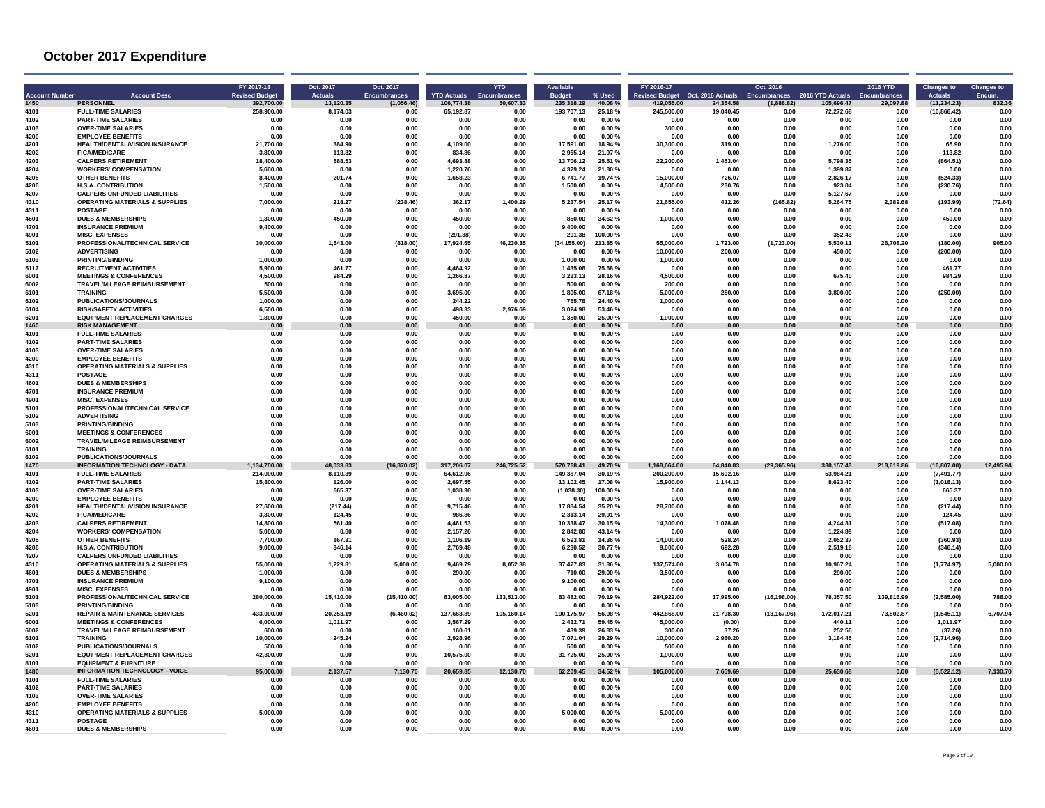| <b>Account Number</b> | <b>Account Desc</b>                                                              | FY 2017-18<br><b>Revised Budge</b> | Oct. 2017<br><b>Actuals</b> | Oct. 2017<br><b>Encumbrances</b> | <b>YTD Actuals</b>    | <b>YTD</b><br>Encumbrances | Available<br><b>Budget</b> | % Used             | FY 2016-17                                     |                       | Oct. 2016                         |                                | <b>2016 YTD</b><br><b>Encumbrances</b> | <b>Changes to</b><br>Actuals | <b>Changes to</b><br>Encum. |
|-----------------------|----------------------------------------------------------------------------------|------------------------------------|-----------------------------|----------------------------------|-----------------------|----------------------------|----------------------------|--------------------|------------------------------------------------|-----------------------|-----------------------------------|--------------------------------|----------------------------------------|------------------------------|-----------------------------|
| 1450                  | <b>PERSONNEL</b>                                                                 | 392,700.00                         | 13.120.35                   | (1.056.46)                       | 106.774.38            | 50,607.33                  | 235.318.29                 | 40.08%             | Revised Budget Oct. 2016 Actuals<br>419.055.00 | 24.354.58             | <b>Encumbrances</b><br>(1,888.82) | 2016 YTD Actuals<br>105,696.47 | 29,097.88                              | (11.234.23)                  | 832.36                      |
| 4101                  | <b>FULL-TIME SALARIES</b>                                                        | 258,900.00                         | 8,174.03                    | 0.00                             | 65,192.87             | 0.00                       | 193,707.13                 | 25.18%             | 245,500.00                                     | 19,040.45             | 0.00                              | 72,272.68                      | 0.00                                   | (10, 866.42)                 | 0.00                        |
| 4102                  | <b>PART-TIME SALARIES</b>                                                        | 0.00                               | 0.00                        | 0.00                             | 0.00                  | 0.00                       | 0.00                       | 0.00%              | 0.00                                           | 0.00                  | 0.00                              | 0.00                           | 0.00                                   | 0.00                         | 0.00                        |
| 4103                  | <b>OVER-TIME SALARIES</b>                                                        | 0.00                               | 0.00                        | 0.00                             | 0.00                  | 0.00                       | 0.00                       | 0.00%              | 300.00                                         | 0.00                  | 0.00                              | 0.00                           | 0.00                                   | 0.00                         | 0.00                        |
| 4200                  | <b>EMPLOYEE BENEFITS</b>                                                         | 0.00                               | 0.00                        | 0.00                             | 0.00                  | 0.00                       | 0.00                       | 0.00%              | 0.00                                           | 0.00                  | 0.00                              | 0.00                           | 0.00                                   | 0.00                         | 0.00                        |
| 4201<br>4202          | HEALTH/DENTAL/VISION INSURANCE<br><b>FICA/MEDICARE</b>                           | 21,700.00<br>3.800.00              | 384.90<br>113.82            | 0.00<br>0.00                     | 4,109.00<br>834.86    | 0.00<br>0.00               | 17,591.00<br>2.965.14      | 18.94 %<br>21.97%  | 30,300.00<br>0.00                              | 319.00<br>0.00        | 0.00<br>0.00                      | 1,276.00<br>0.00               | 0.00<br>0.00                           | 65.90<br>113.82              | 0.00<br>0.00                |
| 4203                  | <b>CALPERS RETIREMENT</b>                                                        | 18,400.00                          | 588.53                      | 0.00                             | 4.693.88              | 0.00                       | 13.706.12                  | 25.51 %            | 22.200.00                                      | 1.453.04              | 0.00                              | 5.798.35                       | 0.00                                   | (864.51)                     | 0.00                        |
| 4204                  | <b>WORKERS' COMPENSATION</b>                                                     | 5.600.00                           | 0.00                        | 0.00                             | 1.220.76              | 0.00                       | 4.379.24                   | 21.80%             | 0.00                                           | 0.00                  | 0.00                              | 1.399.87                       | 0.00                                   | 0.00                         | 0.00                        |
| 4205                  | <b>OTHER BENEFITS</b>                                                            | 8,400.00                           | 201.74                      | 0.00                             | 1.658.23              | 0.00                       | 6.741.77                   | 19.74 %            | 15,000.00                                      | 726.07                | 0.00                              | 2.826.17                       | 0.00                                   | (524.33)                     | 0.00                        |
| 4206                  | <b>H.S.A. CONTRIBUTION</b>                                                       | 1.500.00                           | 0.00                        | 0.00                             | 0.00                  | 0.00                       | 1,500.00                   | 0.00%              | 4.500.00                                       | 230.76                | 0.00                              | 923.04                         | 0.00                                   | (230.76)                     | 0.00                        |
| 4207<br>4310          | <b>CALPERS UNFUNDED LIABILITIES</b><br><b>OPERATING MATERIALS &amp; SUPPLIES</b> | 0.00<br>7.000.00                   | 0.00<br>218.27              | 0.00<br>(238.46)                 | 0.00<br>362.17        | 0.00<br>1.400.29           | 0.00<br>5.237.54           | 0.00%<br>25.17%    | 0.00<br>21,655.00                              | 0.00<br>412.26        | 0.00<br>(165.82)                  | 5,127.67<br>5.264.75           | 0.00<br>2.389.68                       | 0.00<br>(193.99)             | 0.00<br>(72.64)             |
| 4311                  | <b>POSTAGE</b>                                                                   | 0.00                               | 0.00                        | 0.00                             | 0.00                  | 0.00                       | 0.00                       | 0.00%              | 0.00                                           | 0.00                  | 0.00                              | 0.00                           | 0.00                                   | 0.00                         | 0.00                        |
| 4601                  | <b>DUES &amp; MEMBERSHIPS</b>                                                    | 1.300.00                           | 450.00                      | 0.00                             | 450.00                | 0.00                       | 850.00                     | 34.62%             | 1,000.00                                       | 0.00                  | 0.00                              | 0.00                           | 0.00                                   | 450.00                       | 0.00                        |
| 4701                  | <b>INSURANCE PREMIUM</b>                                                         | 9,400.00                           | 0.00                        | 0.00                             | 0.00                  | 0.00                       | 9,400.00                   | 0.00%              | 0.00                                           | 0.00                  | 0.00                              | 0.00                           | 0.00                                   | 0.00                         | 0.00                        |
| 4901                  | <b>MISC. EXPENSES</b>                                                            | 0.00                               | 0.00                        | 0.00                             | (291.38)              | 0.00                       | 291.38                     | 100.00%            | 0.00                                           | 0.00                  | 0.00                              | 352.43                         | 0.00                                   | 0.00                         | 0.00                        |
| 5101                  | PROFESSIONAL/TECHNICAL SERVICE<br><b>ADVERTISING</b>                             | 30.000.00<br>0.00                  | 1.543.00                    | (818.00)                         | 17.924.65             | 46.230.35                  | (34, 155.00)               | 213.85%            | 55,000.00                                      | 1,723.00              | (1,723.00)                        | 5.530.11                       | 26.708.20                              | (180.00)                     | 905.00<br>0.00              |
| 5102<br>5103          | <b>PRINTING/BINDING</b>                                                          | 1.000.00                           | 0.00<br>0.00                | 0.00<br>0.00                     | 0.00<br>0.00          | 0.00<br>0.00               | 0.00<br>1.000.00           | 0.00%<br>0.00%     | 10,000.00<br>1.000.00                          | 200.00<br>0.00        | 0.00<br>0.00                      | 450.00<br>0.00                 | 0.00<br>0.00                           | (200.00)<br>0.00             | 0.00                        |
| 5117                  | <b>RECRUITMENT ACTIVITIES</b>                                                    | 5,900.00                           | 461.77                      | 0.00                             | 4,464.92              | 0.00                       | 1,435.08                   | 75.68%             | 0.00                                           | 0.00                  | 0.00                              | 0.00                           | 0.00                                   | 461.77                       | 0.00                        |
| 6001                  | <b>MEETINGS &amp; CONFERENCES</b>                                                | 4.500.00                           | 984.29                      | 0.00                             | 1.266.87              | 0.00                       | 3.233.13                   | 28.16%             | 4.500.00                                       | 0.00                  | 0.00                              | 675.40                         | 0.00                                   | 984.29                       | 0.00                        |
| 6002                  | TRAVEL/MILEAGE REIMBURSEMENT                                                     | 500.00                             | 0.00                        | 0.00                             | 0.00                  | 0.00                       | 500.00                     | 0.00%              | 200.00                                         | 0.00                  | 0.00                              | 0.00                           | 0.00                                   | 0.00                         | 0.00                        |
| 6101                  | <b>TRAINING</b>                                                                  | 5,500.00                           | 0.00                        | 0.00                             | 3.695.00              | 0.00                       | 1,805.00                   | 67.18%             | 5,000.00                                       | 250.00                | 0.00                              | 3,800.00                       | 0.00                                   | (250.00)                     | 0.00                        |
| 6102<br>6104          | <b>PUBLICATIONS/JOURNALS</b><br><b>RISK/SAFFTY ACTIVITIES</b>                    | 1.000.00<br>6.500.00               | 0.00<br>0.00                | 0.00<br>0.00                     | 244.22<br>498.33      | 0.00<br>2,976.69           | 755.78<br>3.024.98         | 24.40%<br>53.46%   | 1,000.00<br>0.00                               | 0.00<br>0.00          | 0.00<br>0.00                      | 0.00<br>n nn                   | 0.00<br>0.00                           | 0.00<br>0.00                 | 0.00<br>0.00                |
| 6201                  | <b>EQUIPMENT REPLACEMENT CHARGES</b>                                             | 1,800.00                           | 0.00                        | 0.00                             | 450.00                | 0.00                       | 1,350.00                   | 25.00%             | 1,900.00                                       | 0.00                  | 0.00                              | 0.00                           | 0.00                                   | 0.00                         | 0.00                        |
| 1460                  | <b>RISK MANAGEMENT</b>                                                           | 0.00                               | 0.00                        | 0.00                             | 0.00                  | 0.00                       | 0.00                       | 0.00%              | 0.00                                           | 0.00                  | 0.00                              | 0.00                           | 0.00                                   | 0.00                         | 0.00                        |
| 4101                  | <b>FULL-TIME SALARIES</b>                                                        | 0.00                               | 0.00                        | 0.00                             | 0.00                  | 0.00                       | 0.00                       | 0.00%              | 0.00                                           | 0.00                  | 0.00                              | 0.00                           | 0.00                                   | 0.00                         | 0.00                        |
| 4102                  | <b>PART-TIME SALARIES</b>                                                        | 0.00                               | 0.00                        | 0.00                             | 0.00                  | 0.00                       | 0.00                       | $0.00 \%$          | 0.00                                           | 0.00                  | 0.00                              | 0.00                           | 0.00                                   | 0.00                         | 0.00                        |
| 4103                  | <b>OVER-TIME SALARIES</b>                                                        | 0.00                               | 0.00                        | 0.00                             | 0.00                  | 0.00                       | 0.00                       | 0.00%              | 0.00                                           | 0.00                  | 0.00                              | 0.00                           | 0.00                                   | 0.00                         | 0.00                        |
| 4200<br>4310          | <b>EMPLOYEE BENEFITS</b><br><b>OPERATING MATERIALS &amp; SUPPLIES</b>            | 0.00<br>0.00                       | 0.00<br>0.00                | 0.00<br>0.00                     | 0.00<br>0.00          | 0.00<br>0.00               | 0.00<br>0.00               | 0.00%<br>0.00%     | 0.00<br>0.00                                   | 0.00<br>0.00          | 0.00<br>0.00                      | 0.00<br>0.00                   | 0.00<br>0.00                           | 0.00<br>0.00                 | 0.00<br>0.00                |
| 4311                  | <b>POSTAGE</b>                                                                   | 0.00                               | 0.00                        | 0.00                             | 0.00                  | 0.00                       | 0.00                       | 0.00%              | 0.00                                           | 0.00                  | 0.00                              | 0.00                           | 0.00                                   | 0.00                         | 0.00                        |
| 4601                  | <b>DUES &amp; MEMBERSHIPS</b>                                                    | 0.00                               | 0.00                        | 0.00                             | 0.00                  | 0.00                       | 0.00                       | 0.00%              | 0.00                                           | 0.00                  | 0.00                              | 0.00                           | 0.00                                   | 0.00                         | 0.00                        |
| 4701                  | <b>INSURANCE PREMIUM</b>                                                         | 0.00                               | 0.00                        | 0.00                             | 0.00                  | 0.00                       | 0.00                       | 0.00%              | 0.00                                           | 0.00                  | 0.00                              | 0.00                           | 0.00                                   | 0.00                         | 0.00                        |
| 490                   | <b>MISC. EXPENSES</b>                                                            | 0.00                               | 0.00                        | 0.00                             | 0.00                  | 0.00                       | 0.00                       | 0.00%              | 0.00                                           | 0.00                  | 0.00                              | 0.00                           | 0.00                                   | 0.00                         | 0.00                        |
| 5101<br>5102          | PROFESSIONAL/TECHNICAL SERVICE<br><b>ADVERTISING</b>                             | 0.00<br>0.00                       | 0.00<br>0.00                | 0.00<br>0.00                     | 0.00<br>0.00          | 0.00<br>0.00               | 0.00<br>0.00               | $0.00 \%$<br>0.00% | 0.00<br>0.00                                   | 0.00<br>0.00          | 0.00<br>0.00                      | 0.00<br>0.00                   | 0.00<br>0.00                           | 0.00<br>0.00                 | 0.00<br>0.00                |
| 5103                  | PRINTING/BINDING                                                                 | 0.00                               | 0.00                        | 0.00                             | 0.00                  | 0.00                       | 0.00                       | 0.00%              | 0.00                                           | 0.00                  | 0.00                              | 0.00                           | 0.00                                   | 0.00                         | 0.00                        |
| 6001                  | <b>MEETINGS &amp; CONFERENCES</b>                                                | 0.00                               | $0.00\,$                    | 0.00                             | 0.00                  | 0.00                       | 0.00                       | 0.00%              | 0.00                                           | 0.00                  | 0.00                              | 0.00                           | 0.00                                   | 0.00                         | 0.00                        |
| 6002                  | TRAVEL/MILEAGE REIMBURSEMENT                                                     | 0.00                               | 0.00                        | 0.00                             | 0.00                  | 0.00                       | 0.00                       | 0.00%              | 0.00                                           | 0.00                  | 0.00                              | 0.00                           | 0.00                                   | 0.00                         | 0.00                        |
| 6101                  | <b>TRAINING</b>                                                                  | 0.00                               | 0.00                        | 0.00                             | 0.00                  | 0.00                       | 0.00                       | $0.00 \%$          | 0.00                                           | 0.00                  | 0.00                              | 0.00                           | 0.00                                   | 0.00                         | 0.00                        |
| 6102                  | PUBLICATIONS/JOURNALS                                                            | 0.00                               | 0.00                        | 0.00                             | 0.00                  | 0.00                       | 0.00                       | 0.00%              | 0.00                                           | 0.00                  | 0.00                              | 0.00                           | 0.00                                   | 0.00                         | 0.00                        |
| 1470                  | <b>INFORMATION TECHNOLOGY - DATA</b>                                             | 1.134.700.00                       | 48,033.83                   | (16, 870.02)                     | 317,206.07            | 246,725.52                 | 570,768.41                 | 49.70%             | 1,168,664.00                                   | 64,840.83             | (29, 365.96)                      | 338.157.43                     | 213,619.86                             | (16, 807.00)                 | 12,495.94<br>0.00           |
| 4101<br>4102          | <b>FULL-TIME SALARIES</b><br><b>PART-TIME SALARIES</b>                           | 214,000.00<br>15,800.00            | 8,110.39<br>126.00          | 0.00<br>0.00                     | 64,612.96<br>2.697.55 | 0.00<br>0.00               | 149,387.04<br>13.102.45    | 30.19%<br>17.08%   | 200,200.00<br>15,900.00                        | 15,602.16<br>1.144.13 | 0.00<br>0.00                      | 53,984.21<br>8.623.40          | 0.00<br>0.00                           | (7, 491.77)<br>(1,018.13)    | 0.00                        |
| 4103                  | <b>OVER-TIME SALARIES</b>                                                        | 0.00                               | 665.37                      | 0.00                             | 1.038.30              | 0.00                       | (1,038.30)                 | 100.00%            | 0.00                                           | 0.00                  | 0.00                              | 0.00                           | 0.00                                   | 665.37                       | 0.00                        |
| 4200                  | <b>EMPLOYEE BENEFITS</b>                                                         | 0.00                               | 0.00                        | 0.00                             | 0.00                  | 0.00                       | 0.00                       | 0.00%              | 0.00                                           | 0.00                  | 0.00                              | 0.00                           | 0.00                                   | 0.00                         | 0.00                        |
| 4201                  | HEALTH/DENTAL/VISION INSURANCE                                                   | 27.600.00                          | (217.44)                    | 0.00                             | 9.715.46              | 0.00                       | 17.884.54                  | 35.20%             | 28,700.00                                      | 0.00                  | 0.00                              | 0.00                           | 0.00                                   | (217.44)                     | 0.00                        |
| 4202                  | <b>FICA/MEDICARE</b>                                                             | 3.300.00                           | 124.45                      | 0.00                             | 986.86                | 0.00                       | 2.313.14                   | 29.91%             | 0.00                                           | 0.00                  | 0.00                              | 0.00                           | 0.00                                   | 124.45                       | 0.00                        |
| 4203<br>4204          | <b>CALPERS RETIREMENT</b><br><b>WORKERS' COMPENSATION</b>                        | 14,800.00<br>5.000.00              | 561.40<br>0.00              | 0.00<br>0.00                     | 4,461.53<br>2,157.20  | 0.00<br>0.00               | 10,338.47<br>2.842.80      | 30.15%<br>43.14%   | 14,300.00<br>0.00                              | 1,078.48<br>0.00      | 0.00<br>0.00                      | 4,244.31<br>1,224.89           | 0.00<br>0.00                           | (517.08)<br>0.00             | 0.00<br>0.00                |
| 4205                  | <b>OTHER BENEFITS</b>                                                            | 7.700.00                           | 167.31                      | 0.00                             | 1.106.19              | 0.00                       | 6,593.81                   | 14.36%             | 14,000.00                                      | 528.24                | 0.00                              | 2,052.37                       | 0.00                                   | (360.93)                     | 0.00                        |
| 4206                  | <b>H.S.A. CONTRIBUTION</b>                                                       | 9.000.00                           | 346.14                      | 0.00                             | 2,769.48              | 0.00                       | 6.230.52                   | 30.77%             | 9,000.00                                       | 692.28                | 0.00                              | 2.519.18                       | 0.00                                   | (346.14)                     | 0.00                        |
| 4207                  | <b>CALPERS UNFUNDED LIABILITIES</b>                                              | 0.00                               | 0.00                        | 0.00                             | 0.00                  | 0.00                       | 0.00                       | 0.00%              | 0.00                                           | 0.00                  | 0.00                              | 0.00                           | 0.00                                   | 0.00                         | 0.00                        |
| 4310                  | <b>OPERATING MATERIALS &amp; SUPPLIES</b>                                        | 55,000.00                          | 1,229.81                    | 5,000.00                         | 9,469.79              | 8,052.38                   | 37,477.83                  | 31.86%             | 137,574.00                                     | 3,004.78              | 0.00                              | 10,967.24                      | 0.00                                   | (1,774.97)                   | 5,000.00                    |
| 4601                  | <b>DUES &amp; MEMBERSHIPS</b>                                                    | 1,000.00                           | 0.00                        | 0.00                             | 290.00                | 0.00                       | 710.00                     | 29.00%             | 3,500.00                                       | 0.00                  | 0.00                              | 290.00                         | 0.00                                   | 0.00                         | 0.00                        |
| 4701<br>4901          | <b>INSURANCE PREMIUM</b><br><b>MISC. EXPENSES</b>                                | 9.100.00<br>0.00                   | 0.00<br>0.00                | 0.00<br>0.00                     | 0.00<br>0.00          | 0.00<br>0.00               | 9.100.00<br>0.00           | 0.00%<br>$0.00 \%$ | 0.00<br>0.00                                   | 0.00<br>0.00          | 0.00<br>0.00                      | 0.00<br>0.00                   | 0.00<br>0.00                           | 0.00<br>0.00                 | 0.00<br>0.00                |
| 5101                  | PROFESSIONAL/TECHNICAL SERVICE                                                   | 280,000.00                         | 15,410.00                   | (15, 410.00)                     | 63,005.00             | 133,513.00                 | 83,482.00                  | 70.19%             | 284,922.00                                     | 17,995.00             | (16, 198.00)                      | 78,357.50                      | 139,816.99                             | (2,585.00)                   | 788.00                      |
| 5103                  | <b>PRINTING/BINDING</b>                                                          | 0.00                               | 0.00                        | 0.00                             | 0.00                  | 0.00                       | 0.00                       | 0.00%              | 0.00                                           | 0.00                  | 0.00                              | 0.00                           | 0.00                                   | 0.00                         | 0.00                        |
| 5201                  | <b>REPAIR &amp; MAINTENANCE SERVICES</b>                                         | 433.000.00                         | 20,253.19                   | (6,460.02)                       | 137.663.89            | 105,160.14                 | 190,175.97                 | 56.08%             | 442,868.00                                     | 21,798.30             | (13, 167.96)                      | 172,017.21                     | 73,802.87                              | (1, 545.11)                  | 6,707.94                    |
| 6001                  | <b>MEETINGS &amp; CONFERENCES</b>                                                | 6,000.00                           | 1.011.97                    | 0.00                             | 3.567.29              | 0.00                       | 2.432.71                   | 59.45%             | 5.000.00                                       | (0.00)                | 0.00                              | 440.11                         | 0.00                                   | 1.011.97                     | 0.00                        |
| 6002                  | TRAVEL/MILEAGE REIMBURSEMENT                                                     | 600.00                             | 0.00                        | 0.00                             | 160.61                | 0.00                       | 439.39                     | 26.83%             | 300.00                                         | 37.26                 | 0.00                              | 252.56                         | 0.00                                   | (37.26)                      | 0.00                        |
| 6101<br>6102          | <b>TRAINING</b><br><b>PUBLICATIONS/JOURNALS</b>                                  | 10.000.00<br>500.00                | 245.24<br>0.00              | 0.00<br>0.00                     | 2,928.96<br>0.00      | 0.00<br>0.00               | 7,071.04<br>500.00         | 29.29%<br>0.00%    | 10,000.00<br>500.00                            | 2,960.20<br>0.00      | 0.00<br>0.00                      | 3,184.45<br>0.00               | 0.00<br>0.00                           | (2,714.96)<br>0.00           | 0.00<br>0.00                |
| 6201                  | <b>EQUIPMENT REPLACEMENT CHARGES</b>                                             | 42.300.00                          | 0.00                        | 0.00                             | 10.575.00             | 0.00                       | 31,725.00                  | 25.00 %            | 1.900.00                                       | 0.00                  | 0.00                              | 0.00                           | 0.00                                   | 0.00                         | 0.00                        |
| 8101                  | <b>EQUIPMENT &amp; FURNITURE</b>                                                 | 0.00                               | 0.00                        | 0.00                             | 0.00                  | 0.00                       | 0.00                       | 0.00%              | 0.00                                           | 0.00                  | 0.00                              | 0.00                           | 0.00                                   | 0.00                         | 0.00                        |
| 1480                  | <b>INFORMATION TECHNOLOGY - VOICE</b>                                            | 95,000.00                          | 2,137.57                    | 7,130.70                         | 20,659.85             | 12,130.70                  | 62.209.45                  | 34.52%             | 105,000.00                                     | 7.659.69              | 0.00                              | 25.630.68                      | 0.00                                   | (5,522.12)                   | 7,130.70                    |
| 4101                  | <b>FULL-TIME SALARIES</b>                                                        | 0.00                               | 0.00                        | 0.00                             | 0.00                  | 0.00                       | 0.00                       | 0.00%              | 0.00                                           | 0.00                  | 0.00                              | 0.00                           | 0.00                                   | 0.00                         | 0.00                        |
| 4102<br>4103          | <b>PART-TIME SALARIES</b><br><b>OVER-TIME SALARIES</b>                           | 0.00<br>0.00                       | 0.00<br>0.00                | 0.00<br>0.00                     | 0.00<br>0.00          | 0.00<br>0.00               | 0.00<br>0.00               | $0.00 \%$<br>0.00% | 0.00<br>0.00                                   | 0.00<br>0.00          | 0.00<br>0.00                      | 0.00<br>0.00                   | 0.00<br>0.00                           | 0.00<br>0.00                 | 0.00<br>0.00                |
| 4200                  | <b>EMPLOYEE BENEFITS</b>                                                         | 0.00                               | 0.00                        | 0.00                             | 0.00                  | 0.00                       | 0.00                       | 0.00%              | 0.00                                           | 0.00                  | 0.00                              | 0.00                           | 0.00                                   | 0.00                         | 0.00                        |
| 4310                  | <b>OPERATING MATERIALS &amp; SUPPLIES</b>                                        | 5,000.00                           | 0.00                        | 0.00                             | 0.00                  | 0.00                       | 5,000.00                   | 0.00%              | 5,000.00                                       | 0.00                  | 0.00                              | 0.00                           | 0.00                                   | 0.00                         | 0.00                        |
| 4311                  | <b>POSTAGE</b>                                                                   | 0.00                               | 0.00                        | 0.00                             | 0.00                  | 0.00                       | 0.00                       | 0.00%              | 0.00                                           | 0.00                  | 0.00                              | 0.00                           | 0.00                                   | 0.00                         | 0.00                        |
| 4601                  | <b>DUES &amp; MEMBERSHIPS</b>                                                    | 0.00                               | 0.00                        | 0.00                             | 0.00                  | 0.00                       | 0.00                       | 0.00%              | 0.00                                           | 0.00                  | 0.00                              | 0.00                           | 0.00                                   | 0.00                         | 0.00                        |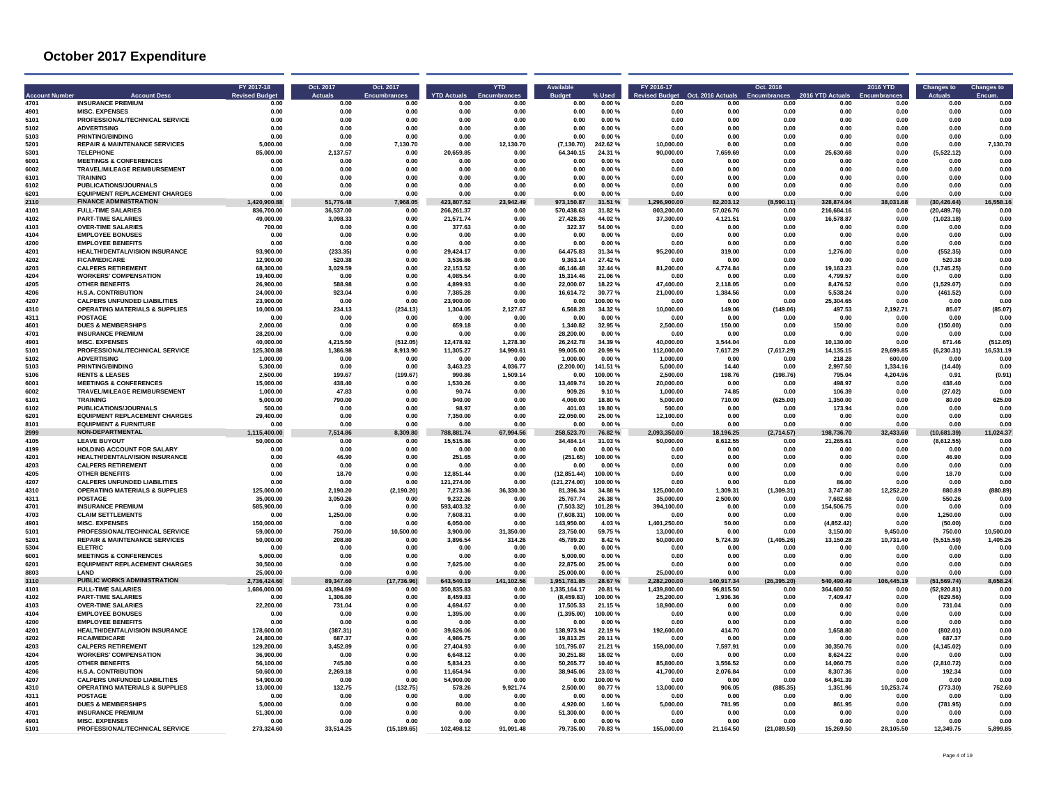| <b>Account Number</b> | <b>Account Dese</b>                                               | FY 2017-18<br><b>Revised Budge</b> | Oct. 2017<br><b>Actuals</b> | Oct. 2017<br><b>Encumbrances</b> | <b>YTD Actuals</b> | <b>YTD</b>   | <b>Rudget</b> |                  | FY 2016-17<br>evised Budget | Oct. 2016 Actuals | Oct. 2016<br><b>Encumbrances</b> | 2016 YTD Actuals | 2016 YTD     | <b>Changes to</b> | <b>Changes to</b> |
|-----------------------|-------------------------------------------------------------------|------------------------------------|-----------------------------|----------------------------------|--------------------|--------------|---------------|------------------|-----------------------------|-------------------|----------------------------------|------------------|--------------|-------------------|-------------------|
| 4701                  | <b>INSURANCE PREMIUM</b>                                          | 0.00                               | 0.00                        | 0.00                             | 0.00               | 0.00         | 0.00          | 0.00%            | 0.00                        | 0.00              | 0.00                             | 0.00             | 0.00         | 0.00              | 0.00              |
| 4901                  | <b>MISC. EXPENSES</b>                                             | 0.00                               | 0.00                        | 0.00                             | 0.00               | 0.00         | 0.00          | $0.00 \%$        | 0.00                        | 0.00              | 0.00                             | 0.00             | 0.00         | 0.00              | 0.00              |
| 5101                  | PROFESSIONAL/TECHNICAL SERVICE                                    | 0.00                               | 0.00                        | 0.00                             | 0.00               | 0.00         | 0.00          | 0.00%            | 0.00                        | 0.00              | 0.00                             | 0.00             | 0.00         | 0.00              | 0.00              |
| 5102                  | <b>ADVERTISING</b>                                                | 0.00                               | 0.00                        | 0.00                             | 0.00               | 0.00         | 0.00          | 0.00%            | 0.00                        | 0.00              | 0.00                             | 0.00             | 0.00         | 0.00              | 0.00              |
| 5103                  | <b>PRINTING/BINDING</b>                                           | 0.00                               | 0.00                        | 0.00                             | 0.00               | 0.00         | 0.00          | 0.00%            | 0.00                        | 0.00              | 0.00                             | 0.00             | 0.00         | 0.00              | 0.00              |
| 5201                  | <b>REPAIR &amp; MAINTENANCE SERVICES</b>                          | 5.000.00                           | 0.00                        | 7,130.70                         | 0.00               | 12.130.70    | (7.130.70)    | 242.62%          | 10.000.00                   | 0.00              | 0.00                             | 0.00             | 0.00         | 0.00              | 7,130.70          |
| 5301                  | <b>TELEPHONE</b>                                                  | 85.000.00                          | 2.137.57                    | 0.00                             | 20.659.85          | 0.00         | 64.340.15     | 24.31 %          | 90.000.00                   | 7.659.69          | 0.00                             | 25.630.68        | 0.00         | (5,522.12)        | 0.00              |
| 6001                  | <b>MEETINGS &amp; CONFERENCES</b>                                 | 0.00                               | 0.00                        | 0.00                             | 0.00               | 0.00         | 0.00          | 0.00%            | 0.00                        | 0.00              | 0.00                             | 0.00             | 0.00         | 0.00              | 0.00              |
| 6002                  | TRAVEL/MILEAGE REIMBURSEMENT                                      | 0.00                               | 0.00                        | 0.00                             | 0.00               | $0.00\,$     | 0.00          | 0.00%            | 0.00                        | 0.00              | 0.00                             | 0.00             | 0.00         | 0.00              | 0.00              |
| 6101                  | <b>TRAINING</b>                                                   | 0.00                               | 0.00                        | 0.00                             | 0.00               | 0.00         | 0.00          | 0.00%            | 0.00                        | 0.00              | 0.00                             | 0.00             | 0.00         | 0.00              | 0.00              |
| 6102                  | PUBLICATIONS/JOURNALS                                             | 0.00                               | 0.00                        | 0.00                             | 0.00               | 0.00         | 0.00          | 0.00%            | 0.00                        | 0.00              | 0.00                             | 0.00             | 0.00         | 0.00              | 0.00              |
| 6201                  | <b>EQUIPMENT REPLACEMENT CHARGES</b>                              | 0.00                               | 0.00                        | 0.00                             | 0.00               | 0.00         | 0.00          | 0.00%            | 0.00                        | 0.00              | 0.00                             | 0.00             | 0.00         | 0.00              | 0.00              |
| 2110                  | <b>FINANCE ADMINISTRATION</b>                                     | 1,420,900.88                       | 51,776.48                   | 7,968.05                         | 423,807.52         | 23,942.49    | 973,150.87    | 31.51 %          | 1,296,900.00                | 82,203.12         | (8,590.11)                       | 328.874.04       | 38,031.68    | (30, 426.64)      | 16,558.16         |
| 4101                  | <b>FULL-TIME SALARIES</b>                                         | 836.700.00                         | 36.537.00                   | 0.00                             | 266.261.37         | 0.00         | 570.438.63    | 31.82%           | 803.200.00                  | 57,026.76         | 0.00                             | 216,684.16       | 0.00         | (20, 489.76)      | n nn              |
| 4102                  | <b>PART-TIME SALARIES</b>                                         | 49,000.00                          | 3.098.33                    | 0.00                             | 21.571.74          | 0.00         | 27.428.26     | 44.02%           | 37.300.00                   | 4,121.51          | 0.00                             | 16.578.87        | 0.00         | (1,023.18)        | 0.00              |
| 4103                  | <b>OVER-TIME SALARIES</b>                                         | 700.00                             | 0.00                        | 0.00                             | 377.63             | 0.00         | 322.37        | 54.00 %          | 0.00                        | 0.00              | 0.00                             | 0.00             | 0.00         | 0.00              | 0.00              |
| 4104<br>4200          | <b>EMPLOYEE BONUSES</b>                                           | 0.00                               | 0.00<br>0.00                | 0.00<br>0.00                     | 0.00               | 0.00         | 0.00<br>0.00  | 0.00%            | 0.00<br>0.00                | 0.00<br>0.00      | 0.00                             | 0.00<br>0.00     | 0.00<br>0.00 | 0.00<br>0.00      | 0.00<br>0.00      |
| 4201                  | <b>EMPLOYEE BENEFITS</b><br><b>HEALTH/DENTAL/VISION INSURANCE</b> | 0.00<br>93.900.00                  | (233.35)                    | 0.00                             | 0.00<br>29,424.17  | 0.00<br>0.00 | 64.475.83     | 0.00%<br>31.34 % | 95,200.00                   | 319.00            | 0.00<br>0.00                     | 1,276.00         | 0.00         | (552.35)          | 0.00              |
| 4202                  | <b>FICA/MEDICARE</b>                                              | 12,900.00                          | 520.38                      | 0.00                             | 3.536.86           | 0.00         | 9.363.14      | 27.42%           | 0.00                        | 0.00              | 0.00                             | 0.00             | 0.00         | 520.38            | 0.00              |
| 4203                  | <b>CALPERS RETIREMENT</b>                                         | 68.300.00                          | 3,029.59                    | 0.00                             | 22,153.52          | 0.00         | 46.146.48     | 32.44 %          | 81,200.00                   | 4,774.84          | 0.00                             | 19,163.23        | 0.00         | (1,745.25)        | 0.00              |
| 4204                  | <b>WORKERS' COMPENSATION</b>                                      | 19,400.00                          | 0.00                        | 0.00                             | 4.085.54           | 0.00         | 15.314.46     | 21.06%           | 0.00                        | 0.00              | 0.00                             | 4.799.57         | 0.00         | 0.00              | 0.00              |
| 4205                  | <b>OTHER BENEFITS</b>                                             | 26,900.00                          | 588.98                      | 0.00                             | 4.899.93           | 0.00         | 22.000.07     | 18.22%           | 47.400.00                   | 2.118.05          | 0.00                             | 8.476.52         | 0.00         | (1.529.07)        | 0.00              |
| 4206                  | <b>H.S.A. CONTRIBUTION</b>                                        | 24.000.00                          | 923.04                      | 0.00                             | 7.385.28           | 0.00         | 16.614.72     | 30.77%           | 21.000.00                   | 1,384.56          | 0.00                             | 5,538.24         | 0.00         | (461.52)          | 0.00              |
| 4207                  | <b>CALPERS UNFUNDED LIABILITIES</b>                               | 23,900.00                          | 0.00                        | 0.00                             | 23.900.00          | 0.00         | 0.00          | 100.00%          | 0.00                        | 0.00              | 0.00                             | 25,304.65        | 0.00         | 0.00              | 0.00              |
| 4310                  | <b>OPERATING MATERIALS &amp; SUPPLIES</b>                         | 10.000.00                          | 234.13                      | (234.13)                         | 1.304.05           | 2,127.67     | 6.568.28      | 34.32%           | 10.000.00                   | 149.06            | (149.06)                         | 497.53           | 2.192.71     | 85.07             | (85.07)           |
| 4311                  | <b>POSTAGE</b>                                                    | 0.00                               | 0.00                        | 0.00                             | 0.00               | 0.00         | 0.00          | 0.00%            | 0.00                        | 0.00              | 0.00                             | 0.00             | 0.00         | 0.00              | 0.00              |
| 4601                  | <b>DUES &amp; MEMBERSHIPS</b>                                     | 2.000.00                           | 0.00                        | 0.00                             | 659.18             | 0.00         | 1.340.82      | 32.95%           | 2.500.00                    | 150.00            | 0.00                             | 150.00           | 0.00         | (150.00)          | 0.00              |
| 4701                  | <b>INSURANCE PREMIUM</b>                                          | 28.200.00                          | 0.00                        | 0.00                             | 0.00               | 0.00         | 28,200.00     | 0.00%            | 0.00                        | 0.00              | 0.00                             | 0.00             | 0.00         | 0.00              | 0.00              |
| 4901                  | <b>MISC. EXPENSES</b>                                             | 40.000.00                          | 4.215.50                    | (512.05)                         | 12,478.92          | 1,278.30     | 26.242.78     | 34.39 %          | 40.000.00                   | 3.544.04          | 0.00                             | 10.130.00        | 0.00         | 671.46            | (512.05)          |
| 5101                  | PROFESSIONAL/TECHNICAL SERVICE                                    | 125.300.88                         | 1.386.98                    | 8,913.90                         | 11.305.27          | 14.990.61    | 99,005.00     | 20.99%           | 112.000.00                  | 7,617.29          | (7,617.29)                       | 14.135.15        | 29,699.85    | (6, 230.31)       | 16,531.19         |
| 5102                  | <b>ADVERTISING</b>                                                | 1.000.00                           | 0.00                        | 0.00                             | 0.00               | 0.00         | 1.000.00      | 0.00%            | 1.000.00                    | 0.00              | 0.00                             | 218.28           | 600.00       | 0.00              | 0.00              |
| 5103                  | <b>PRINTING/BINDING</b>                                           | 5.300.00                           | 0.00                        | 0.00                             | 3,463.23           | 4.036.77     | (2,200.00)    | 141.51%          | 5.000.00                    | 14.40             | 0.00                             | 2.997.50         | 1.334.16     | (14.40)           | 0.00              |
| 5106                  | <b>RENTS &amp; LEASES</b>                                         | 2.500.00                           | 199.67                      | (199.67)                         | 990.86             | 1,509.14     | 0.00          | 100.00 %         | 2.500.00                    | 198.76            | (198.76)                         | 795.04           | 4.204.96     | 0.91              | (0.91)            |
| 6001                  | <b>MEETINGS &amp; CONFERENCES</b>                                 | 15.000.00                          | 438.40                      | 0.00                             | 1.530.26           | 0.00         | 13.469.74     | 10.20%           | 20,000.00                   | 0.00              | 0.00                             | 498.97           | 0.00         | 438.40            | 0.00              |
| 6002                  | TRAVEL/MILEAGE REIMBURSEMENT                                      | 1.000.00                           | 47.83                       | 0.00                             | 90.74              | 0.00         | 909.26        | 9.10%            | 1.000.00                    | 74.85             | 0.00                             | 106.39           | 0.00         | (27.02)           | 0.00              |
| 6101                  | <b>TRAINING</b>                                                   | 5,000.00                           | 790.00                      | 0.00                             | 940.00             | 0.00         | 4,060.00      | 18.80%           | 5,000.00                    | 710.00            | (625.00)                         | 1,350.00         | 0.00         | 80.00             | 625.00            |
| 6102                  | <b>PUBLICATIONS/JOURNALS</b>                                      | 500.00                             | 0.00                        | 0.00                             | 98.97              | 0.00         | 401.03        | 19.80%           | 500.00                      | 0.00              | 0.00                             | 173.94           | 0.00         | 0.00              | 0.00              |
| 6201                  | <b>EQUIPMENT REPLACEMENT CHARGES</b>                              | 29,400.00                          | 0.00                        | 0.00                             | 7,350.00           | 0.00         | 22,050.00     | 25.00%           | 12.100.00                   | 0.00              | 0.00                             | 0.00             | 0.00         | 0.00              | 0.00              |
| 8101                  | <b>EQUIPMENT &amp; FURNITURE</b>                                  | 0.00                               | 0.00                        | 0.00                             | 0.00               | 0.00         | 0.00          | 0.00%            | 0.00                        | 0.00              | 0.00                             | 0.00             | 0.00         | 0.00              | 0.00              |
| 2999                  | <b>NON-DEPARTMENTAL</b>                                           | 1.115.400.00                       | 7.514.86                    | 309.80                           | 788.881.74         | ,994.56      | 258.523.70    | 76.82%           | 2.093.350.00                | 18.196.25         | (2,714.57)                       | 198.736.70       | 433.60       | (10.681.39)       | .024.37           |
| 4105                  | <b>LEAVE BUYOUT</b>                                               | 50.000.00                          | 0.00                        | 0.00                             | 15.515.86          | 0.00         | 34.484.14     | 31.03%           | 50.000.00                   | 8.612.55          | 0.00                             | 21.265.61        | 0.00         | (8.612.55)        | 0.00              |
| 4199                  | HOLDING ACCOUNT FOR SALARY                                        | 0.00                               | 0.00                        | 0.00                             | 0.00               | 0.00         | 0.00          | 0.00%            | 0.00                        | 0.00              | 0.00                             | 0.00             | 0.00         | 0.00              | 0.00              |
| 4201                  | HEALTH/DENTAL/VISION INSURANCE                                    | 0.00                               | 46.90                       | 0.00                             | 251.65             | 0.00         | (251.65)      | 100.00%          | 0.00                        | 0.00              | 0.00                             | 0.00             | 0.00         | 46.90             | 0.00              |
| 4203                  | <b>CALPERS RETIREMENT</b>                                         | 0.00                               | 0.00                        | 0.00                             | 0.00               | 0.00         | 0.00          | 0.00%            | 0.00                        | 0.00              | 0.00                             | 0.00             | 0.00         | 0.00              | 0.00              |
| 4205                  | OTHER RENEFITS                                                    | n nn                               | 18.70                       | 0.00                             | 12.851.44          | 0.00         | (12.851.44)   | 100.00%          | 0.00                        | 0.00              | 0.00                             | 0.00             | 0.00         | 18.70             | 0.00              |
| 4207                  | <b>CALPERS UNFUNDED LIABILITIES</b>                               | 0.00                               | 0.00                        | 0.00                             | 121,274.00         | 0.00         | (121, 274.00) | 100.00%          | 0.00                        | 0.00              | 0.00                             | 86.00            | 0.00         | 0.00              | 0.00              |
| 4310                  | <b>OPERATING MATERIALS &amp; SUPPLIES</b>                         | 125.000.00                         | 2.190.20                    | (2, 190.20)                      | 7.273.36           | 36,330.30    | 81,396.34     | 34.88%           | 125.000.00                  | 1.309.31          | (1,309.31)                       | 3.747.80         | 12.252.20    | 880.89            | (880.89)          |
| 4311                  | <b>POSTAGE</b>                                                    | 35,000.00                          | 3.050.26                    | 0.00                             | 9.232.26           | 0.00         | 25.767.74     | 26.38%           | 35,000.00                   | 2,500.00          | 0.00                             | 7.682.68         | 0.00         | 550.26            | 0.00              |
| 4701                  | <b>INSURANCE PREMIUM</b>                                          | 585.900.00                         | 0.00                        | 0.00                             | 593.403.32         | 0.00         | (7.503.32)    | 101.28%          | 394,100.00                  | 0.00              | 0.00                             | 154,506.75       | 0.00         | 0.00              | 0.00              |
| 4703                  | <b>CLAIM SETTLEMENTS</b>                                          | 0.00                               | 1.250.00                    | 0.00                             | 7,608.31           | 0.00         | (7,608.31)    | 100.00%          | 0.00                        | 0.00              | 0.00                             | 0.00             | 0.00         | 1,250.00          | 0.00              |
| 4901                  | <b>MISC. EXPENSES</b>                                             | 150,000.00                         | 0.00                        | 0.00                             | 6,050.00           | 0.00         | 143,950.00    | 4.03%            | 1.401.250.00                | 50.00             | 0.00                             | (4, 852.42)      | 0.00         | (50.00)           | 0.00              |
| 5101                  | PROFESSIONAL/TECHNICAL SERVICE                                    | 59.000.00                          | 750.00                      | 10.500.00                        | 3.900.00           | 31,350.00    | 23.750.00     | 59.75%           | 13.000.00                   | 0.00              | 0.00                             | 3,150.00         | 9,450.00     | 750.00            | 10.500.00         |
| 5201                  | <b>REPAIR &amp; MAINTENANCE SERVICES</b>                          | 50,000.00                          | 208.80                      | n nn                             | 3.896.54           | 314.26       | 45.789.20     | 8 42 %           | 50,000,00                   | 5.724.39          | (1,405.26)                       | 13.150.28        | 10 731 40    | (5,515.59)        | 1.405.26          |
| 5304                  | <b>ELETRIC</b>                                                    | 0.00                               | 0.00                        | 0.00                             | 0.00               | 0.00         | 0.00          | 0.00%            | 0.00                        | 0.00              | 0.00                             | 0.00             | 0.00         | 0.00              | 0.00              |
| 6001                  | <b>MEETINGS &amp; CONFERENCES</b>                                 | 5.000.00                           | 0.00                        | 0.00                             | 0.00               | 0.00         | 5.000.00      | 0.00%            | 0.00                        | 0.00              | 0.00                             | 0.00             | 0.00         | 0.00              | 0.00              |
| 6201                  | <b>EQUIPMENT REPLACEMENT CHARGES</b>                              | 30.500.00                          | 0.00                        | 0.00                             | 7,625.00           | 0.00         | 22.875.00     | 25.00%           | 0.00                        | 0.00              | 0.00                             | 0.00             | 0.00         | 0.00              | 0.00              |
| 8803                  | LAND                                                              | 25,000.00                          | 0.00                        | 0.00                             | 0.00               | 0.00         | 25,000.00     | 0.00%            | 25,000.00                   | 0.00              | 0.00                             | 0.00             | 0.00         | 0.00              | 0.00              |
| 3110                  | PUBLIC WORKS ADMINISTRATION                                       | 2.736.424.60                       | 89,347.60                   | (17, 736.96)                     | 643,540.19         | 141,102.56   | 1,951,781.85  | 28.67%           | 2,282,200.00                | 140,917.34        | (26, 395.20)                     | 540.490.49       | 106,445.19   | (51, 569.74)      | 8,658.24          |
| 4101                  | <b>FULL-TIME SALARIES</b>                                         | 1,686,000.00                       | 43.894.69                   | 0.00                             | 350.835.83         | 0.00         | 1,335,164.17  | 20.81%           | 1.439.800.00                | 96.815.50         | 0.00                             | 364,680.50       | 0.00         | (52, 920.81)      | 0.00              |
| 4102                  | <b>PART-TIME SALARIES</b>                                         | 0.00                               | 1,306.80                    | 0.00                             | 8.459.83           | 0.00         | (8.459.83)    | 100.00%          | 25,200.00                   | 1,936.36          | 0.00                             | 7,409.47         | 0.00         | (629.56)          | 0.00              |
| 4103                  | <b>OVER-TIME SALARIES</b>                                         | 22,200.00                          | 731.04                      | 0.00                             | 4.694.67           | 0.00         | 17.505.33     | 21.15%           | 18,900.00                   | 0.00              | 0.00                             | 0.00             | 0.00         | 731.04            | 0.00              |
| 4104                  | <b>EMPLOYEE BONUSES</b>                                           | 0.00                               | 0.00                        | 0.00                             | 1,395.00           | $0.00\,$     | (1, 395.00)   | 100.00%          | 0.00                        | 0.00              | 0.00                             | 0.00             | 0.00         | 0.00              | 0.00              |
| 4200                  | <b>EMPLOYEE BENEFITS</b>                                          | 0.00                               | 0.00                        | 0.00                             | 0.00               | 0.00         | 0.00          | 0.00%            | 0.00                        | 0.00              | 0.00                             | 0.00             | 0.00         | 0.00              | 0.00              |
| 4201                  | HEALTH/DENTAL/VISION INSURANCE                                    | 178,600.00                         | (387.31)                    | 0.00                             | 39,626.06          | 0.00         | 138,973.94    | 22.19%           | 192,600.00                  | 414.70            | 0.00                             | 1,658.80         | 0.00         | (802.01)          | 0.00              |
| 4202                  | <b>FICA/MEDICARE</b>                                              | 24.800.00                          | 687.37                      | 0.00                             | 4.986.75           | 0.00         | 19.813.25     | 20.11%           | 0.00                        | 0.00              | 0.00                             | 0.00             | 0.00         | 687.37            | 0.00              |
| 4203                  | <b>CALPERS RETIREMENT</b>                                         | 129,200.00                         | 3,452.89                    | 0.00                             | 27,404.93          | 0.00         | 101,795.07    | 21.21 %          | 159,000.00                  | 7,597.91          | 0.00                             | 30,350.76        | 0.00         | (4, 145.02)       | 0.00              |
| 4204                  | <b>WORKERS' COMPENSATION</b>                                      | 36,900.00                          | 0.00                        | 0.00                             | 6.648.12           | 0.00         | 30.251.88     | 18.02%           | 0.00                        | 0.00              | 0.00                             | 8.624.22         | 0.00         | 0.00              | 0.00              |
| 4205                  | <b>OTHER BENEFITS</b>                                             | 56.100.00                          | 745.80                      | 0.00                             | 5.834.23           | 0.00         | 50.265.77     | 10.40%           | 85.800.00                   | 3,556.52          | 0.00                             | 14.060.75        | 0.00         | (2.810.72)        | 0.00              |
| 4206                  | <b>H.S.A. CONTRIBUTION</b>                                        | 50.600.00                          | 2.269.18                    | 0.00                             | 11.654.94          | 0.00         | 38.945.06     | 23.03%           | 41.700.00                   | 2.076.84          | 0.00                             | 8.307.36         | 0.00         | 192.34            | 0.00              |
| 4207                  | <b>CALPERS UNFUNDED LIABILITIES</b>                               | 54.900.00                          | 0.00                        | 0.00                             | 54.900.00          | 0.00         | 0.00          | 100.00%          | 0.00                        | 0.00              | 0.00                             | 64.841.39        | 0.00         | 0.00              | 0.00              |
| 4310                  | <b>OPERATING MATERIALS &amp; SUPPLIES</b>                         | 13.000.00                          | 132.75                      | (132.75)                         | 578.26             | 9.921.74     | 2,500.00      | 80.77%           | 13.000.00                   | 906.05            | (885.35)                         | 1.351.96         | 10,253.74    | (773.30)          | 752.60            |
| 4311                  | <b>POSTAGE</b>                                                    | 0.00                               | 0.00                        | 0.00                             | 0.00               | 0.00         | 0.00          | 0.00%            | 0.00                        | 0.00              | 0.00                             | 0.00             | 0.00         | 0.00              | 0.00              |
| 4601                  | <b>DUES &amp; MEMBERSHIPS</b>                                     | 5.000.00                           | 0.00                        | 0.00                             | 80.00              | 0.00         | 4.920.00      | 1.60%            | 5.000.00                    | 781.95            | 0.00                             | 861.95           | 0.00         | (781.95)          | 0.01              |
| 4701                  | <b>INSURANCE PREMIUM</b>                                          | 51,300.00                          | 0.00                        | 0.00                             | 0.00               | 0.00         | 51,300.00     | 0.00%            | 0.00                        | 0.00              | 0.00                             | 0.00             | 0.00         | 0.00              | 0.00              |
| 4901                  | <b>MISC. EXPENSES</b>                                             | 0.00                               | 0.00                        | 0.00                             | 0.00               | 0.00         | 0.00          | 0.00%            | 0.00                        | 0.00              | 0.00                             | 0.00             | 0.00         | 0.00              | 0.00              |
| 5101                  | PROFESSIONAL/TECHNICAL SERVICE                                    | 273,324.60                         | 33,514.25                   | (15, 189.65)                     | 102,498.12         | 91,091.48    | 79,735.00     | 70.83%           | 155,000.00                  | 21,164.50         | (21,089.50)                      | 15,269.50        | 28,105.50    | 12,349.75         | 5,899.85          |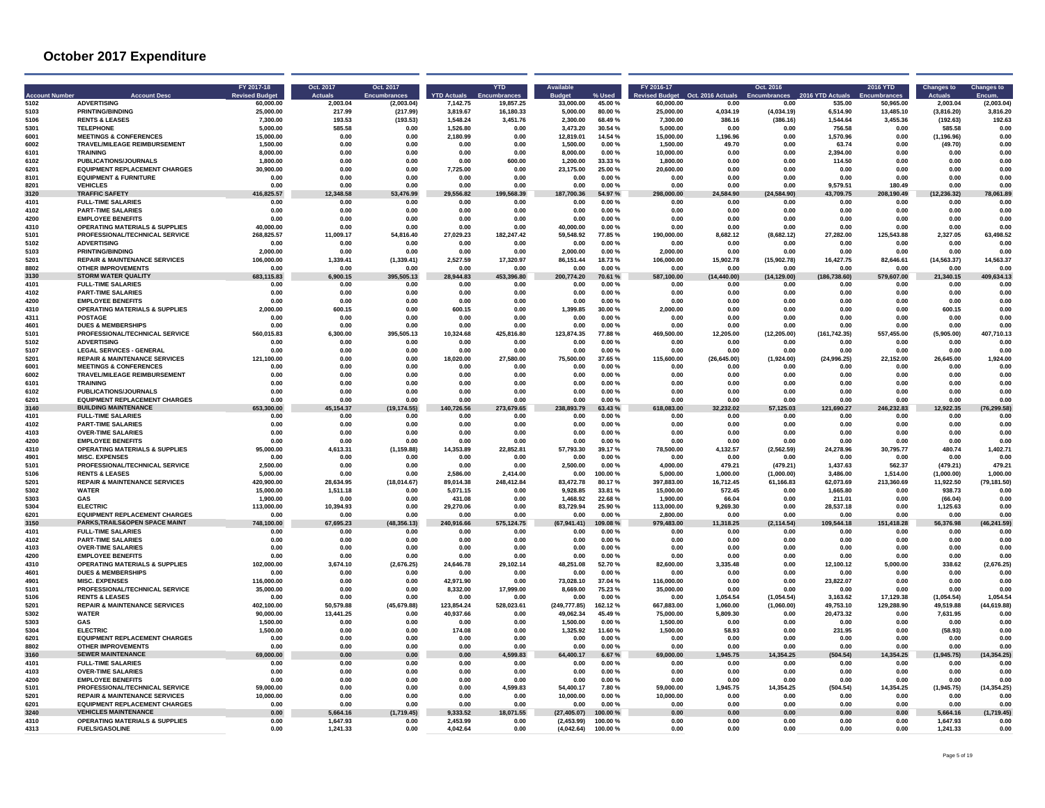| 60.000.00<br>(2.003.04)<br>5103<br><b>PRINTING/BINDING</b><br>(217.99)<br>3.819.67<br>5.000.00<br>4.034.19<br>(4.034.19)<br>6.514.90<br>13,485.10<br>3.816.20<br>25.000.00<br>217.99<br>16.180.33<br>80.00%<br>25,000.00<br>(3.816.20)<br>386.16<br>5106<br><b>RENTS &amp; LEASES</b><br>7.300.00<br>193.53<br>(193.53)<br>1.548.24<br>3.451.76<br>2.300.00<br>68.49%<br>7.300.00<br>(386.16)<br>1.544.64<br>3.455.36<br>(192.63)<br>192.63<br>5301<br><b>TELEPHONE</b><br>5,000.00<br>585.58<br>1.526.80<br>3,473.20<br>30.54 %<br>5,000.00<br>756.58<br>585.58<br>0.00<br>0.00<br>0.00<br>0.00<br>0.00<br>0.00<br>6001<br><b>MEETINGS &amp; CONFERENCES</b><br>15,000.00<br>0.00<br>2,180.99<br>0.00<br>12,819.01<br>14.54 %<br>15,000.00<br>1,196.96<br>1,570.96<br>0.00<br>(1, 196.96)<br>0.00<br>0.00<br>0.00<br>TRAVEL/MILEAGE REIMBURSEMENT<br>6002<br>1.500.00<br>0.00<br>0.00<br>0.00<br>0.00<br>1.500.00<br>0.00%<br>1.500.00<br>49.70<br>0.00<br>63.74<br>0.00<br>(49.70)<br>0.00<br>6101<br>8.000.00<br>0.00<br>0.00<br>0.00<br>8.000.00<br>0.00%<br>10.000.00<br>0.00<br>2.394.00<br>0.00<br><b>TRAINING</b><br>0.00<br>0.00<br>0.00<br>0.00<br>6102<br><b>PUBLICATIONS/JOURNALS</b><br>1.800.00<br>0.00<br>0.00<br>0.00<br>600.00<br>1.200.00<br>33.33 %<br>1.800.00<br>0.00<br>0.00<br>114.50<br>0.00<br>0.00<br>0.00<br><b>EQUIPMENT REPLACEMENT CHARGES</b><br>30,900.00<br>0.00<br>23,175.00<br>25.00 %<br>20,600.00<br>6201<br>0.00<br>725.00<br>0.00<br>0.00<br>0.00<br>0.00<br>0.00<br>0.00<br>0.00<br>8101<br><b>EQUIPMENT &amp; FURNITURE</b><br>0.00<br>0.00<br>0.00<br>0.00<br>0.00%<br>0.00<br>0.00<br>0.00<br>0.00<br>0.00<br>0.00<br>0.00<br>0.00<br>0.00<br><b>VEHICLES</b><br>8201<br>0.00<br>0.00<br>0.00<br>9.579.51<br>180.49<br>0.00<br>0.00<br>0.00<br>0.00<br>0.00<br>0.00<br>$0.00 \%$<br>0.00<br>0.00<br><b>TRAFFIC SAFETY</b><br>3120<br>416,825.57<br>12.348.58<br>53,476.99<br>29.556.82<br>199,568.39<br>187,700.36<br>54.97%<br>298,000.00<br>24,584.90<br>(24, 584.90)<br>43,709.75<br>208,190.49<br>(12, 236.32)<br>78,061.89<br>4101<br><b>FULL-TIME SALARIES</b><br>0.00<br>0.00<br>0.00%<br>0.00<br>0.00<br>0.00<br>0.00<br>0.00<br>0.00<br>0.00<br>0.00<br>0.00<br>0.00<br>0.00<br>4102<br><b>PART-TIME SALARIES</b><br>0.00<br>0.00<br>0.00<br>0.00<br>0.00<br>0.00<br>0.00%<br>0.00<br>0.00<br>0.00<br>0.00<br>0.00<br>0.00<br>0.00<br>4200<br><b>EMPLOYEE BENEFITS</b><br>0.00<br>0.00<br>0.00%<br>0.00<br>0.00<br>0.00<br>0.00<br>0.00<br>0.00<br>0.00<br>0.00<br>0.00<br>0.00<br>0.00<br>OPERATING MATERIALS & SUPPLIES<br>4310<br>40.000.00<br>0.00<br>0.00<br>0.00<br>0.00<br>40.000.00<br>0.00%<br>0.00<br>0.00<br>0.00<br>0.00<br>0.00<br>0.00<br>0.00<br>5101<br>PROFESSIONAL/TECHNICAL SERVICE<br>268,825.57<br>11,009.17<br>54,816.40<br>27,029.23<br>182,247.42<br>59,548.92<br>77.85%<br>190,000.00<br>8,682.12<br>(8,682.12)<br>27,282.00<br>125,543.88<br>2,327.05<br>63,498.52<br>5102<br><b>ADVERTISING</b><br>0.00<br>0.00<br>0.00<br>0.00<br>0.00<br>0.00<br>0.00%<br>0.00<br>0.00<br>0.00<br>0.00<br>0.00<br>0.00<br>0.00<br>5103<br><b>PRINTING/BINDING</b><br>2.000.00<br>0.00<br>0.00<br>2.000.00<br>0.00%<br>2.000.00<br>0.00<br>0.00<br>0.00<br>0.00<br>0.00<br>0.00<br>0.00<br>0.00<br>5201<br><b>REPAIR &amp; MAINTENANCE SERVICES</b><br>106,000.00<br>1,339.41<br>(1, 339.41)<br>2,527.59<br>17,320.97<br>86,151.44<br>18.73%<br>106,000.00<br>15,902.78<br>(15,902.78)<br>16,427.75<br>82,646.61<br>(14, 563.37)<br>14,563.37<br><b>OTHER IMPROVEMENTS</b><br>8802<br>0.00<br>0.00<br>0.00<br>0.00<br>0.00<br>0.00<br>0.00%<br>0.00<br>0.00<br>0.00<br>0.00<br>0.00<br>0.00<br>0.00<br><b>STORM WATER QUALITY</b><br>395,505.13<br>453.396.80<br>21,340.15<br>409.634.13<br>3130<br>683,115.83<br>6,900.15<br>28.944.83<br>200,774.20<br>70.61 %<br>587,100.00<br>(14,440.00)<br>(14, 129.00)<br>(186.738.60)<br>579,607.00<br><b>FULL-TIME SALARIES</b><br>4101<br>0.00<br>0.00<br>0.00<br>0.00<br>0.00<br>0.00%<br>0.00<br>0.00<br>0.00<br>0.00<br>0.00<br>0.00<br>0.00<br>0.00<br>4102<br><b>PART-TIME SALARIES</b><br>0.00<br>0.00<br>0.00<br>0.00<br>0.00<br>0.00<br>0.00%<br>0.00<br>0.00<br>0.00<br>0.00<br>0.00<br>0.00<br>0.00<br>4200<br><b>EMPLOYEE BENEFITS</b><br>0.00<br>$0.00\,$<br>0.00%<br>0.00<br>0.00<br>0.00<br>0.00<br>0.00<br>0.00<br>0.00<br>0.00<br>0.00<br>0.00<br>0.00<br>4310<br><b>OPERATING MATERIALS &amp; SUPPLIES</b><br>2.000.00<br>600.15<br>0.00<br>600.15<br>0.00<br>1.399.85<br>30.00%<br>2.000.00<br>0.00<br>0.00<br>0.00<br>0.00<br>600.15<br>0.00<br>4311<br><b>POSTAGE</b><br>0.00<br>0.00<br>0.00%<br>0.00<br>0.00<br>0.01<br>0.00<br>0.00<br>0.00<br>0.00<br>0.00<br>0.00<br>0.00<br>0.00<br>4601<br><b>DUES &amp; MEMBERSHIPS</b><br>0.00<br>0.00<br>0.00<br>0.00<br>0.00<br>0.00<br>0.00%<br>0.00<br>0.00<br>0.00<br>0.00<br>0.00<br>0.00<br>0.00<br>PROFESSIONAL/TECHNICAL SERVICE<br>425,816.80<br>123,874.35<br>77.88%<br>469,500.00<br>12,205.00<br>557,455.00<br>407,710.13<br>5101<br>560.015.83<br>6.300.00<br>395.505.13<br>10.324.68<br>(12, 205.00)<br>(161.742.35)<br>(5.905.00)<br>5102<br><b>ADVERTISING</b><br>0.00<br><b>0.00</b><br><b>በ በበ</b><br><b>በ በበ</b><br>0.00<br>n nn<br>.ስ. በሰ %<br>0.00<br>0.00<br>0.00<br>0.00<br>n nn<br>0.00<br>n nr<br>5107<br><b>LEGAL SERVICES - GENERAL</b><br>0.00<br>0.00<br>0.00<br>0.00%<br>0.00<br>0.00<br>0.00<br>0.00<br>0.00<br>0.00<br>0.00<br>0.00<br>0.00<br>0.00<br>5201<br><b>REPAIR &amp; MAINTENANCE SERVICES</b><br>0.00<br>0.00<br>18,020.00<br>27,580.00<br>75,500.00<br>37.65%<br>115,600.00<br>(26, 645.00)<br>22,152.00<br>26,645.00<br>1,924.00<br>121.100.00<br>(1.924.00)<br>(24.996.25)<br>6001<br><b>MEETINGS &amp; CONFERENCES</b><br>0.00<br>0.00<br>0.00%<br>0.00<br>0.00<br>0.00<br>0.00<br>0.00<br>0.00<br>0.00<br>0.00<br>0.00<br>0.00<br>0.00<br>6002<br>TRAVEL/MILEAGE REIMBURSEMENT<br>0.00<br>0.00<br>0.00<br>0.00<br>0.00<br>0.00<br>0.00%<br>0.00<br>0.00<br>0.00<br>0.00<br>0.00<br>0.00<br>0.00<br><b>TRAINING</b><br>0.00<br>0.00<br>0.00%<br>0.00<br>0.00<br>6101<br>0.00<br>0.00<br>0.00<br>0.00<br>0.00<br>0.00<br>0.00<br>0.00<br>0.00<br>6102<br>PUBLICATIONS/JOURNALS<br>0.00<br>0.00<br>0.00<br>0.00<br>0.00<br>0.00<br>0.00%<br>0.00<br>0.00<br>0.00<br>0.00<br>0.00<br>0.00<br>0.00<br><b>EQUIPMENT REPLACEMENT CHARGES</b><br>0.00<br>0.00<br>0.00<br>0.00<br>0.00<br>0.00<br>6201<br>0.00<br>0.00<br>0.00<br>0.00<br>0.00<br>0.00%<br>0.00<br>0.00<br><b>BUILDING MAINTENANCE</b><br>45.154.37<br>(19, 174.55)<br>273.679.65<br>083.00<br>32.232.02<br>57,125.03<br>246.232.83<br>12.922.35<br>(76.299.58)<br>3140<br>653.300.00<br>140.726.56<br>238,893.79<br>63.43 %<br>121.690.27<br>4101<br><b>FULL-TIME SALARIES</b><br>0.00<br>0.00<br>0.00<br>0.00<br>0.00<br>0.00%<br>0.00<br>0.00<br>0.00<br>0.00<br>0.00<br>0.00<br>0.00<br>0.00<br>4102<br><b>PART-TIME SALARIES</b><br>0.00<br>0.00<br>0.00<br>0.00<br>0.00<br>0.00%<br>0.00<br>0.00<br>0.00<br>0.00<br>0.00<br>0.00<br>0.00<br>0.00<br>4103<br><b>OVER-TIME SALARIES</b><br>0.00<br>0.00<br>0.00<br>0.00<br>0.00<br>0.00<br>0.00<br>0.00<br>0.00<br>0.00%<br>0.00<br>0.00<br>0.00<br>0.00<br>4200<br><b>EMPLOYEE BENEFITS</b><br>0.00<br>0.00<br>0.00<br>0.00<br>0.00<br>0.00<br>0.00%<br>0.00<br>0.00<br>0.00<br>0.00<br>0.00<br>0.00<br>0.01<br><b>OPERATING MATERIALS &amp; SUPPLIES</b><br>57,793.30<br>480.74<br>1.402.71<br>4310<br>4.613.31<br>(1, 159.88)<br>14.353.89<br>22.852.81<br>78.500.00<br>4.132.57<br>(2.562.59)<br>24.278.96<br>30.795.77<br>95.000.00<br>39.17%<br>4901<br><b>MISC. EXPENSES</b><br>0.00<br>0.00<br>0.00<br>0.00<br>0.00%<br>0.00<br>0.00<br>0.00<br>0.00<br>0.00<br>0.00<br>0.00<br>0.00<br>0.00<br>PROFESSIONAL/TECHNICAL SERVICE<br>2,500.00<br>4,000.00<br>479.21<br>(479.21)<br>1,437.63<br>562.37<br>(479.21)<br>479.21<br>5101<br>2.500.00<br>0.00<br>0.00<br>0.00<br>0.00<br>0.00%<br>5106<br><b>RENTS &amp; LEASES</b><br>5.000.00<br>0.00<br>0.00<br>2.586.00<br>2,414.00<br>0.00<br>100.00%<br>5,000.00<br>1,000.00<br>(1,000.00)<br>3,486.00<br>1,514.00<br>(1,000.00)<br>1.000.00<br>5201<br><b>REPAIR &amp; MAINTENANCE SERVICES</b><br>420.900.00<br>28.634.95<br>(18,014.67)<br>248.412.84<br>83.472.78<br>80.17%<br>397.883.00<br>16.712.45<br>61.166.83<br>62.073.69<br>213.360.69<br>11.922.50<br>(79.181.50)<br>89.014.38<br>5302<br><b>WATER</b><br>15,000.00<br>5,071.15<br>9.928.85<br>33.81 %<br>15,000.00<br>572.45<br>1,665.80<br>0.00<br>938.73<br>1.511.18<br>0.00<br>0.00<br>0.00<br>0.01<br>5303<br>GAS<br>1,900.00<br>0.00<br>0.00<br>1.468.92<br>22.68%<br>1,900.00<br>66.04<br>0.00<br>(66.04)<br>0.00<br>0.00<br>431.08<br>0.00<br>211.01<br><b>FLECTRIC</b><br>5304<br>113.000.00<br>10.394.93<br>0.00<br>29.270.06<br>0.00<br>83.729.94<br>25.90%<br>113,000.00<br>9.269.30<br>0.00<br>28,537.18<br>0.00<br>1.125.63<br>0.00<br>6201<br><b>EQUIPMENT REPLACEMENT CHARGES</b><br>0.00<br>2,800.00<br>0.00<br>0.00%<br>0.00<br>0.00<br>0.00<br>0.00<br>0.00<br>0.00<br>0.00<br>0.00<br>0.00<br>0.00<br>PARKS, TRAILS& OPEN SPACE MAINT<br>3150<br>748,100.00<br>67,695.23<br>(48, 356.13)<br>240,916.66<br>575,124.75<br>(67, 941.41)<br>109.08%<br>979,483.00<br>11,318.25<br>(2, 114.54)<br>109,544.18<br>151,418.28<br>56,376.98<br>(46, 241.59)<br><b>FULL-TIME SALARIES</b><br>4101<br>0.00<br>0.00<br>0.00<br>0.00<br>0.00<br>0.00<br>0.00%<br>0.00<br>0.00<br>0.00<br>0.00<br>0.00<br>0.00<br>0.01<br>4102<br><b>PART-TIME SALARIES</b><br>0.00<br>0.00<br>0.00<br>0.00<br>0.00<br>0.00<br>0.00%<br>0.00<br>0.00<br>0.00<br>0.00<br>0.00<br>0.00<br>0.00<br>4103<br><b>OVER-TIME SALARIES</b><br>0.00<br>0.00<br>0.00<br>0.00<br>0.00<br>0.00<br>0.00<br>0.00%<br>0.00<br>0.00<br>0.00<br>0.00<br>0.00<br>0.00<br>4200<br><b>EMPLOYEE BENEFITS</b><br>0.00<br>0.00<br>0.00<br>0.00<br>0.00<br>0.00<br>0.00%<br>0.00<br>0.00<br>0.00<br>0.00<br>0.00<br>0.00<br>0.01<br><b>OPERATING MATERIALS &amp; SUPPLIES</b><br>52.70%<br>(2,676.25)<br>4310<br>102.000.00<br>3.674.10<br>(2.676.25)<br>24.646.78<br>29.102.14<br>48.251.08<br>82.600.00<br>3.335.48<br>0.00<br>12.100.12<br>5.000.00<br>338.62<br>4601<br><b>DUES &amp; MEMBERSHIPS</b><br>0.00<br>0.00<br>0.00<br>0.00<br>0.00<br>0.00<br>$0.00 \%$<br>0.00<br>0.00<br>0.00<br>0.00<br>0.00<br>0.00<br>n nr<br>42.971.90<br>23.822.07<br>4901<br><b>MISC. EXPENSES</b><br>116,000.00<br>0.00<br>73.028.10<br>37.04%<br>116,000,00<br>0.00<br>0.00<br>0.00<br>0.00<br>0.00<br>0.00<br>0.00<br>5101<br>PROFESSIONAL/TECHNICAL SERVICE<br>8,332.00<br>8,669.00<br>75.23%<br>35.000.00<br>0.00<br>0.00<br>17.999.00<br>35,000,00<br>0.00<br>0.00<br>0.00<br>0.00<br>0.01<br>0.00<br><b>RENTS &amp; LEASES</b><br>1,054.54<br>(1,054.54)<br>17,129.38<br>(1,054.54)<br>1,054.54<br>5106<br>0.00<br>0.00<br>0.00<br>0.00<br>0.00<br>0.00<br>0.00%<br>0.00<br>3.163.62<br><b>REPAIR &amp; MAINTENANCE SERVICES</b><br>5201<br>402.100.00<br>50.579.88<br>(45, 679.88)<br>123.854.24<br>528.023.61<br>(249.777.85)<br>162.12%<br>667.883.00<br>1.060.00<br>(1,060.00)<br>49.753.10<br>129.288.90<br>49.519.88<br>(44.619.88)<br>5302<br><b>WATER</b><br>40.937.66<br>49.062.34<br>45.49 %<br>75,000.00<br>5.809.30<br>20.473.32<br>7.631.95<br>90.000.00<br>13.441.25<br>0.00<br>0.00<br>0.00<br>0.00<br>0.01<br>5303<br>GAS<br>0.00<br>0.00<br>0.00<br>0.00<br>1.500.00<br>0.00%<br>1.500.00<br>0.00<br>0.00<br>0.00<br>0.00<br>0.01<br>1.500.00<br>0.00<br>5304<br><b>ELECTRIC</b><br>1,325.92<br>11.60%<br>1,500.00<br>(58.93)<br>1.500.00<br>0.00<br>0.00<br>174.08<br>0.00<br>58.93<br>0.00<br>231.95<br>0.00<br>0.00<br><b>EQUIPMENT REPLACEMENT CHARGES</b><br>6201<br>0.00<br>0.00<br>0.00<br>0.00<br>0.00<br>0.00<br>$0.00 \%$<br>0.00<br>0.00<br>0.00<br>0.00<br>0.00<br>0.00<br>0.00<br>8802<br><b>OTHER IMPROVEMENTS</b><br>0.00<br>0.00<br>0.00<br>0.00<br>0.00<br>0.00<br>0.00<br>0.00%<br>0.00<br>0.00<br>0.00<br>0.00<br>0.00<br>0.00<br>3160<br><b>SEWER MAINTENANCE</b><br>0.00<br>1,599.83<br>64,400.17<br>69,000.00<br>1,945.75<br>14,354.25<br>(504.54)<br>14,354.25<br>(1,945.75)<br>(14, 354.25)<br>69.000.00<br>0.00<br>0.00<br>6.67%<br><b>FULL-TIME SALARIES</b><br>4101<br>0.00<br>0.00<br>0.00<br>0.00<br>0.00<br>0.00<br>0.00%<br>0.00<br>0.00<br>0.00<br>0.00<br>0.00<br>0.00<br>0.00<br>4103<br><b>OVER-TIME SALARIES</b><br>0.00<br>0.00<br>0.00<br>0.00<br>0.00<br>0.00<br>0.00%<br>0.00<br>0.00<br>0.00<br>0.00<br>0.00<br>0.00<br>0.00<br>4200<br><b>EMPLOYEE BENEFITS</b><br>0.00<br>0.00<br>0.00<br>0.00<br>0.00<br>0.00<br>0.00<br>0.00<br>$0.00 \%$<br>0.00<br>0.00<br>0.00<br>0.00<br>0.00<br>5101<br>PROFESSIONAL/TECHNICAL SERVICE<br>59,000.00<br>0.00<br>0.00<br>0.00<br>4,599.83<br>54,400.17<br>7.80%<br>59,000.00<br>1,945.75<br>14.354.25<br>(504.54)<br>14.354.25<br>(1,945.75)<br>(14, 354.25)<br>5201<br><b>REPAIR &amp; MAINTENANCE SERVICES</b><br>0.00%<br>10.000.00<br>0.00<br>0.00<br>0.00<br>0.00<br>10.000.00<br>10.000.00<br>0.00<br>0.00<br>0.00<br>0.00<br>0.00<br>0.00<br><b>EQUIPMENT REPLACEMENT CHARGES</b><br>0.00<br>6201<br>0.00<br><b>0.00</b><br>0.00<br>0.00<br>0.00<br>.ስ. በሰ %<br>n nn<br>n nn<br>n na<br>0.00<br>n nn<br>n nn<br>n nr<br><b>VEHICLES MAINTENANCE</b><br>3240<br>5.664.16<br>(1.719.45)<br>9.333.52<br>18,071.55<br>(1,719.45)<br>0.00<br>(27.405.07)<br>100.00%<br>0.00<br>0.00<br>0.00<br>0.00<br>5.664.16<br>0.00<br>4310<br><b>OPERATING MATERIALS &amp; SUPPLIES</b><br>1,647.93<br>2,453.99<br>(2,453.99)<br>100.00%<br>0.00<br>1,647.93<br>0.00<br>0.00<br>0.00<br>0.00<br>0.00<br>0.00<br>0.00<br>0.00<br>4313<br><b>FUELS/GASOLINE</b><br>0.00<br>0.00<br>4,042.64<br>0.00<br>(4,042.64)<br>0.00<br>0.00<br>0.00<br>0.00<br>1,241.33<br>100.00%<br>0.00<br>0.00<br>1,241.33 | <b>Account Numbe</b> | <b>Account Deso</b> | FY 2017-18<br><b>Revised Budge</b> | Oct. 2017<br><b>Actuals</b> | Oct. 2017<br><b>Encumbrances</b> | <b>YTD Actuals</b> | <b>YTD</b> | <b>Available</b> |         | FY 2016-17<br><b>svised Budget</b> | Oct. 2016 Actuals | Oct. 2016 | 2016 YTD Actual: | <b>2016 YTD</b> | <b>Changes to</b> | <b>Changes to</b> |
|-----------------------------------------------------------------------------------------------------------------------------------------------------------------------------------------------------------------------------------------------------------------------------------------------------------------------------------------------------------------------------------------------------------------------------------------------------------------------------------------------------------------------------------------------------------------------------------------------------------------------------------------------------------------------------------------------------------------------------------------------------------------------------------------------------------------------------------------------------------------------------------------------------------------------------------------------------------------------------------------------------------------------------------------------------------------------------------------------------------------------------------------------------------------------------------------------------------------------------------------------------------------------------------------------------------------------------------------------------------------------------------------------------------------------------------------------------------------------------------------------------------------------------------------------------------------------------------------------------------------------------------------------------------------------------------------------------------------------------------------------------------------------------------------------------------------------------------------------------------------------------------------------------------------------------------------------------------------------------------------------------------------------------------------------------------------------------------------------------------------------------------------------------------------------------------------------------------------------------------------------------------------------------------------------------------------------------------------------------------------------------------------------------------------------------------------------------------------------------------------------------------------------------------------------------------------------------------------------------------------------------------------------------------------------------------------------------------------------------------------------------------------------------------------------------------------------------------------------------------------------------------------------------------------------------------------------------------------------------------------------------------------------------------------------------------------------------------------------------------------------------------------------------------------------------------------------------------------------------------------------------------------------------------------------------------------------------------------------------------------------------------------------------------------------------------------------------------------------------------------------------------------------------------------------------------------------------------------------------------------------------------------------------------------------------------------------------------------------------------------------------------------------------------------------------------------------------------------------------------------------------------------------------------------------------------------------------------------------------------------------------------------------------------------------------------------------------------------------------------------------------------------------------------------------------------------------------------------------------------------------------------------------------------------------------------------------------------------------------------------------------------------------------------------------------------------------------------------------------------------------------------------------------------------------------------------------------------------------------------------------------------------------------------------------------------------------------------------------------------------------------------------------------------------------------------------------------------------------------------------------------------------------------------------------------------------------------------------------------------------------------------------------------------------------------------------------------------------------------------------------------------------------------------------------------------------------------------------------------------------------------------------------------------------------------------------------------------------------------------------------------------------------------------------------------------------------------------------------------------------------------------------------------------------------------------------------------------------------------------------------------------------------------------------------------------------------------------------------------------------------------------------------------------------------------------------------------------------------------------------------------------------------------------------------------------------------------------------------------------------------------------------------------------------------------------------------------------------------------------------------------------------------------------------------------------------------------------------------------------------------------------------------------------------------------------------------------------------------------------------------------------------------------------------------------------------------------------------------------------------------------------------------------------------------------------------------------------------------------------------------------------------------------------------------------------------------------------------------------------------------------------------------------------------------------------------------------------------------------------------------------------------------------------------------------------------------------------------------------------------------------------------------------------------------------------------------------------------------------------------------------------------------------------------------------------------------------------------------------------------------------------------------------------------------------------------------------------------------------------------------------------------------------------------------------------------------------------------------------------------------------------------------------------------------------------------------------------------------------------------------------------------------------------------------------------------------------------------------------------------------------------------------------------------------------------------------------------------------------------------------------------------------------------------------------------------------------------------------------------------------------------------------------------------------------------------------------------------------------------------------------------------------------------------------------------------------------------------------------------------------------------------------------------------------------------------------------------------------------------------------------------------------------------------------------------------------------------------------------------------------------------------------------------------------------------------------------------------------------------------------------------------------------------------------------------------------------------------------------------------------------------------------------------------------------------------------------------------------------------------------------------------------------------------------------------------------------------------------------------------------------------------------------------------------------------------------------------------------------------------------------------------------------------------------------------------------------------------------------------------------------------------------------------------------------------------------------------------------------------------------------------------------------------------------------------------------------------------------------------------------------------------------------------------------------------------------------------------------------------------------------------------------------------------------------------------------------------------------------------------------------------------------------------------------------------------------------------------------------------------------------------------------------------------------------------------------------------------------------------------------------------------------------------------------------------------------------------------------------------------------------------------------------------------------------------------------------------------------------------------------------------------------------------------------------------------------------------------------------------------------------------------------------------------------------------------------------------------------------------------------------------------------------------------------------------------------------------------------------------------------------------------------------------------------------------------------------------------------------------------------------------------------------------------------------------------------------------------------------------------------------------------------------------------------------------------------------------------------------------------------------------------------------------------------------------------------------------------------------------------------------------------------------------------------------------------------------------------------------------------------------------------------------------------------------------------------------------------------------------------------------------------------------------------------------------------------------------------------------------------------------------------------------------------------------------------------------------------------------------------------------------------------------------------------------------------------------------------------------------------------------------------------------------------------------------------------------------------------------------------------------------------------------------------------------------------------------------------------------------------------------------------------------------------------------------------------------------------------------------------------------------------------------------------------------------------------------------------------------------------------------------------------------------------------------------------------------------------------------------------------------------------------------------------------------------------------------------------------------------------------------------------------------------------------------------------------------------------------------------------------------------------------------------------------------------------------------------------------------------------------------------------------------------------------------------------------------------------------------------------------------------------------------------------------------------------------------------------------------------------------------------------------------------------------------------------------------------------------------------------------------------------------------------------------------------------------------------------------------------------------------------------------------------------------------------------------------------------------------------------------------------------------------------------------------------------------------------------------------------------------------------------------------------------------------------------------------------------------------------------------------------------------------------------------------------------------------------------------------------------------------------------------------------------------------------|----------------------|---------------------|------------------------------------|-----------------------------|----------------------------------|--------------------|------------|------------------|---------|------------------------------------|-------------------|-----------|------------------|-----------------|-------------------|-------------------|
|                                                                                                                                                                                                                                                                                                                                                                                                                                                                                                                                                                                                                                                                                                                                                                                                                                                                                                                                                                                                                                                                                                                                                                                                                                                                                                                                                                                                                                                                                                                                                                                                                                                                                                                                                                                                                                                                                                                                                                                                                                                                                                                                                                                                                                                                                                                                                                                                                                                                                                                                                                                                                                                                                                                                                                                                                                                                                                                                                                                                                                                                                                                                                                                                                                                                                                                                                                                                                                                                                                                                                                                                                                                                                                                                                                                                                                                                                                                                                                                                                                                                                                                                                                                                                                                                                                                                                                                                                                                                                                                                                                                                                                                                                                                                                                                                                                                                                                                                                                                                                                                                                                                                                                                                                                                                                                                                                                                                                                                                                                                                                                                                                                                                                                                                                                                                                                                                                                                                                                                                                                                                                                                                                                                                                                                                                                                                                                                                                                                                                                                                                                                                                                                                                                                                                                                                                                                                                                                                                                                                                                                                                                                                                                                                                                                                                                                                                                                                                                                                                                                                                                                                                                                                                                                                                                                                                                                                                                                                                                                                                                                                                                                                                                                                                                                                                                                                                                                                                                                                                                                                                                                                                                                                                                                                                                                                                                                                                                                                                                                                                                                                                                                                                                                                                                                                                                                                                                                                                                                                                                                                                                                                                                                                                                                                                                                                                                                                                                                                                                                                                                                                                                                                                                                                                                                                                                                                                                                                                                                                                                                                                                                                                                                                                                                                                                                                                                                                                                                                                                                                                                                                                                                                                                                                                                                                                                                                                                                                                                                                                                                                                                                                                                                                                                                                                                                                                                                                                                                                                                                                                                                                                                                                                                                                                                                                                                                                                                                                                                                                                                                                                                                                                                                                                                                                                                                                                                                                                                                                                                                                                                                                                                                                                                                                                                                                                                                                                                                                                                                                                                                                                                                                                                                                                                                                                                                                           | 5102                 | <b>ADVERTISING</b>  |                                    | 2,003.04                    | (2,003.04)                       | 7,142.75           | 19,857.25  | 33,000.00        | 45.00 % | 60,000.00                          | 0.00              | 0.00      | 535.00           | 50,965.00       | 2,003.04          |                   |
|                                                                                                                                                                                                                                                                                                                                                                                                                                                                                                                                                                                                                                                                                                                                                                                                                                                                                                                                                                                                                                                                                                                                                                                                                                                                                                                                                                                                                                                                                                                                                                                                                                                                                                                                                                                                                                                                                                                                                                                                                                                                                                                                                                                                                                                                                                                                                                                                                                                                                                                                                                                                                                                                                                                                                                                                                                                                                                                                                                                                                                                                                                                                                                                                                                                                                                                                                                                                                                                                                                                                                                                                                                                                                                                                                                                                                                                                                                                                                                                                                                                                                                                                                                                                                                                                                                                                                                                                                                                                                                                                                                                                                                                                                                                                                                                                                                                                                                                                                                                                                                                                                                                                                                                                                                                                                                                                                                                                                                                                                                                                                                                                                                                                                                                                                                                                                                                                                                                                                                                                                                                                                                                                                                                                                                                                                                                                                                                                                                                                                                                                                                                                                                                                                                                                                                                                                                                                                                                                                                                                                                                                                                                                                                                                                                                                                                                                                                                                                                                                                                                                                                                                                                                                                                                                                                                                                                                                                                                                                                                                                                                                                                                                                                                                                                                                                                                                                                                                                                                                                                                                                                                                                                                                                                                                                                                                                                                                                                                                                                                                                                                                                                                                                                                                                                                                                                                                                                                                                                                                                                                                                                                                                                                                                                                                                                                                                                                                                                                                                                                                                                                                                                                                                                                                                                                                                                                                                                                                                                                                                                                                                                                                                                                                                                                                                                                                                                                                                                                                                                                                                                                                                                                                                                                                                                                                                                                                                                                                                                                                                                                                                                                                                                                                                                                                                                                                                                                                                                                                                                                                                                                                                                                                                                                                                                                                                                                                                                                                                                                                                                                                                                                                                                                                                                                                                                                                                                                                                                                                                                                                                                                                                                                                                                                                                                                                                                                                                                                                                                                                                                                                                                                                                                                                                                                                                                                                           |                      |                     |                                    |                             |                                  |                    |            |                  |         |                                    |                   |           |                  |                 |                   |                   |
|                                                                                                                                                                                                                                                                                                                                                                                                                                                                                                                                                                                                                                                                                                                                                                                                                                                                                                                                                                                                                                                                                                                                                                                                                                                                                                                                                                                                                                                                                                                                                                                                                                                                                                                                                                                                                                                                                                                                                                                                                                                                                                                                                                                                                                                                                                                                                                                                                                                                                                                                                                                                                                                                                                                                                                                                                                                                                                                                                                                                                                                                                                                                                                                                                                                                                                                                                                                                                                                                                                                                                                                                                                                                                                                                                                                                                                                                                                                                                                                                                                                                                                                                                                                                                                                                                                                                                                                                                                                                                                                                                                                                                                                                                                                                                                                                                                                                                                                                                                                                                                                                                                                                                                                                                                                                                                                                                                                                                                                                                                                                                                                                                                                                                                                                                                                                                                                                                                                                                                                                                                                                                                                                                                                                                                                                                                                                                                                                                                                                                                                                                                                                                                                                                                                                                                                                                                                                                                                                                                                                                                                                                                                                                                                                                                                                                                                                                                                                                                                                                                                                                                                                                                                                                                                                                                                                                                                                                                                                                                                                                                                                                                                                                                                                                                                                                                                                                                                                                                                                                                                                                                                                                                                                                                                                                                                                                                                                                                                                                                                                                                                                                                                                                                                                                                                                                                                                                                                                                                                                                                                                                                                                                                                                                                                                                                                                                                                                                                                                                                                                                                                                                                                                                                                                                                                                                                                                                                                                                                                                                                                                                                                                                                                                                                                                                                                                                                                                                                                                                                                                                                                                                                                                                                                                                                                                                                                                                                                                                                                                                                                                                                                                                                                                                                                                                                                                                                                                                                                                                                                                                                                                                                                                                                                                                                                                                                                                                                                                                                                                                                                                                                                                                                                                                                                                                                                                                                                                                                                                                                                                                                                                                                                                                                                                                                                                                                                                                                                                                                                                                                                                                                                                                                                                                                                                                                                                           |                      |                     |                                    |                             |                                  |                    |            |                  |         |                                    |                   |           |                  |                 |                   |                   |
|                                                                                                                                                                                                                                                                                                                                                                                                                                                                                                                                                                                                                                                                                                                                                                                                                                                                                                                                                                                                                                                                                                                                                                                                                                                                                                                                                                                                                                                                                                                                                                                                                                                                                                                                                                                                                                                                                                                                                                                                                                                                                                                                                                                                                                                                                                                                                                                                                                                                                                                                                                                                                                                                                                                                                                                                                                                                                                                                                                                                                                                                                                                                                                                                                                                                                                                                                                                                                                                                                                                                                                                                                                                                                                                                                                                                                                                                                                                                                                                                                                                                                                                                                                                                                                                                                                                                                                                                                                                                                                                                                                                                                                                                                                                                                                                                                                                                                                                                                                                                                                                                                                                                                                                                                                                                                                                                                                                                                                                                                                                                                                                                                                                                                                                                                                                                                                                                                                                                                                                                                                                                                                                                                                                                                                                                                                                                                                                                                                                                                                                                                                                                                                                                                                                                                                                                                                                                                                                                                                                                                                                                                                                                                                                                                                                                                                                                                                                                                                                                                                                                                                                                                                                                                                                                                                                                                                                                                                                                                                                                                                                                                                                                                                                                                                                                                                                                                                                                                                                                                                                                                                                                                                                                                                                                                                                                                                                                                                                                                                                                                                                                                                                                                                                                                                                                                                                                                                                                                                                                                                                                                                                                                                                                                                                                                                                                                                                                                                                                                                                                                                                                                                                                                                                                                                                                                                                                                                                                                                                                                                                                                                                                                                                                                                                                                                                                                                                                                                                                                                                                                                                                                                                                                                                                                                                                                                                                                                                                                                                                                                                                                                                                                                                                                                                                                                                                                                                                                                                                                                                                                                                                                                                                                                                                                                                                                                                                                                                                                                                                                                                                                                                                                                                                                                                                                                                                                                                                                                                                                                                                                                                                                                                                                                                                                                                                                                                                                                                                                                                                                                                                                                                                                                                                                                                                                                                                           |                      |                     |                                    |                             |                                  |                    |            |                  |         |                                    |                   |           |                  |                 |                   |                   |
|                                                                                                                                                                                                                                                                                                                                                                                                                                                                                                                                                                                                                                                                                                                                                                                                                                                                                                                                                                                                                                                                                                                                                                                                                                                                                                                                                                                                                                                                                                                                                                                                                                                                                                                                                                                                                                                                                                                                                                                                                                                                                                                                                                                                                                                                                                                                                                                                                                                                                                                                                                                                                                                                                                                                                                                                                                                                                                                                                                                                                                                                                                                                                                                                                                                                                                                                                                                                                                                                                                                                                                                                                                                                                                                                                                                                                                                                                                                                                                                                                                                                                                                                                                                                                                                                                                                                                                                                                                                                                                                                                                                                                                                                                                                                                                                                                                                                                                                                                                                                                                                                                                                                                                                                                                                                                                                                                                                                                                                                                                                                                                                                                                                                                                                                                                                                                                                                                                                                                                                                                                                                                                                                                                                                                                                                                                                                                                                                                                                                                                                                                                                                                                                                                                                                                                                                                                                                                                                                                                                                                                                                                                                                                                                                                                                                                                                                                                                                                                                                                                                                                                                                                                                                                                                                                                                                                                                                                                                                                                                                                                                                                                                                                                                                                                                                                                                                                                                                                                                                                                                                                                                                                                                                                                                                                                                                                                                                                                                                                                                                                                                                                                                                                                                                                                                                                                                                                                                                                                                                                                                                                                                                                                                                                                                                                                                                                                                                                                                                                                                                                                                                                                                                                                                                                                                                                                                                                                                                                                                                                                                                                                                                                                                                                                                                                                                                                                                                                                                                                                                                                                                                                                                                                                                                                                                                                                                                                                                                                                                                                                                                                                                                                                                                                                                                                                                                                                                                                                                                                                                                                                                                                                                                                                                                                                                                                                                                                                                                                                                                                                                                                                                                                                                                                                                                                                                                                                                                                                                                                                                                                                                                                                                                                                                                                                                                                                                                                                                                                                                                                                                                                                                                                                                                                                                                                                                                           |                      |                     |                                    |                             |                                  |                    |            |                  |         |                                    |                   |           |                  |                 |                   |                   |
|                                                                                                                                                                                                                                                                                                                                                                                                                                                                                                                                                                                                                                                                                                                                                                                                                                                                                                                                                                                                                                                                                                                                                                                                                                                                                                                                                                                                                                                                                                                                                                                                                                                                                                                                                                                                                                                                                                                                                                                                                                                                                                                                                                                                                                                                                                                                                                                                                                                                                                                                                                                                                                                                                                                                                                                                                                                                                                                                                                                                                                                                                                                                                                                                                                                                                                                                                                                                                                                                                                                                                                                                                                                                                                                                                                                                                                                                                                                                                                                                                                                                                                                                                                                                                                                                                                                                                                                                                                                                                                                                                                                                                                                                                                                                                                                                                                                                                                                                                                                                                                                                                                                                                                                                                                                                                                                                                                                                                                                                                                                                                                                                                                                                                                                                                                                                                                                                                                                                                                                                                                                                                                                                                                                                                                                                                                                                                                                                                                                                                                                                                                                                                                                                                                                                                                                                                                                                                                                                                                                                                                                                                                                                                                                                                                                                                                                                                                                                                                                                                                                                                                                                                                                                                                                                                                                                                                                                                                                                                                                                                                                                                                                                                                                                                                                                                                                                                                                                                                                                                                                                                                                                                                                                                                                                                                                                                                                                                                                                                                                                                                                                                                                                                                                                                                                                                                                                                                                                                                                                                                                                                                                                                                                                                                                                                                                                                                                                                                                                                                                                                                                                                                                                                                                                                                                                                                                                                                                                                                                                                                                                                                                                                                                                                                                                                                                                                                                                                                                                                                                                                                                                                                                                                                                                                                                                                                                                                                                                                                                                                                                                                                                                                                                                                                                                                                                                                                                                                                                                                                                                                                                                                                                                                                                                                                                                                                                                                                                                                                                                                                                                                                                                                                                                                                                                                                                                                                                                                                                                                                                                                                                                                                                                                                                                                                                                                                                                                                                                                                                                                                                                                                                                                                                                                                                                                                                                           |                      |                     |                                    |                             |                                  |                    |            |                  |         |                                    |                   |           |                  |                 |                   |                   |
|                                                                                                                                                                                                                                                                                                                                                                                                                                                                                                                                                                                                                                                                                                                                                                                                                                                                                                                                                                                                                                                                                                                                                                                                                                                                                                                                                                                                                                                                                                                                                                                                                                                                                                                                                                                                                                                                                                                                                                                                                                                                                                                                                                                                                                                                                                                                                                                                                                                                                                                                                                                                                                                                                                                                                                                                                                                                                                                                                                                                                                                                                                                                                                                                                                                                                                                                                                                                                                                                                                                                                                                                                                                                                                                                                                                                                                                                                                                                                                                                                                                                                                                                                                                                                                                                                                                                                                                                                                                                                                                                                                                                                                                                                                                                                                                                                                                                                                                                                                                                                                                                                                                                                                                                                                                                                                                                                                                                                                                                                                                                                                                                                                                                                                                                                                                                                                                                                                                                                                                                                                                                                                                                                                                                                                                                                                                                                                                                                                                                                                                                                                                                                                                                                                                                                                                                                                                                                                                                                                                                                                                                                                                                                                                                                                                                                                                                                                                                                                                                                                                                                                                                                                                                                                                                                                                                                                                                                                                                                                                                                                                                                                                                                                                                                                                                                                                                                                                                                                                                                                                                                                                                                                                                                                                                                                                                                                                                                                                                                                                                                                                                                                                                                                                                                                                                                                                                                                                                                                                                                                                                                                                                                                                                                                                                                                                                                                                                                                                                                                                                                                                                                                                                                                                                                                                                                                                                                                                                                                                                                                                                                                                                                                                                                                                                                                                                                                                                                                                                                                                                                                                                                                                                                                                                                                                                                                                                                                                                                                                                                                                                                                                                                                                                                                                                                                                                                                                                                                                                                                                                                                                                                                                                                                                                                                                                                                                                                                                                                                                                                                                                                                                                                                                                                                                                                                                                                                                                                                                                                                                                                                                                                                                                                                                                                                                                                                                                                                                                                                                                                                                                                                                                                                                                                                                                                                                                           |                      |                     |                                    |                             |                                  |                    |            |                  |         |                                    |                   |           |                  |                 |                   |                   |
|                                                                                                                                                                                                                                                                                                                                                                                                                                                                                                                                                                                                                                                                                                                                                                                                                                                                                                                                                                                                                                                                                                                                                                                                                                                                                                                                                                                                                                                                                                                                                                                                                                                                                                                                                                                                                                                                                                                                                                                                                                                                                                                                                                                                                                                                                                                                                                                                                                                                                                                                                                                                                                                                                                                                                                                                                                                                                                                                                                                                                                                                                                                                                                                                                                                                                                                                                                                                                                                                                                                                                                                                                                                                                                                                                                                                                                                                                                                                                                                                                                                                                                                                                                                                                                                                                                                                                                                                                                                                                                                                                                                                                                                                                                                                                                                                                                                                                                                                                                                                                                                                                                                                                                                                                                                                                                                                                                                                                                                                                                                                                                                                                                                                                                                                                                                                                                                                                                                                                                                                                                                                                                                                                                                                                                                                                                                                                                                                                                                                                                                                                                                                                                                                                                                                                                                                                                                                                                                                                                                                                                                                                                                                                                                                                                                                                                                                                                                                                                                                                                                                                                                                                                                                                                                                                                                                                                                                                                                                                                                                                                                                                                                                                                                                                                                                                                                                                                                                                                                                                                                                                                                                                                                                                                                                                                                                                                                                                                                                                                                                                                                                                                                                                                                                                                                                                                                                                                                                                                                                                                                                                                                                                                                                                                                                                                                                                                                                                                                                                                                                                                                                                                                                                                                                                                                                                                                                                                                                                                                                                                                                                                                                                                                                                                                                                                                                                                                                                                                                                                                                                                                                                                                                                                                                                                                                                                                                                                                                                                                                                                                                                                                                                                                                                                                                                                                                                                                                                                                                                                                                                                                                                                                                                                                                                                                                                                                                                                                                                                                                                                                                                                                                                                                                                                                                                                                                                                                                                                                                                                                                                                                                                                                                                                                                                                                                                                                                                                                                                                                                                                                                                                                                                                                                                                                                                                                                           |                      |                     |                                    |                             |                                  |                    |            |                  |         |                                    |                   |           |                  |                 |                   |                   |
|                                                                                                                                                                                                                                                                                                                                                                                                                                                                                                                                                                                                                                                                                                                                                                                                                                                                                                                                                                                                                                                                                                                                                                                                                                                                                                                                                                                                                                                                                                                                                                                                                                                                                                                                                                                                                                                                                                                                                                                                                                                                                                                                                                                                                                                                                                                                                                                                                                                                                                                                                                                                                                                                                                                                                                                                                                                                                                                                                                                                                                                                                                                                                                                                                                                                                                                                                                                                                                                                                                                                                                                                                                                                                                                                                                                                                                                                                                                                                                                                                                                                                                                                                                                                                                                                                                                                                                                                                                                                                                                                                                                                                                                                                                                                                                                                                                                                                                                                                                                                                                                                                                                                                                                                                                                                                                                                                                                                                                                                                                                                                                                                                                                                                                                                                                                                                                                                                                                                                                                                                                                                                                                                                                                                                                                                                                                                                                                                                                                                                                                                                                                                                                                                                                                                                                                                                                                                                                                                                                                                                                                                                                                                                                                                                                                                                                                                                                                                                                                                                                                                                                                                                                                                                                                                                                                                                                                                                                                                                                                                                                                                                                                                                                                                                                                                                                                                                                                                                                                                                                                                                                                                                                                                                                                                                                                                                                                                                                                                                                                                                                                                                                                                                                                                                                                                                                                                                                                                                                                                                                                                                                                                                                                                                                                                                                                                                                                                                                                                                                                                                                                                                                                                                                                                                                                                                                                                                                                                                                                                                                                                                                                                                                                                                                                                                                                                                                                                                                                                                                                                                                                                                                                                                                                                                                                                                                                                                                                                                                                                                                                                                                                                                                                                                                                                                                                                                                                                                                                                                                                                                                                                                                                                                                                                                                                                                                                                                                                                                                                                                                                                                                                                                                                                                                                                                                                                                                                                                                                                                                                                                                                                                                                                                                                                                                                                                                                                                                                                                                                                                                                                                                                                                                                                                                                                                                                                           |                      |                     |                                    |                             |                                  |                    |            |                  |         |                                    |                   |           |                  |                 |                   |                   |
|                                                                                                                                                                                                                                                                                                                                                                                                                                                                                                                                                                                                                                                                                                                                                                                                                                                                                                                                                                                                                                                                                                                                                                                                                                                                                                                                                                                                                                                                                                                                                                                                                                                                                                                                                                                                                                                                                                                                                                                                                                                                                                                                                                                                                                                                                                                                                                                                                                                                                                                                                                                                                                                                                                                                                                                                                                                                                                                                                                                                                                                                                                                                                                                                                                                                                                                                                                                                                                                                                                                                                                                                                                                                                                                                                                                                                                                                                                                                                                                                                                                                                                                                                                                                                                                                                                                                                                                                                                                                                                                                                                                                                                                                                                                                                                                                                                                                                                                                                                                                                                                                                                                                                                                                                                                                                                                                                                                                                                                                                                                                                                                                                                                                                                                                                                                                                                                                                                                                                                                                                                                                                                                                                                                                                                                                                                                                                                                                                                                                                                                                                                                                                                                                                                                                                                                                                                                                                                                                                                                                                                                                                                                                                                                                                                                                                                                                                                                                                                                                                                                                                                                                                                                                                                                                                                                                                                                                                                                                                                                                                                                                                                                                                                                                                                                                                                                                                                                                                                                                                                                                                                                                                                                                                                                                                                                                                                                                                                                                                                                                                                                                                                                                                                                                                                                                                                                                                                                                                                                                                                                                                                                                                                                                                                                                                                                                                                                                                                                                                                                                                                                                                                                                                                                                                                                                                                                                                                                                                                                                                                                                                                                                                                                                                                                                                                                                                                                                                                                                                                                                                                                                                                                                                                                                                                                                                                                                                                                                                                                                                                                                                                                                                                                                                                                                                                                                                                                                                                                                                                                                                                                                                                                                                                                                                                                                                                                                                                                                                                                                                                                                                                                                                                                                                                                                                                                                                                                                                                                                                                                                                                                                                                                                                                                                                                                                                                                                                                                                                                                                                                                                                                                                                                                                                                                                                                                                           |                      |                     |                                    |                             |                                  |                    |            |                  |         |                                    |                   |           |                  |                 |                   |                   |
|                                                                                                                                                                                                                                                                                                                                                                                                                                                                                                                                                                                                                                                                                                                                                                                                                                                                                                                                                                                                                                                                                                                                                                                                                                                                                                                                                                                                                                                                                                                                                                                                                                                                                                                                                                                                                                                                                                                                                                                                                                                                                                                                                                                                                                                                                                                                                                                                                                                                                                                                                                                                                                                                                                                                                                                                                                                                                                                                                                                                                                                                                                                                                                                                                                                                                                                                                                                                                                                                                                                                                                                                                                                                                                                                                                                                                                                                                                                                                                                                                                                                                                                                                                                                                                                                                                                                                                                                                                                                                                                                                                                                                                                                                                                                                                                                                                                                                                                                                                                                                                                                                                                                                                                                                                                                                                                                                                                                                                                                                                                                                                                                                                                                                                                                                                                                                                                                                                                                                                                                                                                                                                                                                                                                                                                                                                                                                                                                                                                                                                                                                                                                                                                                                                                                                                                                                                                                                                                                                                                                                                                                                                                                                                                                                                                                                                                                                                                                                                                                                                                                                                                                                                                                                                                                                                                                                                                                                                                                                                                                                                                                                                                                                                                                                                                                                                                                                                                                                                                                                                                                                                                                                                                                                                                                                                                                                                                                                                                                                                                                                                                                                                                                                                                                                                                                                                                                                                                                                                                                                                                                                                                                                                                                                                                                                                                                                                                                                                                                                                                                                                                                                                                                                                                                                                                                                                                                                                                                                                                                                                                                                                                                                                                                                                                                                                                                                                                                                                                                                                                                                                                                                                                                                                                                                                                                                                                                                                                                                                                                                                                                                                                                                                                                                                                                                                                                                                                                                                                                                                                                                                                                                                                                                                                                                                                                                                                                                                                                                                                                                                                                                                                                                                                                                                                                                                                                                                                                                                                                                                                                                                                                                                                                                                                                                                                                                                                                                                                                                                                                                                                                                                                                                                                                                                                                                                                                           |                      |                     |                                    |                             |                                  |                    |            |                  |         |                                    |                   |           |                  |                 |                   |                   |
|                                                                                                                                                                                                                                                                                                                                                                                                                                                                                                                                                                                                                                                                                                                                                                                                                                                                                                                                                                                                                                                                                                                                                                                                                                                                                                                                                                                                                                                                                                                                                                                                                                                                                                                                                                                                                                                                                                                                                                                                                                                                                                                                                                                                                                                                                                                                                                                                                                                                                                                                                                                                                                                                                                                                                                                                                                                                                                                                                                                                                                                                                                                                                                                                                                                                                                                                                                                                                                                                                                                                                                                                                                                                                                                                                                                                                                                                                                                                                                                                                                                                                                                                                                                                                                                                                                                                                                                                                                                                                                                                                                                                                                                                                                                                                                                                                                                                                                                                                                                                                                                                                                                                                                                                                                                                                                                                                                                                                                                                                                                                                                                                                                                                                                                                                                                                                                                                                                                                                                                                                                                                                                                                                                                                                                                                                                                                                                                                                                                                                                                                                                                                                                                                                                                                                                                                                                                                                                                                                                                                                                                                                                                                                                                                                                                                                                                                                                                                                                                                                                                                                                                                                                                                                                                                                                                                                                                                                                                                                                                                                                                                                                                                                                                                                                                                                                                                                                                                                                                                                                                                                                                                                                                                                                                                                                                                                                                                                                                                                                                                                                                                                                                                                                                                                                                                                                                                                                                                                                                                                                                                                                                                                                                                                                                                                                                                                                                                                                                                                                                                                                                                                                                                                                                                                                                                                                                                                                                                                                                                                                                                                                                                                                                                                                                                                                                                                                                                                                                                                                                                                                                                                                                                                                                                                                                                                                                                                                                                                                                                                                                                                                                                                                                                                                                                                                                                                                                                                                                                                                                                                                                                                                                                                                                                                                                                                                                                                                                                                                                                                                                                                                                                                                                                                                                                                                                                                                                                                                                                                                                                                                                                                                                                                                                                                                                                                                                                                                                                                                                                                                                                                                                                                                                                                                                                                                                                           |                      |                     |                                    |                             |                                  |                    |            |                  |         |                                    |                   |           |                  |                 |                   |                   |
|                                                                                                                                                                                                                                                                                                                                                                                                                                                                                                                                                                                                                                                                                                                                                                                                                                                                                                                                                                                                                                                                                                                                                                                                                                                                                                                                                                                                                                                                                                                                                                                                                                                                                                                                                                                                                                                                                                                                                                                                                                                                                                                                                                                                                                                                                                                                                                                                                                                                                                                                                                                                                                                                                                                                                                                                                                                                                                                                                                                                                                                                                                                                                                                                                                                                                                                                                                                                                                                                                                                                                                                                                                                                                                                                                                                                                                                                                                                                                                                                                                                                                                                                                                                                                                                                                                                                                                                                                                                                                                                                                                                                                                                                                                                                                                                                                                                                                                                                                                                                                                                                                                                                                                                                                                                                                                                                                                                                                                                                                                                                                                                                                                                                                                                                                                                                                                                                                                                                                                                                                                                                                                                                                                                                                                                                                                                                                                                                                                                                                                                                                                                                                                                                                                                                                                                                                                                                                                                                                                                                                                                                                                                                                                                                                                                                                                                                                                                                                                                                                                                                                                                                                                                                                                                                                                                                                                                                                                                                                                                                                                                                                                                                                                                                                                                                                                                                                                                                                                                                                                                                                                                                                                                                                                                                                                                                                                                                                                                                                                                                                                                                                                                                                                                                                                                                                                                                                                                                                                                                                                                                                                                                                                                                                                                                                                                                                                                                                                                                                                                                                                                                                                                                                                                                                                                                                                                                                                                                                                                                                                                                                                                                                                                                                                                                                                                                                                                                                                                                                                                                                                                                                                                                                                                                                                                                                                                                                                                                                                                                                                                                                                                                                                                                                                                                                                                                                                                                                                                                                                                                                                                                                                                                                                                                                                                                                                                                                                                                                                                                                                                                                                                                                                                                                                                                                                                                                                                                                                                                                                                                                                                                                                                                                                                                                                                                                                                                                                                                                                                                                                                                                                                                                                                                                                                                                                                                           |                      |                     |                                    |                             |                                  |                    |            |                  |         |                                    |                   |           |                  |                 |                   |                   |
|                                                                                                                                                                                                                                                                                                                                                                                                                                                                                                                                                                                                                                                                                                                                                                                                                                                                                                                                                                                                                                                                                                                                                                                                                                                                                                                                                                                                                                                                                                                                                                                                                                                                                                                                                                                                                                                                                                                                                                                                                                                                                                                                                                                                                                                                                                                                                                                                                                                                                                                                                                                                                                                                                                                                                                                                                                                                                                                                                                                                                                                                                                                                                                                                                                                                                                                                                                                                                                                                                                                                                                                                                                                                                                                                                                                                                                                                                                                                                                                                                                                                                                                                                                                                                                                                                                                                                                                                                                                                                                                                                                                                                                                                                                                                                                                                                                                                                                                                                                                                                                                                                                                                                                                                                                                                                                                                                                                                                                                                                                                                                                                                                                                                                                                                                                                                                                                                                                                                                                                                                                                                                                                                                                                                                                                                                                                                                                                                                                                                                                                                                                                                                                                                                                                                                                                                                                                                                                                                                                                                                                                                                                                                                                                                                                                                                                                                                                                                                                                                                                                                                                                                                                                                                                                                                                                                                                                                                                                                                                                                                                                                                                                                                                                                                                                                                                                                                                                                                                                                                                                                                                                                                                                                                                                                                                                                                                                                                                                                                                                                                                                                                                                                                                                                                                                                                                                                                                                                                                                                                                                                                                                                                                                                                                                                                                                                                                                                                                                                                                                                                                                                                                                                                                                                                                                                                                                                                                                                                                                                                                                                                                                                                                                                                                                                                                                                                                                                                                                                                                                                                                                                                                                                                                                                                                                                                                                                                                                                                                                                                                                                                                                                                                                                                                                                                                                                                                                                                                                                                                                                                                                                                                                                                                                                                                                                                                                                                                                                                                                                                                                                                                                                                                                                                                                                                                                                                                                                                                                                                                                                                                                                                                                                                                                                                                                                                                                                                                                                                                                                                                                                                                                                                                                                                                                                                                                                           |                      |                     |                                    |                             |                                  |                    |            |                  |         |                                    |                   |           |                  |                 |                   |                   |
|                                                                                                                                                                                                                                                                                                                                                                                                                                                                                                                                                                                                                                                                                                                                                                                                                                                                                                                                                                                                                                                                                                                                                                                                                                                                                                                                                                                                                                                                                                                                                                                                                                                                                                                                                                                                                                                                                                                                                                                                                                                                                                                                                                                                                                                                                                                                                                                                                                                                                                                                                                                                                                                                                                                                                                                                                                                                                                                                                                                                                                                                                                                                                                                                                                                                                                                                                                                                                                                                                                                                                                                                                                                                                                                                                                                                                                                                                                                                                                                                                                                                                                                                                                                                                                                                                                                                                                                                                                                                                                                                                                                                                                                                                                                                                                                                                                                                                                                                                                                                                                                                                                                                                                                                                                                                                                                                                                                                                                                                                                                                                                                                                                                                                                                                                                                                                                                                                                                                                                                                                                                                                                                                                                                                                                                                                                                                                                                                                                                                                                                                                                                                                                                                                                                                                                                                                                                                                                                                                                                                                                                                                                                                                                                                                                                                                                                                                                                                                                                                                                                                                                                                                                                                                                                                                                                                                                                                                                                                                                                                                                                                                                                                                                                                                                                                                                                                                                                                                                                                                                                                                                                                                                                                                                                                                                                                                                                                                                                                                                                                                                                                                                                                                                                                                                                                                                                                                                                                                                                                                                                                                                                                                                                                                                                                                                                                                                                                                                                                                                                                                                                                                                                                                                                                                                                                                                                                                                                                                                                                                                                                                                                                                                                                                                                                                                                                                                                                                                                                                                                                                                                                                                                                                                                                                                                                                                                                                                                                                                                                                                                                                                                                                                                                                                                                                                                                                                                                                                                                                                                                                                                                                                                                                                                                                                                                                                                                                                                                                                                                                                                                                                                                                                                                                                                                                                                                                                                                                                                                                                                                                                                                                                                                                                                                                                                                                                                                                                                                                                                                                                                                                                                                                                                                                                                                                                                                           |                      |                     |                                    |                             |                                  |                    |            |                  |         |                                    |                   |           |                  |                 |                   |                   |
|                                                                                                                                                                                                                                                                                                                                                                                                                                                                                                                                                                                                                                                                                                                                                                                                                                                                                                                                                                                                                                                                                                                                                                                                                                                                                                                                                                                                                                                                                                                                                                                                                                                                                                                                                                                                                                                                                                                                                                                                                                                                                                                                                                                                                                                                                                                                                                                                                                                                                                                                                                                                                                                                                                                                                                                                                                                                                                                                                                                                                                                                                                                                                                                                                                                                                                                                                                                                                                                                                                                                                                                                                                                                                                                                                                                                                                                                                                                                                                                                                                                                                                                                                                                                                                                                                                                                                                                                                                                                                                                                                                                                                                                                                                                                                                                                                                                                                                                                                                                                                                                                                                                                                                                                                                                                                                                                                                                                                                                                                                                                                                                                                                                                                                                                                                                                                                                                                                                                                                                                                                                                                                                                                                                                                                                                                                                                                                                                                                                                                                                                                                                                                                                                                                                                                                                                                                                                                                                                                                                                                                                                                                                                                                                                                                                                                                                                                                                                                                                                                                                                                                                                                                                                                                                                                                                                                                                                                                                                                                                                                                                                                                                                                                                                                                                                                                                                                                                                                                                                                                                                                                                                                                                                                                                                                                                                                                                                                                                                                                                                                                                                                                                                                                                                                                                                                                                                                                                                                                                                                                                                                                                                                                                                                                                                                                                                                                                                                                                                                                                                                                                                                                                                                                                                                                                                                                                                                                                                                                                                                                                                                                                                                                                                                                                                                                                                                                                                                                                                                                                                                                                                                                                                                                                                                                                                                                                                                                                                                                                                                                                                                                                                                                                                                                                                                                                                                                                                                                                                                                                                                                                                                                                                                                                                                                                                                                                                                                                                                                                                                                                                                                                                                                                                                                                                                                                                                                                                                                                                                                                                                                                                                                                                                                                                                                                                                                                                                                                                                                                                                                                                                                                                                                                                                                                                                                                                           |                      |                     |                                    |                             |                                  |                    |            |                  |         |                                    |                   |           |                  |                 |                   |                   |
|                                                                                                                                                                                                                                                                                                                                                                                                                                                                                                                                                                                                                                                                                                                                                                                                                                                                                                                                                                                                                                                                                                                                                                                                                                                                                                                                                                                                                                                                                                                                                                                                                                                                                                                                                                                                                                                                                                                                                                                                                                                                                                                                                                                                                                                                                                                                                                                                                                                                                                                                                                                                                                                                                                                                                                                                                                                                                                                                                                                                                                                                                                                                                                                                                                                                                                                                                                                                                                                                                                                                                                                                                                                                                                                                                                                                                                                                                                                                                                                                                                                                                                                                                                                                                                                                                                                                                                                                                                                                                                                                                                                                                                                                                                                                                                                                                                                                                                                                                                                                                                                                                                                                                                                                                                                                                                                                                                                                                                                                                                                                                                                                                                                                                                                                                                                                                                                                                                                                                                                                                                                                                                                                                                                                                                                                                                                                                                                                                                                                                                                                                                                                                                                                                                                                                                                                                                                                                                                                                                                                                                                                                                                                                                                                                                                                                                                                                                                                                                                                                                                                                                                                                                                                                                                                                                                                                                                                                                                                                                                                                                                                                                                                                                                                                                                                                                                                                                                                                                                                                                                                                                                                                                                                                                                                                                                                                                                                                                                                                                                                                                                                                                                                                                                                                                                                                                                                                                                                                                                                                                                                                                                                                                                                                                                                                                                                                                                                                                                                                                                                                                                                                                                                                                                                                                                                                                                                                                                                                                                                                                                                                                                                                                                                                                                                                                                                                                                                                                                                                                                                                                                                                                                                                                                                                                                                                                                                                                                                                                                                                                                                                                                                                                                                                                                                                                                                                                                                                                                                                                                                                                                                                                                                                                                                                                                                                                                                                                                                                                                                                                                                                                                                                                                                                                                                                                                                                                                                                                                                                                                                                                                                                                                                                                                                                                                                                                                                                                                                                                                                                                                                                                                                                                                                                                                                                                                                           |                      |                     |                                    |                             |                                  |                    |            |                  |         |                                    |                   |           |                  |                 |                   |                   |
|                                                                                                                                                                                                                                                                                                                                                                                                                                                                                                                                                                                                                                                                                                                                                                                                                                                                                                                                                                                                                                                                                                                                                                                                                                                                                                                                                                                                                                                                                                                                                                                                                                                                                                                                                                                                                                                                                                                                                                                                                                                                                                                                                                                                                                                                                                                                                                                                                                                                                                                                                                                                                                                                                                                                                                                                                                                                                                                                                                                                                                                                                                                                                                                                                                                                                                                                                                                                                                                                                                                                                                                                                                                                                                                                                                                                                                                                                                                                                                                                                                                                                                                                                                                                                                                                                                                                                                                                                                                                                                                                                                                                                                                                                                                                                                                                                                                                                                                                                                                                                                                                                                                                                                                                                                                                                                                                                                                                                                                                                                                                                                                                                                                                                                                                                                                                                                                                                                                                                                                                                                                                                                                                                                                                                                                                                                                                                                                                                                                                                                                                                                                                                                                                                                                                                                                                                                                                                                                                                                                                                                                                                                                                                                                                                                                                                                                                                                                                                                                                                                                                                                                                                                                                                                                                                                                                                                                                                                                                                                                                                                                                                                                                                                                                                                                                                                                                                                                                                                                                                                                                                                                                                                                                                                                                                                                                                                                                                                                                                                                                                                                                                                                                                                                                                                                                                                                                                                                                                                                                                                                                                                                                                                                                                                                                                                                                                                                                                                                                                                                                                                                                                                                                                                                                                                                                                                                                                                                                                                                                                                                                                                                                                                                                                                                                                                                                                                                                                                                                                                                                                                                                                                                                                                                                                                                                                                                                                                                                                                                                                                                                                                                                                                                                                                                                                                                                                                                                                                                                                                                                                                                                                                                                                                                                                                                                                                                                                                                                                                                                                                                                                                                                                                                                                                                                                                                                                                                                                                                                                                                                                                                                                                                                                                                                                                                                                                                                                                                                                                                                                                                                                                                                                                                                                                                                                                                                           |                      |                     |                                    |                             |                                  |                    |            |                  |         |                                    |                   |           |                  |                 |                   |                   |
|                                                                                                                                                                                                                                                                                                                                                                                                                                                                                                                                                                                                                                                                                                                                                                                                                                                                                                                                                                                                                                                                                                                                                                                                                                                                                                                                                                                                                                                                                                                                                                                                                                                                                                                                                                                                                                                                                                                                                                                                                                                                                                                                                                                                                                                                                                                                                                                                                                                                                                                                                                                                                                                                                                                                                                                                                                                                                                                                                                                                                                                                                                                                                                                                                                                                                                                                                                                                                                                                                                                                                                                                                                                                                                                                                                                                                                                                                                                                                                                                                                                                                                                                                                                                                                                                                                                                                                                                                                                                                                                                                                                                                                                                                                                                                                                                                                                                                                                                                                                                                                                                                                                                                                                                                                                                                                                                                                                                                                                                                                                                                                                                                                                                                                                                                                                                                                                                                                                                                                                                                                                                                                                                                                                                                                                                                                                                                                                                                                                                                                                                                                                                                                                                                                                                                                                                                                                                                                                                                                                                                                                                                                                                                                                                                                                                                                                                                                                                                                                                                                                                                                                                                                                                                                                                                                                                                                                                                                                                                                                                                                                                                                                                                                                                                                                                                                                                                                                                                                                                                                                                                                                                                                                                                                                                                                                                                                                                                                                                                                                                                                                                                                                                                                                                                                                                                                                                                                                                                                                                                                                                                                                                                                                                                                                                                                                                                                                                                                                                                                                                                                                                                                                                                                                                                                                                                                                                                                                                                                                                                                                                                                                                                                                                                                                                                                                                                                                                                                                                                                                                                                                                                                                                                                                                                                                                                                                                                                                                                                                                                                                                                                                                                                                                                                                                                                                                                                                                                                                                                                                                                                                                                                                                                                                                                                                                                                                                                                                                                                                                                                                                                                                                                                                                                                                                                                                                                                                                                                                                                                                                                                                                                                                                                                                                                                                                                                                                                                                                                                                                                                                                                                                                                                                                                                                                                                                                           |                      |                     |                                    |                             |                                  |                    |            |                  |         |                                    |                   |           |                  |                 |                   |                   |
|                                                                                                                                                                                                                                                                                                                                                                                                                                                                                                                                                                                                                                                                                                                                                                                                                                                                                                                                                                                                                                                                                                                                                                                                                                                                                                                                                                                                                                                                                                                                                                                                                                                                                                                                                                                                                                                                                                                                                                                                                                                                                                                                                                                                                                                                                                                                                                                                                                                                                                                                                                                                                                                                                                                                                                                                                                                                                                                                                                                                                                                                                                                                                                                                                                                                                                                                                                                                                                                                                                                                                                                                                                                                                                                                                                                                                                                                                                                                                                                                                                                                                                                                                                                                                                                                                                                                                                                                                                                                                                                                                                                                                                                                                                                                                                                                                                                                                                                                                                                                                                                                                                                                                                                                                                                                                                                                                                                                                                                                                                                                                                                                                                                                                                                                                                                                                                                                                                                                                                                                                                                                                                                                                                                                                                                                                                                                                                                                                                                                                                                                                                                                                                                                                                                                                                                                                                                                                                                                                                                                                                                                                                                                                                                                                                                                                                                                                                                                                                                                                                                                                                                                                                                                                                                                                                                                                                                                                                                                                                                                                                                                                                                                                                                                                                                                                                                                                                                                                                                                                                                                                                                                                                                                                                                                                                                                                                                                                                                                                                                                                                                                                                                                                                                                                                                                                                                                                                                                                                                                                                                                                                                                                                                                                                                                                                                                                                                                                                                                                                                                                                                                                                                                                                                                                                                                                                                                                                                                                                                                                                                                                                                                                                                                                                                                                                                                                                                                                                                                                                                                                                                                                                                                                                                                                                                                                                                                                                                                                                                                                                                                                                                                                                                                                                                                                                                                                                                                                                                                                                                                                                                                                                                                                                                                                                                                                                                                                                                                                                                                                                                                                                                                                                                                                                                                                                                                                                                                                                                                                                                                                                                                                                                                                                                                                                                                                                                                                                                                                                                                                                                                                                                                                                                                                                                                                                                                           |                      |                     |                                    |                             |                                  |                    |            |                  |         |                                    |                   |           |                  |                 |                   |                   |
|                                                                                                                                                                                                                                                                                                                                                                                                                                                                                                                                                                                                                                                                                                                                                                                                                                                                                                                                                                                                                                                                                                                                                                                                                                                                                                                                                                                                                                                                                                                                                                                                                                                                                                                                                                                                                                                                                                                                                                                                                                                                                                                                                                                                                                                                                                                                                                                                                                                                                                                                                                                                                                                                                                                                                                                                                                                                                                                                                                                                                                                                                                                                                                                                                                                                                                                                                                                                                                                                                                                                                                                                                                                                                                                                                                                                                                                                                                                                                                                                                                                                                                                                                                                                                                                                                                                                                                                                                                                                                                                                                                                                                                                                                                                                                                                                                                                                                                                                                                                                                                                                                                                                                                                                                                                                                                                                                                                                                                                                                                                                                                                                                                                                                                                                                                                                                                                                                                                                                                                                                                                                                                                                                                                                                                                                                                                                                                                                                                                                                                                                                                                                                                                                                                                                                                                                                                                                                                                                                                                                                                                                                                                                                                                                                                                                                                                                                                                                                                                                                                                                                                                                                                                                                                                                                                                                                                                                                                                                                                                                                                                                                                                                                                                                                                                                                                                                                                                                                                                                                                                                                                                                                                                                                                                                                                                                                                                                                                                                                                                                                                                                                                                                                                                                                                                                                                                                                                                                                                                                                                                                                                                                                                                                                                                                                                                                                                                                                                                                                                                                                                                                                                                                                                                                                                                                                                                                                                                                                                                                                                                                                                                                                                                                                                                                                                                                                                                                                                                                                                                                                                                                                                                                                                                                                                                                                                                                                                                                                                                                                                                                                                                                                                                                                                                                                                                                                                                                                                                                                                                                                                                                                                                                                                                                                                                                                                                                                                                                                                                                                                                                                                                                                                                                                                                                                                                                                                                                                                                                                                                                                                                                                                                                                                                                                                                                                                                                                                                                                                                                                                                                                                                                                                                                                                                                                                                                           |                      |                     |                                    |                             |                                  |                    |            |                  |         |                                    |                   |           |                  |                 |                   |                   |
|                                                                                                                                                                                                                                                                                                                                                                                                                                                                                                                                                                                                                                                                                                                                                                                                                                                                                                                                                                                                                                                                                                                                                                                                                                                                                                                                                                                                                                                                                                                                                                                                                                                                                                                                                                                                                                                                                                                                                                                                                                                                                                                                                                                                                                                                                                                                                                                                                                                                                                                                                                                                                                                                                                                                                                                                                                                                                                                                                                                                                                                                                                                                                                                                                                                                                                                                                                                                                                                                                                                                                                                                                                                                                                                                                                                                                                                                                                                                                                                                                                                                                                                                                                                                                                                                                                                                                                                                                                                                                                                                                                                                                                                                                                                                                                                                                                                                                                                                                                                                                                                                                                                                                                                                                                                                                                                                                                                                                                                                                                                                                                                                                                                                                                                                                                                                                                                                                                                                                                                                                                                                                                                                                                                                                                                                                                                                                                                                                                                                                                                                                                                                                                                                                                                                                                                                                                                                                                                                                                                                                                                                                                                                                                                                                                                                                                                                                                                                                                                                                                                                                                                                                                                                                                                                                                                                                                                                                                                                                                                                                                                                                                                                                                                                                                                                                                                                                                                                                                                                                                                                                                                                                                                                                                                                                                                                                                                                                                                                                                                                                                                                                                                                                                                                                                                                                                                                                                                                                                                                                                                                                                                                                                                                                                                                                                                                                                                                                                                                                                                                                                                                                                                                                                                                                                                                                                                                                                                                                                                                                                                                                                                                                                                                                                                                                                                                                                                                                                                                                                                                                                                                                                                                                                                                                                                                                                                                                                                                                                                                                                                                                                                                                                                                                                                                                                                                                                                                                                                                                                                                                                                                                                                                                                                                                                                                                                                                                                                                                                                                                                                                                                                                                                                                                                                                                                                                                                                                                                                                                                                                                                                                                                                                                                                                                                                                                                                                                                                                                                                                                                                                                                                                                                                                                                                                                                                                           |                      |                     |                                    |                             |                                  |                    |            |                  |         |                                    |                   |           |                  |                 |                   |                   |
|                                                                                                                                                                                                                                                                                                                                                                                                                                                                                                                                                                                                                                                                                                                                                                                                                                                                                                                                                                                                                                                                                                                                                                                                                                                                                                                                                                                                                                                                                                                                                                                                                                                                                                                                                                                                                                                                                                                                                                                                                                                                                                                                                                                                                                                                                                                                                                                                                                                                                                                                                                                                                                                                                                                                                                                                                                                                                                                                                                                                                                                                                                                                                                                                                                                                                                                                                                                                                                                                                                                                                                                                                                                                                                                                                                                                                                                                                                                                                                                                                                                                                                                                                                                                                                                                                                                                                                                                                                                                                                                                                                                                                                                                                                                                                                                                                                                                                                                                                                                                                                                                                                                                                                                                                                                                                                                                                                                                                                                                                                                                                                                                                                                                                                                                                                                                                                                                                                                                                                                                                                                                                                                                                                                                                                                                                                                                                                                                                                                                                                                                                                                                                                                                                                                                                                                                                                                                                                                                                                                                                                                                                                                                                                                                                                                                                                                                                                                                                                                                                                                                                                                                                                                                                                                                                                                                                                                                                                                                                                                                                                                                                                                                                                                                                                                                                                                                                                                                                                                                                                                                                                                                                                                                                                                                                                                                                                                                                                                                                                                                                                                                                                                                                                                                                                                                                                                                                                                                                                                                                                                                                                                                                                                                                                                                                                                                                                                                                                                                                                                                                                                                                                                                                                                                                                                                                                                                                                                                                                                                                                                                                                                                                                                                                                                                                                                                                                                                                                                                                                                                                                                                                                                                                                                                                                                                                                                                                                                                                                                                                                                                                                                                                                                                                                                                                                                                                                                                                                                                                                                                                                                                                                                                                                                                                                                                                                                                                                                                                                                                                                                                                                                                                                                                                                                                                                                                                                                                                                                                                                                                                                                                                                                                                                                                                                                                                                                                                                                                                                                                                                                                                                                                                                                                                                                                                                                                           |                      |                     |                                    |                             |                                  |                    |            |                  |         |                                    |                   |           |                  |                 |                   |                   |
|                                                                                                                                                                                                                                                                                                                                                                                                                                                                                                                                                                                                                                                                                                                                                                                                                                                                                                                                                                                                                                                                                                                                                                                                                                                                                                                                                                                                                                                                                                                                                                                                                                                                                                                                                                                                                                                                                                                                                                                                                                                                                                                                                                                                                                                                                                                                                                                                                                                                                                                                                                                                                                                                                                                                                                                                                                                                                                                                                                                                                                                                                                                                                                                                                                                                                                                                                                                                                                                                                                                                                                                                                                                                                                                                                                                                                                                                                                                                                                                                                                                                                                                                                                                                                                                                                                                                                                                                                                                                                                                                                                                                                                                                                                                                                                                                                                                                                                                                                                                                                                                                                                                                                                                                                                                                                                                                                                                                                                                                                                                                                                                                                                                                                                                                                                                                                                                                                                                                                                                                                                                                                                                                                                                                                                                                                                                                                                                                                                                                                                                                                                                                                                                                                                                                                                                                                                                                                                                                                                                                                                                                                                                                                                                                                                                                                                                                                                                                                                                                                                                                                                                                                                                                                                                                                                                                                                                                                                                                                                                                                                                                                                                                                                                                                                                                                                                                                                                                                                                                                                                                                                                                                                                                                                                                                                                                                                                                                                                                                                                                                                                                                                                                                                                                                                                                                                                                                                                                                                                                                                                                                                                                                                                                                                                                                                                                                                                                                                                                                                                                                                                                                                                                                                                                                                                                                                                                                                                                                                                                                                                                                                                                                                                                                                                                                                                                                                                                                                                                                                                                                                                                                                                                                                                                                                                                                                                                                                                                                                                                                                                                                                                                                                                                                                                                                                                                                                                                                                                                                                                                                                                                                                                                                                                                                                                                                                                                                                                                                                                                                                                                                                                                                                                                                                                                                                                                                                                                                                                                                                                                                                                                                                                                                                                                                                                                                                                                                                                                                                                                                                                                                                                                                                                                                                                                                                                                           |                      |                     |                                    |                             |                                  |                    |            |                  |         |                                    |                   |           |                  |                 |                   |                   |
|                                                                                                                                                                                                                                                                                                                                                                                                                                                                                                                                                                                                                                                                                                                                                                                                                                                                                                                                                                                                                                                                                                                                                                                                                                                                                                                                                                                                                                                                                                                                                                                                                                                                                                                                                                                                                                                                                                                                                                                                                                                                                                                                                                                                                                                                                                                                                                                                                                                                                                                                                                                                                                                                                                                                                                                                                                                                                                                                                                                                                                                                                                                                                                                                                                                                                                                                                                                                                                                                                                                                                                                                                                                                                                                                                                                                                                                                                                                                                                                                                                                                                                                                                                                                                                                                                                                                                                                                                                                                                                                                                                                                                                                                                                                                                                                                                                                                                                                                                                                                                                                                                                                                                                                                                                                                                                                                                                                                                                                                                                                                                                                                                                                                                                                                                                                                                                                                                                                                                                                                                                                                                                                                                                                                                                                                                                                                                                                                                                                                                                                                                                                                                                                                                                                                                                                                                                                                                                                                                                                                                                                                                                                                                                                                                                                                                                                                                                                                                                                                                                                                                                                                                                                                                                                                                                                                                                                                                                                                                                                                                                                                                                                                                                                                                                                                                                                                                                                                                                                                                                                                                                                                                                                                                                                                                                                                                                                                                                                                                                                                                                                                                                                                                                                                                                                                                                                                                                                                                                                                                                                                                                                                                                                                                                                                                                                                                                                                                                                                                                                                                                                                                                                                                                                                                                                                                                                                                                                                                                                                                                                                                                                                                                                                                                                                                                                                                                                                                                                                                                                                                                                                                                                                                                                                                                                                                                                                                                                                                                                                                                                                                                                                                                                                                                                                                                                                                                                                                                                                                                                                                                                                                                                                                                                                                                                                                                                                                                                                                                                                                                                                                                                                                                                                                                                                                                                                                                                                                                                                                                                                                                                                                                                                                                                                                                                                                                                                                                                                                                                                                                                                                                                                                                                                                                                                                                                                           |                      |                     |                                    |                             |                                  |                    |            |                  |         |                                    |                   |           |                  |                 |                   |                   |
|                                                                                                                                                                                                                                                                                                                                                                                                                                                                                                                                                                                                                                                                                                                                                                                                                                                                                                                                                                                                                                                                                                                                                                                                                                                                                                                                                                                                                                                                                                                                                                                                                                                                                                                                                                                                                                                                                                                                                                                                                                                                                                                                                                                                                                                                                                                                                                                                                                                                                                                                                                                                                                                                                                                                                                                                                                                                                                                                                                                                                                                                                                                                                                                                                                                                                                                                                                                                                                                                                                                                                                                                                                                                                                                                                                                                                                                                                                                                                                                                                                                                                                                                                                                                                                                                                                                                                                                                                                                                                                                                                                                                                                                                                                                                                                                                                                                                                                                                                                                                                                                                                                                                                                                                                                                                                                                                                                                                                                                                                                                                                                                                                                                                                                                                                                                                                                                                                                                                                                                                                                                                                                                                                                                                                                                                                                                                                                                                                                                                                                                                                                                                                                                                                                                                                                                                                                                                                                                                                                                                                                                                                                                                                                                                                                                                                                                                                                                                                                                                                                                                                                                                                                                                                                                                                                                                                                                                                                                                                                                                                                                                                                                                                                                                                                                                                                                                                                                                                                                                                                                                                                                                                                                                                                                                                                                                                                                                                                                                                                                                                                                                                                                                                                                                                                                                                                                                                                                                                                                                                                                                                                                                                                                                                                                                                                                                                                                                                                                                                                                                                                                                                                                                                                                                                                                                                                                                                                                                                                                                                                                                                                                                                                                                                                                                                                                                                                                                                                                                                                                                                                                                                                                                                                                                                                                                                                                                                                                                                                                                                                                                                                                                                                                                                                                                                                                                                                                                                                                                                                                                                                                                                                                                                                                                                                                                                                                                                                                                                                                                                                                                                                                                                                                                                                                                                                                                                                                                                                                                                                                                                                                                                                                                                                                                                                                                                                                                                                                                                                                                                                                                                                                                                                                                                                                                                                                                           |                      |                     |                                    |                             |                                  |                    |            |                  |         |                                    |                   |           |                  |                 |                   |                   |
|                                                                                                                                                                                                                                                                                                                                                                                                                                                                                                                                                                                                                                                                                                                                                                                                                                                                                                                                                                                                                                                                                                                                                                                                                                                                                                                                                                                                                                                                                                                                                                                                                                                                                                                                                                                                                                                                                                                                                                                                                                                                                                                                                                                                                                                                                                                                                                                                                                                                                                                                                                                                                                                                                                                                                                                                                                                                                                                                                                                                                                                                                                                                                                                                                                                                                                                                                                                                                                                                                                                                                                                                                                                                                                                                                                                                                                                                                                                                                                                                                                                                                                                                                                                                                                                                                                                                                                                                                                                                                                                                                                                                                                                                                                                                                                                                                                                                                                                                                                                                                                                                                                                                                                                                                                                                                                                                                                                                                                                                                                                                                                                                                                                                                                                                                                                                                                                                                                                                                                                                                                                                                                                                                                                                                                                                                                                                                                                                                                                                                                                                                                                                                                                                                                                                                                                                                                                                                                                                                                                                                                                                                                                                                                                                                                                                                                                                                                                                                                                                                                                                                                                                                                                                                                                                                                                                                                                                                                                                                                                                                                                                                                                                                                                                                                                                                                                                                                                                                                                                                                                                                                                                                                                                                                                                                                                                                                                                                                                                                                                                                                                                                                                                                                                                                                                                                                                                                                                                                                                                                                                                                                                                                                                                                                                                                                                                                                                                                                                                                                                                                                                                                                                                                                                                                                                                                                                                                                                                                                                                                                                                                                                                                                                                                                                                                                                                                                                                                                                                                                                                                                                                                                                                                                                                                                                                                                                                                                                                                                                                                                                                                                                                                                                                                                                                                                                                                                                                                                                                                                                                                                                                                                                                                                                                                                                                                                                                                                                                                                                                                                                                                                                                                                                                                                                                                                                                                                                                                                                                                                                                                                                                                                                                                                                                                                                                                                                                                                                                                                                                                                                                                                                                                                                                                                                                                                                                           |                      |                     |                                    |                             |                                  |                    |            |                  |         |                                    |                   |           |                  |                 |                   |                   |
|                                                                                                                                                                                                                                                                                                                                                                                                                                                                                                                                                                                                                                                                                                                                                                                                                                                                                                                                                                                                                                                                                                                                                                                                                                                                                                                                                                                                                                                                                                                                                                                                                                                                                                                                                                                                                                                                                                                                                                                                                                                                                                                                                                                                                                                                                                                                                                                                                                                                                                                                                                                                                                                                                                                                                                                                                                                                                                                                                                                                                                                                                                                                                                                                                                                                                                                                                                                                                                                                                                                                                                                                                                                                                                                                                                                                                                                                                                                                                                                                                                                                                                                                                                                                                                                                                                                                                                                                                                                                                                                                                                                                                                                                                                                                                                                                                                                                                                                                                                                                                                                                                                                                                                                                                                                                                                                                                                                                                                                                                                                                                                                                                                                                                                                                                                                                                                                                                                                                                                                                                                                                                                                                                                                                                                                                                                                                                                                                                                                                                                                                                                                                                                                                                                                                                                                                                                                                                                                                                                                                                                                                                                                                                                                                                                                                                                                                                                                                                                                                                                                                                                                                                                                                                                                                                                                                                                                                                                                                                                                                                                                                                                                                                                                                                                                                                                                                                                                                                                                                                                                                                                                                                                                                                                                                                                                                                                                                                                                                                                                                                                                                                                                                                                                                                                                                                                                                                                                                                                                                                                                                                                                                                                                                                                                                                                                                                                                                                                                                                                                                                                                                                                                                                                                                                                                                                                                                                                                                                                                                                                                                                                                                                                                                                                                                                                                                                                                                                                                                                                                                                                                                                                                                                                                                                                                                                                                                                                                                                                                                                                                                                                                                                                                                                                                                                                                                                                                                                                                                                                                                                                                                                                                                                                                                                                                                                                                                                                                                                                                                                                                                                                                                                                                                                                                                                                                                                                                                                                                                                                                                                                                                                                                                                                                                                                                                                                                                                                                                                                                                                                                                                                                                                                                                                                                                                                                                           |                      |                     |                                    |                             |                                  |                    |            |                  |         |                                    |                   |           |                  |                 |                   |                   |
|                                                                                                                                                                                                                                                                                                                                                                                                                                                                                                                                                                                                                                                                                                                                                                                                                                                                                                                                                                                                                                                                                                                                                                                                                                                                                                                                                                                                                                                                                                                                                                                                                                                                                                                                                                                                                                                                                                                                                                                                                                                                                                                                                                                                                                                                                                                                                                                                                                                                                                                                                                                                                                                                                                                                                                                                                                                                                                                                                                                                                                                                                                                                                                                                                                                                                                                                                                                                                                                                                                                                                                                                                                                                                                                                                                                                                                                                                                                                                                                                                                                                                                                                                                                                                                                                                                                                                                                                                                                                                                                                                                                                                                                                                                                                                                                                                                                                                                                                                                                                                                                                                                                                                                                                                                                                                                                                                                                                                                                                                                                                                                                                                                                                                                                                                                                                                                                                                                                                                                                                                                                                                                                                                                                                                                                                                                                                                                                                                                                                                                                                                                                                                                                                                                                                                                                                                                                                                                                                                                                                                                                                                                                                                                                                                                                                                                                                                                                                                                                                                                                                                                                                                                                                                                                                                                                                                                                                                                                                                                                                                                                                                                                                                                                                                                                                                                                                                                                                                                                                                                                                                                                                                                                                                                                                                                                                                                                                                                                                                                                                                                                                                                                                                                                                                                                                                                                                                                                                                                                                                                                                                                                                                                                                                                                                                                                                                                                                                                                                                                                                                                                                                                                                                                                                                                                                                                                                                                                                                                                                                                                                                                                                                                                                                                                                                                                                                                                                                                                                                                                                                                                                                                                                                                                                                                                                                                                                                                                                                                                                                                                                                                                                                                                                                                                                                                                                                                                                                                                                                                                                                                                                                                                                                                                                                                                                                                                                                                                                                                                                                                                                                                                                                                                                                                                                                                                                                                                                                                                                                                                                                                                                                                                                                                                                                                                                                                                                                                                                                                                                                                                                                                                                                                                                                                                                                                                                           |                      |                     |                                    |                             |                                  |                    |            |                  |         |                                    |                   |           |                  |                 |                   |                   |
|                                                                                                                                                                                                                                                                                                                                                                                                                                                                                                                                                                                                                                                                                                                                                                                                                                                                                                                                                                                                                                                                                                                                                                                                                                                                                                                                                                                                                                                                                                                                                                                                                                                                                                                                                                                                                                                                                                                                                                                                                                                                                                                                                                                                                                                                                                                                                                                                                                                                                                                                                                                                                                                                                                                                                                                                                                                                                                                                                                                                                                                                                                                                                                                                                                                                                                                                                                                                                                                                                                                                                                                                                                                                                                                                                                                                                                                                                                                                                                                                                                                                                                                                                                                                                                                                                                                                                                                                                                                                                                                                                                                                                                                                                                                                                                                                                                                                                                                                                                                                                                                                                                                                                                                                                                                                                                                                                                                                                                                                                                                                                                                                                                                                                                                                                                                                                                                                                                                                                                                                                                                                                                                                                                                                                                                                                                                                                                                                                                                                                                                                                                                                                                                                                                                                                                                                                                                                                                                                                                                                                                                                                                                                                                                                                                                                                                                                                                                                                                                                                                                                                                                                                                                                                                                                                                                                                                                                                                                                                                                                                                                                                                                                                                                                                                                                                                                                                                                                                                                                                                                                                                                                                                                                                                                                                                                                                                                                                                                                                                                                                                                                                                                                                                                                                                                                                                                                                                                                                                                                                                                                                                                                                                                                                                                                                                                                                                                                                                                                                                                                                                                                                                                                                                                                                                                                                                                                                                                                                                                                                                                                                                                                                                                                                                                                                                                                                                                                                                                                                                                                                                                                                                                                                                                                                                                                                                                                                                                                                                                                                                                                                                                                                                                                                                                                                                                                                                                                                                                                                                                                                                                                                                                                                                                                                                                                                                                                                                                                                                                                                                                                                                                                                                                                                                                                                                                                                                                                                                                                                                                                                                                                                                                                                                                                                                                                                                                                                                                                                                                                                                                                                                                                                                                                                                                                                                                                           |                      |                     |                                    |                             |                                  |                    |            |                  |         |                                    |                   |           |                  |                 |                   |                   |
|                                                                                                                                                                                                                                                                                                                                                                                                                                                                                                                                                                                                                                                                                                                                                                                                                                                                                                                                                                                                                                                                                                                                                                                                                                                                                                                                                                                                                                                                                                                                                                                                                                                                                                                                                                                                                                                                                                                                                                                                                                                                                                                                                                                                                                                                                                                                                                                                                                                                                                                                                                                                                                                                                                                                                                                                                                                                                                                                                                                                                                                                                                                                                                                                                                                                                                                                                                                                                                                                                                                                                                                                                                                                                                                                                                                                                                                                                                                                                                                                                                                                                                                                                                                                                                                                                                                                                                                                                                                                                                                                                                                                                                                                                                                                                                                                                                                                                                                                                                                                                                                                                                                                                                                                                                                                                                                                                                                                                                                                                                                                                                                                                                                                                                                                                                                                                                                                                                                                                                                                                                                                                                                                                                                                                                                                                                                                                                                                                                                                                                                                                                                                                                                                                                                                                                                                                                                                                                                                                                                                                                                                                                                                                                                                                                                                                                                                                                                                                                                                                                                                                                                                                                                                                                                                                                                                                                                                                                                                                                                                                                                                                                                                                                                                                                                                                                                                                                                                                                                                                                                                                                                                                                                                                                                                                                                                                                                                                                                                                                                                                                                                                                                                                                                                                                                                                                                                                                                                                                                                                                                                                                                                                                                                                                                                                                                                                                                                                                                                                                                                                                                                                                                                                                                                                                                                                                                                                                                                                                                                                                                                                                                                                                                                                                                                                                                                                                                                                                                                                                                                                                                                                                                                                                                                                                                                                                                                                                                                                                                                                                                                                                                                                                                                                                                                                                                                                                                                                                                                                                                                                                                                                                                                                                                                                                                                                                                                                                                                                                                                                                                                                                                                                                                                                                                                                                                                                                                                                                                                                                                                                                                                                                                                                                                                                                                                                                                                                                                                                                                                                                                                                                                                                                                                                                                                                                                                           |                      |                     |                                    |                             |                                  |                    |            |                  |         |                                    |                   |           |                  |                 |                   |                   |
|                                                                                                                                                                                                                                                                                                                                                                                                                                                                                                                                                                                                                                                                                                                                                                                                                                                                                                                                                                                                                                                                                                                                                                                                                                                                                                                                                                                                                                                                                                                                                                                                                                                                                                                                                                                                                                                                                                                                                                                                                                                                                                                                                                                                                                                                                                                                                                                                                                                                                                                                                                                                                                                                                                                                                                                                                                                                                                                                                                                                                                                                                                                                                                                                                                                                                                                                                                                                                                                                                                                                                                                                                                                                                                                                                                                                                                                                                                                                                                                                                                                                                                                                                                                                                                                                                                                                                                                                                                                                                                                                                                                                                                                                                                                                                                                                                                                                                                                                                                                                                                                                                                                                                                                                                                                                                                                                                                                                                                                                                                                                                                                                                                                                                                                                                                                                                                                                                                                                                                                                                                                                                                                                                                                                                                                                                                                                                                                                                                                                                                                                                                                                                                                                                                                                                                                                                                                                                                                                                                                                                                                                                                                                                                                                                                                                                                                                                                                                                                                                                                                                                                                                                                                                                                                                                                                                                                                                                                                                                                                                                                                                                                                                                                                                                                                                                                                                                                                                                                                                                                                                                                                                                                                                                                                                                                                                                                                                                                                                                                                                                                                                                                                                                                                                                                                                                                                                                                                                                                                                                                                                                                                                                                                                                                                                                                                                                                                                                                                                                                                                                                                                                                                                                                                                                                                                                                                                                                                                                                                                                                                                                                                                                                                                                                                                                                                                                                                                                                                                                                                                                                                                                                                                                                                                                                                                                                                                                                                                                                                                                                                                                                                                                                                                                                                                                                                                                                                                                                                                                                                                                                                                                                                                                                                                                                                                                                                                                                                                                                                                                                                                                                                                                                                                                                                                                                                                                                                                                                                                                                                                                                                                                                                                                                                                                                                                                                                                                                                                                                                                                                                                                                                                                                                                                                                                                                                                           |                      |                     |                                    |                             |                                  |                    |            |                  |         |                                    |                   |           |                  |                 |                   |                   |
|                                                                                                                                                                                                                                                                                                                                                                                                                                                                                                                                                                                                                                                                                                                                                                                                                                                                                                                                                                                                                                                                                                                                                                                                                                                                                                                                                                                                                                                                                                                                                                                                                                                                                                                                                                                                                                                                                                                                                                                                                                                                                                                                                                                                                                                                                                                                                                                                                                                                                                                                                                                                                                                                                                                                                                                                                                                                                                                                                                                                                                                                                                                                                                                                                                                                                                                                                                                                                                                                                                                                                                                                                                                                                                                                                                                                                                                                                                                                                                                                                                                                                                                                                                                                                                                                                                                                                                                                                                                                                                                                                                                                                                                                                                                                                                                                                                                                                                                                                                                                                                                                                                                                                                                                                                                                                                                                                                                                                                                                                                                                                                                                                                                                                                                                                                                                                                                                                                                                                                                                                                                                                                                                                                                                                                                                                                                                                                                                                                                                                                                                                                                                                                                                                                                                                                                                                                                                                                                                                                                                                                                                                                                                                                                                                                                                                                                                                                                                                                                                                                                                                                                                                                                                                                                                                                                                                                                                                                                                                                                                                                                                                                                                                                                                                                                                                                                                                                                                                                                                                                                                                                                                                                                                                                                                                                                                                                                                                                                                                                                                                                                                                                                                                                                                                                                                                                                                                                                                                                                                                                                                                                                                                                                                                                                                                                                                                                                                                                                                                                                                                                                                                                                                                                                                                                                                                                                                                                                                                                                                                                                                                                                                                                                                                                                                                                                                                                                                                                                                                                                                                                                                                                                                                                                                                                                                                                                                                                                                                                                                                                                                                                                                                                                                                                                                                                                                                                                                                                                                                                                                                                                                                                                                                                                                                                                                                                                                                                                                                                                                                                                                                                                                                                                                                                                                                                                                                                                                                                                                                                                                                                                                                                                                                                                                                                                                                                                                                                                                                                                                                                                                                                                                                                                                                                                                                                                                           |                      |                     |                                    |                             |                                  |                    |            |                  |         |                                    |                   |           |                  |                 |                   |                   |
|                                                                                                                                                                                                                                                                                                                                                                                                                                                                                                                                                                                                                                                                                                                                                                                                                                                                                                                                                                                                                                                                                                                                                                                                                                                                                                                                                                                                                                                                                                                                                                                                                                                                                                                                                                                                                                                                                                                                                                                                                                                                                                                                                                                                                                                                                                                                                                                                                                                                                                                                                                                                                                                                                                                                                                                                                                                                                                                                                                                                                                                                                                                                                                                                                                                                                                                                                                                                                                                                                                                                                                                                                                                                                                                                                                                                                                                                                                                                                                                                                                                                                                                                                                                                                                                                                                                                                                                                                                                                                                                                                                                                                                                                                                                                                                                                                                                                                                                                                                                                                                                                                                                                                                                                                                                                                                                                                                                                                                                                                                                                                                                                                                                                                                                                                                                                                                                                                                                                                                                                                                                                                                                                                                                                                                                                                                                                                                                                                                                                                                                                                                                                                                                                                                                                                                                                                                                                                                                                                                                                                                                                                                                                                                                                                                                                                                                                                                                                                                                                                                                                                                                                                                                                                                                                                                                                                                                                                                                                                                                                                                                                                                                                                                                                                                                                                                                                                                                                                                                                                                                                                                                                                                                                                                                                                                                                                                                                                                                                                                                                                                                                                                                                                                                                                                                                                                                                                                                                                                                                                                                                                                                                                                                                                                                                                                                                                                                                                                                                                                                                                                                                                                                                                                                                                                                                                                                                                                                                                                                                                                                                                                                                                                                                                                                                                                                                                                                                                                                                                                                                                                                                                                                                                                                                                                                                                                                                                                                                                                                                                                                                                                                                                                                                                                                                                                                                                                                                                                                                                                                                                                                                                                                                                                                                                                                                                                                                                                                                                                                                                                                                                                                                                                                                                                                                                                                                                                                                                                                                                                                                                                                                                                                                                                                                                                                                                                                                                                                                                                                                                                                                                                                                                                                                                                                                                                                                           |                      |                     |                                    |                             |                                  |                    |            |                  |         |                                    |                   |           |                  |                 |                   |                   |
|                                                                                                                                                                                                                                                                                                                                                                                                                                                                                                                                                                                                                                                                                                                                                                                                                                                                                                                                                                                                                                                                                                                                                                                                                                                                                                                                                                                                                                                                                                                                                                                                                                                                                                                                                                                                                                                                                                                                                                                                                                                                                                                                                                                                                                                                                                                                                                                                                                                                                                                                                                                                                                                                                                                                                                                                                                                                                                                                                                                                                                                                                                                                                                                                                                                                                                                                                                                                                                                                                                                                                                                                                                                                                                                                                                                                                                                                                                                                                                                                                                                                                                                                                                                                                                                                                                                                                                                                                                                                                                                                                                                                                                                                                                                                                                                                                                                                                                                                                                                                                                                                                                                                                                                                                                                                                                                                                                                                                                                                                                                                                                                                                                                                                                                                                                                                                                                                                                                                                                                                                                                                                                                                                                                                                                                                                                                                                                                                                                                                                                                                                                                                                                                                                                                                                                                                                                                                                                                                                                                                                                                                                                                                                                                                                                                                                                                                                                                                                                                                                                                                                                                                                                                                                                                                                                                                                                                                                                                                                                                                                                                                                                                                                                                                                                                                                                                                                                                                                                                                                                                                                                                                                                                                                                                                                                                                                                                                                                                                                                                                                                                                                                                                                                                                                                                                                                                                                                                                                                                                                                                                                                                                                                                                                                                                                                                                                                                                                                                                                                                                                                                                                                                                                                                                                                                                                                                                                                                                                                                                                                                                                                                                                                                                                                                                                                                                                                                                                                                                                                                                                                                                                                                                                                                                                                                                                                                                                                                                                                                                                                                                                                                                                                                                                                                                                                                                                                                                                                                                                                                                                                                                                                                                                                                                                                                                                                                                                                                                                                                                                                                                                                                                                                                                                                                                                                                                                                                                                                                                                                                                                                                                                                                                                                                                                                                                                                                                                                                                                                                                                                                                                                                                                                                                                                                                                                                                           |                      |                     |                                    |                             |                                  |                    |            |                  |         |                                    |                   |           |                  |                 |                   |                   |
|                                                                                                                                                                                                                                                                                                                                                                                                                                                                                                                                                                                                                                                                                                                                                                                                                                                                                                                                                                                                                                                                                                                                                                                                                                                                                                                                                                                                                                                                                                                                                                                                                                                                                                                                                                                                                                                                                                                                                                                                                                                                                                                                                                                                                                                                                                                                                                                                                                                                                                                                                                                                                                                                                                                                                                                                                                                                                                                                                                                                                                                                                                                                                                                                                                                                                                                                                                                                                                                                                                                                                                                                                                                                                                                                                                                                                                                                                                                                                                                                                                                                                                                                                                                                                                                                                                                                                                                                                                                                                                                                                                                                                                                                                                                                                                                                                                                                                                                                                                                                                                                                                                                                                                                                                                                                                                                                                                                                                                                                                                                                                                                                                                                                                                                                                                                                                                                                                                                                                                                                                                                                                                                                                                                                                                                                                                                                                                                                                                                                                                                                                                                                                                                                                                                                                                                                                                                                                                                                                                                                                                                                                                                                                                                                                                                                                                                                                                                                                                                                                                                                                                                                                                                                                                                                                                                                                                                                                                                                                                                                                                                                                                                                                                                                                                                                                                                                                                                                                                                                                                                                                                                                                                                                                                                                                                                                                                                                                                                                                                                                                                                                                                                                                                                                                                                                                                                                                                                                                                                                                                                                                                                                                                                                                                                                                                                                                                                                                                                                                                                                                                                                                                                                                                                                                                                                                                                                                                                                                                                                                                                                                                                                                                                                                                                                                                                                                                                                                                                                                                                                                                                                                                                                                                                                                                                                                                                                                                                                                                                                                                                                                                                                                                                                                                                                                                                                                                                                                                                                                                                                                                                                                                                                                                                                                                                                                                                                                                                                                                                                                                                                                                                                                                                                                                                                                                                                                                                                                                                                                                                                                                                                                                                                                                                                                                                                                                                                                                                                                                                                                                                                                                                                                                                                                                                                                                                                           |                      |                     |                                    |                             |                                  |                    |            |                  |         |                                    |                   |           |                  |                 |                   |                   |
|                                                                                                                                                                                                                                                                                                                                                                                                                                                                                                                                                                                                                                                                                                                                                                                                                                                                                                                                                                                                                                                                                                                                                                                                                                                                                                                                                                                                                                                                                                                                                                                                                                                                                                                                                                                                                                                                                                                                                                                                                                                                                                                                                                                                                                                                                                                                                                                                                                                                                                                                                                                                                                                                                                                                                                                                                                                                                                                                                                                                                                                                                                                                                                                                                                                                                                                                                                                                                                                                                                                                                                                                                                                                                                                                                                                                                                                                                                                                                                                                                                                                                                                                                                                                                                                                                                                                                                                                                                                                                                                                                                                                                                                                                                                                                                                                                                                                                                                                                                                                                                                                                                                                                                                                                                                                                                                                                                                                                                                                                                                                                                                                                                                                                                                                                                                                                                                                                                                                                                                                                                                                                                                                                                                                                                                                                                                                                                                                                                                                                                                                                                                                                                                                                                                                                                                                                                                                                                                                                                                                                                                                                                                                                                                                                                                                                                                                                                                                                                                                                                                                                                                                                                                                                                                                                                                                                                                                                                                                                                                                                                                                                                                                                                                                                                                                                                                                                                                                                                                                                                                                                                                                                                                                                                                                                                                                                                                                                                                                                                                                                                                                                                                                                                                                                                                                                                                                                                                                                                                                                                                                                                                                                                                                                                                                                                                                                                                                                                                                                                                                                                                                                                                                                                                                                                                                                                                                                                                                                                                                                                                                                                                                                                                                                                                                                                                                                                                                                                                                                                                                                                                                                                                                                                                                                                                                                                                                                                                                                                                                                                                                                                                                                                                                                                                                                                                                                                                                                                                                                                                                                                                                                                                                                                                                                                                                                                                                                                                                                                                                                                                                                                                                                                                                                                                                                                                                                                                                                                                                                                                                                                                                                                                                                                                                                                                                                                                                                                                                                                                                                                                                                                                                                                                                                                                                                                                                           |                      |                     |                                    |                             |                                  |                    |            |                  |         |                                    |                   |           |                  |                 |                   |                   |
|                                                                                                                                                                                                                                                                                                                                                                                                                                                                                                                                                                                                                                                                                                                                                                                                                                                                                                                                                                                                                                                                                                                                                                                                                                                                                                                                                                                                                                                                                                                                                                                                                                                                                                                                                                                                                                                                                                                                                                                                                                                                                                                                                                                                                                                                                                                                                                                                                                                                                                                                                                                                                                                                                                                                                                                                                                                                                                                                                                                                                                                                                                                                                                                                                                                                                                                                                                                                                                                                                                                                                                                                                                                                                                                                                                                                                                                                                                                                                                                                                                                                                                                                                                                                                                                                                                                                                                                                                                                                                                                                                                                                                                                                                                                                                                                                                                                                                                                                                                                                                                                                                                                                                                                                                                                                                                                                                                                                                                                                                                                                                                                                                                                                                                                                                                                                                                                                                                                                                                                                                                                                                                                                                                                                                                                                                                                                                                                                                                                                                                                                                                                                                                                                                                                                                                                                                                                                                                                                                                                                                                                                                                                                                                                                                                                                                                                                                                                                                                                                                                                                                                                                                                                                                                                                                                                                                                                                                                                                                                                                                                                                                                                                                                                                                                                                                                                                                                                                                                                                                                                                                                                                                                                                                                                                                                                                                                                                                                                                                                                                                                                                                                                                                                                                                                                                                                                                                                                                                                                                                                                                                                                                                                                                                                                                                                                                                                                                                                                                                                                                                                                                                                                                                                                                                                                                                                                                                                                                                                                                                                                                                                                                                                                                                                                                                                                                                                                                                                                                                                                                                                                                                                                                                                                                                                                                                                                                                                                                                                                                                                                                                                                                                                                                                                                                                                                                                                                                                                                                                                                                                                                                                                                                                                                                                                                                                                                                                                                                                                                                                                                                                                                                                                                                                                                                                                                                                                                                                                                                                                                                                                                                                                                                                                                                                                                                                                                                                                                                                                                                                                                                                                                                                                                                                                                                                                                                           |                      |                     |                                    |                             |                                  |                    |            |                  |         |                                    |                   |           |                  |                 |                   |                   |
|                                                                                                                                                                                                                                                                                                                                                                                                                                                                                                                                                                                                                                                                                                                                                                                                                                                                                                                                                                                                                                                                                                                                                                                                                                                                                                                                                                                                                                                                                                                                                                                                                                                                                                                                                                                                                                                                                                                                                                                                                                                                                                                                                                                                                                                                                                                                                                                                                                                                                                                                                                                                                                                                                                                                                                                                                                                                                                                                                                                                                                                                                                                                                                                                                                                                                                                                                                                                                                                                                                                                                                                                                                                                                                                                                                                                                                                                                                                                                                                                                                                                                                                                                                                                                                                                                                                                                                                                                                                                                                                                                                                                                                                                                                                                                                                                                                                                                                                                                                                                                                                                                                                                                                                                                                                                                                                                                                                                                                                                                                                                                                                                                                                                                                                                                                                                                                                                                                                                                                                                                                                                                                                                                                                                                                                                                                                                                                                                                                                                                                                                                                                                                                                                                                                                                                                                                                                                                                                                                                                                                                                                                                                                                                                                                                                                                                                                                                                                                                                                                                                                                                                                                                                                                                                                                                                                                                                                                                                                                                                                                                                                                                                                                                                                                                                                                                                                                                                                                                                                                                                                                                                                                                                                                                                                                                                                                                                                                                                                                                                                                                                                                                                                                                                                                                                                                                                                                                                                                                                                                                                                                                                                                                                                                                                                                                                                                                                                                                                                                                                                                                                                                                                                                                                                                                                                                                                                                                                                                                                                                                                                                                                                                                                                                                                                                                                                                                                                                                                                                                                                                                                                                                                                                                                                                                                                                                                                                                                                                                                                                                                                                                                                                                                                                                                                                                                                                                                                                                                                                                                                                                                                                                                                                                                                                                                                                                                                                                                                                                                                                                                                                                                                                                                                                                                                                                                                                                                                                                                                                                                                                                                                                                                                                                                                                                                                                                                                                                                                                                                                                                                                                                                                                                                                                                                                                                                                           |                      |                     |                                    |                             |                                  |                    |            |                  |         |                                    |                   |           |                  |                 |                   |                   |
|                                                                                                                                                                                                                                                                                                                                                                                                                                                                                                                                                                                                                                                                                                                                                                                                                                                                                                                                                                                                                                                                                                                                                                                                                                                                                                                                                                                                                                                                                                                                                                                                                                                                                                                                                                                                                                                                                                                                                                                                                                                                                                                                                                                                                                                                                                                                                                                                                                                                                                                                                                                                                                                                                                                                                                                                                                                                                                                                                                                                                                                                                                                                                                                                                                                                                                                                                                                                                                                                                                                                                                                                                                                                                                                                                                                                                                                                                                                                                                                                                                                                                                                                                                                                                                                                                                                                                                                                                                                                                                                                                                                                                                                                                                                                                                                                                                                                                                                                                                                                                                                                                                                                                                                                                                                                                                                                                                                                                                                                                                                                                                                                                                                                                                                                                                                                                                                                                                                                                                                                                                                                                                                                                                                                                                                                                                                                                                                                                                                                                                                                                                                                                                                                                                                                                                                                                                                                                                                                                                                                                                                                                                                                                                                                                                                                                                                                                                                                                                                                                                                                                                                                                                                                                                                                                                                                                                                                                                                                                                                                                                                                                                                                                                                                                                                                                                                                                                                                                                                                                                                                                                                                                                                                                                                                                                                                                                                                                                                                                                                                                                                                                                                                                                                                                                                                                                                                                                                                                                                                                                                                                                                                                                                                                                                                                                                                                                                                                                                                                                                                                                                                                                                                                                                                                                                                                                                                                                                                                                                                                                                                                                                                                                                                                                                                                                                                                                                                                                                                                                                                                                                                                                                                                                                                                                                                                                                                                                                                                                                                                                                                                                                                                                                                                                                                                                                                                                                                                                                                                                                                                                                                                                                                                                                                                                                                                                                                                                                                                                                                                                                                                                                                                                                                                                                                                                                                                                                                                                                                                                                                                                                                                                                                                                                                                                                                                                                                                                                                                                                                                                                                                                                                                                                                                                                                                                                                           |                      |                     |                                    |                             |                                  |                    |            |                  |         |                                    |                   |           |                  |                 |                   |                   |
|                                                                                                                                                                                                                                                                                                                                                                                                                                                                                                                                                                                                                                                                                                                                                                                                                                                                                                                                                                                                                                                                                                                                                                                                                                                                                                                                                                                                                                                                                                                                                                                                                                                                                                                                                                                                                                                                                                                                                                                                                                                                                                                                                                                                                                                                                                                                                                                                                                                                                                                                                                                                                                                                                                                                                                                                                                                                                                                                                                                                                                                                                                                                                                                                                                                                                                                                                                                                                                                                                                                                                                                                                                                                                                                                                                                                                                                                                                                                                                                                                                                                                                                                                                                                                                                                                                                                                                                                                                                                                                                                                                                                                                                                                                                                                                                                                                                                                                                                                                                                                                                                                                                                                                                                                                                                                                                                                                                                                                                                                                                                                                                                                                                                                                                                                                                                                                                                                                                                                                                                                                                                                                                                                                                                                                                                                                                                                                                                                                                                                                                                                                                                                                                                                                                                                                                                                                                                                                                                                                                                                                                                                                                                                                                                                                                                                                                                                                                                                                                                                                                                                                                                                                                                                                                                                                                                                                                                                                                                                                                                                                                                                                                                                                                                                                                                                                                                                                                                                                                                                                                                                                                                                                                                                                                                                                                                                                                                                                                                                                                                                                                                                                                                                                                                                                                                                                                                                                                                                                                                                                                                                                                                                                                                                                                                                                                                                                                                                                                                                                                                                                                                                                                                                                                                                                                                                                                                                                                                                                                                                                                                                                                                                                                                                                                                                                                                                                                                                                                                                                                                                                                                                                                                                                                                                                                                                                                                                                                                                                                                                                                                                                                                                                                                                                                                                                                                                                                                                                                                                                                                                                                                                                                                                                                                                                                                                                                                                                                                                                                                                                                                                                                                                                                                                                                                                                                                                                                                                                                                                                                                                                                                                                                                                                                                                                                                                                                                                                                                                                                                                                                                                                                                                                                                                                                                                                                                           |                      |                     |                                    |                             |                                  |                    |            |                  |         |                                    |                   |           |                  |                 |                   |                   |
|                                                                                                                                                                                                                                                                                                                                                                                                                                                                                                                                                                                                                                                                                                                                                                                                                                                                                                                                                                                                                                                                                                                                                                                                                                                                                                                                                                                                                                                                                                                                                                                                                                                                                                                                                                                                                                                                                                                                                                                                                                                                                                                                                                                                                                                                                                                                                                                                                                                                                                                                                                                                                                                                                                                                                                                                                                                                                                                                                                                                                                                                                                                                                                                                                                                                                                                                                                                                                                                                                                                                                                                                                                                                                                                                                                                                                                                                                                                                                                                                                                                                                                                                                                                                                                                                                                                                                                                                                                                                                                                                                                                                                                                                                                                                                                                                                                                                                                                                                                                                                                                                                                                                                                                                                                                                                                                                                                                                                                                                                                                                                                                                                                                                                                                                                                                                                                                                                                                                                                                                                                                                                                                                                                                                                                                                                                                                                                                                                                                                                                                                                                                                                                                                                                                                                                                                                                                                                                                                                                                                                                                                                                                                                                                                                                                                                                                                                                                                                                                                                                                                                                                                                                                                                                                                                                                                                                                                                                                                                                                                                                                                                                                                                                                                                                                                                                                                                                                                                                                                                                                                                                                                                                                                                                                                                                                                                                                                                                                                                                                                                                                                                                                                                                                                                                                                                                                                                                                                                                                                                                                                                                                                                                                                                                                                                                                                                                                                                                                                                                                                                                                                                                                                                                                                                                                                                                                                                                                                                                                                                                                                                                                                                                                                                                                                                                                                                                                                                                                                                                                                                                                                                                                                                                                                                                                                                                                                                                                                                                                                                                                                                                                                                                                                                                                                                                                                                                                                                                                                                                                                                                                                                                                                                                                                                                                                                                                                                                                                                                                                                                                                                                                                                                                                                                                                                                                                                                                                                                                                                                                                                                                                                                                                                                                                                                                                                                                                                                                                                                                                                                                                                                                                                                                                                                                                                                                                           |                      |                     |                                    |                             |                                  |                    |            |                  |         |                                    |                   |           |                  |                 |                   |                   |
|                                                                                                                                                                                                                                                                                                                                                                                                                                                                                                                                                                                                                                                                                                                                                                                                                                                                                                                                                                                                                                                                                                                                                                                                                                                                                                                                                                                                                                                                                                                                                                                                                                                                                                                                                                                                                                                                                                                                                                                                                                                                                                                                                                                                                                                                                                                                                                                                                                                                                                                                                                                                                                                                                                                                                                                                                                                                                                                                                                                                                                                                                                                                                                                                                                                                                                                                                                                                                                                                                                                                                                                                                                                                                                                                                                                                                                                                                                                                                                                                                                                                                                                                                                                                                                                                                                                                                                                                                                                                                                                                                                                                                                                                                                                                                                                                                                                                                                                                                                                                                                                                                                                                                                                                                                                                                                                                                                                                                                                                                                                                                                                                                                                                                                                                                                                                                                                                                                                                                                                                                                                                                                                                                                                                                                                                                                                                                                                                                                                                                                                                                                                                                                                                                                                                                                                                                                                                                                                                                                                                                                                                                                                                                                                                                                                                                                                                                                                                                                                                                                                                                                                                                                                                                                                                                                                                                                                                                                                                                                                                                                                                                                                                                                                                                                                                                                                                                                                                                                                                                                                                                                                                                                                                                                                                                                                                                                                                                                                                                                                                                                                                                                                                                                                                                                                                                                                                                                                                                                                                                                                                                                                                                                                                                                                                                                                                                                                                                                                                                                                                                                                                                                                                                                                                                                                                                                                                                                                                                                                                                                                                                                                                                                                                                                                                                                                                                                                                                                                                                                                                                                                                                                                                                                                                                                                                                                                                                                                                                                                                                                                                                                                                                                                                                                                                                                                                                                                                                                                                                                                                                                                                                                                                                                                                                                                                                                                                                                                                                                                                                                                                                                                                                                                                                                                                                                                                                                                                                                                                                                                                                                                                                                                                                                                                                                                                                                                                                                                                                                                                                                                                                                                                                                                                                                                                                                                                           |                      |                     |                                    |                             |                                  |                    |            |                  |         |                                    |                   |           |                  |                 |                   |                   |
|                                                                                                                                                                                                                                                                                                                                                                                                                                                                                                                                                                                                                                                                                                                                                                                                                                                                                                                                                                                                                                                                                                                                                                                                                                                                                                                                                                                                                                                                                                                                                                                                                                                                                                                                                                                                                                                                                                                                                                                                                                                                                                                                                                                                                                                                                                                                                                                                                                                                                                                                                                                                                                                                                                                                                                                                                                                                                                                                                                                                                                                                                                                                                                                                                                                                                                                                                                                                                                                                                                                                                                                                                                                                                                                                                                                                                                                                                                                                                                                                                                                                                                                                                                                                                                                                                                                                                                                                                                                                                                                                                                                                                                                                                                                                                                                                                                                                                                                                                                                                                                                                                                                                                                                                                                                                                                                                                                                                                                                                                                                                                                                                                                                                                                                                                                                                                                                                                                                                                                                                                                                                                                                                                                                                                                                                                                                                                                                                                                                                                                                                                                                                                                                                                                                                                                                                                                                                                                                                                                                                                                                                                                                                                                                                                                                                                                                                                                                                                                                                                                                                                                                                                                                                                                                                                                                                                                                                                                                                                                                                                                                                                                                                                                                                                                                                                                                                                                                                                                                                                                                                                                                                                                                                                                                                                                                                                                                                                                                                                                                                                                                                                                                                                                                                                                                                                                                                                                                                                                                                                                                                                                                                                                                                                                                                                                                                                                                                                                                                                                                                                                                                                                                                                                                                                                                                                                                                                                                                                                                                                                                                                                                                                                                                                                                                                                                                                                                                                                                                                                                                                                                                                                                                                                                                                                                                                                                                                                                                                                                                                                                                                                                                                                                                                                                                                                                                                                                                                                                                                                                                                                                                                                                                                                                                                                                                                                                                                                                                                                                                                                                                                                                                                                                                                                                                                                                                                                                                                                                                                                                                                                                                                                                                                                                                                                                                                                                                                                                                                                                                                                                                                                                                                                                                                                                                                                                                           |                      |                     |                                    |                             |                                  |                    |            |                  |         |                                    |                   |           |                  |                 |                   |                   |
|                                                                                                                                                                                                                                                                                                                                                                                                                                                                                                                                                                                                                                                                                                                                                                                                                                                                                                                                                                                                                                                                                                                                                                                                                                                                                                                                                                                                                                                                                                                                                                                                                                                                                                                                                                                                                                                                                                                                                                                                                                                                                                                                                                                                                                                                                                                                                                                                                                                                                                                                                                                                                                                                                                                                                                                                                                                                                                                                                                                                                                                                                                                                                                                                                                                                                                                                                                                                                                                                                                                                                                                                                                                                                                                                                                                                                                                                                                                                                                                                                                                                                                                                                                                                                                                                                                                                                                                                                                                                                                                                                                                                                                                                                                                                                                                                                                                                                                                                                                                                                                                                                                                                                                                                                                                                                                                                                                                                                                                                                                                                                                                                                                                                                                                                                                                                                                                                                                                                                                                                                                                                                                                                                                                                                                                                                                                                                                                                                                                                                                                                                                                                                                                                                                                                                                                                                                                                                                                                                                                                                                                                                                                                                                                                                                                                                                                                                                                                                                                                                                                                                                                                                                                                                                                                                                                                                                                                                                                                                                                                                                                                                                                                                                                                                                                                                                                                                                                                                                                                                                                                                                                                                                                                                                                                                                                                                                                                                                                                                                                                                                                                                                                                                                                                                                                                                                                                                                                                                                                                                                                                                                                                                                                                                                                                                                                                                                                                                                                                                                                                                                                                                                                                                                                                                                                                                                                                                                                                                                                                                                                                                                                                                                                                                                                                                                                                                                                                                                                                                                                                                                                                                                                                                                                                                                                                                                                                                                                                                                                                                                                                                                                                                                                                                                                                                                                                                                                                                                                                                                                                                                                                                                                                                                                                                                                                                                                                                                                                                                                                                                                                                                                                                                                                                                                                                                                                                                                                                                                                                                                                                                                                                                                                                                                                                                                                                                                                                                                                                                                                                                                                                                                                                                                                                                                                                                                                           |                      |                     |                                    |                             |                                  |                    |            |                  |         |                                    |                   |           |                  |                 |                   |                   |
|                                                                                                                                                                                                                                                                                                                                                                                                                                                                                                                                                                                                                                                                                                                                                                                                                                                                                                                                                                                                                                                                                                                                                                                                                                                                                                                                                                                                                                                                                                                                                                                                                                                                                                                                                                                                                                                                                                                                                                                                                                                                                                                                                                                                                                                                                                                                                                                                                                                                                                                                                                                                                                                                                                                                                                                                                                                                                                                                                                                                                                                                                                                                                                                                                                                                                                                                                                                                                                                                                                                                                                                                                                                                                                                                                                                                                                                                                                                                                                                                                                                                                                                                                                                                                                                                                                                                                                                                                                                                                                                                                                                                                                                                                                                                                                                                                                                                                                                                                                                                                                                                                                                                                                                                                                                                                                                                                                                                                                                                                                                                                                                                                                                                                                                                                                                                                                                                                                                                                                                                                                                                                                                                                                                                                                                                                                                                                                                                                                                                                                                                                                                                                                                                                                                                                                                                                                                                                                                                                                                                                                                                                                                                                                                                                                                                                                                                                                                                                                                                                                                                                                                                                                                                                                                                                                                                                                                                                                                                                                                                                                                                                                                                                                                                                                                                                                                                                                                                                                                                                                                                                                                                                                                                                                                                                                                                                                                                                                                                                                                                                                                                                                                                                                                                                                                                                                                                                                                                                                                                                                                                                                                                                                                                                                                                                                                                                                                                                                                                                                                                                                                                                                                                                                                                                                                                                                                                                                                                                                                                                                                                                                                                                                                                                                                                                                                                                                                                                                                                                                                                                                                                                                                                                                                                                                                                                                                                                                                                                                                                                                                                                                                                                                                                                                                                                                                                                                                                                                                                                                                                                                                                                                                                                                                                                                                                                                                                                                                                                                                                                                                                                                                                                                                                                                                                                                                                                                                                                                                                                                                                                                                                                                                                                                                                                                                                                                                                                                                                                                                                                                                                                                                                                                                                                                                                                                                                           |                      |                     |                                    |                             |                                  |                    |            |                  |         |                                    |                   |           |                  |                 |                   |                   |
|                                                                                                                                                                                                                                                                                                                                                                                                                                                                                                                                                                                                                                                                                                                                                                                                                                                                                                                                                                                                                                                                                                                                                                                                                                                                                                                                                                                                                                                                                                                                                                                                                                                                                                                                                                                                                                                                                                                                                                                                                                                                                                                                                                                                                                                                                                                                                                                                                                                                                                                                                                                                                                                                                                                                                                                                                                                                                                                                                                                                                                                                                                                                                                                                                                                                                                                                                                                                                                                                                                                                                                                                                                                                                                                                                                                                                                                                                                                                                                                                                                                                                                                                                                                                                                                                                                                                                                                                                                                                                                                                                                                                                                                                                                                                                                                                                                                                                                                                                                                                                                                                                                                                                                                                                                                                                                                                                                                                                                                                                                                                                                                                                                                                                                                                                                                                                                                                                                                                                                                                                                                                                                                                                                                                                                                                                                                                                                                                                                                                                                                                                                                                                                                                                                                                                                                                                                                                                                                                                                                                                                                                                                                                                                                                                                                                                                                                                                                                                                                                                                                                                                                                                                                                                                                                                                                                                                                                                                                                                                                                                                                                                                                                                                                                                                                                                                                                                                                                                                                                                                                                                                                                                                                                                                                                                                                                                                                                                                                                                                                                                                                                                                                                                                                                                                                                                                                                                                                                                                                                                                                                                                                                                                                                                                                                                                                                                                                                                                                                                                                                                                                                                                                                                                                                                                                                                                                                                                                                                                                                                                                                                                                                                                                                                                                                                                                                                                                                                                                                                                                                                                                                                                                                                                                                                                                                                                                                                                                                                                                                                                                                                                                                                                                                                                                                                                                                                                                                                                                                                                                                                                                                                                                                                                                                                                                                                                                                                                                                                                                                                                                                                                                                                                                                                                                                                                                                                                                                                                                                                                                                                                                                                                                                                                                                                                                                                                                                                                                                                                                                                                                                                                                                                                                                                                                                                                                                           |                      |                     |                                    |                             |                                  |                    |            |                  |         |                                    |                   |           |                  |                 |                   |                   |
|                                                                                                                                                                                                                                                                                                                                                                                                                                                                                                                                                                                                                                                                                                                                                                                                                                                                                                                                                                                                                                                                                                                                                                                                                                                                                                                                                                                                                                                                                                                                                                                                                                                                                                                                                                                                                                                                                                                                                                                                                                                                                                                                                                                                                                                                                                                                                                                                                                                                                                                                                                                                                                                                                                                                                                                                                                                                                                                                                                                                                                                                                                                                                                                                                                                                                                                                                                                                                                                                                                                                                                                                                                                                                                                                                                                                                                                                                                                                                                                                                                                                                                                                                                                                                                                                                                                                                                                                                                                                                                                                                                                                                                                                                                                                                                                                                                                                                                                                                                                                                                                                                                                                                                                                                                                                                                                                                                                                                                                                                                                                                                                                                                                                                                                                                                                                                                                                                                                                                                                                                                                                                                                                                                                                                                                                                                                                                                                                                                                                                                                                                                                                                                                                                                                                                                                                                                                                                                                                                                                                                                                                                                                                                                                                                                                                                                                                                                                                                                                                                                                                                                                                                                                                                                                                                                                                                                                                                                                                                                                                                                                                                                                                                                                                                                                                                                                                                                                                                                                                                                                                                                                                                                                                                                                                                                                                                                                                                                                                                                                                                                                                                                                                                                                                                                                                                                                                                                                                                                                                                                                                                                                                                                                                                                                                                                                                                                                                                                                                                                                                                                                                                                                                                                                                                                                                                                                                                                                                                                                                                                                                                                                                                                                                                                                                                                                                                                                                                                                                                                                                                                                                                                                                                                                                                                                                                                                                                                                                                                                                                                                                                                                                                                                                                                                                                                                                                                                                                                                                                                                                                                                                                                                                                                                                                                                                                                                                                                                                                                                                                                                                                                                                                                                                                                                                                                                                                                                                                                                                                                                                                                                                                                                                                                                                                                                                                                                                                                                                                                                                                                                                                                                                                                                                                                                                                                                                           |                      |                     |                                    |                             |                                  |                    |            |                  |         |                                    |                   |           |                  |                 |                   |                   |
|                                                                                                                                                                                                                                                                                                                                                                                                                                                                                                                                                                                                                                                                                                                                                                                                                                                                                                                                                                                                                                                                                                                                                                                                                                                                                                                                                                                                                                                                                                                                                                                                                                                                                                                                                                                                                                                                                                                                                                                                                                                                                                                                                                                                                                                                                                                                                                                                                                                                                                                                                                                                                                                                                                                                                                                                                                                                                                                                                                                                                                                                                                                                                                                                                                                                                                                                                                                                                                                                                                                                                                                                                                                                                                                                                                                                                                                                                                                                                                                                                                                                                                                                                                                                                                                                                                                                                                                                                                                                                                                                                                                                                                                                                                                                                                                                                                                                                                                                                                                                                                                                                                                                                                                                                                                                                                                                                                                                                                                                                                                                                                                                                                                                                                                                                                                                                                                                                                                                                                                                                                                                                                                                                                                                                                                                                                                                                                                                                                                                                                                                                                                                                                                                                                                                                                                                                                                                                                                                                                                                                                                                                                                                                                                                                                                                                                                                                                                                                                                                                                                                                                                                                                                                                                                                                                                                                                                                                                                                                                                                                                                                                                                                                                                                                                                                                                                                                                                                                                                                                                                                                                                                                                                                                                                                                                                                                                                                                                                                                                                                                                                                                                                                                                                                                                                                                                                                                                                                                                                                                                                                                                                                                                                                                                                                                                                                                                                                                                                                                                                                                                                                                                                                                                                                                                                                                                                                                                                                                                                                                                                                                                                                                                                                                                                                                                                                                                                                                                                                                                                                                                                                                                                                                                                                                                                                                                                                                                                                                                                                                                                                                                                                                                                                                                                                                                                                                                                                                                                                                                                                                                                                                                                                                                                                                                                                                                                                                                                                                                                                                                                                                                                                                                                                                                                                                                                                                                                                                                                                                                                                                                                                                                                                                                                                                                                                                                                                                                                                                                                                                                                                                                                                                                                                                                                                                                                                           |                      |                     |                                    |                             |                                  |                    |            |                  |         |                                    |                   |           |                  |                 |                   |                   |
|                                                                                                                                                                                                                                                                                                                                                                                                                                                                                                                                                                                                                                                                                                                                                                                                                                                                                                                                                                                                                                                                                                                                                                                                                                                                                                                                                                                                                                                                                                                                                                                                                                                                                                                                                                                                                                                                                                                                                                                                                                                                                                                                                                                                                                                                                                                                                                                                                                                                                                                                                                                                                                                                                                                                                                                                                                                                                                                                                                                                                                                                                                                                                                                                                                                                                                                                                                                                                                                                                                                                                                                                                                                                                                                                                                                                                                                                                                                                                                                                                                                                                                                                                                                                                                                                                                                                                                                                                                                                                                                                                                                                                                                                                                                                                                                                                                                                                                                                                                                                                                                                                                                                                                                                                                                                                                                                                                                                                                                                                                                                                                                                                                                                                                                                                                                                                                                                                                                                                                                                                                                                                                                                                                                                                                                                                                                                                                                                                                                                                                                                                                                                                                                                                                                                                                                                                                                                                                                                                                                                                                                                                                                                                                                                                                                                                                                                                                                                                                                                                                                                                                                                                                                                                                                                                                                                                                                                                                                                                                                                                                                                                                                                                                                                                                                                                                                                                                                                                                                                                                                                                                                                                                                                                                                                                                                                                                                                                                                                                                                                                                                                                                                                                                                                                                                                                                                                                                                                                                                                                                                                                                                                                                                                                                                                                                                                                                                                                                                                                                                                                                                                                                                                                                                                                                                                                                                                                                                                                                                                                                                                                                                                                                                                                                                                                                                                                                                                                                                                                                                                                                                                                                                                                                                                                                                                                                                                                                                                                                                                                                                                                                                                                                                                                                                                                                                                                                                                                                                                                                                                                                                                                                                                                                                                                                                                                                                                                                                                                                                                                                                                                                                                                                                                                                                                                                                                                                                                                                                                                                                                                                                                                                                                                                                                                                                                                                                                                                                                                                                                                                                                                                                                                                                                                                                                                                                                           |                      |                     |                                    |                             |                                  |                    |            |                  |         |                                    |                   |           |                  |                 |                   |                   |
|                                                                                                                                                                                                                                                                                                                                                                                                                                                                                                                                                                                                                                                                                                                                                                                                                                                                                                                                                                                                                                                                                                                                                                                                                                                                                                                                                                                                                                                                                                                                                                                                                                                                                                                                                                                                                                                                                                                                                                                                                                                                                                                                                                                                                                                                                                                                                                                                                                                                                                                                                                                                                                                                                                                                                                                                                                                                                                                                                                                                                                                                                                                                                                                                                                                                                                                                                                                                                                                                                                                                                                                                                                                                                                                                                                                                                                                                                                                                                                                                                                                                                                                                                                                                                                                                                                                                                                                                                                                                                                                                                                                                                                                                                                                                                                                                                                                                                                                                                                                                                                                                                                                                                                                                                                                                                                                                                                                                                                                                                                                                                                                                                                                                                                                                                                                                                                                                                                                                                                                                                                                                                                                                                                                                                                                                                                                                                                                                                                                                                                                                                                                                                                                                                                                                                                                                                                                                                                                                                                                                                                                                                                                                                                                                                                                                                                                                                                                                                                                                                                                                                                                                                                                                                                                                                                                                                                                                                                                                                                                                                                                                                                                                                                                                                                                                                                                                                                                                                                                                                                                                                                                                                                                                                                                                                                                                                                                                                                                                                                                                                                                                                                                                                                                                                                                                                                                                                                                                                                                                                                                                                                                                                                                                                                                                                                                                                                                                                                                                                                                                                                                                                                                                                                                                                                                                                                                                                                                                                                                                                                                                                                                                                                                                                                                                                                                                                                                                                                                                                                                                                                                                                                                                                                                                                                                                                                                                                                                                                                                                                                                                                                                                                                                                                                                                                                                                                                                                                                                                                                                                                                                                                                                                                                                                                                                                                                                                                                                                                                                                                                                                                                                                                                                                                                                                                                                                                                                                                                                                                                                                                                                                                                                                                                                                                                                                                                                                                                                                                                                                                                                                                                                                                                                                                                                                                                                                           |                      |                     |                                    |                             |                                  |                    |            |                  |         |                                    |                   |           |                  |                 |                   |                   |
|                                                                                                                                                                                                                                                                                                                                                                                                                                                                                                                                                                                                                                                                                                                                                                                                                                                                                                                                                                                                                                                                                                                                                                                                                                                                                                                                                                                                                                                                                                                                                                                                                                                                                                                                                                                                                                                                                                                                                                                                                                                                                                                                                                                                                                                                                                                                                                                                                                                                                                                                                                                                                                                                                                                                                                                                                                                                                                                                                                                                                                                                                                                                                                                                                                                                                                                                                                                                                                                                                                                                                                                                                                                                                                                                                                                                                                                                                                                                                                                                                                                                                                                                                                                                                                                                                                                                                                                                                                                                                                                                                                                                                                                                                                                                                                                                                                                                                                                                                                                                                                                                                                                                                                                                                                                                                                                                                                                                                                                                                                                                                                                                                                                                                                                                                                                                                                                                                                                                                                                                                                                                                                                                                                                                                                                                                                                                                                                                                                                                                                                                                                                                                                                                                                                                                                                                                                                                                                                                                                                                                                                                                                                                                                                                                                                                                                                                                                                                                                                                                                                                                                                                                                                                                                                                                                                                                                                                                                                                                                                                                                                                                                                                                                                                                                                                                                                                                                                                                                                                                                                                                                                                                                                                                                                                                                                                                                                                                                                                                                                                                                                                                                                                                                                                                                                                                                                                                                                                                                                                                                                                                                                                                                                                                                                                                                                                                                                                                                                                                                                                                                                                                                                                                                                                                                                                                                                                                                                                                                                                                                                                                                                                                                                                                                                                                                                                                                                                                                                                                                                                                                                                                                                                                                                                                                                                                                                                                                                                                                                                                                                                                                                                                                                                                                                                                                                                                                                                                                                                                                                                                                                                                                                                                                                                                                                                                                                                                                                                                                                                                                                                                                                                                                                                                                                                                                                                                                                                                                                                                                                                                                                                                                                                                                                                                                                                                                                                                                                                                                                                                                                                                                                                                                                                                                                                                                                                           |                      |                     |                                    |                             |                                  |                    |            |                  |         |                                    |                   |           |                  |                 |                   |                   |
|                                                                                                                                                                                                                                                                                                                                                                                                                                                                                                                                                                                                                                                                                                                                                                                                                                                                                                                                                                                                                                                                                                                                                                                                                                                                                                                                                                                                                                                                                                                                                                                                                                                                                                                                                                                                                                                                                                                                                                                                                                                                                                                                                                                                                                                                                                                                                                                                                                                                                                                                                                                                                                                                                                                                                                                                                                                                                                                                                                                                                                                                                                                                                                                                                                                                                                                                                                                                                                                                                                                                                                                                                                                                                                                                                                                                                                                                                                                                                                                                                                                                                                                                                                                                                                                                                                                                                                                                                                                                                                                                                                                                                                                                                                                                                                                                                                                                                                                                                                                                                                                                                                                                                                                                                                                                                                                                                                                                                                                                                                                                                                                                                                                                                                                                                                                                                                                                                                                                                                                                                                                                                                                                                                                                                                                                                                                                                                                                                                                                                                                                                                                                                                                                                                                                                                                                                                                                                                                                                                                                                                                                                                                                                                                                                                                                                                                                                                                                                                                                                                                                                                                                                                                                                                                                                                                                                                                                                                                                                                                                                                                                                                                                                                                                                                                                                                                                                                                                                                                                                                                                                                                                                                                                                                                                                                                                                                                                                                                                                                                                                                                                                                                                                                                                                                                                                                                                                                                                                                                                                                                                                                                                                                                                                                                                                                                                                                                                                                                                                                                                                                                                                                                                                                                                                                                                                                                                                                                                                                                                                                                                                                                                                                                                                                                                                                                                                                                                                                                                                                                                                                                                                                                                                                                                                                                                                                                                                                                                                                                                                                                                                                                                                                                                                                                                                                                                                                                                                                                                                                                                                                                                                                                                                                                                                                                                                                                                                                                                                                                                                                                                                                                                                                                                                                                                                                                                                                                                                                                                                                                                                                                                                                                                                                                                                                                                                                                                                                                                                                                                                                                                                                                                                                                                                                                                                                                                           |                      |                     |                                    |                             |                                  |                    |            |                  |         |                                    |                   |           |                  |                 |                   |                   |
|                                                                                                                                                                                                                                                                                                                                                                                                                                                                                                                                                                                                                                                                                                                                                                                                                                                                                                                                                                                                                                                                                                                                                                                                                                                                                                                                                                                                                                                                                                                                                                                                                                                                                                                                                                                                                                                                                                                                                                                                                                                                                                                                                                                                                                                                                                                                                                                                                                                                                                                                                                                                                                                                                                                                                                                                                                                                                                                                                                                                                                                                                                                                                                                                                                                                                                                                                                                                                                                                                                                                                                                                                                                                                                                                                                                                                                                                                                                                                                                                                                                                                                                                                                                                                                                                                                                                                                                                                                                                                                                                                                                                                                                                                                                                                                                                                                                                                                                                                                                                                                                                                                                                                                                                                                                                                                                                                                                                                                                                                                                                                                                                                                                                                                                                                                                                                                                                                                                                                                                                                                                                                                                                                                                                                                                                                                                                                                                                                                                                                                                                                                                                                                                                                                                                                                                                                                                                                                                                                                                                                                                                                                                                                                                                                                                                                                                                                                                                                                                                                                                                                                                                                                                                                                                                                                                                                                                                                                                                                                                                                                                                                                                                                                                                                                                                                                                                                                                                                                                                                                                                                                                                                                                                                                                                                                                                                                                                                                                                                                                                                                                                                                                                                                                                                                                                                                                                                                                                                                                                                                                                                                                                                                                                                                                                                                                                                                                                                                                                                                                                                                                                                                                                                                                                                                                                                                                                                                                                                                                                                                                                                                                                                                                                                                                                                                                                                                                                                                                                                                                                                                                                                                                                                                                                                                                                                                                                                                                                                                                                                                                                                                                                                                                                                                                                                                                                                                                                                                                                                                                                                                                                                                                                                                                                                                                                                                                                                                                                                                                                                                                                                                                                                                                                                                                                                                                                                                                                                                                                                                                                                                                                                                                                                                                                                                                                                                                                                                                                                                                                                                                                                                                                                                                                                                                                                                                                           |                      |                     |                                    |                             |                                  |                    |            |                  |         |                                    |                   |           |                  |                 |                   |                   |
|                                                                                                                                                                                                                                                                                                                                                                                                                                                                                                                                                                                                                                                                                                                                                                                                                                                                                                                                                                                                                                                                                                                                                                                                                                                                                                                                                                                                                                                                                                                                                                                                                                                                                                                                                                                                                                                                                                                                                                                                                                                                                                                                                                                                                                                                                                                                                                                                                                                                                                                                                                                                                                                                                                                                                                                                                                                                                                                                                                                                                                                                                                                                                                                                                                                                                                                                                                                                                                                                                                                                                                                                                                                                                                                                                                                                                                                                                                                                                                                                                                                                                                                                                                                                                                                                                                                                                                                                                                                                                                                                                                                                                                                                                                                                                                                                                                                                                                                                                                                                                                                                                                                                                                                                                                                                                                                                                                                                                                                                                                                                                                                                                                                                                                                                                                                                                                                                                                                                                                                                                                                                                                                                                                                                                                                                                                                                                                                                                                                                                                                                                                                                                                                                                                                                                                                                                                                                                                                                                                                                                                                                                                                                                                                                                                                                                                                                                                                                                                                                                                                                                                                                                                                                                                                                                                                                                                                                                                                                                                                                                                                                                                                                                                                                                                                                                                                                                                                                                                                                                                                                                                                                                                                                                                                                                                                                                                                                                                                                                                                                                                                                                                                                                                                                                                                                                                                                                                                                                                                                                                                                                                                                                                                                                                                                                                                                                                                                                                                                                                                                                                                                                                                                                                                                                                                                                                                                                                                                                                                                                                                                                                                                                                                                                                                                                                                                                                                                                                                                                                                                                                                                                                                                                                                                                                                                                                                                                                                                                                                                                                                                                                                                                                                                                                                                                                                                                                                                                                                                                                                                                                                                                                                                                                                                                                                                                                                                                                                                                                                                                                                                                                                                                                                                                                                                                                                                                                                                                                                                                                                                                                                                                                                                                                                                                                                                                                                                                                                                                                                                                                                                                                                                                                                                                                                                                                                                           |                      |                     |                                    |                             |                                  |                    |            |                  |         |                                    |                   |           |                  |                 |                   |                   |
|                                                                                                                                                                                                                                                                                                                                                                                                                                                                                                                                                                                                                                                                                                                                                                                                                                                                                                                                                                                                                                                                                                                                                                                                                                                                                                                                                                                                                                                                                                                                                                                                                                                                                                                                                                                                                                                                                                                                                                                                                                                                                                                                                                                                                                                                                                                                                                                                                                                                                                                                                                                                                                                                                                                                                                                                                                                                                                                                                                                                                                                                                                                                                                                                                                                                                                                                                                                                                                                                                                                                                                                                                                                                                                                                                                                                                                                                                                                                                                                                                                                                                                                                                                                                                                                                                                                                                                                                                                                                                                                                                                                                                                                                                                                                                                                                                                                                                                                                                                                                                                                                                                                                                                                                                                                                                                                                                                                                                                                                                                                                                                                                                                                                                                                                                                                                                                                                                                                                                                                                                                                                                                                                                                                                                                                                                                                                                                                                                                                                                                                                                                                                                                                                                                                                                                                                                                                                                                                                                                                                                                                                                                                                                                                                                                                                                                                                                                                                                                                                                                                                                                                                                                                                                                                                                                                                                                                                                                                                                                                                                                                                                                                                                                                                                                                                                                                                                                                                                                                                                                                                                                                                                                                                                                                                                                                                                                                                                                                                                                                                                                                                                                                                                                                                                                                                                                                                                                                                                                                                                                                                                                                                                                                                                                                                                                                                                                                                                                                                                                                                                                                                                                                                                                                                                                                                                                                                                                                                                                                                                                                                                                                                                                                                                                                                                                                                                                                                                                                                                                                                                                                                                                                                                                                                                                                                                                                                                                                                                                                                                                                                                                                                                                                                                                                                                                                                                                                                                                                                                                                                                                                                                                                                                                                                                                                                                                                                                                                                                                                                                                                                                                                                                                                                                                                                                                                                                                                                                                                                                                                                                                                                                                                                                                                                                                                                                                                                                                                                                                                                                                                                                                                                                                                                                                                                                                                                           |                      |                     |                                    |                             |                                  |                    |            |                  |         |                                    |                   |           |                  |                 |                   |                   |
|                                                                                                                                                                                                                                                                                                                                                                                                                                                                                                                                                                                                                                                                                                                                                                                                                                                                                                                                                                                                                                                                                                                                                                                                                                                                                                                                                                                                                                                                                                                                                                                                                                                                                                                                                                                                                                                                                                                                                                                                                                                                                                                                                                                                                                                                                                                                                                                                                                                                                                                                                                                                                                                                                                                                                                                                                                                                                                                                                                                                                                                                                                                                                                                                                                                                                                                                                                                                                                                                                                                                                                                                                                                                                                                                                                                                                                                                                                                                                                                                                                                                                                                                                                                                                                                                                                                                                                                                                                                                                                                                                                                                                                                                                                                                                                                                                                                                                                                                                                                                                                                                                                                                                                                                                                                                                                                                                                                                                                                                                                                                                                                                                                                                                                                                                                                                                                                                                                                                                                                                                                                                                                                                                                                                                                                                                                                                                                                                                                                                                                                                                                                                                                                                                                                                                                                                                                                                                                                                                                                                                                                                                                                                                                                                                                                                                                                                                                                                                                                                                                                                                                                                                                                                                                                                                                                                                                                                                                                                                                                                                                                                                                                                                                                                                                                                                                                                                                                                                                                                                                                                                                                                                                                                                                                                                                                                                                                                                                                                                                                                                                                                                                                                                                                                                                                                                                                                                                                                                                                                                                                                                                                                                                                                                                                                                                                                                                                                                                                                                                                                                                                                                                                                                                                                                                                                                                                                                                                                                                                                                                                                                                                                                                                                                                                                                                                                                                                                                                                                                                                                                                                                                                                                                                                                                                                                                                                                                                                                                                                                                                                                                                                                                                                                                                                                                                                                                                                                                                                                                                                                                                                                                                                                                                                                                                                                                                                                                                                                                                                                                                                                                                                                                                                                                                                                                                                                                                                                                                                                                                                                                                                                                                                                                                                                                                                                                                                                                                                                                                                                                                                                                                                                                                                                                                                                                                                                           |                      |                     |                                    |                             |                                  |                    |            |                  |         |                                    |                   |           |                  |                 |                   |                   |
|                                                                                                                                                                                                                                                                                                                                                                                                                                                                                                                                                                                                                                                                                                                                                                                                                                                                                                                                                                                                                                                                                                                                                                                                                                                                                                                                                                                                                                                                                                                                                                                                                                                                                                                                                                                                                                                                                                                                                                                                                                                                                                                                                                                                                                                                                                                                                                                                                                                                                                                                                                                                                                                                                                                                                                                                                                                                                                                                                                                                                                                                                                                                                                                                                                                                                                                                                                                                                                                                                                                                                                                                                                                                                                                                                                                                                                                                                                                                                                                                                                                                                                                                                                                                                                                                                                                                                                                                                                                                                                                                                                                                                                                                                                                                                                                                                                                                                                                                                                                                                                                                                                                                                                                                                                                                                                                                                                                                                                                                                                                                                                                                                                                                                                                                                                                                                                                                                                                                                                                                                                                                                                                                                                                                                                                                                                                                                                                                                                                                                                                                                                                                                                                                                                                                                                                                                                                                                                                                                                                                                                                                                                                                                                                                                                                                                                                                                                                                                                                                                                                                                                                                                                                                                                                                                                                                                                                                                                                                                                                                                                                                                                                                                                                                                                                                                                                                                                                                                                                                                                                                                                                                                                                                                                                                                                                                                                                                                                                                                                                                                                                                                                                                                                                                                                                                                                                                                                                                                                                                                                                                                                                                                                                                                                                                                                                                                                                                                                                                                                                                                                                                                                                                                                                                                                                                                                                                                                                                                                                                                                                                                                                                                                                                                                                                                                                                                                                                                                                                                                                                                                                                                                                                                                                                                                                                                                                                                                                                                                                                                                                                                                                                                                                                                                                                                                                                                                                                                                                                                                                                                                                                                                                                                                                                                                                                                                                                                                                                                                                                                                                                                                                                                                                                                                                                                                                                                                                                                                                                                                                                                                                                                                                                                                                                                                                                                                                                                                                                                                                                                                                                                                                                                                                                                                                                                                                                           |                      |                     |                                    |                             |                                  |                    |            |                  |         |                                    |                   |           |                  |                 |                   |                   |
|                                                                                                                                                                                                                                                                                                                                                                                                                                                                                                                                                                                                                                                                                                                                                                                                                                                                                                                                                                                                                                                                                                                                                                                                                                                                                                                                                                                                                                                                                                                                                                                                                                                                                                                                                                                                                                                                                                                                                                                                                                                                                                                                                                                                                                                                                                                                                                                                                                                                                                                                                                                                                                                                                                                                                                                                                                                                                                                                                                                                                                                                                                                                                                                                                                                                                                                                                                                                                                                                                                                                                                                                                                                                                                                                                                                                                                                                                                                                                                                                                                                                                                                                                                                                                                                                                                                                                                                                                                                                                                                                                                                                                                                                                                                                                                                                                                                                                                                                                                                                                                                                                                                                                                                                                                                                                                                                                                                                                                                                                                                                                                                                                                                                                                                                                                                                                                                                                                                                                                                                                                                                                                                                                                                                                                                                                                                                                                                                                                                                                                                                                                                                                                                                                                                                                                                                                                                                                                                                                                                                                                                                                                                                                                                                                                                                                                                                                                                                                                                                                                                                                                                                                                                                                                                                                                                                                                                                                                                                                                                                                                                                                                                                                                                                                                                                                                                                                                                                                                                                                                                                                                                                                                                                                                                                                                                                                                                                                                                                                                                                                                                                                                                                                                                                                                                                                                                                                                                                                                                                                                                                                                                                                                                                                                                                                                                                                                                                                                                                                                                                                                                                                                                                                                                                                                                                                                                                                                                                                                                                                                                                                                                                                                                                                                                                                                                                                                                                                                                                                                                                                                                                                                                                                                                                                                                                                                                                                                                                                                                                                                                                                                                                                                                                                                                                                                                                                                                                                                                                                                                                                                                                                                                                                                                                                                                                                                                                                                                                                                                                                                                                                                                                                                                                                                                                                                                                                                                                                                                                                                                                                                                                                                                                                                                                                                                                                                                                                                                                                                                                                                                                                                                                                                                                                                                                                                                                           |                      |                     |                                    |                             |                                  |                    |            |                  |         |                                    |                   |           |                  |                 |                   |                   |
|                                                                                                                                                                                                                                                                                                                                                                                                                                                                                                                                                                                                                                                                                                                                                                                                                                                                                                                                                                                                                                                                                                                                                                                                                                                                                                                                                                                                                                                                                                                                                                                                                                                                                                                                                                                                                                                                                                                                                                                                                                                                                                                                                                                                                                                                                                                                                                                                                                                                                                                                                                                                                                                                                                                                                                                                                                                                                                                                                                                                                                                                                                                                                                                                                                                                                                                                                                                                                                                                                                                                                                                                                                                                                                                                                                                                                                                                                                                                                                                                                                                                                                                                                                                                                                                                                                                                                                                                                                                                                                                                                                                                                                                                                                                                                                                                                                                                                                                                                                                                                                                                                                                                                                                                                                                                                                                                                                                                                                                                                                                                                                                                                                                                                                                                                                                                                                                                                                                                                                                                                                                                                                                                                                                                                                                                                                                                                                                                                                                                                                                                                                                                                                                                                                                                                                                                                                                                                                                                                                                                                                                                                                                                                                                                                                                                                                                                                                                                                                                                                                                                                                                                                                                                                                                                                                                                                                                                                                                                                                                                                                                                                                                                                                                                                                                                                                                                                                                                                                                                                                                                                                                                                                                                                                                                                                                                                                                                                                                                                                                                                                                                                                                                                                                                                                                                                                                                                                                                                                                                                                                                                                                                                                                                                                                                                                                                                                                                                                                                                                                                                                                                                                                                                                                                                                                                                                                                                                                                                                                                                                                                                                                                                                                                                                                                                                                                                                                                                                                                                                                                                                                                                                                                                                                                                                                                                                                                                                                                                                                                                                                                                                                                                                                                                                                                                                                                                                                                                                                                                                                                                                                                                                                                                                                                                                                                                                                                                                                                                                                                                                                                                                                                                                                                                                                                                                                                                                                                                                                                                                                                                                                                                                                                                                                                                                                                                                                                                                                                                                                                                                                                                                                                                                                                                                                                                                                                           |                      |                     |                                    |                             |                                  |                    |            |                  |         |                                    |                   |           |                  |                 |                   |                   |
|                                                                                                                                                                                                                                                                                                                                                                                                                                                                                                                                                                                                                                                                                                                                                                                                                                                                                                                                                                                                                                                                                                                                                                                                                                                                                                                                                                                                                                                                                                                                                                                                                                                                                                                                                                                                                                                                                                                                                                                                                                                                                                                                                                                                                                                                                                                                                                                                                                                                                                                                                                                                                                                                                                                                                                                                                                                                                                                                                                                                                                                                                                                                                                                                                                                                                                                                                                                                                                                                                                                                                                                                                                                                                                                                                                                                                                                                                                                                                                                                                                                                                                                                                                                                                                                                                                                                                                                                                                                                                                                                                                                                                                                                                                                                                                                                                                                                                                                                                                                                                                                                                                                                                                                                                                                                                                                                                                                                                                                                                                                                                                                                                                                                                                                                                                                                                                                                                                                                                                                                                                                                                                                                                                                                                                                                                                                                                                                                                                                                                                                                                                                                                                                                                                                                                                                                                                                                                                                                                                                                                                                                                                                                                                                                                                                                                                                                                                                                                                                                                                                                                                                                                                                                                                                                                                                                                                                                                                                                                                                                                                                                                                                                                                                                                                                                                                                                                                                                                                                                                                                                                                                                                                                                                                                                                                                                                                                                                                                                                                                                                                                                                                                                                                                                                                                                                                                                                                                                                                                                                                                                                                                                                                                                                                                                                                                                                                                                                                                                                                                                                                                                                                                                                                                                                                                                                                                                                                                                                                                                                                                                                                                                                                                                                                                                                                                                                                                                                                                                                                                                                                                                                                                                                                                                                                                                                                                                                                                                                                                                                                                                                                                                                                                                                                                                                                                                                                                                                                                                                                                                                                                                                                                                                                                                                                                                                                                                                                                                                                                                                                                                                                                                                                                                                                                                                                                                                                                                                                                                                                                                                                                                                                                                                                                                                                                                                                                                                                                                                                                                                                                                                                                                                                                                                                                                                                                                           |                      |                     |                                    |                             |                                  |                    |            |                  |         |                                    |                   |           |                  |                 |                   |                   |
|                                                                                                                                                                                                                                                                                                                                                                                                                                                                                                                                                                                                                                                                                                                                                                                                                                                                                                                                                                                                                                                                                                                                                                                                                                                                                                                                                                                                                                                                                                                                                                                                                                                                                                                                                                                                                                                                                                                                                                                                                                                                                                                                                                                                                                                                                                                                                                                                                                                                                                                                                                                                                                                                                                                                                                                                                                                                                                                                                                                                                                                                                                                                                                                                                                                                                                                                                                                                                                                                                                                                                                                                                                                                                                                                                                                                                                                                                                                                                                                                                                                                                                                                                                                                                                                                                                                                                                                                                                                                                                                                                                                                                                                                                                                                                                                                                                                                                                                                                                                                                                                                                                                                                                                                                                                                                                                                                                                                                                                                                                                                                                                                                                                                                                                                                                                                                                                                                                                                                                                                                                                                                                                                                                                                                                                                                                                                                                                                                                                                                                                                                                                                                                                                                                                                                                                                                                                                                                                                                                                                                                                                                                                                                                                                                                                                                                                                                                                                                                                                                                                                                                                                                                                                                                                                                                                                                                                                                                                                                                                                                                                                                                                                                                                                                                                                                                                                                                                                                                                                                                                                                                                                                                                                                                                                                                                                                                                                                                                                                                                                                                                                                                                                                                                                                                                                                                                                                                                                                                                                                                                                                                                                                                                                                                                                                                                                                                                                                                                                                                                                                                                                                                                                                                                                                                                                                                                                                                                                                                                                                                                                                                                                                                                                                                                                                                                                                                                                                                                                                                                                                                                                                                                                                                                                                                                                                                                                                                                                                                                                                                                                                                                                                                                                                                                                                                                                                                                                                                                                                                                                                                                                                                                                                                                                                                                                                                                                                                                                                                                                                                                                                                                                                                                                                                                                                                                                                                                                                                                                                                                                                                                                                                                                                                                                                                                                                                                                                                                                                                                                                                                                                                                                                                                                                                                                                                                                           |                      |                     |                                    |                             |                                  |                    |            |                  |         |                                    |                   |           |                  |                 |                   |                   |
|                                                                                                                                                                                                                                                                                                                                                                                                                                                                                                                                                                                                                                                                                                                                                                                                                                                                                                                                                                                                                                                                                                                                                                                                                                                                                                                                                                                                                                                                                                                                                                                                                                                                                                                                                                                                                                                                                                                                                                                                                                                                                                                                                                                                                                                                                                                                                                                                                                                                                                                                                                                                                                                                                                                                                                                                                                                                                                                                                                                                                                                                                                                                                                                                                                                                                                                                                                                                                                                                                                                                                                                                                                                                                                                                                                                                                                                                                                                                                                                                                                                                                                                                                                                                                                                                                                                                                                                                                                                                                                                                                                                                                                                                                                                                                                                                                                                                                                                                                                                                                                                                                                                                                                                                                                                                                                                                                                                                                                                                                                                                                                                                                                                                                                                                                                                                                                                                                                                                                                                                                                                                                                                                                                                                                                                                                                                                                                                                                                                                                                                                                                                                                                                                                                                                                                                                                                                                                                                                                                                                                                                                                                                                                                                                                                                                                                                                                                                                                                                                                                                                                                                                                                                                                                                                                                                                                                                                                                                                                                                                                                                                                                                                                                                                                                                                                                                                                                                                                                                                                                                                                                                                                                                                                                                                                                                                                                                                                                                                                                                                                                                                                                                                                                                                                                                                                                                                                                                                                                                                                                                                                                                                                                                                                                                                                                                                                                                                                                                                                                                                                                                                                                                                                                                                                                                                                                                                                                                                                                                                                                                                                                                                                                                                                                                                                                                                                                                                                                                                                                                                                                                                                                                                                                                                                                                                                                                                                                                                                                                                                                                                                                                                                                                                                                                                                                                                                                                                                                                                                                                                                                                                                                                                                                                                                                                                                                                                                                                                                                                                                                                                                                                                                                                                                                                                                                                                                                                                                                                                                                                                                                                                                                                                                                                                                                                                                                                                                                                                                                                                                                                                                                                                                                                                                                                                                                                                           |                      |                     |                                    |                             |                                  |                    |            |                  |         |                                    |                   |           |                  |                 |                   |                   |
|                                                                                                                                                                                                                                                                                                                                                                                                                                                                                                                                                                                                                                                                                                                                                                                                                                                                                                                                                                                                                                                                                                                                                                                                                                                                                                                                                                                                                                                                                                                                                                                                                                                                                                                                                                                                                                                                                                                                                                                                                                                                                                                                                                                                                                                                                                                                                                                                                                                                                                                                                                                                                                                                                                                                                                                                                                                                                                                                                                                                                                                                                                                                                                                                                                                                                                                                                                                                                                                                                                                                                                                                                                                                                                                                                                                                                                                                                                                                                                                                                                                                                                                                                                                                                                                                                                                                                                                                                                                                                                                                                                                                                                                                                                                                                                                                                                                                                                                                                                                                                                                                                                                                                                                                                                                                                                                                                                                                                                                                                                                                                                                                                                                                                                                                                                                                                                                                                                                                                                                                                                                                                                                                                                                                                                                                                                                                                                                                                                                                                                                                                                                                                                                                                                                                                                                                                                                                                                                                                                                                                                                                                                                                                                                                                                                                                                                                                                                                                                                                                                                                                                                                                                                                                                                                                                                                                                                                                                                                                                                                                                                                                                                                                                                                                                                                                                                                                                                                                                                                                                                                                                                                                                                                                                                                                                                                                                                                                                                                                                                                                                                                                                                                                                                                                                                                                                                                                                                                                                                                                                                                                                                                                                                                                                                                                                                                                                                                                                                                                                                                                                                                                                                                                                                                                                                                                                                                                                                                                                                                                                                                                                                                                                                                                                                                                                                                                                                                                                                                                                                                                                                                                                                                                                                                                                                                                                                                                                                                                                                                                                                                                                                                                                                                                                                                                                                                                                                                                                                                                                                                                                                                                                                                                                                                                                                                                                                                                                                                                                                                                                                                                                                                                                                                                                                                                                                                                                                                                                                                                                                                                                                                                                                                                                                                                                                                                                                                                                                                                                                                                                                                                                                                                                                                                                                                                                                                           |                      |                     |                                    |                             |                                  |                    |            |                  |         |                                    |                   |           |                  |                 |                   |                   |
|                                                                                                                                                                                                                                                                                                                                                                                                                                                                                                                                                                                                                                                                                                                                                                                                                                                                                                                                                                                                                                                                                                                                                                                                                                                                                                                                                                                                                                                                                                                                                                                                                                                                                                                                                                                                                                                                                                                                                                                                                                                                                                                                                                                                                                                                                                                                                                                                                                                                                                                                                                                                                                                                                                                                                                                                                                                                                                                                                                                                                                                                                                                                                                                                                                                                                                                                                                                                                                                                                                                                                                                                                                                                                                                                                                                                                                                                                                                                                                                                                                                                                                                                                                                                                                                                                                                                                                                                                                                                                                                                                                                                                                                                                                                                                                                                                                                                                                                                                                                                                                                                                                                                                                                                                                                                                                                                                                                                                                                                                                                                                                                                                                                                                                                                                                                                                                                                                                                                                                                                                                                                                                                                                                                                                                                                                                                                                                                                                                                                                                                                                                                                                                                                                                                                                                                                                                                                                                                                                                                                                                                                                                                                                                                                                                                                                                                                                                                                                                                                                                                                                                                                                                                                                                                                                                                                                                                                                                                                                                                                                                                                                                                                                                                                                                                                                                                                                                                                                                                                                                                                                                                                                                                                                                                                                                                                                                                                                                                                                                                                                                                                                                                                                                                                                                                                                                                                                                                                                                                                                                                                                                                                                                                                                                                                                                                                                                                                                                                                                                                                                                                                                                                                                                                                                                                                                                                                                                                                                                                                                                                                                                                                                                                                                                                                                                                                                                                                                                                                                                                                                                                                                                                                                                                                                                                                                                                                                                                                                                                                                                                                                                                                                                                                                                                                                                                                                                                                                                                                                                                                                                                                                                                                                                                                                                                                                                                                                                                                                                                                                                                                                                                                                                                                                                                                                                                                                                                                                                                                                                                                                                                                                                                                                                                                                                                                                                                                                                                                                                                                                                                                                                                                                                                                                                                                                                                                           |                      |                     |                                    |                             |                                  |                    |            |                  |         |                                    |                   |           |                  |                 |                   |                   |
|                                                                                                                                                                                                                                                                                                                                                                                                                                                                                                                                                                                                                                                                                                                                                                                                                                                                                                                                                                                                                                                                                                                                                                                                                                                                                                                                                                                                                                                                                                                                                                                                                                                                                                                                                                                                                                                                                                                                                                                                                                                                                                                                                                                                                                                                                                                                                                                                                                                                                                                                                                                                                                                                                                                                                                                                                                                                                                                                                                                                                                                                                                                                                                                                                                                                                                                                                                                                                                                                                                                                                                                                                                                                                                                                                                                                                                                                                                                                                                                                                                                                                                                                                                                                                                                                                                                                                                                                                                                                                                                                                                                                                                                                                                                                                                                                                                                                                                                                                                                                                                                                                                                                                                                                                                                                                                                                                                                                                                                                                                                                                                                                                                                                                                                                                                                                                                                                                                                                                                                                                                                                                                                                                                                                                                                                                                                                                                                                                                                                                                                                                                                                                                                                                                                                                                                                                                                                                                                                                                                                                                                                                                                                                                                                                                                                                                                                                                                                                                                                                                                                                                                                                                                                                                                                                                                                                                                                                                                                                                                                                                                                                                                                                                                                                                                                                                                                                                                                                                                                                                                                                                                                                                                                                                                                                                                                                                                                                                                                                                                                                                                                                                                                                                                                                                                                                                                                                                                                                                                                                                                                                                                                                                                                                                                                                                                                                                                                                                                                                                                                                                                                                                                                                                                                                                                                                                                                                                                                                                                                                                                                                                                                                                                                                                                                                                                                                                                                                                                                                                                                                                                                                                                                                                                                                                                                                                                                                                                                                                                                                                                                                                                                                                                                                                                                                                                                                                                                                                                                                                                                                                                                                                                                                                                                                                                                                                                                                                                                                                                                                                                                                                                                                                                                                                                                                                                                                                                                                                                                                                                                                                                                                                                                                                                                                                                                                                                                                                                                                                                                                                                                                                                                                                                                                                                                                                                                           |                      |                     |                                    |                             |                                  |                    |            |                  |         |                                    |                   |           |                  |                 |                   |                   |
|                                                                                                                                                                                                                                                                                                                                                                                                                                                                                                                                                                                                                                                                                                                                                                                                                                                                                                                                                                                                                                                                                                                                                                                                                                                                                                                                                                                                                                                                                                                                                                                                                                                                                                                                                                                                                                                                                                                                                                                                                                                                                                                                                                                                                                                                                                                                                                                                                                                                                                                                                                                                                                                                                                                                                                                                                                                                                                                                                                                                                                                                                                                                                                                                                                                                                                                                                                                                                                                                                                                                                                                                                                                                                                                                                                                                                                                                                                                                                                                                                                                                                                                                                                                                                                                                                                                                                                                                                                                                                                                                                                                                                                                                                                                                                                                                                                                                                                                                                                                                                                                                                                                                                                                                                                                                                                                                                                                                                                                                                                                                                                                                                                                                                                                                                                                                                                                                                                                                                                                                                                                                                                                                                                                                                                                                                                                                                                                                                                                                                                                                                                                                                                                                                                                                                                                                                                                                                                                                                                                                                                                                                                                                                                                                                                                                                                                                                                                                                                                                                                                                                                                                                                                                                                                                                                                                                                                                                                                                                                                                                                                                                                                                                                                                                                                                                                                                                                                                                                                                                                                                                                                                                                                                                                                                                                                                                                                                                                                                                                                                                                                                                                                                                                                                                                                                                                                                                                                                                                                                                                                                                                                                                                                                                                                                                                                                                                                                                                                                                                                                                                                                                                                                                                                                                                                                                                                                                                                                                                                                                                                                                                                                                                                                                                                                                                                                                                                                                                                                                                                                                                                                                                                                                                                                                                                                                                                                                                                                                                                                                                                                                                                                                                                                                                                                                                                                                                                                                                                                                                                                                                                                                                                                                                                                                                                                                                                                                                                                                                                                                                                                                                                                                                                                                                                                                                                                                                                                                                                                                                                                                                                                                                                                                                                                                                                                                                                                                                                                                                                                                                                                                                                                                                                                                                                                                                                                           |                      |                     |                                    |                             |                                  |                    |            |                  |         |                                    |                   |           |                  |                 |                   |                   |
|                                                                                                                                                                                                                                                                                                                                                                                                                                                                                                                                                                                                                                                                                                                                                                                                                                                                                                                                                                                                                                                                                                                                                                                                                                                                                                                                                                                                                                                                                                                                                                                                                                                                                                                                                                                                                                                                                                                                                                                                                                                                                                                                                                                                                                                                                                                                                                                                                                                                                                                                                                                                                                                                                                                                                                                                                                                                                                                                                                                                                                                                                                                                                                                                                                                                                                                                                                                                                                                                                                                                                                                                                                                                                                                                                                                                                                                                                                                                                                                                                                                                                                                                                                                                                                                                                                                                                                                                                                                                                                                                                                                                                                                                                                                                                                                                                                                                                                                                                                                                                                                                                                                                                                                                                                                                                                                                                                                                                                                                                                                                                                                                                                                                                                                                                                                                                                                                                                                                                                                                                                                                                                                                                                                                                                                                                                                                                                                                                                                                                                                                                                                                                                                                                                                                                                                                                                                                                                                                                                                                                                                                                                                                                                                                                                                                                                                                                                                                                                                                                                                                                                                                                                                                                                                                                                                                                                                                                                                                                                                                                                                                                                                                                                                                                                                                                                                                                                                                                                                                                                                                                                                                                                                                                                                                                                                                                                                                                                                                                                                                                                                                                                                                                                                                                                                                                                                                                                                                                                                                                                                                                                                                                                                                                                                                                                                                                                                                                                                                                                                                                                                                                                                                                                                                                                                                                                                                                                                                                                                                                                                                                                                                                                                                                                                                                                                                                                                                                                                                                                                                                                                                                                                                                                                                                                                                                                                                                                                                                                                                                                                                                                                                                                                                                                                                                                                                                                                                                                                                                                                                                                                                                                                                                                                                                                                                                                                                                                                                                                                                                                                                                                                                                                                                                                                                                                                                                                                                                                                                                                                                                                                                                                                                                                                                                                                                                                                                                                                                                                                                                                                                                                                                                                                                                                                                                                                                           |                      |                     |                                    |                             |                                  |                    |            |                  |         |                                    |                   |           |                  |                 |                   |                   |
|                                                                                                                                                                                                                                                                                                                                                                                                                                                                                                                                                                                                                                                                                                                                                                                                                                                                                                                                                                                                                                                                                                                                                                                                                                                                                                                                                                                                                                                                                                                                                                                                                                                                                                                                                                                                                                                                                                                                                                                                                                                                                                                                                                                                                                                                                                                                                                                                                                                                                                                                                                                                                                                                                                                                                                                                                                                                                                                                                                                                                                                                                                                                                                                                                                                                                                                                                                                                                                                                                                                                                                                                                                                                                                                                                                                                                                                                                                                                                                                                                                                                                                                                                                                                                                                                                                                                                                                                                                                                                                                                                                                                                                                                                                                                                                                                                                                                                                                                                                                                                                                                                                                                                                                                                                                                                                                                                                                                                                                                                                                                                                                                                                                                                                                                                                                                                                                                                                                                                                                                                                                                                                                                                                                                                                                                                                                                                                                                                                                                                                                                                                                                                                                                                                                                                                                                                                                                                                                                                                                                                                                                                                                                                                                                                                                                                                                                                                                                                                                                                                                                                                                                                                                                                                                                                                                                                                                                                                                                                                                                                                                                                                                                                                                                                                                                                                                                                                                                                                                                                                                                                                                                                                                                                                                                                                                                                                                                                                                                                                                                                                                                                                                                                                                                                                                                                                                                                                                                                                                                                                                                                                                                                                                                                                                                                                                                                                                                                                                                                                                                                                                                                                                                                                                                                                                                                                                                                                                                                                                                                                                                                                                                                                                                                                                                                                                                                                                                                                                                                                                                                                                                                                                                                                                                                                                                                                                                                                                                                                                                                                                                                                                                                                                                                                                                                                                                                                                                                                                                                                                                                                                                                                                                                                                                                                                                                                                                                                                                                                                                                                                                                                                                                                                                                                                                                                                                                                                                                                                                                                                                                                                                                                                                                                                                                                                                                                                                                                                                                                                                                                                                                                                                                                                                                                                                                                                                           |                      |                     |                                    |                             |                                  |                    |            |                  |         |                                    |                   |           |                  |                 |                   |                   |
|                                                                                                                                                                                                                                                                                                                                                                                                                                                                                                                                                                                                                                                                                                                                                                                                                                                                                                                                                                                                                                                                                                                                                                                                                                                                                                                                                                                                                                                                                                                                                                                                                                                                                                                                                                                                                                                                                                                                                                                                                                                                                                                                                                                                                                                                                                                                                                                                                                                                                                                                                                                                                                                                                                                                                                                                                                                                                                                                                                                                                                                                                                                                                                                                                                                                                                                                                                                                                                                                                                                                                                                                                                                                                                                                                                                                                                                                                                                                                                                                                                                                                                                                                                                                                                                                                                                                                                                                                                                                                                                                                                                                                                                                                                                                                                                                                                                                                                                                                                                                                                                                                                                                                                                                                                                                                                                                                                                                                                                                                                                                                                                                                                                                                                                                                                                                                                                                                                                                                                                                                                                                                                                                                                                                                                                                                                                                                                                                                                                                                                                                                                                                                                                                                                                                                                                                                                                                                                                                                                                                                                                                                                                                                                                                                                                                                                                                                                                                                                                                                                                                                                                                                                                                                                                                                                                                                                                                                                                                                                                                                                                                                                                                                                                                                                                                                                                                                                                                                                                                                                                                                                                                                                                                                                                                                                                                                                                                                                                                                                                                                                                                                                                                                                                                                                                                                                                                                                                                                                                                                                                                                                                                                                                                                                                                                                                                                                                                                                                                                                                                                                                                                                                                                                                                                                                                                                                                                                                                                                                                                                                                                                                                                                                                                                                                                                                                                                                                                                                                                                                                                                                                                                                                                                                                                                                                                                                                                                                                                                                                                                                                                                                                                                                                                                                                                                                                                                                                                                                                                                                                                                                                                                                                                                                                                                                                                                                                                                                                                                                                                                                                                                                                                                                                                                                                                                                                                                                                                                                                                                                                                                                                                                                                                                                                                                                                                                                                                                                                                                                                                                                                                                                                                                                                                                                                                                                                           |                      |                     |                                    |                             |                                  |                    |            |                  |         |                                    |                   |           |                  |                 |                   |                   |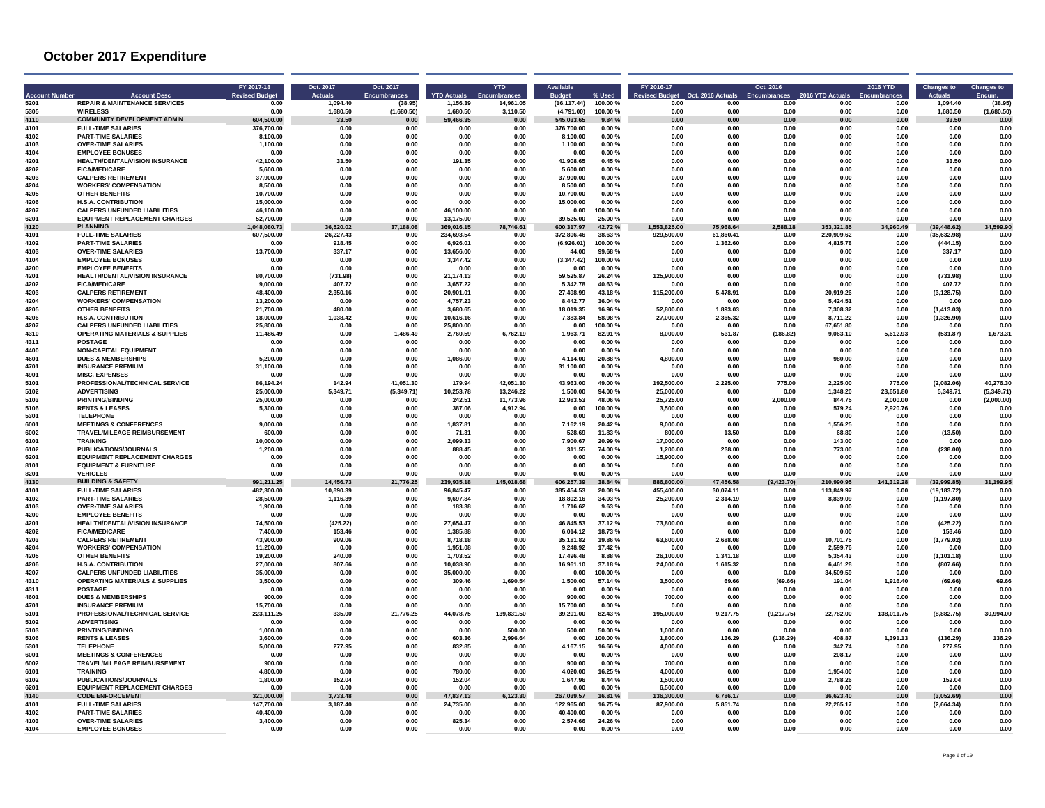| Acco         | <b>Account Desc</b>                                               | FY 2017-18<br><b>Revised Budge</b> | Oct. 2017<br><b>Actuals</b> | Oct. 2017<br><b>Encumbrances</b> | <b>YTD Actuals</b>     | <b>YTD</b><br><b>Enci</b> | Available             |                   | FY 2016-17<br>vised Budget | Oct. 2016 Actuals    | Oct. 2016<br><b>Encumbrances</b> | 2016 YTD Actual       | 2016 YTD     | <b>Changes to</b>        | <b>Changes to</b> |
|--------------|-------------------------------------------------------------------|------------------------------------|-----------------------------|----------------------------------|------------------------|---------------------------|-----------------------|-------------------|----------------------------|----------------------|----------------------------------|-----------------------|--------------|--------------------------|-------------------|
| 5201         | <b>REPAIR &amp; MAINTENANCE SERVICES</b>                          | 0.00                               | 1.094.40                    | (38.95)                          | 1.156.39               | 14.961.05                 | (16.117.44)           | 100.00%           | 0.00                       | 0.00                 | 0.00                             | 0.00                  | 0.00         | 1.094.40                 | (38.95)           |
| 5305         | <b>WIRELESS</b>                                                   | 0.00                               | 1.680.50                    | (1,680.50)                       | 1.680.50               | 3,110.50                  | (4,791.00)            | 100.00%           | 0.00                       | 0.00                 | 0.00                             | 0.00                  | 0.00         | 1.680.50                 | (1,680.50)        |
| 4110         | <b>COMMUNITY DEVELOPMENT ADMIN</b>                                | 604,500.00                         | 33.50                       | 0.00                             | 59 466 35              | 0.00                      | 545.033.65            | 9.84%             | 0.00                       | 0.00                 | 0.00                             | 0.00                  | 0.00         | 33.50                    | 0 <sub>0</sub>    |
| 4101         | <b>FULL-TIME SALARIES</b>                                         | 376,700.00                         | 0.00                        | 0.00                             | 0.00                   | 0.00                      | 376,700.00            | 0.00%             | 0.00                       | 0.00                 | 0.00                             | 0.00                  | 0.00         | 0.00                     | 0.00              |
| 4102         | <b>PART-TIME SALARIES</b>                                         | 8.100.00                           | 0.00                        | 0.00                             | 0.00                   | 0.00                      | 8.100.00              | 0.00%             | 0.00                       | 0.00                 | 0.00                             | 0.00                  | 0.00         | 0.00                     | 0.00              |
| 4103         | <b>OVER-TIME SALARIES</b>                                         | 1,100.00                           | 0.00                        | 0.00                             | 0.00                   | 0.00                      | 1,100.00              | 0.00%             | 0.00                       | 0.00                 | 0.00                             | 0.00                  | 0.00         | 0.00                     | 0.00              |
| 4104         | <b>EMPLOYEE BONUSES</b>                                           | 0.00                               | 0.00                        | 0.00                             | 0.00                   | 0.00                      | 0.00                  | 0.00%             | 0.00                       | 0.00                 | 0.00                             | 0.00                  | 0.00         | 0.00                     | 0.00              |
| 4201         | <b>HEALTH/DENTAL/VISION INSURANCE</b>                             | 42.100.00                          | 33.50                       | 0.00                             | 191.35                 | 0.00                      | 41.908.65             | 0.45%             | 0.00                       | 0.00                 | 0.00                             | 0.00                  | 0.00         | 33.50                    | 0.00              |
| 4202         | <b>FICA/MEDICARE</b>                                              | 5.600.00                           | 0.00                        | 0.00                             | 0.00                   | 0.00                      | 5,600.00              | 0.00%             | 0.00                       | 0.00                 | 0.00                             | 0.00                  | 0.00         | 0.00                     | 0.00              |
| 4203         | <b>CALPERS RETIREMENT</b>                                         | 37.900.00                          | 0.00                        | 0.00                             | 0.00                   | 0.00                      | 37,900.00             | 0.00%             | 0.00                       | 0.00                 | 0.00                             | 0.00                  | 0.00         | 0.00                     | 0.00              |
| 4204         | <b>WORKERS' COMPENSATION</b>                                      | 8.500.00                           | 0.00                        | 0.00                             | 0.00                   | 0.00                      | 8.500.00              | $0.00 \%$         | 0.00                       | 0.00                 | 0.00                             | 0.00                  | n nn         | n nn                     | 0.00              |
| 4205         | <b>OTHER BENEFITS</b>                                             | 10.700.00                          | 0.00                        | 0.00                             | 0.00                   | 0.00                      | 10.700.00             | 0.00%             | 0.00                       | 0.00                 | 0.00                             | 0.00                  | 0.00         | 0.00                     | 0.00              |
| 4206         | <b>H.S.A. CONTRIBUTION</b>                                        | 15,000.00                          | 0.00                        | 0.00                             | 0.00                   | 0.00                      | 15.000.00             | 0.00%             | 0.00                       | 0.00                 | 0.00                             | 0.00                  | 0.00         | 0.00                     | 0.00              |
| 4207         | <b>CALPERS UNFUNDED LIABILITIES</b>                               | 46,100.00                          | 0.00                        | 0.00                             | 46,100.00              | 0.00                      | 0.00                  | 100.00%           | 0.00                       | 0.00                 | 0.00                             | 0.00                  | 0.00         | 0.00                     | 0.00              |
| 6201         | <b>EQUIPMENT REPLACEMENT CHARGES</b>                              | 52,700.00                          | 0.00                        | 0.00                             | 13.175.00              | 0.00                      | 39.525.00             | 25.00%            | 0.00                       | 0.00                 | 0.00                             | 0.00                  | 0.00         | 0.00                     | 0.00              |
| 4120         | <b>PLANNING</b>                                                   | ,048,080.73                        | 36,520.02                   | 37,188.08                        | 369.016.15             | 746.61                    | 600.317.97            | 42.72%            | 825.00<br>1.55             | 75,968.64            | 588.18                           | 353,321.85            | 34,960.49    | (39, 448.62)             | 34,599.90         |
| 4101         | <b>FULL-TIME SALARIES</b>                                         | 607,500.00                         | 26.227.43                   | 0.00                             | 234.693.54             | 0.00                      | 372,806.46            | 38.63%            | 929,500.00                 | 61.860.41            | 0.00                             | 220.909.62            | 0.00         | (35, 632.98)             | 0.01              |
| 4102         | <b>PART-TIME SALARIES</b>                                         | 0.00                               | 918.45                      | 0.00                             | 6.926.01               | 0.00                      | (6.926.01)            | 100.00 %          | 0.00                       | 1,362.60             | 0.00                             | 4.815.78              | 0.00         | (444.15)                 | 0.00              |
| 4103         | <b>OVER-TIME SALARIES</b>                                         | 13,700.00                          | 337.17                      | 0.00                             | 13.656.00              | 0.00                      | 44.00                 | 99.68%            | 0.00                       | 0.00                 | 0.00                             | 0.00                  | 0.00         | 337.17                   | 0.00              |
| 4104         | <b>EMPLOYEE BONUSES</b>                                           | 0.00                               | 0.00                        | 0.00                             | 3.347.42               | 0.00                      | (3,347.42)            | 100.00%           | 0.00                       | 0.00                 | 0.00                             | 0.00                  | 0.00         | 0.00                     | 0.00              |
| 4200         | <b>EMPLOYEE BENEFITS</b>                                          | 0.00                               | 0.00                        | 0.00                             | 0.00                   | 0.00                      | 0.00                  | 0.00%             | 0.00                       | 0.00                 | 0.00                             | 0.00                  | 0.00         | 0.00                     | 0.00              |
| 4201         | HEALTH/DENTAL/VISION INSURANCE                                    | 80,700.00                          | (731.98)                    | 0.00                             | 21,174.13              | 0.00                      | 59,525.87             | 26.24 %           | 125,900.00                 | 0.00                 | 0.00                             | 0.00                  | 0.00         | (731.98)                 | 0.00              |
| 4202         | <b>FICA/MEDICARE</b>                                              | 9.000.00                           | 407.72                      | 0.00                             | 3.657.22               | 0.00                      | 5.342.78              | 40.63%            | 0.00                       | 0.00                 | 0.00                             | 0.00                  | 0.00         | 407.72                   | 0.00              |
| 4203<br>4204 | <b>CALPERS RETIREMENT</b><br><b>WORKERS' COMPENSATION</b>         | 48,400.00<br>13.200.00             | 2,350.16<br>0.00            | 0.00<br>0.00                     | 20.901.01<br>4.757.23  | 0.00<br>0.00              | 27,498.99<br>8.442.77 | 43.18%<br>36.04 % | 115,200.00<br>0.00         | 5.478.91<br>0.00     | 0.00<br>0.00                     | 20.919.26<br>5.424.51 | 0.00<br>0.00 | (3, 128.75)<br>0.00      | 0.00<br>0.00      |
|              |                                                                   |                                    |                             |                                  |                        |                           |                       |                   |                            |                      |                                  |                       |              |                          |                   |
| 4205         | <b>OTHER BENEFITS</b>                                             | 21.700.00<br>18,000.00             | 480.00                      | 0.00                             | 3,680.65               | 0.00<br>0.00              | 18,019.35<br>7.383.84 | 16.96%            | 52,800.00<br>27.000.00     | 1,893.03<br>2.365.32 | 0.00                             | 7,308.32              | 0.00         | (1.413.03)<br>(1.326.90) | 0.00<br>0.0       |
| 4206<br>4207 | <b>H.S.A. CONTRIBUTION</b><br><b>CALPERS UNFUNDED LIABILITIES</b> | 25,800.00                          | 1.038.42<br>0.00            | 0.00<br>0.00                     | 10.616.16<br>25,800.00 | 0.00                      | 0.00                  | 58.98%<br>100.00% | 0.00                       | 0.00                 | 0.00<br>0.00                     | 8.711.22<br>67.651.80 | 0.00<br>0.00 |                          | 0.0               |
| 4310         | <b>OPERATING MATERIALS &amp; SUPPLIES</b>                         | 11,486.49                          | 0.00                        | 1,486.49                         | 2,760.59               | 6,762.19                  | 1,963.71              | 82.91%            | 8,000.00                   | 531.87               | (186.82)                         | 9,063.10              | 5,612.93     | 0.00<br>(531.87)         | 1,673.31          |
| 4311         | <b>POSTAGE</b>                                                    | 0.00                               | 0.00                        | 0.00                             | 0.00                   | 0.00                      | 0.00                  | 0.00%             | 0.00                       | 0.00                 | 0.00                             | 0.00                  | 0.00         | 0.00                     | 0.00              |
| 4400         | <b>NON-CAPITAL EQUIPMENT</b>                                      | 0.00                               | 0.00                        | 0.00                             | 0.00                   | 0.00                      | 0.00                  | 0.00%             | 0.00                       | 0.00                 | 0.00                             | 0.00                  | 0.00         | 0.00                     | 0.00              |
| 4601         | <b>DUES &amp; MEMBERSHIPS</b>                                     | 5.200.00                           | 0.00                        | 0.00                             | 1.086.00               | 0.00                      | 4.114.00              | 20.88%            | 4.800.00                   | 0.00                 | 0.00                             | 980.00                | 0.00         | 0.00                     | 0.00              |
| 4701         | <b>INSURANCE PREMIUM</b>                                          | 31,100.00                          | 0.00                        | 0.00                             | 0.00                   | 0.00                      | 31,100.00             | 0.00%             | 0.00                       | 0.00                 | 0.00                             | 0.00                  | 0.00         | 0.00                     | 0.00              |
| 4901         | <b>MISC. EXPENSES</b>                                             | 0.00                               | 0.00                        | 0.00                             | 0.00                   | 0.00                      | 0.00                  | 0.00%             | 0.00                       | 0.00                 | 0.00                             | 0.00                  | 0.00         | 0.00                     | 0.00              |
| 5101         | PROFESSIONAL/TECHNICAL SERVICE                                    | 86.194.24                          | 142.94                      | 41.051.30                        | 179.94                 | 42.051.30                 | 43.963.00             | 49.00%            | 192,500.00                 | 2.225.00             | 775.00                           | 2.225.00              | 775.00       | (2,082.06)               | 40.276.30         |
| 5102         | <b>ADVERTISING</b>                                                | 25,000.00                          | 5,349.71                    | (5.349.71)                       | 10.253.78              | 13.246.22                 | 1.500.00              | 94.00%            | 25,000.00                  | 0.00                 | 0.00                             | 1.348.20              | 23.651.80    | 5.349.71                 | (5, 349.71)       |
| 5103         | PRINTING/BINDING                                                  | 25,000.00                          | 0.00                        | 0.00                             | 242.51                 | 11,773.96                 | 12,983.53             | 48.06%            | 25,725.00                  | 0.00                 | 2,000.00                         | 844.75                | 2,000.00     | 0.00                     | (2,000.00)        |
| 5106         | <b>RENTS &amp; LEASES</b>                                         | 5,300.00                           | 0.00                        | 0.00                             | 387.06                 | 4,912.94                  | 0.00                  | 100.00%           | 3,500.00                   | 0.00                 | 0.00                             | 579.24                | 2,920.76     | 0.00                     | 0.00              |
| 5301         | <b>TELEPHONE</b>                                                  | 0.00                               | 0.00                        | n nn                             | 0.00                   | 0.00                      | 0.00                  | $0.00 \%$         | 0.00                       | 0.00                 | 0.00                             | 0.00                  | 0.00         | 0.00                     | 0.00              |
| 6001         | <b>MEETINGS &amp; CONFERENCES</b>                                 | 9,000.00                           | 0.00                        | 0.00                             | 1.837.81               | 0.00                      | 7.162.19              | 20.42%            | 9.000.00                   | 0.00                 | 0.00                             | 1.556.25              | 0.00         | 0.00                     | 0.00              |
| 6002         | TRAVEL/MILEAGE REIMBURSEMENT                                      | 600.00                             | 0.00                        | 0.00                             | 71.31                  | 0.00                      | 528.69                | 11.83 %           | 800.00                     | 13.50                | 0.00                             | 68.80                 | 0.00         | (13.50)                  | 0.00              |
| 6101         | <b>TRAINING</b>                                                   | 10,000.00                          | 0.00                        | 0.00                             | 2,099.33               | 0.00                      | 7,900.67              | 20.99%            | 17,000.00                  | 0.00                 | 0.00                             | 143.00                | 0.00         | 0.00                     | 0.00              |
| 6102         | <b>PUBLICATIONS/JOURNALS</b>                                      | 1.200.00                           | 0.00                        | 0.00                             | 888.45                 | 0.00                      | 311.55                | 74.00%            | 1.200.00                   | 238.00               | 0.00                             | 773.00                | 0.00         | (238.00)                 | 0.00              |
| 6201         | <b>EQUIPMENT REPLACEMENT CHARGES</b>                              | 0.00                               | 0.00                        | 0.00                             | 0.00                   | 0.00                      | 0.00                  | 0.00%             | 15,900.00                  | 0.00                 | 0.00                             | 0.00                  | 0.00         | 0.00                     | 0.00              |
| 8101         | <b>EQUIPMENT &amp; FURNITURE</b>                                  | 0.00                               | 0.00                        | 0.00                             | 0.00                   | 0.00                      | 0.00                  | 0.00%             | 0.00                       | 0.00                 | 0.00                             | 0.00                  | 0.00         | 0.00                     | 0.00              |
| 8201         | <b>VEHICLES</b>                                                   | 0.00                               | 0.00                        | 0.00                             | 0.00                   | 0.00                      | 0.00                  | 0.00%             | 0.00                       | 0.00                 | 0.00                             | 0.00                  | 0.00         | 0.00                     | 0.00              |
| 4130         | <b>BUILDING &amp; SAFETY</b>                                      | 991,211.25                         | 14.456.73                   | 21.776.25                        | 239.935.18             | 145,018.68                | 606.257.39            | 38.84 %           | 886.800.00                 | 47,456.58            | (9,423.70)                       | 210.990.95            | 141.319.28   | (32.999.85)              | 31.199.9          |
| 4101         | <b>FULL-TIME SALARIES</b>                                         | 482.300.00                         | 10.890.39                   | 0.00                             | 96.845.47              | 0.00                      | 385.454.53            | 20.08%            | 455.400.00                 | 30.074.11            | 0.00                             | 113.849.97            | 0.00         | (19.183.72)              | 0.00              |
| 4102         | <b>PART-TIME SALARIES</b>                                         | 28,500.00                          | 1.116.39                    | 0.00                             | 9.697.84               | 0.00                      | 18.802.16             | 34.03%            | 25.200.00                  | 2.314.19             | 0.00                             | 8.839.09              | 0.00         | (1.197.80)               | 0.00              |
| 4103         | <b>OVER-TIME SALARIES</b>                                         | 1,900.00                           | 0.00                        | 0.00                             | 183.38                 | 0.00                      | 1,716.62              | 9.63%             | 0.00                       | 0.00                 | 0.00                             | 0.00                  | 0.00         | 0.00                     | 0.00              |
| 4200         | <b>EMPLOYEE BENEFITS</b>                                          | 0.00                               | 0.00                        | 0.00                             | 0.00                   | 0.00                      | 0.00                  | 0.00%             | 0.00                       | 0.00                 | 0.00                             | 0.00                  | 0.00         | 0.00                     | 0.00              |
| 4201         | <b>HEALTH/DENTAL/VISION INSURANCE</b>                             | 74,500.00                          | (425.22)                    | 0.00                             | 27,654.47              | 0.00                      | 46,845.53             | 37.12%            | 73,800.00                  | 0.00                 | 0.00                             | 0.00                  | 0.00         | (425.22)                 | 0.00              |
| 4202         | <b>FICA/MEDICARE</b>                                              | 7,400.00                           | 153.46                      | 0.00                             | 1.385.88               | 0.00                      | 6,014.12              | 18.73%            | 0.00                       | 0.00                 | 0.00                             | 0.00                  | 0.00         | 153.46                   | 0.00              |
| 4203         | <b>CALPERS RETIREMENT</b>                                         | 43.900.00                          | 909.06                      | 0.00                             | 8.718.18               | 0.00                      | 35.181.82             | 19.86 %           | 63,600.00                  | 2,688.08             | 0.00                             | 10.701.75             | 0.00         | (1,779.02)               | 0.00              |
| 4204         | <b>WORKERS' COMPENSATION</b>                                      | 11.200.00                          | . በ በበ                      | n nn                             | 1.951.08               | 0.00                      | 9 248 92              | 17 42 %           | 0.00                       | 0.00                 | . በ በበ                           | 2.599.76              | n nn         | 0.00                     | 0.00              |
| 4205         | <b>OTHER BENEFITS</b>                                             | 19,200.00                          | 240.00                      | 0.00                             | 1.703.52               | 0.00                      | 17.496.48             | 8.88%             | 26.100.00                  | 1.341.18             | 0.00                             | 5.354.43              | 0.00         | (1, 101.18)              | 0.00              |
| 4206         | <b>H.S.A. CONTRIBUTION</b>                                        | 27,000.00                          | 807.66                      | 0.00                             | 10,038.90              | 0.00                      | 16,961.10             | 37.18%            | 24,000.00                  | 1,615.32             | 0.00                             | 6.461.28              | 0.00         | (807.66)                 | 0.00              |
| 4207         | <b>CALPERS UNFUNDED LIABILITIES</b>                               | 35,000.00                          | 0.00                        | 0.00                             | 35,000.00              | 0.00                      | 0.00                  | 100.00%           | 0.00                       | 0.00                 | 0.00                             | 34,509.59             | 0.00         | 0.00                     | 0.00              |
| 4310         | <b>OPERATING MATERIALS &amp; SUPPLIES</b>                         | 3.500.00                           | 0.00                        | 0.00                             | 309.46                 | 1.690.54                  | 1.500.00              | 57.14 %           | 3.500.00                   | 69.66                | (69.66)                          | 191.04                | 1.916.40     | (69.66)                  | 69.66             |
| 4311         | <b>POSTAGE</b>                                                    | 0.00                               | 0.00                        | 0.00                             | 0.00                   | 0.00                      | 0.00                  | 0.00%             | 0.00                       | 0.00                 | 0.00                             | 0.00                  | 0.00         | 0.00                     | 0.00              |
| 4601         | <b>DUES &amp; MEMBERSHIPS</b>                                     | 900.00                             | 0.00                        | 0.00                             | 0.00                   | 0.00                      | 900.00                | 0.00%             | 700.00                     | 0.00                 | 0.00                             | 0.00                  | 0.00         | 0.00                     | 0.0               |
| 4701         | <b>INSURANCE PREMIUM</b>                                          | 15,700.00                          | 0.00                        | 0.00                             | 0.00                   | 0.00                      | 15.700.00             | 0.00%             | 0.00                       | 0.00                 | 0.00                             | 0.00                  | 0.00         | 0.00                     | 0.00              |
| 5101         | PROFESSIONAL/TECHNICAL SERVICE                                    | 223,111.25                         | 335.00                      | 21.776.25                        | 44.078.75              | 139,831.50                | 39,201.00             | 82.43 %           | 195,000.00                 | 9,217.75             | (9,217.75)                       | 22.782.00             | 138,011.75   | (8,882.75)               | 30.994.00         |
| 5102         | <b>ADVERTISING</b>                                                | 0.00                               | 0.00                        | 0.00                             | 0.00                   | 0.00                      | 0.00                  | 0.00%             | 0.00                       | 0.00                 | 0.00                             | 0.00                  | 0.00         | 0.00                     | 0.00              |
| 5103         | PRINTING/BINDING                                                  | 1,000.00                           | 0.00                        | 0.00                             | 0.00                   | 500.00                    | 500.00                | 50.00%            | 1,000.00                   | 0.00                 | 0.00                             | 0.00                  | 0.00         | 0.00                     | 0.00              |
| 5106         | <b>RENTS &amp; LEASES</b>                                         | 3,600.00                           | 0.00                        | 0.00                             | 603.36                 | 2,996.64                  | 0.00                  | 100.00%           | 1,800.00                   | 136.29               | (136.29)                         | 408.87                | 1,391.13     | (136.29)                 | 136.29            |
| 5301         | <b>TELEPHONE</b>                                                  | 5.000.00                           | 277.95                      | 0.00                             | 832.85                 | 0.00                      | 4,167.15              | 16.66%            | 4.000.00                   | 0.00                 | 0.00                             | 342.74                | 0.00         | 277.95                   | 0.00              |
| 6001         | <b>MEETINGS &amp; CONFERENCES</b>                                 | 0.00                               | 0.00                        | 0.00                             | 0.00                   | 0.00                      | 0.00                  | 0.00%             | 0.00                       | 0.00                 | 0.00                             | 208.17                | 0.00         | 0.00                     | 0.00              |
| 6002         | TRAVEL/MILEAGE REIMBURSEMENT                                      | 900.00                             | 0.00                        | 0.00                             | 0.00                   | 0.00                      | 900.00                | 0.00%             | 700.00                     | 0.00                 | 0.00                             | 0.00                  | 0.00         | 0.00                     | 0.00              |
| 6101         | <b>TRAINING</b>                                                   | 4.800.00                           | 0.00                        | 0.00                             | 780.00                 | 0.00                      | 4,020.00              | 16.25%            | 4.000.00                   | 0.00                 | 0.00                             | 1.954.00              | 0.00         | 0.00                     | 0.00              |
| 6102         | PUBLICATIONS/JOURNALS                                             | 1,800.00                           | 152.04                      | 0.00                             | 152.04                 | 0.00                      | 1,647.96              | 8.44 %            | 1,500.00                   | 0.00                 | 0.00                             | 2,788.26              | 0.00         | 152.04                   | 0.00              |
| 6201         | <b>EQUIPMENT REPLACEMENT CHARGES</b>                              | 0.00                               | 0.00                        | 0.00                             | 0.00                   | 0.00                      | 0.00                  | 0.00%             | 6,500.00                   | 0.00                 | 0.00                             | 0.00                  | 0.00         | 0.00                     | 0.00              |
| 4140         | <b>CODE ENFORCEMENT</b>                                           | 321,000.00                         | 3.733.48                    | 0.00                             | 47.837.13              | 123.30                    | 267.039.57            | 16.81%            | 136.300.00                 | 6,786.17             | 0.00                             | 36.623.40             | 0.00         | (3.052.69)               | 0.00              |
| 4101         | <b>FULL-TIME SALARIES</b>                                         | 147,700.00                         | 3,187.40                    | 0.00                             | 24,735.00              | 0.00                      | 122.965.00            | 16.75%            | 87,900.00                  | 5,851.74             | 0.00                             | 22,265.17             | 0.00         | (2,664.34)               | 0.00              |
| 4102         | <b>PART-TIME SALARIES</b>                                         | 40.400.00                          | 0.00                        | 0.00                             | 0.00                   | 0.00                      | 40.400.00             | 0.00%             | 0.00                       | 0.00                 | 0.00                             | 0.00                  | 0.00         | 0.00                     | 0.00              |
| 4103         | <b>OVER-TIME SALARIES</b>                                         | 3.400.00                           | 0.00                        | 0.00                             | 825.34                 | 0.00                      | 2.574.66              | 24.26%            | 0.00                       | 0.00                 | 0.00                             | 0.00                  | 0.00         | 0.00                     | 0.00              |
| 4104         | <b>EMPLOYEE BONUSES</b>                                           | 0.00                               | 0.00                        | 0.00                             | 0.00                   | 0.00                      | 0.00                  | 0.00%             | 0.00                       | 0.00                 | 0.00                             | 0.00                  | 0.00         | 0.00                     | 0.00              |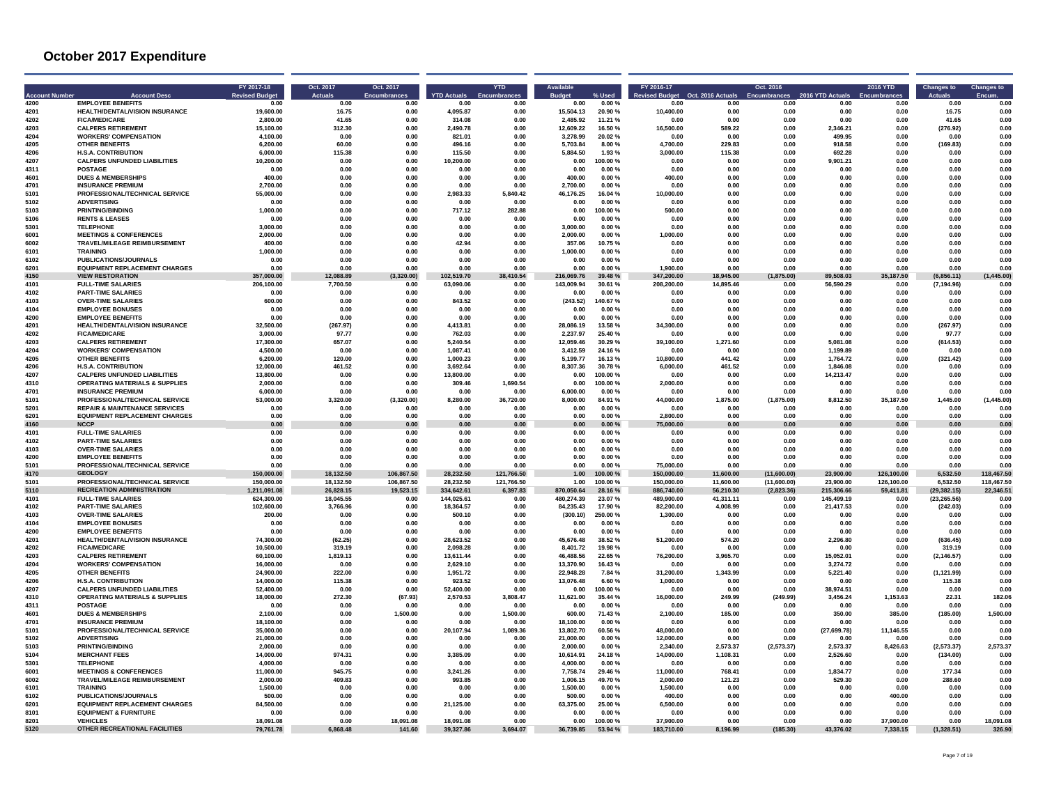|              | <b>Account Desc</b>                                   | FY 2017-18<br><b>Revised Budget</b> | Oct. 2017<br><b>Actuals</b> | Oct. 2017<br><b>Encumbrances</b> | <b>YTD Actuals</b> | <b>YTD</b>   | <b>Rudget</b>        | % Usec          | FY 2016-17<br><b>Revised Budget</b> | Oct. 2016 Actuals | Oct. 2016<br><b>Encumbrances</b> | 2016 YTD Actual: | <b>2016 YTD</b> | <b>Changes to</b> | <b>Changes to</b><br>Encum |
|--------------|-------------------------------------------------------|-------------------------------------|-----------------------------|----------------------------------|--------------------|--------------|----------------------|-----------------|-------------------------------------|-------------------|----------------------------------|------------------|-----------------|-------------------|----------------------------|
| 4200         | <b>EMPLOYEE BENEFITS</b>                              | 0.00                                | 0.00                        | 0.00                             | 0.00               | 0.00         | 0.00                 | 0.00%           | 0.00                                | 0.00              | 0.00                             | 0.00             | 0.00            | 0.00              | 0.00                       |
| 4201         | HEALTH/DENTAL/VISION INSURANCE                        | 19,600.00                           | 16.75                       | 0.00                             | 4,095.87           | 0.00         | 15,504.13            | 20.90%          | 10,400.00                           | 0.00              | 0.00                             | 0.00             | 0.00            | 16.75             | 0.00                       |
| 4202         | <b>FICA/MEDICARE</b>                                  | 2,800.00                            | 41.65                       | 0.00                             | 314.08             | 0.00         | 2,485.92             | 11.21 %         | 0.00                                | 0.00              | 0.00                             | 0.00             | 0.00            | 41.65             | 0.00                       |
| 4203         | <b>CALPERS RETIREMENT</b>                             | 15,100.00                           | 312.30                      | 0.00                             | 2.490.78           | 0.00         | 12,609.22            | 16.50 %         | 16,500.00                           | 589.22            | 0.00                             | 2.346.21         | 0.00            | (276.92)          | 0.00<br>0.00               |
| 4204<br>4205 | <b>WORKERS' COMPENSATION</b><br><b>OTHER BENEFITS</b> | 4.100.00<br>6.200.00                | 0.00<br>60.00               | 0.00<br>0.00                     | 821.01<br>496.16   | 0.00<br>0.00 | 3.278.99<br>5.703.84 | 20.02%<br>8.00% | 0.00<br>4.700.00                    | 0.00<br>229.83    | 0.00<br>0.00                     | 499.95<br>918.58 | 0.00<br>0.00    | 0.00<br>(169.83)  | 0.00                       |
| 4206         | <b>H.S.A. CONTRIBUTION</b>                            | 6.000.00                            | 115.38                      | 0.00                             | 115.50             | 0.00         | 5,884.50             | 1.93%           | 3,000.00                            | 115.38            | 0.00                             | 692.28           | 0.00            | 0.00              | 0.00                       |
| 4207         | <b>CALPERS UNFUNDED LIABILITIES</b>                   | 10,200.00                           | 0.00                        | 0.00                             | 10,200.00          | 0.00         | 0.00                 | 100.00%         | 0.00                                | 0.00              | 0.00                             | 9,901.21         | 0.00            | 0.00              | 0.00                       |
| 4311         | <b>POSTAGE</b>                                        | 0.00                                | 0.00                        | 0.00                             | 0.00               | 0.00         | 0.00                 | 0.00%           | 0.00                                | 0.00              | 0.00                             | 0.00             | 0.00            | 0.00              | 0.00                       |
| 4601         | <b>DUES &amp; MEMBERSHIPS</b>                         | 400.00                              | 0.00                        | 0.00                             | 0.00               | 0.00         | 400.00               | 0.00%           | 400.00                              | 0.00              | 0.00                             | 0.00             | 0.00            | 0.00              | 0.00                       |
| 4701         | <b>INSURANCE PREMIUM</b>                              | 2,700.00                            | 0.00                        | 0.00                             | 0.00               | 0.00         | 2,700.00             | 0.00%           | 0.00                                | 0.00              | 0.00                             | 0.00             | 0.00            | 0.00              | 0.00                       |
| 5101         | PROFESSIONAL/TECHNICAL SERVICE                        | 55,000.00                           | 0.00                        | 0.00                             | 2.983.33           | 5,840.42     | 46.176.25            | 16.04%          | 10.000.00                           | 0.00              | 0.00                             | 0.00             | 0.00            | 0.00              | 0.00                       |
| 5102         | <b>ADVERTISING</b>                                    | n nr                                | 0.00                        | 0.00                             | 0.00               | 0.00         | n nn                 | .ስ በበ %         | 0.00                                | 0.00              | 0.00                             | 0.00             | 0.00            | 0.00              | n nr                       |
| 5103         | PRINTING/BINDING                                      | 1.000.00                            | 0.00                        | 0.00                             | 717.12             | 282.88       | 0.00                 | 100.00%         | 500.00                              | 0.00              | 0.00                             | 0.00             | 0.00            | 0.00              | 0.00                       |
| 5106         | <b>RENTS &amp; LEASES</b>                             | 0.00                                | 0.00                        | 0.00                             | 0.00               | 0.00         | 0.00                 | 0.00%           | 0.00                                | 0.00              | 0.00                             | 0.00             | 0.00            | 0.00              | 0.00                       |
| 5301         | <b>TELEPHONE</b>                                      | 3,000.00                            | 0.00                        | 0.00                             | 0.00               | 0.00         | 3,000.00             | 0.00%           | 0.00                                | 0.00              | 0.00                             | 0.00             | 0.00            | 0.00              | 0.00                       |
| 6001         | <b>MEETINGS &amp; CONFERENCES</b>                     | 2.000.00                            | 0.00                        | 0.00                             | 0.00               | 0.00         | 2.000.00             | 0.00%           | 1.000.00                            | 0.00              | 0.00                             | 0.00             | 0.00            | 0.00              | 0.00                       |
| 6002         | <b>TRAVEL/MILEAGE REIMBURSEMENT</b>                   | 400.00                              | 0.00                        | 0.00                             | 42.94              | 0.00         | 357.06               | 10.75%          | 0.00                                | 0.00              | 0.00                             | 0.00             | 0.00            | 0.00              | 0.00                       |
| 6101         | <b>TRAINING</b>                                       | 1,000.00                            | $0.00\,$                    | 0.00                             | 0.00               | 0.00         | 1,000.00             | 0.00%           | 0.00                                | 0.00              | 0.00                             | 0.00             | 0.00            | 0.00              | 0.00                       |
| 6102         | <b>PUBLICATIONS/JOURNALS</b>                          | 0.00                                | 0.00                        | 0.00                             | 0.00               | 0.00         | 0.00                 | 0.00%           | 0.00                                | 0.00              | 0.00                             | 0.00             | 0.00            | 0.00              | 0.00                       |
| 6201         | <b>EQUIPMENT REPLACEMENT CHARGES</b>                  | 0.00                                | 0.00                        | 0.00                             | 0.00               | 0.00         | 0.00                 | 0.00%           | 1,900.00                            | 0.00              | 0.00                             | 0.00             | 0.00            | 0.00              | 0.00                       |
| 4150         | <b>VIEW RESTORATION</b>                               | 357.000.00                          | 12.088.89                   | (3,320.00)                       | 102.519.70         | 38.410.54    | 216.069.76           | 39.48%          | 347,200.00                          | 18.945.00         | (1,875.00)                       | 89.508.03        | 35.187.50       | (6,856.11)        | .445.00                    |
| 4101         | <b>FULL-TIME SALARIES</b>                             | 206,100.00                          | 7,700.50                    | 0.00                             | 63,090.06          | 0.00         | 143,009.94           | 30.61%          | 208,200.00                          | 14,895.46         | 0.00                             | 56,590.29        | 0.00            | (7, 194.96)       | 0.00                       |
| 4102         | <b>PART-TIME SALARIES</b>                             | 0.00                                | 0.00                        | 0.00                             | 0.00               | 0.00         | 0.00                 | 0.00%           | 0.00                                | 0.00              | 0.00                             | 0.00             | 0.00            | 0.00              | 0.00                       |
| 4103         | <b>OVER-TIME SALARIES</b>                             | 600.00                              | 0.00                        | 0.00                             | 843.52             | 0.00         | (243.52)             | 140.67%         | 0.00                                | 0.00              | 0.00                             | 0.00             | 0.00            | 0.00              | 0.00                       |
| 4104         | <b>EMPLOYEE BONUSES</b>                               | 0.00                                | 0.00                        | 0.00                             | 0.00               | 0.00         | 0.00                 | 0.00%           | 0.00                                | 0.00              | 0.00                             | 0.00             | 0.00            | 0.00              | 0.00                       |
| 4200         | <b>EMPLOYEE BENEFITS</b>                              | 0.00                                | 0.00                        | 0.00                             | 0.00               | 0.00         | 0.00                 | 0.00%           | 0.00                                | 0.00              | 0.00                             | 0.00             | 0.00            | 0.00              | 0.00                       |
| 4201         | HEALTH/DENTAL/VISION INSURANCE                        | 32.500.00                           | (267.97)                    | 0.00                             | 4,413.81           | 0.00         | 28,086.19            | 13.58%          | 34,300.00                           | 0.00              | 0.00                             | 0.00             | 0.00            | (267.97)          | 0.00                       |
| 4202         | <b>FICA/MEDICARE</b>                                  | 3.000.00                            | 97.77                       | 0.00                             | 762.03             | 0.00         | 2.237.97             | 25.40 %         | 0.00                                | 0.00              | 0.00                             | 0.00             | 0.00            | 97.77             | 0.00                       |
| 4203         | <b>CALPERS RETIREMENT</b>                             | 17.300.00                           | 657.07                      | 0.00                             | 5.240.54           | 0.00         | 12.059.46            | 30.29 %         | 39.100.00                           | 1,271.60          | 0.00                             | 5.081.08         | 0.00            | (614.53)          | 0.00                       |
| 4204         | <b>WORKERS' COMPENSATION</b>                          | 4.500.00                            | 0.00                        | 0.00                             | 1.087.41           | 0.00         | 3,412.59             | 24.16%          | 0.00                                | 0.00              | 0.00                             | 1,199.89         | 0.00            | 0.00              | 0.00                       |
| 4205         | <b>OTHER BENEFITS</b>                                 | 6.200.00                            | 120.00                      | 0.00                             | 1.000.23           | 0.00         | 5.199.77             | 16.13%          | 10,800.00                           | 441.42            | 0.00                             | 1.764.72         | 0.00            | (321.42)          | 0.00                       |
| 4206         | <b>H.S.A. CONTRIBUTION</b>                            | 12.000.00                           | 461.52                      | 0.00                             | 3.692.64           | 0.00         | 8.307.36             | 30.78%          | 6.000.00                            | 461.52            | 0.00                             | 1.846.08         | 0.00            | 0.00              | 0.00                       |
| 4207         | <b>CALPERS UNFUNDED LIABILITIES</b>                   | 13.800.00                           | 0.00                        | 0.00                             | 13.800.00          | 0.00         | 0.00                 | 100.00%         | 0.00                                | 0.00              | 0.00                             | 14.213.47        | 0.00            | 0.00              | 0.00                       |
| 4310         | <b>OPERATING MATERIALS &amp; SUPPLIES</b>             | 2.000.00                            | 0.00                        | 0.00                             | 309.46             | 1,690.54     | 0.00                 | 100.00%         | 2,000.00                            | 0.00              | 0.00                             | 0.00             | 0.00            | 0.00              | 0.00                       |
| 4701         | <b>INSURANCE PREMIUM</b>                              | 6.000.00                            | 0.00                        | 0.00                             | 0.00               | 0.00         | 6,000.00             | 0.00%           | 0.00                                | 0.00              | 0.00                             | 0.00             | 0.00            | 0.00              | 0.00                       |
| 5101         | PROFESSIONAL/TECHNICAL SERVICE                        | 53,000.00                           | 3.320.00                    | (3,320.00)                       | 8.280.00           | 36.720.00    | 8.000.00             | 84.91 %         | 44,000.00                           | 1,875.00          | (1,875.00)                       | 8,812.50         | 35,187.50       | 1.445.00          | (1,445.00)                 |
| 5201         | <b>REPAIR &amp; MAINTENANCE SERVICES</b>              | 0.00                                | 0.00                        | 0.00                             | 0.00               | 0.00         | 0.00                 | 0.00%           | 0.00                                | 0.00              | 0.00                             | 0.00             | 0.00            | 0.00              | 0.00                       |
| 6201         | <b>EQUIPMENT REPLACEMENT CHARGES</b><br><b>NCCP</b>   | 0.00                                | 0.00                        | 0.00                             | 0.00               | 0.00         | 0.00                 | 0.00%           | 2,800.00                            | 0.00              | 0.00                             | 0.00             | 0.00            | 0.00              | 0.00                       |
| 4160         | <b>FULL-TIME SALARIES</b>                             | 0.00                                | 0.00                        | 0.00                             | 0.00               | 0.00         | 0.00                 | 0.00%           | 75.000.00                           | 0.00              | 0.00                             | 0.00             | 0.00            | 0.00              | 0.00                       |
| 4101         | <b>PART-TIME SALARIES</b>                             | 0.00                                | 0.00                        | 0.00                             | 0.00               | 0.00         | 0.00                 | 0.00%           | 0.00                                | 0.00              | 0.00                             | 0.00             | 0.00            | 0.00              | 0.00                       |
| 4102         |                                                       | 0.00                                | 0.00                        | 0.00                             | 0.00               | 0.00         | 0.00                 | 0.00%           | 0.00                                | 0.00              | 0.00<br>0.00                     | 0.00             | 0.00            | 0.00              | 0.00<br>0.00               |
| 4103<br>4200 | <b>OVER-TIME SALARIES</b><br><b>EMPLOYEE BENEFITS</b> | 0.00<br>0.00                        | 0.00<br>0.00                | 0.00<br>0.00                     | 0.00<br>0.00       | 0.00<br>0.00 | 0.00<br>0.00         | 0.00%<br>0.00%  | 0.00<br>0.00                        | 0.00<br>0.00      | 0.00                             | 0.00<br>0.00     | 0.00<br>0.00    | 0.00<br>0.00      | 0.00                       |
| 5101         | PROFESSIONAL/TECHNICAL SERVICE                        | 0.00                                | 0.00                        | 0.00                             | 0.00               | 0.00         | 0.00                 | 0.00%           | 75,000.00                           | 0.00              | 0.00                             | 0.00             | 0.00            | 0.00              | 0.00                       |
| 4170         | <b>GEOLOGY</b>                                        | 150.000.00                          | 18.132.50                   | 106,867.50                       | 28.232.50          | 121.766.50   | 1.00                 | 100.00 %        | 150,000,00                          | 11,600.00         | (11.600.00)                      | 23.900.00        | 126.100.00      | 6.532.50          | 118.467.50                 |
| 510'         | PROFESSIONAL/TECHNICAL SERVICE                        | 150,000.00                          | 18.132.50                   | 106.867.50                       | 28.232.50          | 121.766.50   | 1.00                 | 100.00%         | 150,000.00                          | 11,600.00         | (11,600.00)                      | 23.900.00        | 126,100.00      | 6.532.50          | 118,467.50                 |
| 5110         | <b>RECREATION ADMINISTRATION</b>                      | 1.211.091.08                        | 26,828.15                   | 19,523.15                        | 334,642.61         | 6,397.83     | 870,050.64           | 28.16%          | 886,740.00                          | 56,210.30         | (2,823.36)                       | 215,306.66       | 59,411.81       | (29, 382.15)      | 22,346.51                  |
| 4101         | <b>FULL-TIME SALARIES</b>                             | 624.300.00                          | 18.045.55                   | 0.00                             | 144.025.61         | 0.00         | 480.274.39           | 23.07%          | 489.900.00                          | 41.311.11         | 0.00                             | 145.499.19       | 0.00            | (23, 265.56)      | n nr                       |
| 4102         | <b>PART-TIME SALARIES</b>                             | 102.600.00                          | 3,766.96                    | 0.00                             | 18.364.57          | 0.00         | 84.235.43            | 17.90%          | 82.200.00                           | 4.008.99          | 0.00                             | 21,417.53        | 0.00            | (242.03)          | 0.00                       |
| 4103         | <b>OVER-TIME SALARIES</b>                             | 200.00                              | 0.00                        | 0.00                             | 500.10             | 0.00         | (300.10)             | 250.00%         | 1,300.00                            | 0.00              | 0.00                             | 0.00             | 0.00            | 0.00              | 0.00                       |
| 4104         | <b>EMPLOYEE BONUSES</b>                               | 0.00                                | 0.00                        | 0.00                             | 0.00               | 0.00         | 0.00                 | 0.00%           | 0.00                                | 0.00              | 0.00                             | 0.00             | 0.00            | 0.00              | 0.00                       |
| 4200         | <b>EMPLOYEE BENEFITS</b>                              | 0.00                                | 0.00                        | 0.00                             | 0.00               | 0.00         | 0.00                 | 0.00%           | 0.00                                | 0.00              | 0.00                             | 0.00             | 0.00            | 0.00              | 0.00                       |
| 4201         | <b>HEALTH/DENTAL/VISION INSURANCE</b>                 | 74,300.00                           | (62.25)                     | 0.00                             | 28.623.52          | 0.00         | 45.676.48            | 38.52%          | 51.200.00                           | 574.20            | 0.00                             | 2.296.80         | 0.00            | (636.45)          | 0.00                       |
| 4202         | <b>FICA/MEDICARE</b>                                  | 10.500.00                           | 319.19                      | 0.00                             | 2.098.28           | 0.00         | 8,401.72             | 19.98%          | 0.00                                | 0.00              | 0.00                             | 0.00             | 0.00            | 319.19            | 0.00                       |
| 4203         | <b>CALPERS RETIREMENT</b>                             | 60.100.00                           | 1.819.13                    | 0.00                             | 13.611.44          | 0.00         | 46,488.56            | 22.65%          | 76.200.00                           | 3.965.70          | 0.00                             | 15.052.01        | 0.00            | (2.146.57)        | 0.00                       |
| 4204         | <b>WORKERS' COMPENSATION</b>                          | 16.000.00                           | 0.00                        | 0.00                             | 2.629.10           | 0.00         | 13,370.90            | 16.43%          | 0.00                                | 0.00              | 0.00                             | 3,274.72         | 0.00            | 0.00              | 0.00                       |
| 4205         | <b>OTHER BENEFITS</b>                                 | 24.900.00                           | 222.00                      | 0.00                             | 1.951.72           | 0.00         | 22.948.28            | 7.84 %          | 31,200.00                           | 1.343.99          | 0.00                             | 5.221.40         | 0.00            | (1, 121.99)       | 0.00                       |
| 4206         | <b>H.S.A. CONTRIBUTION</b>                            | 14,000.00                           | 115.38                      | 0.00                             | 923.52             | 0.00         | 13,076.48            | 6.60%           | 1,000.00                            | 0.00              | 0.00                             | 0.00             | 0.00            | 115.38            | 0.00                       |
| 4207         | <b>CALPERS UNFUNDED LIABILITIES</b>                   | 52,400.00                           | 0.00                        | 0.00                             | 52.400.00          | 0.00         | 0.00                 | 100.00%         | 0.00                                | 0.00              | 0.00                             | 38.974.51        | 0.00            | 0.00              | 0.00                       |
| 4310         | <b>OPERATING MATERIALS &amp; SUPPLIES</b>             | 18.000.00                           | 272.30                      | (67.93)                          | 2.570.53           | 3.808.47     | 11.621.00            | 35.44 %         | 16.000.00                           | 249.99            | (249.99)                         | 3.456.24         | 1.153.63        | 22.31             | 182.06                     |
| 4311         | <b>POSTAGE</b>                                        | 0.00                                | 0.00                        | 0.00                             | 0.00               | 0.00         | 0.00                 | 0.00%           | 0.00                                | 0.00              | 0.00                             | 0.00             | 0.00            | 0.00              | 0.00                       |
| 460          | <b>DUES &amp; MEMBERSHIPS</b>                         | 2,100.00                            | 0.00                        | 1.500.00                         | 0.00               | 1,500.00     | 600.00               | 71.43%          | 2,100.00                            | 185.00            | 0.00                             | 350.00           | 385.00          | (185.00)          | 1.500.00                   |
| 4701         | <b>INSURANCE PREMIUM</b>                              | 18.100.00                           | 0.00                        | 0.00                             | 0.00               | 0.00         | 18.100.00            | 0.00%           | 0.00                                | 0.00              | 0.00                             | 0.00             | 0.00            | 0.00              | 0.00                       |
| 5101         | PROFESSIONAL/TECHNICAL SERVICE                        | 35.000.00                           | 0.00                        | 0.00                             | 20,107.94          | 1.089.36     | 13.802.70            | 60.56 %         | 48.000.00                           | 0.00              | 0.00                             | (27, 699.78)     | 11,146.55       | 0.00              | 0.00                       |
| 5102         | <b>ADVERTISING</b>                                    | 21.000.00                           | 0.00                        | 0.00                             | 0.00               | 0.00         | 21.000.00            | 0.00%           | 12,000.00                           | 0.00              | 0.00                             | 0.00             | 0.00            | 0.00              | 0.00                       |
| 5103         | PRINTING/BINDING                                      | 2,000.00                            | 0.00                        | 0.00                             | 0.00               | 0.00         | 2,000.00             | 0.00%           | 2,340.00                            | 2,573.37          | (2,573.37)                       | 2,573.37         | 8,426.63        | (2,573.37)        | 2,573.37                   |
| 5104         | <b>MERCHANT FEES</b>                                  | 14,000.00                           | 974.31                      | 0.00                             | 3.385.09           | 0.00         | 10.614.91            | 24.18%          | 14,000.00                           | 1,108.31          | 0.00                             | 2,526.60         | 0.00            | (134.00)          | 0.00                       |
| 5301         | <b>TELEPHONE</b>                                      | 4.000.00                            | 0.00                        | 0.00                             | 0.00               | 0.00         | 4.000.00             | 0.00%           | 0.00                                | 0.00              | 0.00                             | 0.00             | 0.00            | 0.00              | n nr                       |
| 6001         | <b>MEETINGS &amp; CONFERENCES</b>                     | 11.000.00                           | 945.75                      | 0.00                             | 3.241.26           | 0.00         | 7.758.74             | 29.46%          | 11,000.00                           | 768.41            | 0.00                             | 1.834.77         | 0.00            | 177.34            | 0.00                       |
| 6002         | TRAVEL/MILEAGE REIMBURSEMENT                          | 2.000.00                            | 409.83                      | 0.00                             | 993.85             | 0.00         | 1,006.15             | 49.70%          | 2.000.00                            | 121.23            | 0.00                             | 529.30           | 0.00            | 288.60            | 0.00                       |
| 6101         | <b>TRAINING</b>                                       | 1.500.00                            | 0.00                        | 0.00                             | 0.00               | 0.00         | 1,500.00             | 0.00%           | 1.500.00                            | 0.00              | 0.00                             | 0.00             | 0.00            | 0.00              | 0.00                       |
| 6102         | <b>PUBLICATIONS/JOURNALS</b>                          | 500.00                              | 0.00                        | 0.00                             | 0.00               | 0.00         | 500.00               | 0.00%           | 400.00                              | 0.00              | 0.00                             | 0.00             | 400.00          | 0.00              | 0.00                       |
| 6201         | <b>EQUIPMENT REPLACEMENT CHARGES</b>                  | 84.500.00                           | 0.00                        | 0.00                             | 21.125.00          | 0.00         | 63,375.00            | 25.00%          | 6,500.00                            | 0.00              | 0.00                             | 0.00             | 0.00            | 0.00              | 0.01                       |
| 8101         | <b>EQUIPMENT &amp; FURNITURE</b>                      | 0.00                                | 0.00                        | 0.00                             | 0.00               | 0.00         | 0.00                 | 0.00%           | 0.00                                | 0.00              | 0.00                             | 0.00             | 0.00            | 0.00              | 0.00                       |
| 8201         | <b>VEHICLES</b>                                       | 18.091.08                           | 0.00                        | 18.091.08                        | 18.091.08          | 0.00         | 0.00                 | 100.00%         | 37,900.00                           | 0.00              | 0.00                             | 0.00             | 37,900.00       | 0.00              | 18,091.08                  |
| 5120         | OTHER RECREATIONAL FACILITIES                         | 79,761.78                           | 6.868.48                    | 141.60                           | 39,327.86          | 3,694.07     | 36,739.85            | 53.94 %         | 183,710.00                          | 8,196.99          | (185.30)                         | 43,376.02        | 7,338.15        | (1,328.51)        | 326.90                     |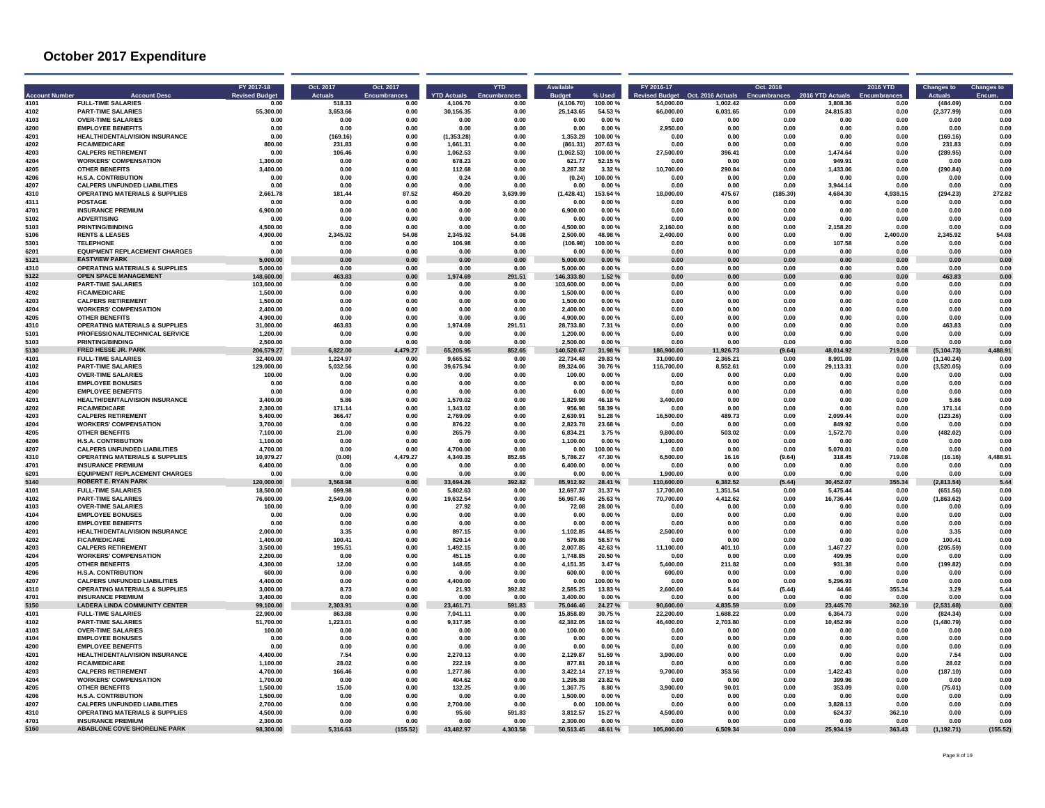| Account Numbe | <b>Account Desc</b>                                               | FY 2017-18<br><b>Revised Budge</b> | Oct. 2017<br><b>Actuals</b> | Oct. 2017<br><b>Encumbrances</b> | <b>YTD Actuals</b>    | <b>YTD</b><br>Encumbrano | <b>Available</b>     |                    | FY 2016-17<br>evised Budget | Oct. 2016 Actuals | Oct. 2016    | 2016 YTD Actuals  | <b>2016 YTD</b> | <b>Changes to</b>  | <b>Changes to</b> |
|---------------|-------------------------------------------------------------------|------------------------------------|-----------------------------|----------------------------------|-----------------------|--------------------------|----------------------|--------------------|-----------------------------|-------------------|--------------|-------------------|-----------------|--------------------|-------------------|
| 4101          | <b>FULL-TIME SALARIES</b>                                         | 0.00                               | 518.33                      | 0.00                             | 4.106.70              | 0.00                     | (4, 106.70)          | 100.00%            | 54,000.00                   | 1,002.42          | 0.00         | 3.808.36          | 0.00            | (484.09)           | 0.00              |
| 4102          | <b>PART-TIME SALARIES</b>                                         | 55.300.00                          | 3.653.66                    | 0.00                             | 30.156.35             | 0.00                     | 25.143.65            | 54.53%             | 66.000.00                   | 6.031.65          | 0.00         | 24.815.83         | 0.00            | (2, 377.99)        | 0.00              |
| 4103          | <b>OVER-TIME SALARIES</b>                                         | 0.00                               | 0.00                        | 0.00                             | 0.00                  | 0.00                     | 0.00                 | 0.00%              | 0.00                        | 0.00              | 0.00         | 0.00              | 0.00            | 0.00               | 0.00              |
| 4200          | <b>EMPLOYEE BENEFITS</b>                                          | 0.00                               | 0.00                        | 0.00                             | 0.00                  | 0.00                     | 0.00                 | 0.00%              | 2,950.00                    | 0.00              | 0.00         | 0.00              | 0.00            | 0.00               | 0.00              |
| 4201          | HEALTH/DENTAL/VISION INSURANCE                                    | 0.00                               | (169.16)                    | 0.00                             | (1, 353.28)           | 0.00                     | 1,353.28             | 100.00%            | 0.00                        | 0.00              | 0.00         | 0.00              | 0.00            | (169.16)           | 0.00<br>0.00      |
| 4202<br>4203  | <b>FICA/MEDICARE</b><br><b>CALPERS RETIREMENT</b>                 | 800.00                             | 231.83<br>106.46            | 0.00<br>0.00                     | 1.661.31<br>1.062.53  | 0.00<br>0.00             | (861.31)             | 207.63%<br>100.00% | 0.00<br>27,500.00           | 0.00<br>396.41    | 0.00<br>0.00 | 0.00<br>1.474.64  | 0.00<br>0.00    | 231.83<br>(289.95) | 0.00              |
| 4204          | <b>WORKERS' COMPENSATION</b>                                      | 0.00<br>1.300.00                   | 0.00                        | 0.00                             | 678.23                | 0.00                     | (1.062.53)<br>621.77 | 52.15 %            | 0.00                        | 0.00              | 0.00         | 949.91            | 0.00            | 0.00               | 0.00              |
| 4205          | <b>OTHER BENEFITS</b>                                             | 3,400.00                           | 0.00                        | 0.00                             | 112.68                | 0.00                     | 3,287.32             | 3.32%              | 10,700.00                   | 290.84            | 0.00         | 1,433.06          | 0.00            | (290.84)           | 0.00              |
| 4206          | <b>H.S.A. CONTRIBUTION</b>                                        | 0.00                               | 0.00                        | 0.00                             | 0.24                  | 0.00                     | (0.24)               | 100.00 %           | 0.00                        | 0.00              | 0.00         | 0.00              | 0.00            | 0.00               | 0.00              |
| 4207          | <b>CALPERS UNFUNDED LIABILITIES</b>                               | 0.00                               | 0.00                        | 0.00                             | 0.00                  | 0.00                     | 0.00                 | 0.00%              | 0.00                        | 0.00              | 0.00         | 3.944.14          | 0.00            | 0.00               | 0.00              |
| 4310          | <b>OPERATING MATERIALS &amp; SUPPLIES</b>                         | 2,661.78                           | 181.44                      | 87.52                            | 450.20                | 3,639.99                 | (1,428.41)           | 153.64 %           | 18,000.00                   | 475.67            | (185.30)     | 4,684.30          | 4,938.15        | (294.23)           | 272.82            |
| 4311          | <b>POSTAGE</b>                                                    | 0.00                               | 0.00                        | 0.00                             | 0.00                  | 0.00                     | 0.00                 | 0.00%              | 0.00                        | 0.00              | 0.00         | 0.00              | 0.00            | 0.00               | 0.00              |
| 4701          | <b>INSURANCE PREMIUM</b>                                          | 6.900.00                           | 0.00                        | n nn                             | 0.00                  | 0.00                     | 6,900.00             | 0.00%              | 0.00                        | 0.00              | 0.00         | 0.00              | 0.00            | 0.00               | 0 <sub>0</sub>    |
| 5102          | <b>ADVERTISING</b>                                                | 0.00                               | 0.00                        | 0.00                             | 0.00                  | 0.00                     | 0.00                 | 0.00%              | 0.00                        | 0.00              | 0.00         | 0.00              | 0.00            | 0.00               | 0.00              |
| 5103          | <b>PRINTING/BINDING</b>                                           | 4.500.00                           | 0.00                        | 0.00                             | 0.00                  | 0.00                     | 4.500.00             | 0.00%              | 2.160.00                    | 0.00              | 0.00         | 2.158.20          | 0.00            | 0.00               | 0.00              |
| 5106          | <b>RENTS &amp; LEASES</b>                                         | 4,900.00                           | 2,345.92                    | 54.08                            | 2.345.92              | 54.08                    | 2,500.00             | 48.98%             | 2,400.00                    | 0.00              | 0.00         | 0.00              | 2,400.00        | 2,345.92           | 54.08             |
| 5301          | <b>TELEPHONE</b>                                                  | 0.00                               | 0.00                        | 0.00                             | 106.98                | 0.00                     | (106.98)             | 100.00%            | 0.00                        | 0.00              | 0.00         | 107.58            | 0.00            | 0.00               | 0.00              |
| 6201          | <b>EQUIPMENT REPLACEMENT CHARGES</b>                              | 0.00                               | 0.00                        | 0.00                             | 0.00                  | 0.00                     | 0.00                 | 0.00%              | 0.00                        | 0.00              | 0.00         | 0.00              | 0.00            | 0.00               | 0.00              |
| 5121          | <b>EASTVIEW PARK</b>                                              | 5,000.00                           | $0.00\,$                    | 0.00                             | 0.00                  | $0.00\,$                 | 5,000.00             | 0.00%              | 0.00                        | 0.00              | $0.00\,$     | 0.00              | 0.00            | $0.00\,$           | $0.00\,$          |
| 4310          | <b>OPERATING MATERIALS &amp; SUPPLIES</b>                         | 5.000.00                           | 0.00                        | 0.00                             | 0.00                  | 0.00                     | 5,000.00             | 0.00%              | 0.00                        | 0.00              | 0.00         | 0.00              | 0.00            | 0.00               | 0.00              |
| 5122          | <b>OPEN SPACE MANAGEMENT</b>                                      | 148.600.00                         | 463.83                      | 0.00                             | .974.69               | 291.51                   | 146.333.80           | 1.52%              | 0.00                        | 0.00              | 0.00         | 0.00              | 0.00            | 463.83             | 0.00              |
| 4102          | <b>PART-TIME SALARIES</b>                                         | 103.600.00                         | 0.00                        | 0.00                             | 0.00                  | 0.00                     | 103.600.00           | 0.00%              | 0.00                        | 0.00              | 0.00         | 0.00              | 0.00            | 0.00               | 0.00              |
| 4202          | <b>FICA/MEDICARE</b>                                              | 1.500.00                           | 0.00                        | 0.00                             | 0.00                  | 0.00                     | 1.500.00             | 0.00%              | 0.00                        | 0.00              | 0.00         | 0.00              | 0.00            | 0.00               | 0.00              |
| 4203          | <b>CALPERS RETIREMENT</b>                                         | 1.500.00                           | 0.00                        | 0.00                             | 0.00                  | 0.00                     | 1,500.00             | 0.00%              | 0.00                        | 0.00              | 0.00         | 0.00              | 0.00            | 0.00               | 0.00              |
| 4204          | <b>WORKERS' COMPENSATION</b>                                      | 2.400.00                           | 0.00                        | 0.00                             | 0.00                  | 0.00                     | 2.400.00             | 0.00%              | 0.00                        | 0.00              | 0.00         | 0.00              | 0.00            | 0.00               | 0.00              |
| 4205          | <b>OTHER BENEFITS</b>                                             | 4.900.00                           | 0.00                        | 0.00                             | 0.00                  | 0.00                     | 4,900.00             | 0.00%              | 0.00                        | 0.00              | 0.00         | 0.00              | 0.00            | 0.00               | 0.00              |
| 4310          | <b>OPERATING MATERIALS &amp; SUPPLIES</b>                         | 31,000.00                          | 463.83                      | 0.00                             | 1.974.69              | 291.51                   | 28.733.80            | 7.31 %             | 0.00                        | 0.00              | 0.00         | 0.00              | 0.00            | 463.83             | 0.00<br>0.00      |
| 5101<br>5103  | PROFESSIONAL/TECHNICAL SERVICE<br><b>PRINTING/BINDING</b>         | 1.200.00<br>2.500.00               | 0.00<br>0.00                | 0.00<br>0.00                     | 0.00<br>0.00          | 0.00<br>0.00             | 1,200.00<br>2.500.00 | 0.00%<br>0.00%     | 0.00<br>0.00                | 0.00<br>0.00      | 0.00<br>0.00 | 0.00<br>0.00      | 0.00<br>0.00    | 0.00<br>0.00       | 0.00              |
| 5130          | FRED HESSE JR. PARK                                               | 206.579.27                         | 6.822.00                    | 4,479.27                         | 65,205.95             | 852.65                   | 140,520.67           | 31.98%             | 186.900.00                  | 11,926.73         | (9.64)       | 48.014.92         | 719.08          | (5.104.73)         | 4,488.91          |
| 4101          | <b>FULL-TIME SALARIES</b>                                         | 32,400.00                          | 1.224.97                    | 0.00                             | 9.665.52              | 0.00                     | 22.734.48            | 29.83%             | 31,000.00                   | 2.365.21          | 0.00         | 8.991.09          | 0.00            | (1, 140.24)        | 0.00              |
| 4102          | <b>PART-TIME SALARIES</b>                                         | 129,000.00                         | 5,032.56                    | 0.00                             | 39.675.94             | 0.00                     | 89.324.06            | 30.76%             | 116,700.00                  | 8,552.61          | 0.00         | 29,113.31         | 0.00            | (3,520.05)         | 0.00              |
| 4103          | <b>OVER-TIME SALARIES</b>                                         | 100.00                             | 0.00                        | 0.00                             | 0.00                  | 0.00                     | 100.00               | 0.00%              | 0.00                        | 0.00              | 0.00         | 0.00              | 0.00            | 0.00               | 0.00              |
| 4104          | <b>EMPLOYEE BONUSES</b>                                           | 0.00                               | 0.00                        | 0.00                             | 0.00                  | 0.00                     | 0.00                 | 0.00%              | 0.00                        | 0.00              | 0.00         | 0.00              | 0.00            | 0.00               | 0.00              |
| 4200          | <b>EMPLOYEE BENEFITS</b>                                          | 0.00                               | 0.00                        | 0.00                             | 0.00                  | 0.00                     | 0.00                 | 0.00%              | 0.00                        | 0.00              | 0.00         | 0.00              | 0.00            | 0.00               | 0.00              |
| 4201          | HEALTH/DENTAL/VISION INSURANCE                                    | 3,400.00                           | 5.86                        | 0.00                             | 1,570.02              | 0.00                     | 1,829.98             | 46.18%             | 3,400.00                    | 0.00              | 0.00         | 0.00              | 0.00            | 5.86               | 0.00              |
| 4202          | <b>FICA/MEDICARE</b>                                              | 2.300.00                           | 171.14                      | 0.00                             | 1.343.02              | 0.00                     | 956.98               | 58.39%             | 0.00                        | 0.00              | 0.00         | 0.00              | 0.00            | 171.14             | 0.00              |
| 4203          | <b>CALPERS RETIREMENT</b>                                         | 5.400.00                           | 366.47                      | 0.00                             | 2.769.09              | 0.00                     | 2,630.91             | 51.28%             | 16,500.00                   | 489.73            | 0.00         | 2,099.44          | 0.00            | (123.26)           | 0.00              |
| 4204          | <b>WORKERS' COMPENSATION</b>                                      | 3.700.00                           | 0.00                        | 0.00                             | 876.22                | 0.00                     | 2.823.78             | 23.68%             | 0.00                        | 0.00              | 0.00         | 849.92            | 0.00            | 0.00               | 0.00              |
| 4205          | <b>OTHER BENEFITS</b>                                             | 7.100.00                           | 21.00                       | 0.00                             | 265.79                | 0.00                     | 6.834.21             | 3.75 %             | 9.800.00                    | 503.02            | 0.00         | 1.572.70          | 0.00            | (482.02)           | 0.00              |
| 4206          | <b>H.S.A. CONTRIBUTION</b>                                        | 1.100.00                           | 0.00                        | 0.00                             | 0.00                  | 0.00                     | 1.100.00             | 0.00%              | 1.100.00                    | 0.00              | 0.00         | 0.00              | 0.00            | 0.00               | 0.00              |
| 4207          | <b>CALPERS UNFUNDED LIABILITIES</b>                               | 4.700.00                           | 0.00                        | 0.00                             | 4.700.00              | 0.00                     | 0.00                 | 100.00%            | 0.00                        | 0.00              | 0.00         | 5.070.01          | 0.00            | 0.00               | 0.00              |
| 4310          | <b>OPERATING MATERIALS &amp; SUPPLIES</b>                         | 10.979.27                          | (0.00)                      | 4.479.27                         | 4.340.35              | 852.65                   | 5.786.27             | 47.30 %            | 6.500.00                    | 16.16             | (9.64)       | 318.45            | 719.08          | (16.16)            | 4,488.91          |
| 4701          | <b>INSURANCE PREMIUM</b>                                          | 6,400.00                           | 0.00                        | 0.00                             | 0.00                  | 0.00                     | 6,400.00             | 0.00%              | 0.00                        | 0.00              | 0.00         | 0.00              | 0.00            | 0.00               | 0.00              |
| 6201          | <b>EQUIPMENT REPLACEMENT CHARGES</b>                              | 0.00                               | 0.00                        | 0.00                             | 0.00                  | 0.00                     | 0.00                 | 0.00%              | 1,900.00                    | 0.00              | 0.00         | 0.00              | 0.00            | 0.00               | 0.00              |
| 5140          | <b>ROBERT E. RYAN PARK</b>                                        | 120.000.00                         | 3,568.98                    | 0.00                             | 33.694.26             | 392.82                   | 85,912.92            | 28.41 %            | 110,600.00                  | 6,382.52          | (5.44)       | 30,452.07         | 355.34          | (2.813.54)         | 5.44              |
| 4101          | <b>FULL-TIME SALARIES</b>                                         | 18,500.00                          | 699.98                      | 0.00                             | 5.802.63<br>19.632.54 | 0.00                     | 12.697.37            | 31.37 %            | 17,700.00                   | 1.351.54          | 0.00         | 5.475.44          | 0.00            | (651.56)           | 0.00<br>0.00      |
| 4102<br>4103  | <b>PART-TIME SALARIES</b><br><b>OVER-TIME SALARIES</b>            | 76.600.00<br>100.00                | 2.549.00<br>0.00            | 0.00<br>0.00                     | 27.92                 | 0.00<br>0.00             | 56.967.46<br>72.08   | 25.63%<br>28.00%   | 70.700.00<br>0.00           | 4.412.62<br>0.00  | 0.00<br>0.00 | 16.736.44<br>0.00 | 0.00            | (1,863.62)<br>0.00 | 0.00              |
| 4104          | <b>EMPLOYEE BONUSES</b>                                           |                                    |                             |                                  |                       | 0.00                     |                      | 0.00%              |                             | 0.00              | 0.00         |                   | 0.00<br>0.00    |                    | 0.00              |
| 4200          | <b>EMPLOYEE BENEFITS</b>                                          | 0.00<br>0.00                       | 0.00<br>0.00                | 0.00<br>0.00                     | 0.00<br>0.00          | 0.00                     | 0.00<br>0.00         | 0.00%              | 0.00<br>0.00                | 0.00              | 0.00         | 0.00<br>0.00      | 0.00            | 0.00<br>0.00       | 0.00              |
| 4201          | HEALTH/DENTAL/VISION INSURANCE                                    | 2,000.00                           | 3.35                        | 0.00                             | 897.15                | 0.00                     | 1,102.85             | 44.85%             | 2,500.00                    | 0.00              | 0.00         | 0.00              | 0.00            | 3.35               | 0.00              |
| 4202          | <b>FICA/MEDICARE</b>                                              | 1.400.00                           | 100.41                      | n nn                             | 82014                 | 0.00                     | 579.86               | 58 57 %            | 0.00                        | 0.00              | 0.00         | n nn              | n nn            | 100.41             | n nr              |
| 4203          | <b>CALPERS RETIREMENT</b>                                         | 3,500.00                           | 195.51                      | 0.00                             | 1,492.15              | 0.00                     | 2,007.85             | 42.63%             | 11,100.00                   | 401.10            | 0.00         | 1,467.27          | 0.00            | (205.59)           | 0.00              |
| 4204          | <b>WORKERS' COMPENSATION</b>                                      | 2.200.00                           | 0.00                        | 0.00                             | 451.15                | 0.00                     | 1.748.85             | 20.50 %            | 0.00                        | 0.00              | 0.00         | 499.95            | 0.00            | 0.00               | 0.00              |
| 4205          | <b>OTHER BENEFITS</b>                                             | 4,300.00                           | 12.00                       | 0.00                             | 148.65                | 0.00                     | 4,151.35             | 3.47%              | 5,400.00                    | 211.82            | 0.00         | 931.38            | 0.00            | (199.82)           | 0.00              |
| 4206          | <b>H.S.A. CONTRIBUTION</b>                                        | 600.00                             | 0.00                        | 0.00                             | 0.00                  | 0.00                     | 600.00               | 0.00%              | 600.00                      | 0.00              | 0.00         | 0.00              | 0.00            | 0.00               | 0.00              |
| 4207          | <b>CALPERS UNFUNDED LIABILITIES</b>                               | 4.400.00                           | 0.00                        | 0.00                             | 4,400.00              | 0.00                     | 0.00                 | 100.00%            | 0.00                        | 0.00              | 0.00         | 5,296.93          | 0.00            | 0.00               | 0.00              |
| 4310          | <b>OPERATING MATERIALS &amp; SUPPLIES</b>                         | 3.000.00                           | 8.73                        | 0.00                             | 21.93                 | 392.82                   | 2,585.25             | 13.83%             | 2,600.00                    | 5.44              | (5.44)       | 44.66             | 355.34          | 3.29               | 5.44              |
| 4701          | <b>INSURANCE PREMIUM</b>                                          | 3.400.00                           | 0.00                        | 0.00                             | 0.00                  | 0.00                     | 3.400.00             | 0.00%              | 0.00                        | 0.00              | 0.00         | 0.00              | 0.00            | 0.00               | 0.00              |
| 5150          | <b>LADERA LINDA COMMUNITY CENTER</b>                              | 99.100.00                          | 2.303.91                    | 0.00                             | 23.461.71             | 591.83                   | 75.046.46            | 24.27 %            | 90.600.00                   | 4.835.59          | 0.00         | 23.445.70         | 362.10          | (2.531.68)         | 0.00              |
| 4101          | <b>FULL-TIME SALARIES</b>                                         | 22,900.00                          | 863.88                      | 0.00                             | 7.041.11              | 0.00                     | 15.858.89            | 30.75%             | 22,200.00                   | 1.688.22          | 0.00         | 6.364.73          | 0.00            | (824.34)           | 0.00              |
| 4102          | <b>PART-TIME SALARIES</b>                                         | 51.700.00                          | 1.223.01                    | 0.00                             | 9.317.95              | 0.00                     | 42,382.05            | 18.02%             | 46,400.00                   | 2,703.80          | 0.00         | 10.452.99         | 0.00            | (1,480.79)         | 0.00              |
| 4103          | <b>OVER-TIME SALARIES</b>                                         | 100.00                             | 0.00                        | 0.00                             | 0.00                  | 0.00                     | 100.00               | 0.00%              | 0.00                        | 0.00              | 0.00         | 0.00              | 0.00            | 0.00               | 0.00              |
| 4104          | <b>EMPLOYEE BONUSES</b>                                           | 0.00                               | 0.00                        | 0.00                             | 0.00                  | 0.00                     | 0.00                 | 0.00%              | 0.00                        | 0.00              | 0.00         | 0.00              | 0.00            | 0.00               | 0.00              |
| 4200          | <b>EMPLOYEE BENEFITS</b>                                          | 0.00                               | 0.00                        | 0.00                             | 0.00                  | 0.00                     | 0.00                 | 0.00%              | 0.00                        | 0.00              | 0.00         | 0.00              | 0.00            | 0.00               | 0.00              |
| 4201          | HEALTH/DENTAL/VISION INSURANCE                                    | 4.400.00                           | 7.54                        | 0.00                             | 2.270.13              | 0.00                     | 2.129.87             | 51.59 %            | 3.900.00                    | 0.00              | 0.00         | 0.00              | 0.00            | 7.54               | 0.00              |
| 4202          | <b>FICA/MEDICARE</b>                                              | 1.100.00                           | 28.02                       | 0.00                             | 222.19                | 0.00                     | 877.81               | 20.18%             | 0.00                        | 0.00              | 0.00         | 0.00              | 0.00            | 28.02              | 0.00              |
| 4203          | <b>CALPERS RETIREMENT</b>                                         | 4.700.00                           | 166.46                      | 0.00                             | 1.277.86              | 0.00                     | 3.422.14             | 27.19%             | 9.700.00                    | 353.56            | 0.00         | 1.422.43          | 0.00            | (187.10)           | 0.00              |
| 4204          | <b>WORKERS' COMPENSATION</b>                                      | 1.700.00                           | 0.00                        | 0.00                             | 404.62                | 0.00                     | 1,295.38             | 23.82%             | 0.00                        | 0.00              | 0.00         | 399.96            | 0.00            | 0.00               | 0.00              |
| 4205          | <b>OTHER BENEFITS</b>                                             | 1.500.00                           | 15.00                       | 0.00                             | 132.25                | 0.00                     | 1,367.75             | 8.80 %             | 3.900.00                    | 90.01             | 0.00         | 353.09            | 0.00            | (75.01)            | 0.00              |
| 4206<br>4207  | <b>H.S.A. CONTRIBUTION</b><br><b>CALPERS UNFUNDED LIABILITIES</b> | 1.500.00<br>2.700.00               | 0.00<br>0.00                | 0.00<br>0.00                     | 0.00<br>2.700.00      | 0.00<br>0.00             | 1.500.00<br>0.00     | 0.00%<br>100.00%   | 0.00<br>0.00                | 0.00<br>0.00      | 0.00<br>0.00 | 0.00<br>3.828.13  | 0.00<br>0.00    | 0.00<br>0.00       | 0.00<br>0.00      |
| 4310          | <b>OPERATING MATERIALS &amp; SUPPLIES</b>                         | 4.500.00                           | 0.00                        | 0.00                             | 95.60                 | 591.83                   | 3,812.57             | 15.27%             | 4,500.00                    | 0.00              | 0.00         | 624.37            | 362.10          | 0.00               | 0.00              |
| 4701          | <b>INSURANCE PREMIUM</b>                                          | 2.300.00                           | 0.00                        | 0.00                             | 0.00                  | 0.00                     | 2.300.00             | 0.00%              | 0.00                        | 0.00              | 0.00         | 0.00              | 0.00            | 0.00               | 0.00              |
| 5160          | <b>ABABLONE COVE SHORELINE PARK</b>                               | 98,300.00                          | 5,316.63                    | (155.52)                         | 43,482.97             | 4,303.58                 | 50,513.45            | 48.61 %            | 105,800.00                  | 6.509.34          | 0.00         | 25,934.19         | 363.43          | (1, 192.71)        | (155.52)          |
|               |                                                                   |                                    |                             |                                  |                       |                          |                      |                    |                             |                   |              |                   |                 |                    |                   |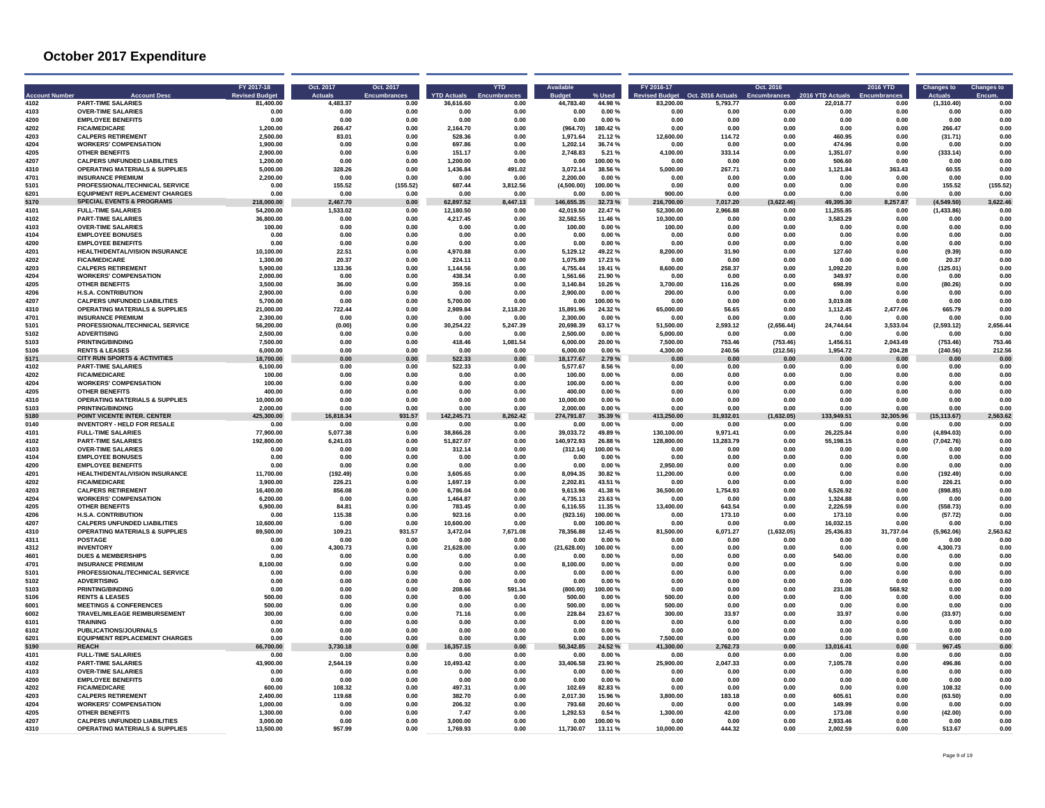| <b>Account Numbe</b> | <b>Account Desc</b>                       | FY 2017-18<br><b>Revised Budge</b> | Oct. 2017<br><b>Actuals</b> | Oct. 2017<br><b>Encumbrances</b> | <b>YTD Actuals</b> | <b>YTD</b><br>Encumbrano | <b>Available</b> |           | FY 2016-17<br>vised Budget | Oct. 2016 Actuals | Oct. 2016  | 2016 YTD Actuals | <b>2016 YTD</b> | <b>Changes to</b> | <b>Changes to</b> |
|----------------------|-------------------------------------------|------------------------------------|-----------------------------|----------------------------------|--------------------|--------------------------|------------------|-----------|----------------------------|-------------------|------------|------------------|-----------------|-------------------|-------------------|
| 4102                 | <b>PART-TIME SALARIES</b>                 | 81,400.00                          | 4.483.37                    | 0.00                             | 36,616.60          | 0.00                     | 44,783.40        | 44.98%    | 83,200.00                  | 5,793.77          | 0.00       | 22,018.77        | 0.00            | (1,310.40)        | 0.00              |
| 4103                 | <b>OVER-TIME SALARIES</b>                 | 0.00                               | 0.00                        | 0.00                             | 0.00               | 0.00                     | 0.00             | 0.00%     | 0.00                       | 0.00              | 0.00       | 0.00             | 0.00            | 0.00              | 0.00              |
| 4200                 | <b>EMPLOYEE BENEFITS</b>                  | 0.00                               | 0.00                        | 0.00                             | 0.00               | 0.00                     | 0.00             | 0.00%     | 0.00                       | 0.00              | 0.00       | 0.00             | 0.00            | 0.00              | 0.00              |
| 4202                 | <b>FICA/MEDICARE</b>                      | 1,200.00                           | 266.47                      | 0.00                             | 2,164.70           | 0.00                     | (964.70)         | 180.42%   | 0.00                       | 0.00              | 0.00       | 0.00             | 0.00            | 266.47            | 0.00              |
| 4203                 | <b>CALPERS RETIREMENT</b>                 | 2,500.00                           | 83.01                       | 0.00                             | 528.36             | 0.00                     | 1,971.64         | 21.12%    | 12,600.00                  | 114.72            | 0.00       | 460.95           | 0.00            | (31.71)           | 0.00              |
| 4204                 | <b>WORKERS' COMPENSATION</b>              | 1.900.00                           | 0.00                        | 0.00                             | 697.86             | 0.00                     | 1.202.14         | 36.74%    | 0.00                       | 0.00              | 0.00       | 474.96           | 0.00            | 0.00              | 0.00              |
| 4205                 | <b>OTHER BENEFITS</b>                     | 2,900.00                           | 0.00                        | 0.00                             | 151.17             | 0.00                     | 2.748.83         | 5.21%     | 4.100.00                   | 333.14            | 0.00       | 1.351.07         | 0.00            | (333.14)          | 0.00              |
| 4207                 | <b>CALPERS UNFUNDED LIABILITIES</b>       | 1.200.00                           | 0.00                        | 0.00                             | 1.200.00           | 0.00                     | 0.00             | 100.00%   | 0.00                       | 0.00              | 0.00       | 506.60           | 0.00            | 0.00              | 0.00              |
| 4310                 | <b>OPERATING MATERIALS &amp; SUPPLIES</b> | 5,000.00                           | 328.26                      | 0.00                             | 1,436.84           | 491.02                   | 3,072.14         | 38.56 %   | 5,000.00                   | 267.71            | $0.00\,$   | 1.121.84         | 363.43          | 60.55             | 0.00              |
| 4701                 | <b>INSURANCE PREMIUM</b>                  | 2.200.00                           | 0.00                        | 0.00                             | 0.00               | 0.00                     | 2.200.00         | 0.00%     | 0.00                       | 0.00              | 0.00       | 0.00             | 0.00            | 0.00              | 0.00              |
| 5101                 | PROFESSIONAL/TECHNICAL SERVICE            | 0.00                               | 155.52                      | (155.52)                         | 687.44             | 3,812.56                 | (4,500.00)       | 100.00%   | 0.00                       | 0.00              | 0.00       | 0.00             | 0.00            | 155.52            | (155.52)          |
| 6201                 | <b>EQUIPMENT REPLACEMENT CHARGES</b>      | 0.00                               | 0.00                        | 0.00                             | 0.00               | 0.00                     | 0.00             | 0.00%     | 900.00                     | 0.00              | 0.00       | 0.00             | 0.00            | 0.00              | 0.00              |
| 5170                 | <b>SPECIAL EVENTS &amp; PROGRAMS</b>      | 218,000.00                         | 2,467.70                    | 0.00                             | 62,897.52          | 3,447.13                 | 146,655.35       | 32.73%    | 216,700.00                 | 7,017.20          | (3,622.46) | 49,395.30        | 8,257.87        | (4,549.50)        | 3,622.46          |
| 4101                 | <b>FULL-TIME SALARIES</b>                 | 54,200.00                          | 1,533.02                    | 0.00                             | 12.180.50          | 0.00                     | 42.019.50        | 22.47%    | 52,300.00                  | 2,966.88          | 0.00       | 11,255.85        | 0.00            | (1,433.86)        | 0.00              |
| 4102                 | <b>PART-TIME SALARIES</b>                 | 36,800.00                          | 0.00                        | 0.00                             | 4.217.45           | 0.00                     | 32.582.55        | 11.46%    | 10.300.00                  | 0.00              | 0.00       | 3.583.29         | 0.00            | 0.00              | 0.00              |
| 4103                 | <b>OVER-TIME SALARIES</b>                 | 100.00                             | 0.00                        | 0.00                             | 0.00               | 0.00                     | 100.00           | 0.00%     | 100.00                     | 0.00              | 0.00       | 0.00             | 0.00            | 0.00              | 0.00              |
| 4104                 | <b>EMPLOYEE BONUSES</b>                   | 0.00                               | 0.00                        | 0.00                             | 0.00               | 0.00                     | 0.00             | 0.00%     | 0.00                       | 0.00              | 0.00       | 0.00             | 0.00            | 0.00              | 0.00              |
| 4200                 | <b>EMPLOYEE BENEFITS</b>                  | 0.00                               | 0.00                        | 0.00                             | 0.00               | 0.00                     | 0.00             | 0.00%     | 0.00                       | 0.00              | 0.00       | 0.00             | 0.00            | 0.00              | 0.00              |
| 4201                 | <b>HEALTH/DENTAL/VISION INSURANCE</b>     | 10.100.00                          | 22.51                       | 0.00                             | 4,970.88           | 0.00                     | 5.129.12         | 49.22%    | 8,200.00                   | 31.90             | 0.00       | 127.60           | 0.00            | (9.39)            | 0.00              |
| 4202                 | <b>FICA/MEDICARE</b>                      | 1.300.00                           | 20.37                       | 0.00                             | 224.11             | 0.00                     | 1.075.89         | 17.23 %   | 0.00                       | 0.00              | 0.00       | 0.00             | 0.00            | 20.37             | 0.00              |
| 4203                 | <b>CALPERS RETIREMENT</b>                 | 5.900.00                           | 133.36                      | 0.00                             | 1.144.56           | 0.00                     | 4,755.44         | 19.41 %   | 8.600.00                   | 258.37            | 0.00       | 1.092.20         | 0.00            | (125.01)          | 0.00              |
| 4204                 | <b>WORKERS' COMPENSATION</b>              | 2.000.00                           | 0.00                        | 0.00                             | 438.34             | 0.00                     | 1.561.66         | 21.90%    | 0.00                       | 0.00              | 0.00       | 349.97           | 0.00            | 0.00              | 0.00              |
| 4205                 | <b>OTHER BENEFITS</b>                     | 3.500.00                           | 36.00                       | 0.00                             | 359.16             | 0.00                     | 3.140.84         | 10.26%    | 3.700.00                   | 116.26            | 0.00       | 698.99           | 0.00            | (80.26)           | 0.00              |
| 4206                 | <b>H.S.A. CONTRIBUTION</b>                | 2.900.00                           | 0.00                        | 0.00                             | 0.00               | 0.00                     | 2.900.00         | 0.00%     | 200.00                     | 0.00              | 0.00       | 0.00             | 0.00            | 0.00              | 0.00              |
| 4207                 | <b>CALPERS UNFUNDED LIABILITIES</b>       | 5,700.00                           | 0.00                        | 0.00                             | 5,700.00           | 0.00                     | 0.00             | 100.00%   | 0.00                       | 0.00              | 0.00       | 3,019.08         | 0.00            | 0.00              | 0.00              |
| 4310                 | <b>OPERATING MATERIALS &amp; SUPPLIES</b> | 21.000.00                          | 722.44                      | 0.00                             | 2.989.84           | 2.118.20                 | 15.891.96        | 24.32%    | 65,000.00                  | 56.65             | 0.00       | 1.112.45         | 2.477.06        | 665.79            | 0.00              |
| 4701                 | <b>INSURANCE PREMIUM</b>                  | 2,300.00                           | 0.00                        | 0.00                             | 0.00               | 0.00                     | 2,300.00         | 0.00%     | 0.00                       | 0.00              | 0.00       | 0.00             | 0.00            | 0.00              | 0.01              |
| 5101                 | PROFESSIONAL/TECHNICAL SERVICE            | 56.200.00                          | (0.00)                      | 0.00                             | 30.254.22          | 5.247.39                 | 20.698.39        | 63.17%    | 51.500.00                  | 2,593.12          | (2,656.44) | 24,744.64        | 3,533.04        | (2, 593.12)       | 2.656.4           |
| 5102                 | <b>ADVERTISING</b>                        | 2.500.00                           | 0.00                        | 0.00                             | 0.00               | 0.00                     | 2,500.00         | 0.00%     | 5,000.00                   | 0.00              | 0.00       | 0.00             | 0.00            | 0.00              | 0.00              |
| 5103                 | <b>PRINTING/BINDING</b>                   | 7.500.00                           | 0.00                        | 0.00                             | 418.46             | 1.081.54                 | 6.000.00         | 20.00%    | 7.500.00                   | 753.46            | (753.46)   | 1.456.51         | 2.043.49        | (753.46)          | 753.46            |
| 5106                 | <b>RENTS &amp; LEASES</b>                 | 6.000.00                           | 0.00                        | 0.00                             | 0.00               | 0.00                     | 6,000.00         | 0.00%     | 4,300.00                   | 240.56            | (212.56)   | 1,954.72         | 204.28          | (240.56)          | 212.56            |
| 5171                 | <b>CITY RUN SPORTS &amp; ACTIVITIES</b>   | 18,700.00                          | 0.00                        | 0.00                             | 522.33             | 0.00                     | 18.177.67        | 2.79%     | 0.00                       | 0.00              | 0.00       | 0.00             | 0.00            | 0.00              | 0.00              |
| 4102                 | <b>PART-TIME SALARIES</b>                 | 6,100.00                           | 0.00                        | 0.00                             | 522.33             | 0.00                     | 5,577.67         | 8.56%     | 0.00                       | 0.00              | 0.00       | 0.00             | 0.00            | 0.00              | 0.00              |
| 4202                 | <b>FICA/MEDICARE</b>                      | 100.00                             | 0.00                        | 0.00                             | 0.00               | 0.00                     | 100.00           | $0.00 \%$ | 0.00                       | 0.00              | 0.00       | 0.00             | 0.00            | 0.00              | 0.00              |
| 4204                 | <b>WORKERS' COMPENSATION</b>              | 100.00                             | 0.00                        | 0.00                             | 0.00               | 0.00                     | 100.00           | 0.00%     | 0.00                       | 0.00              | 0.00       | 0.00             | 0.00            | 0.00              | 0.00              |
| 4205                 | <b>OTHER BENEFITS</b>                     | 400.00                             | 0.00                        | 0.00                             | 0.00               | 0.00                     | 400.00           | 0.00%     | 0.00                       | 0.00              | 0.00       | 0.00             | 0.00            | 0.00              | 0.00              |
| 4310                 | <b>OPERATING MATERIALS &amp; SUPPLIES</b> | 10,000.00                          | 0.00                        | 0.00                             | 0.00               | 0.00                     | 10,000.00        | 0.00%     | 0.00                       | 0.00              | 0.00       | 0.00             | 0.00            | 0.00              | 0.00              |
| 5103                 | PRINTING/BINDING                          | 2,000.00                           | 0.00                        | 0.00                             | 0.00               | 0.00                     | 2.000.00         | 0.00%     | 0.00                       | 0.00              | 0.00       | 0.00             | 0.00            | 0.00              | 0.00              |
| 5180                 | POINT VICENTE INTER, CENTER               | 425,300.00                         | 16,818.34                   | 931.57                           | 142,245.71         | ,262.42                  | 274,791.87       | 35.39 %   | 250.00                     | 31,932.01         | (1,632.05) | 133,949.51       | 305.96          | (15, 113.67)      | ,563.62           |
| 0140                 | <b>INVENTORY - HELD FOR RESALE</b>        | 0.00                               | 0.00                        | 0.00                             | 0.00               | 0.00                     | 0.00             | 0.00%     | 0.00                       | 0.00              | $0.00\,$   | 0.00             | 0.00            | 0.00              | 0.00              |
| 4101                 | <b>FULL-TIME SALARIES</b>                 | 77.900.00                          | 5.077.38                    | 0.00                             | 38.866.28          | 0.00                     | 39.033.72        | 49.89%    | 130.100.00                 | 9,971.41          | 0.00       | 26.225.84        | 0.00            | (4,894.03)        | 0.00              |
| 4102                 | <b>PART-TIME SALARIES</b>                 | 192.800.00                         | 6.241.03                    | 0.00                             | 51.827.07          | 0.00                     | 140.972.93       | 26.88%    | 128.800.00                 | 13.283.79         | 0.00       | 55.198.15        | 0.00            | (7.042.76)        | 0.00              |
| 4103                 | <b>OVER-TIME SALARIES</b>                 | 0.00                               | 0.00                        | 0.00                             | 312.14             | 0.00                     | (312.14)         | 100.00%   | 0.00                       | 0.00              | 0.00       | 0.00             | 0.00            | 0.00              | 0.00              |
| 4104                 | <b>EMPLOYEE BONUSES</b>                   | 0.00                               | 0.00                        | 0.00                             | 0.00               | 0.00                     | 0.00             | 0.00%     | 0.00                       | 0.00              | 0.00       | 0.00             | 0.00            | 0.00              | 0.00              |
| 4200                 | <b>EMPLOYEE BENEFITS</b>                  | 0.00                               | 0.00                        | 0.00                             | 0.00               | 0.00                     | 0.00             | 0.00%     | 2,950.00                   | 0.00              | 0.00       | 0.00             | 0.00            | 0.00              | 0.00              |
| 4201                 | HEALTH/DENTAL/VISION INSURANCE            | 11.700.00                          | (192.49)                    | 0.00                             | 3.605.65           | 0.00                     | 8.094.35         | 30.82%    | 11.200.00                  | 0.00              | 0.00       | 0.00             | 0.00            | (192.49)          | 0.00              |
| 4202                 | <b>FICA/MEDICARE</b>                      | 3.900.00                           | 226.21                      | 0.00                             | 1.697.19           | 0.00                     | 2,202.81         | 43.51 %   | 0.00                       | 0.00              | 0.00       | 0.00             | 0.00            | 226.21            | 0.00              |
| 4203                 | <b>CALPERS RETIREMENT</b>                 | 16,400.00                          | 856.08                      | 0.00                             | 6.786.04           | 0.00                     | 9.613.96         | 41.38%    | 36,500.00                  | 1.754.93          | 0.00       | 6.526.92         | 0.00            | (898.85)          | 0.00              |
| 4204                 | <b>WORKERS' COMPENSATION</b>              | 6.200.00                           | 0.00                        | 0.00                             | 1.464.87           | 0.00                     | 4.735.13         | 23.63%    | 0.00                       | 0.00              | 0.00       | 1.324.88         | 0.00            | 0.00              | 0.00              |
| 4205                 | <b>OTHER BENEFITS</b>                     | 6.900.00                           | 84.81                       | 0.00                             | 783.45             | 0.00                     | 6.116.55         | 11.35 %   | 13,400.00                  | 643.54            | 0.00       | 2.226.59         | 0.00            | (558.73)          | 0.00              |
| 4206                 | <b>H.S.A. CONTRIBUTION</b>                | 0.00                               | 115.38                      | 0.00                             | 923.16             | 0.00                     | (923.16)         | 100.00%   | 0.00                       | 173.10            | 0.00       | 173.10           | 0.00            | (57.72)           | 0.00              |
| 4207                 | <b>CALPERS UNFUNDED LIABILITIES</b>       | 10.600.00                          | 0.00                        | 0.00                             | 10.600.00          | 0.00                     | 0.00             | 100.00%   | 0.00                       | 0.00              | 0.00       | 16,032.15        | 0.00            | 0.00              | 0.00              |
| 4310                 | <b>OPERATING MATERIALS &amp; SUPPLIES</b> | 89,500.00                          | 109.21                      | 931.57                           | 3,472.04           | 7,671.08                 | 78,356.88        | 12.45 %   | 81,500.00                  | 6,071.27          | (1,632.05) | 25,436.83        | 31,737.04       | (5,962.06)        | 2,563.62          |
| 4311                 | POSTAGE                                   | 0.00                               | 0.00                        | <b>በ በበ</b>                      | 0.00               | 0.00                     | n nn             | .ስ. በሰ %  | 0.00                       | 0.00              | 0.00       | 0.00             | 0.00            | 0.00              | n nr              |
| 4312                 | <b>INVENTORY</b>                          | 0.00                               | 4,300.73                    | 0.00                             | 21,628.00          | 0.00                     | (21,628.00)      | 100.00%   | 0.00                       | 0.00              | 0.00       | 0.00             | 0.00            | 4,300.73          | 0.00              |
| 4601                 | <b>DUES &amp; MEMBERSHIPS</b>             | 0.00                               | 0.00                        | 0.00                             | 0.00               | 0.00                     | 0.00             | 0.00%     | 0.00                       | 0.00              | 0.00       | 540.00           | 0.00            | 0.00              | 0.00              |
| 4701                 | <b>INSURANCE PREMIUM</b>                  | 8,100.00                           | 0.00                        | 0.00                             | 0.00               | 0.00                     | 8,100.00         | 0.00%     | 0.00                       | 0.00              | 0.00       | 0.00             | 0.00            | 0.00              | 0.00              |
| 5101                 | PROFESSIONAL/TECHNICAL SERVICE            | 0.00                               | 0.00                        | 0.00                             | 0.00               | 0.00                     | 0.00             | 0.00%     | 0.00                       | 0.00              | 0.00       | 0.00             | 0.00            | 0.00              | 0.00              |
| 5102                 | <b>ADVERTISING</b>                        | 0.00                               | 0.00                        | 0.00                             | 0.00               | 0.00                     | 0.00             | 0.00%     | 0.00                       | 0.00              | 0.00       | 0.00             | 0.00            | 0.00              | 0.00              |
| 5103                 | PRINTING/BINDING                          | 0.00                               | 0.00                        | 0.00                             | 208.66             | 591.34                   | (800.00)         | 100.00%   | 0.00                       | 0.00              | 0.00       | 231.08           | 568.92          | 0.00              | 0.00              |
| 5106                 | <b>RENTS &amp; LEASES</b>                 | 500.00                             | 0.00                        | 0.00                             | 0.00               | 0.00                     | 500.00           | 0.00%     | 500.00                     | 0.00              | 0.00       | 0.00             | 0.00            | 0.00              | 0.00              |
| 6001                 | <b>MEETINGS &amp; CONFERENCES</b>         | 500.00                             | 0.00                        | 0.00                             | 0.00               | 0.00                     | 500.00           | 0.00%     | 500.00                     | 0.00              | 0.00       | 0.00             | 0.00            | 0.00              | 0.00              |
| 6002                 | TRAVEL/MILEAGE REIMBURSEMENT              | 300.00                             | 0.00                        | 0.00                             | 71.16              | 0.00                     | 228.84           | 23.67%    | 300.00                     | 33.97             | 0.00       | 33.97            | 0.00            | (33.97)           | 0.00              |
| 6101                 | <b>TRAINING</b>                           | 0.00                               | 0.00                        | 0.00                             | 0.00               | 0.00                     | 0.00             | 0.00%     | 0.00                       | 0.00              | 0.00       | 0.00             | 0.00            | 0.00              | 0.00              |
| 6102                 | <b>PUBLICATIONS/JOURNALS</b>              | 0.00                               | 0.00                        | 0.00                             | 0.00               | 0.00                     | 0.00             | 0.00%     | 0.00                       | 0.00              | 0.00       | 0.00             | 0.00            | 0.00              | 0.00              |
| 6201                 | <b>EQUIPMENT REPLACEMENT CHARGES</b>      | 0.00                               | 0.00                        | 0.00                             | 0.00               | 0.00                     | 0.00             | 0.00%     | 7.500.00                   | 0.00              | 0.00       | 0.00             | 0.00            | 0.00              | 0.00              |
| 5190                 | <b>REACH</b>                              | 66.700.00                          | 3,730.18                    | 0.00                             | 16,357.15          | 0.00                     | 50,342.85        | 24.52%    | 41,300.00                  | 2,762.73          | 0.00       | 13,016.41        | 0.00            | 967.45            | 0.00              |
| 4101                 | <b>FULL-TIME SALARIES</b>                 | 0.00                               | 0.00                        | 0.00                             | 0.00               | 0.00                     | 0.00             | 0.00%     | 0.00                       | 0.00              | 0.00       | 0.00             | 0.00            | 0.00              | 0.00              |
| 4102                 | <b>PART-TIME SALARIES</b>                 | 43.900.00                          | 2,544.19                    | 0.00                             | 10.493.42          | 0.00                     | 33.406.58        | 23.90%    | 25.900.00                  | 2.047.33          | 0.00       | 7,105.78         | 0.00            | 496.86            | 0.00              |
| 4103                 | <b>OVER-TIME SALARIES</b>                 | 0.00                               | 0.00                        | 0.00                             | 0.00               | 0.00                     | 0.00             | $0.00 \%$ | 0.00                       | 0.00              | 0.00       | 0.00             | 0.00            | 0.00              | 0.00              |
| 4200                 | <b>EMPLOYEE BENEFITS</b>                  | 0.00                               | 0.00                        | 0.00                             | 0.00               | 0.00                     | 0.00             | 0.00%     | 0.00                       | 0.00              | 0.00       | 0.00             | 0.00            | 0.00              | 0.00              |
| 4202                 | <b>FICA/MEDICARE</b>                      | 600.00                             | 108.32                      | 0.00                             | 497.31             | 0.00                     | 102.69           | 82.83%    | 0.00                       | 0.00              | 0.00       | 0.00             | 0.00            | 108.32            | 0.00              |
| 4203                 | <b>CALPERS RETIREMENT</b>                 | 2.400.00                           | 119.68                      | 0.00                             | 382.70             | 0.00                     | 2.017.30         | 15.96 %   | 3.800.00                   | 183.18            | 0.00       | 605.61           | 0.00            | (63.50)           | 0.00              |
| 4204                 | <b>WORKERS' COMPENSATION</b>              | 1.000.00                           | 0.00                        | 0.00                             | 206.32             | 0.00                     | 793.68           | 20.60%    | 0.00                       | 0.00              | 0.00       | 149.99           | 0.00            | 0.00              | 0.00              |
| 4205                 | <b>OTHER BENEFITS</b>                     | 1,300.00                           | 0.00                        | 0.00                             | 7.47               | 0.00                     | 1,292.53         | 0.54 %    | 1,300.00                   | 42.00             | 0.00       | 173.08           | 0.00            | (42.00)           | 0.00              |
| 4207                 | <b>CALPERS UNFUNDED LIABILITIES</b>       | 3.000.00                           | 0.00                        | 0.00                             | 3.000.00           | 0.00                     | 0.00             | 100.00 %  | 0.00                       | 0.00              | 0.00       | 2.933.46         | 0.00            | 0.00              | 0.00              |
| 4310                 | <b>OPERATING MATERIALS &amp; SUPPLIES</b> | 13,500.00                          | 957.99                      | 0.00                             | 1.769.93           | 0.00                     | 11,730.07        | 13.11 %   | 10,000.00                  | 444.32            | 0.00       | 2.002.59         | 0.00            | 513.67            | 0.00              |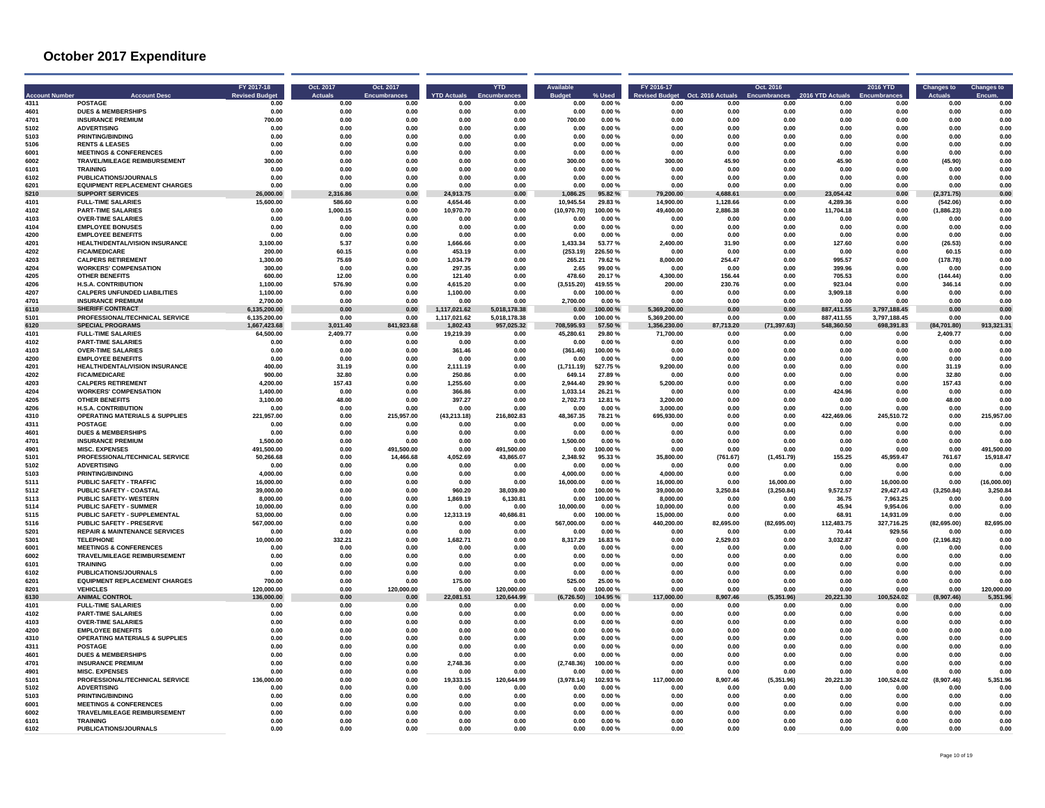| 4311         | <b>POSTAGE</b>                                                 | <b>Account Dese</b>                       | FY 2017-18<br><b>Revised Budge</b><br>0.00 | Oct. 2017<br><b>Actuals</b><br>0.00 | Oct. 2017<br><b>Encumbrances</b><br>0.00 | <b>YTD Actuals</b><br>0.00 | <b>YTD</b><br>0.00       | <b>Rudge</b><br>0.00  | % User<br>0.00%      | FY 2016-17<br><b>Revised Budget</b><br>0.00 | Oct. 2016 Actuals<br>0.00 | Oct. 2016<br>Encumbrances<br>0.00 | 2016 YTD Actuals<br>0.00 | <b>2016 YTD</b><br>0.00 | <b>Changes to</b><br>0.00 | <b>Changes to</b><br>0.00 |
|--------------|----------------------------------------------------------------|-------------------------------------------|--------------------------------------------|-------------------------------------|------------------------------------------|----------------------------|--------------------------|-----------------------|----------------------|---------------------------------------------|---------------------------|-----------------------------------|--------------------------|-------------------------|---------------------------|---------------------------|
| 4601         | <b>DUES &amp; MEMBERSHIPS</b>                                  |                                           | 0.00                                       | 0.00                                | 0.00                                     | 0.00                       | 0.00                     | 0.00                  | 0.00%                | 0.00                                        | 0.00                      | 0.00                              | 0.00                     | 0.00                    | 0.00                      | 0.00                      |
| 4701         | <b>INSURANCE PREMIUM</b>                                       |                                           | 700.00                                     | 0.00                                | 0.00                                     | 0.00                       | 0.00                     | 700.00                | 0.00%                | 0.00                                        | 0.00                      | 0.00                              | 0.00                     | 0.00                    | 0.00                      | 0.00                      |
| 5102         | <b>ADVERTISING</b>                                             |                                           | 0.00                                       | 0.00                                | 0.00                                     | 0.00                       | 0.00                     | 0.00                  | 0.00%                | 0.00                                        | 0.00                      | 0.00                              | 0.00                     | 0.00                    | 0.00                      | 0.00                      |
| 5103         | <b>PRINTING/BINDING</b>                                        |                                           | 0.00<br>0.00                               | 0.00                                | 0.00                                     | 0.00                       | 0.00<br>0.00             | 0.00                  | 0.00%                | 0.00                                        | 0.00<br>0.00              | 0.00                              | 0.00<br>0.00             | 0.00<br>0.00            | 0.00                      | 0.00                      |
| 5106<br>6001 | <b>RENTS &amp; LEASES</b><br><b>MEETINGS &amp; CONFERENCES</b> |                                           | 0.00                                       | 0.00<br>0.00                        | 0.00<br>0.00                             | 0.00<br>0.00               | 0.00                     | 0.00<br>0.00          | 0.00%<br>0.00%       | 0.00<br>0.00                                | 0.00                      | 0.00<br>0.00                      | 0.00                     | 0.00                    | 0.00<br>0.00              | 0.00<br>0.00              |
| 6002         |                                                                | TRAVEL/MILEAGE REIMBURSEMENT              | 300.00                                     | 0.00                                | 0.00                                     | 0.00                       | 0.00                     | 300.00                | 0.00%                | 300.00                                      | 45.90                     | 0.00                              | 45.90                    | 0.00                    | (45.90)                   | 0.00                      |
| 6101         | <b>TRAINING</b>                                                |                                           | 0.00                                       | 0.00                                | 0.00                                     | 0.00                       | 0.00                     | 0.00                  | 0.00%                | 0.00                                        | 0.00                      | 0.00                              | 0.00                     | 0.00                    | 0.00                      | 0.00                      |
| 6102         | <b>PUBLICATIONS/JOURNALS</b>                                   |                                           | 0.00                                       | 0.00                                | 0.00                                     | 0.00                       | 0.00                     | 0.00                  | 0.00%                | 0.00                                        | 0.00                      | 0.00                              | 0.00                     | 0.00                    | 0.00                      | 0.00                      |
| 6201         |                                                                | <b>EQUIPMENT REPLACEMENT CHARGES</b>      | 0.00                                       | 0.00                                | 0.00                                     | 0.00                       | 0.00                     | 0.00                  | 0.00%                | 0.00                                        | 0.00                      | 0.00                              | 0.00                     | 0.00                    | 0.00                      | 0.00                      |
| 5210<br>4101 | <b>SUPPORT SERVICES</b><br><b>FULL-TIME SALARIES</b>           |                                           | 26.000.00<br>15,600.00                     | 2,316.86<br>586.60                  | 0.00<br>0.00                             | 24,913.75<br>4.654.46      | 0.00<br>0.00             | 1.086.25<br>10.945.54 | 95.82%<br>29.83 %    | 79.200.00<br>14.900.00                      | 4,688.61<br>1,128.66      | 0.00<br>0.00                      | 23.054.42<br>4.289.36    | 0.00<br>0.00            | (2, 371.75)<br>(542.06)   | 0.00<br>0.00              |
| 4102         | <b>PART-TIME SALARIES</b>                                      |                                           | 0.00                                       | 1,000.15                            | 0.00                                     | 10,970.70                  | 0.00                     | (10,970.70)           | 100.00%              | 49.400.00                                   | 2.886.38                  | 0.00                              | 11.704.18                | 0.00                    | (1,886.23)                | 0.00                      |
| 4103         | <b>OVER-TIME SALARIES</b>                                      |                                           | 0.00                                       | 0.00                                | 0.00                                     | 0.00                       | 0.00                     | 0.00                  | 0.00%                | 0.00                                        | 0.00                      | 0.00                              | 0.00                     | 0.00                    | 0.00                      | 0.00                      |
| 4104         | <b>EMPLOYEE BONUSES</b>                                        |                                           | 0.00                                       | 0.00                                | 0.00                                     | 0.00                       | 0.00                     | 0.00                  | 0.00%                | 0.00                                        | 0.00                      | 0.00                              | 0.00                     | 0.00                    | 0.00                      | 0.00                      |
| 4200         | <b>EMPLOYEE BENEFITS</b>                                       |                                           | 0.00                                       | 0.00                                | 0.00                                     | 0.00<br>1.666.66           | 0.00                     | 0.00                  | 0.00%                | 0.00<br>2.400.00                            | 0.00                      | 0.00                              | 0.00                     | 0.00                    | 0.00                      | 0.00                      |
| 4201<br>4202 | <b>FICA/MEDICARE</b>                                           | HEALTH/DENTAL/VISION INSURANCE            | 3,100.00<br>200.00                         | 5.37<br>60.15                       | 0.00<br>0.00                             | 453.19                     | 0.00<br>0.00             | 1.433.34<br>(253.19)  | 53.77%<br>226.50%    | 0.00                                        | 31.90<br>0.00             | 0.00<br>0.00                      | 127.60<br>0.00           | 0.00<br>0.00            | (26.53)<br>60.15          | 0.00<br>0.00              |
| 4203         | <b>CALPERS RETIREMENT</b>                                      |                                           | 1,300.00                                   | 75.69                               | 0.00                                     | 1,034.79                   | 0.00                     | 265.21                | 79.62%               | 8,000.00                                    | 254.47                    | 0.00                              | 995.57                   | 0.00                    | (178.78)                  | 0.00                      |
| 4204         | <b>WORKERS' COMPENSATION</b>                                   |                                           | 300.00                                     | 0.00                                | 0.00                                     | 297.35                     | 0.00                     | 2.65                  | 99.00%               | 0.00                                        | 0.00                      | 0.00                              | 399.96                   | 0.00                    | 0.00                      | 0.00                      |
| 4205         | <b>OTHER BENEFITS</b>                                          |                                           | 600.00                                     | 12.00                               | 0.00                                     | 121.40                     | 0.00                     | 478.60                | 20.17%               | 4.300.00                                    | 156.44                    | 0.00                              | 705.53                   | 0.00                    | (144.44)                  | 0.00                      |
| 4206         | <b>H.S.A. CONTRIBUTION</b>                                     |                                           | 1.100.00                                   | 576.90                              | 0.00                                     | 4.615.20                   | 0.00                     | (3.515.20)            | 419.55%              | 200.00                                      | 230.76                    | 0.00                              | 923.04                   | 0.00                    | 346.14                    | 0.00                      |
| 4207<br>4701 | <b>INSURANCE PREMIUM</b>                                       | <b>CALPERS UNFUNDED LIABILITIES</b>       | 1.100.00<br>2,700.00                       | 0.00<br>0.00                        | 0.00<br>0.00                             | 1.100.00<br>0.00           | 0.00<br>0.00             | 0.00<br>2,700.00      | 100.00%<br>0.00%     | 0.00<br>0.00                                | 0.00<br>0.00              | 0.00<br>0.00                      | 3.909.18<br>0.00         | 0.00<br>0.00            | 0.00<br>0.00              | 0.00<br>0.00              |
| 6110         | <b>SHERIFF CONTRACT</b>                                        |                                           | 6.135.200.00                               | 0.00                                | 0.00                                     | 1.117.021.62               | 5,018,178.38             | 0.00                  | 100.00%              | 5.369.200.00                                | 0.00                      | 0.00                              | 887.411.55               | 3,797,188.45            | 0.00                      | 0.00                      |
| 5101         |                                                                | PROFESSIONAL/TECHNICAL SERVICE            | 6,135,200.00                               | 0.00                                | 0.00                                     | 1,117,021.62               | 5,018,178.38             | 0.00                  | 100.00%              | 5,369,200.00                                | 0.00                      | 0.00                              | 887,411.55               | 3,797,188.45            | 0.00                      | 0.00                      |
| 6120         | <b>SPECIAL PROGRAMS</b>                                        |                                           | 1,667,423.68                               | 3,011.40                            | 841,923.68                               | 1.802.43                   | 957,025.32               | 708.595.93            | 57.50 %              | 1.356.230.00                                | 87,713.20                 | (71, 397.63)                      | 548.360.50               | 698,391.83              | (84,701,80)               | 913,321.31                |
| 4101         | <b>FULL-TIME SALARIES</b>                                      |                                           | 64.500.00                                  | 2.409.77                            | 0.00                                     | 19,219.39                  | 0.00                     | 45,280.61             | 29.80 %              | 71.700.00                                   | 0.00                      | 0.00                              | 0.00                     | 0.00                    | 2.409.77                  | 0.00                      |
| 4102<br>4103 | <b>PART-TIME SALARIES</b><br><b>OVER-TIME SALARIES</b>         |                                           | 0.00<br>0.00                               | 0.00<br>0.00                        | 0.00<br>0.00                             | 0.00<br>361.46             | 0.00<br>0.00             | 0.00<br>(361.46)      | $0.00 \%$<br>100.00% | 0.00<br>0.00                                | 0.00<br>0.00              | 0.00<br>0.00                      | 0.00<br>0.00             | 0.00<br>0.00            | 0.00<br>0.00              | 0.00<br>0.00              |
| 4200         | <b>EMPLOYEE BENEFITS</b>                                       |                                           | 0.00                                       | 0.00                                | 0.00                                     | 0.00                       | 0.00                     | 0.00                  | 0.00%                | 0.00                                        | 0.00                      | 0.00                              | 0.00                     | 0.00                    | 0.00                      | 0.00                      |
| 4201         |                                                                | HEALTH/DENTAL/VISION INSURANCE            | 400.00                                     | 31.19                               | 0.00                                     | 2,111.19                   | 0.00                     | (1,711.19)            | 527.75%              | 9,200.00                                    | 0.00                      | 0.00                              | 0.00                     | 0.00                    | 31.19                     | 0.00                      |
| 4202         | <b>FICA/MEDICARE</b>                                           |                                           | 900.00                                     | 32.80                               | 0.00                                     | 250.86                     | 0.00                     | 649.14                | 27.89%               | 0.00                                        | 0.00                      | 0.00                              | 0.00                     | 0.00                    | 32.80                     | 0.00                      |
| 4203         | <b>CALPERS RETIREMENT</b>                                      |                                           | 4.200.00                                   | 157.43                              | 0.00                                     | 1.255.60                   | 0.00                     | 2.944.40              | 29.90%               | 5.200.00                                    | 0.00                      | 0.00                              | 0.00                     | 0.00                    | 157.43                    | 0.00                      |
| 4204<br>4205 | <b>WORKERS' COMPENSATION</b><br><b>OTHER BENEFITS</b>          |                                           | 1,400.00<br>3.100.00                       | 0.00<br>48.00                       | 0.00<br>0.00                             | 366.86<br>397.27           | 0.00<br>0.00             | 1,033.14<br>2,702.73  | 26.21 %<br>12.81%    | 0.00<br>3,200.00                            | 0.00<br>0.00              | 0.00<br>0.00                      | 424.96<br>0.00           | 0.00<br>0.00            | 0.00<br>48.00             | 0.00<br>0.00              |
| 4206         | <b>H.S.A. CONTRIBUTION</b>                                     |                                           | 0.00                                       | 0.00                                | 0.00                                     | 0.00                       | 0.00                     | 0.00                  | $0.00 \%$            | 3.000.00                                    | 0.00                      | 0.00                              | 0.00                     | 0.00                    | 0.00                      | 0.00                      |
| 4310         |                                                                | <b>OPERATING MATERIALS &amp; SUPPLIES</b> | 221.957.00                                 | 0.00                                | 215.957.00                               | (43.213.18)                | 216,802.83               | 48,367.35             | 78.21 %              | 695.930.00                                  | 0.00                      | 0.00                              | 422.469.06               | 245.510.72              | 0.00                      | 215.957.00                |
| 4311         | POSTAGE                                                        |                                           | 0.00                                       | 0.00                                | 0.00                                     | 0.00                       | 0.00                     | 0.00                  | 0.00%                | 0.00                                        | 0.00                      | 0.00                              | 0.00                     | 0.00                    | 0.00                      | 0.00                      |
| 4601         | <b>DUES &amp; MEMBERSHIPS</b>                                  |                                           | 0.00                                       | 0.00                                | 0.00                                     | 0.00                       | 0.00                     | 0.00                  | 0.00%                | 0.00                                        | 0.00                      | 0.00                              | 0.00                     | 0.00                    | 0.00                      | 0.00                      |
| 4701<br>4901 | <b>INSURANCE PREMIUM</b><br><b>MISC. EXPENSES</b>              |                                           | 1.500.00<br>491.500.00                     | 0.00<br>0.00                        | 0.00<br>491.500.00                       | 0.00<br>0.00               | 0.00<br>491.500.00       | 1.500.00<br>0.00      | 0.00%<br>100.00%     | 0.00<br>0.00                                | 0.00<br>0.00              | 0.00<br>0.00                      | 0.00<br>0.00             | 0.00<br>0.00            | 0.00<br>0.00              | 0.00<br>491,500.00        |
| 5101         |                                                                | PROFESSIONAL/TECHNICAL SERVICE            | 50,266.68                                  | 0.00                                | 14,466.68                                | 4,052.69                   | 43,865.07                | 2,348.92              | 95.33 %              | 35,800.00                                   | (761.67)                  | (1,451.79)                        | 155.25                   | 45,959.47               | 761.67                    | 15.918.47                 |
| 5102         | <b>ADVERTISING</b>                                             |                                           | 0.00                                       | 0.00                                | 0.00                                     | 0.00                       | 0.00                     | 0.00                  | 0.00%                | 0.00                                        | 0.00                      | 0.00                              | 0.00                     | 0.00                    | 0.00                      | 0.00                      |
| 5103         | <b>PRINTING/BINDING</b>                                        |                                           | 4,000.00                                   | 0.00                                | 0.00                                     | 0.00                       | 0.00                     | 4,000.00              | 0.00%                | 4,000.00                                    | 0.00                      | 0.00                              | 0.00                     | 0.00                    | 0.00                      | 0.00                      |
| 5111         | <b>PUBLIC SAFETY - TRAFFIC</b>                                 |                                           | 16,000.00                                  | 0.00                                | 0.00                                     | 0.00                       | 0.00                     | 16.000.00             | 0.00%                | 16,000.00                                   | 0.00                      | 16,000.00                         | 0.00                     | 16,000.00               | 0.00                      | (16.000.00)               |
| 5112<br>5113 | PUBLIC SAFETY - COASTAL<br><b>PUBLIC SAFETY- WESTERN</b>       |                                           | 39.000.00<br>8.000.00                      | 0.00<br>0.00                        | 0.00<br>0.00                             | 960.20<br>1,869.19         | 38,039.80<br>6,130.81    | 0.00<br>0.00          | 100.00%<br>100.00%   | 39,000.00<br>8,000.00                       | 3,250.84<br>0.00          | (3, 250.84)<br>0.00               | 9,572.57<br>36.75        | 29,427.43<br>7,963.25   | (3,250.84)<br>0.00        | 3,250.84<br>0.00          |
| 5114         | <b>PUBLIC SAFETY - SUMMER</b>                                  |                                           | 10.000.00                                  | 0.00                                | 0.00                                     | 0.00                       | 0.00                     | 10.000.00             | 0.00%                | 10.000.00                                   | 0.00                      | 0.00                              | 45.94                    | 9.954.06                | 0.00                      | 0.00                      |
| 5115         |                                                                | PUBLIC SAFETY - SUPPLEMENTAL              | 53.000.00                                  | 0.00                                | 0.00                                     | 12.313.19                  | 40.686.81                | 0.00                  | 100.00%              | 15,000.00                                   | 0.00                      | 0.00                              | 68.91                    | 14.931.09               | 0.00                      | 0.00                      |
| 5116         | <b>PUBLIC SAFETY - PRESERVE</b>                                |                                           | 567,000.00                                 | 0.00                                | 0.00                                     | 0.00                       | 0.00                     | 567,000.00            | 0.00%                | 440,200.00                                  | 82,695.00                 | (82, 695.00)                      | 112,483.75               | 327,716.25              | (82, 695.00)              | 82,695.00                 |
| 5201         |                                                                | <b>REPAIR &amp; MAINTENANCE SERVICES</b>  | 0.00                                       | 0.00                                | 0.00                                     | 0.00                       | 0.00                     | 0.00                  | 0.00%                | 0.00                                        | 0.00                      | 0.00                              | 70.44                    | 929.56                  | 0.00                      | 0.00                      |
| 5301<br>6001 | <b>TELEPHONE</b><br><b>MEETINGS &amp; CONFERENCES</b>          |                                           | 10,000.00<br>0.00                          | 332.21<br>0.00                      | 0.00<br>0.00                             | 1,682.71<br>0.00           | 0.00<br>0.00             | 8,317.29<br>0.00      | 16.83%<br>0.00%      | 0.00<br>0.00                                | 2,529.03<br>0.00          | 0.00<br>0.00                      | 3,032.87<br>0.00         | 0.00<br>0.00            | (2, 196.82)<br>0.00       | 0.00<br>0.00              |
| 6002         |                                                                | TRAVEL/MILEAGE REIMBURSEMENT              | 0.00                                       | 0.00                                | 0.00                                     | 0.00                       | 0.00                     | 0.00                  | 0.00%                | 0.00                                        | 0.00                      | 0.00                              | 0.00                     | 0.00                    | 0.00                      | 0.00                      |
| 6101         | <b>TRAINING</b>                                                |                                           | 0.00                                       | 0.00                                | 0.00                                     | 0.00                       | 0.00                     | 0.00                  | 0.00%                | 0.00                                        | 0.00                      | 0.00                              | 0.00                     | 0.00                    | 0.00                      | 0.00                      |
| 6102         | <b>PUBLICATIONS/JOURNALS</b>                                   |                                           | 0.00                                       | 0.00                                | 0.00                                     | 0.00                       | 0.00                     | 0.00                  | 0.00%                | 0.00                                        | 0.00                      | 0.00                              | 0.00                     | 0.00                    | 0.00                      | 0.00                      |
| 6201         |                                                                | <b>EQUIPMENT REPLACEMENT CHARGES</b>      | 700.00                                     | 0.00                                | 0.00                                     | 175.00                     | 0.00                     | 525.00                | 25.00 %              | 0.00                                        | 0.00                      | 0.00                              | 0.00                     | 0.00                    | 0.00                      | 0.00                      |
| 8201<br>6130 | <b>VEHICLES</b><br><b>ANIMAL CONTROL</b>                       |                                           | 120,000.00<br>136.000.00                   | 0.00<br>0.00                        | 120,000.00<br>0.00                       | 0.00<br>22.081.51          | 120,000.00<br>120,644.99 | 0.00<br>(6.726.50)    | 100.00%<br>104.95%   | 0.00<br>,000.00                             | 0.00<br>8.907.46          | 0.00<br>(5.351.96)                | 0.00<br>20.221.30        | 0.00<br>100,524.02      | 0.00<br>907.46)           | 120.000.00<br>5.351.96    |
| 4101         | <b>FULL-TIME SALARIES</b>                                      |                                           | 0.00                                       | 0.00                                | 0.00                                     | 0.00                       | 0.00                     | 0.00                  | 0.00%                | 0.00                                        | 0.00                      | 0.00                              | 0.00                     | 0.00                    | 0.00                      | 0.00                      |
| 4102         | <b>PART-TIME SALARIES</b>                                      |                                           | 0.00                                       | 0.00                                | 0.00                                     | 0.00                       | 0.00                     | 0.00                  | 0.00%                | 0.00                                        | 0.00                      | 0.00                              | 0.00                     | 0.00                    | 0.00                      | 0.00                      |
| 4103         | <b>OVER-TIME SALARIES</b>                                      |                                           | 0.00                                       | 0.00                                | 0.00                                     | 0.00                       | 0.00                     | 0.00                  | 0.00%                | 0.00                                        | 0.00                      | 0.00                              | 0.00                     | 0.00                    | 0.00                      | 0.00                      |
| 4200<br>4310 | <b>EMPLOYEE BENEFITS</b>                                       |                                           | 0.00<br>0.00                               | 0.00<br>0.00                        | 0.00<br>0.00                             | 0.00<br>0.00               | 0.00<br>0.00             | 0.00<br>0.00          | 0.00%                | 0.00<br>0.00                                | 0.00<br>0.00              | 0.00<br>0.00                      | 0.00<br>0.00             | 0.00<br>0.00            | 0.00<br>0.00              | 0.00<br>0.00              |
| 4311         | <b>POSTAGE</b>                                                 | <b>OPERATING MATERIALS &amp; SUPPLIES</b> | 0.00                                       | 0.00                                | 0.00                                     | 0.00                       | 0.00                     | 0.00                  | 0.00%<br>0.00%       | 0.00                                        | 0.00                      | 0.00                              | 0.00                     | 0.00                    | 0.00                      | 0.00                      |
| 4601         | <b>DUES &amp; MEMBERSHIPS</b>                                  |                                           | 0.00                                       | 0.00                                | 0.00                                     | 0.00                       | 0.00                     | 0.00                  | 0.00%                | 0.00                                        | 0.00                      | 0.00                              | 0.00                     | 0.00                    | 0.00                      | 0.00                      |
| 4701         | <b>INSURANCE PREMIUM</b>                                       |                                           | 0.00                                       | 0.00                                | 0.00                                     | 2.748.36                   | 0.00                     | (2.748.36)            | 100.00%              | 0.00                                        | 0.00                      | 0.00                              | 0.00                     | 0.00                    | 0.00                      | 0.00                      |
| 4901         | <b>MISC. EXPENSES</b>                                          |                                           | 0.00                                       | 0.00                                | 0.00                                     | 0.00                       | $0.00\,$                 | 0.00                  | 0.00%                | 0.00                                        | 0.00                      | 0.00                              | 0.00                     | 0.00                    | 0.00                      | 0.00                      |
| 5101<br>5102 | <b>ADVERTISING</b>                                             | PROFESSIONAL/TECHNICAL SERVICE            | 136.000.00                                 | 0.00<br>0.00                        | 0.00<br>0.00                             | 19,333.15                  | 120,644.99               | (3,978.14)            | 102.93%              | 117.000.00                                  | 8,907.46<br>0.00          | (5,351.96)<br>0.00                | 20,221.30                | 100,524.02              | (8,907.46)                | 5,351.96                  |
| 5103         | <b>PRINTING/BINDING</b>                                        |                                           | 0.00<br>0.00                               | 0.00                                | 0.00                                     | 0.00<br>0.00               | 0.00<br>0.00             | 0.00<br>0.00          | 0.00%<br>0.00%       | 0.00<br>0.00                                | 0.00                      | 0.00                              | 0.00<br>0.00             | 0.00<br>0.00            | 0.00<br>0.00              | 0.00<br>0.00              |
| 6001         | <b>MEETINGS &amp; CONFERENCES</b>                              |                                           | 0.00                                       | 0.00                                | 0.00                                     | 0.00                       | 0.00                     | 0.00                  | 0.00%                | 0.00                                        | 0.00                      | 0.00                              | 0.00                     | 0.00                    | 0.00                      | 0.00                      |
| 6002         |                                                                | TRAVEL/MILEAGE REIMBURSEMENT              | 0.00                                       | 0.00                                | 0.00                                     | 0.00                       | 0.00                     | 0.00                  | 0.00%                | 0.00                                        | 0.00                      | 0.00                              | 0.00                     | 0.00                    | 0.00                      | 0.00                      |
| 6101         | <b>TRAINING</b>                                                |                                           | 0.00                                       | 0.00                                | 0.00                                     | 0.00                       | 0.00                     | 0.00                  | 0.00%                | 0.00                                        | 0.00                      | 0.00                              | 0.00                     | 0.00                    | 0.00                      | 0.00                      |
| 6102         | PUBLICATIONS/JOURNALS                                          |                                           | 0.00                                       | 0.00                                | 0.00                                     | 0.00                       | 0.00                     | 0.00                  | 0.00%                | 0.00                                        | 0.00                      | 0.00                              | 0.00                     | 0.00                    | 0.00                      | 0.00                      |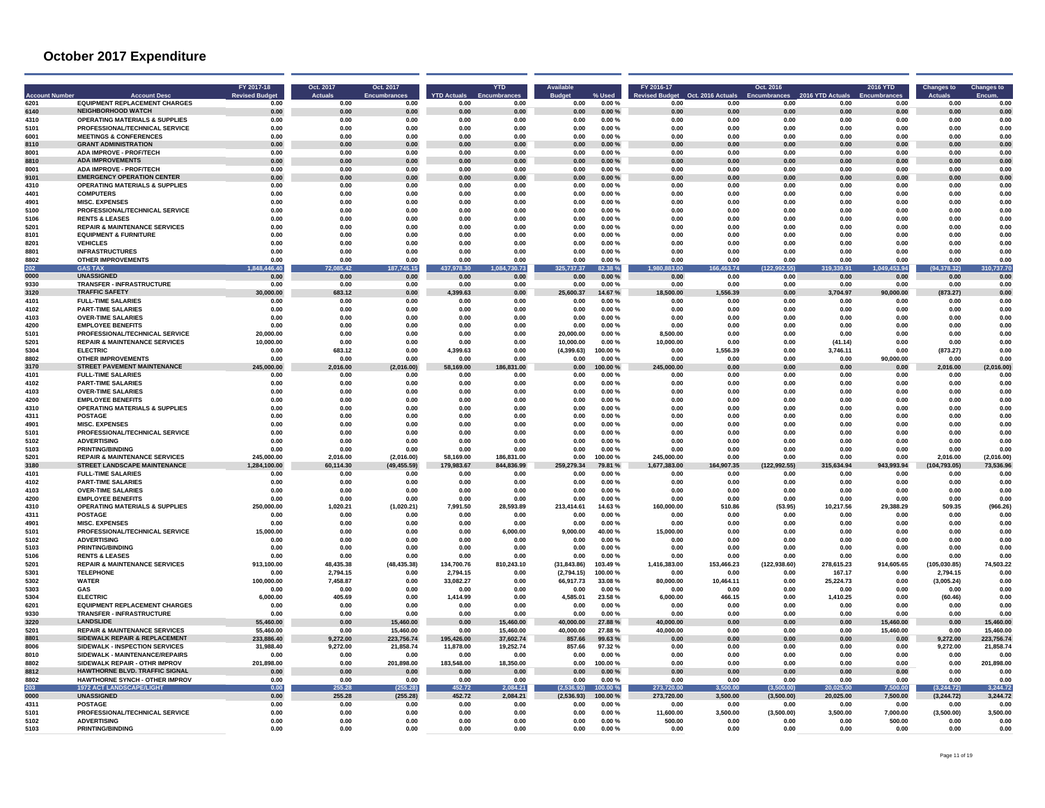|              | <b>Account Desc</b>                                                      | FY 2017-18<br><b>Revised Budge</b> | Oct. 2017<br><b>Actuals</b> | Oct. 2017<br><b>Encumbrances</b> | <b>YTD Actuals</b> | <b>YTD</b>   | <b>Budc</b>        |                     | FY 2016-17<br>evised Budget | Oct. 2016 Actual: | Oct. 2016          | 2016 YTD Actuals  | 2016 YTD           | <b>Changes to</b>  | <b>Changes to</b> |
|--------------|--------------------------------------------------------------------------|------------------------------------|-----------------------------|----------------------------------|--------------------|--------------|--------------------|---------------------|-----------------------------|-------------------|--------------------|-------------------|--------------------|--------------------|-------------------|
| 6201         | <b>EQUIPMENT REPLACEMENT CHARGES</b>                                     | 0.00                               | 0.00                        | 0.00                             | 0.00               | 0.00         | 0.00               | 0.00%               | 0.00                        | 0.00              | 0.00               | 0.00              | 0.00               | 0.00               | 0.00              |
| 6140         | <b>NEIGHBORHOOD WATCH</b>                                                | 0.00                               | 0.00                        | 0.00                             | 0.00               | 0.00         | 0.00               | 0.00%               | 0.00                        | 0.00              | 0.00               | 0.00              | 0.00               | 0.00               | 0.00              |
| 4310         | <b>OPERATING MATERIALS &amp; SUPPLIES</b>                                | 0.00                               | 0.00                        | 0.00                             | 0.00               | 0.00         | 0.00               | 0.00%               | 0.00                        | 0.00              | 0.00               | 0.00              | 0.00               | 0.00               | 0.00              |
| 5101<br>6001 | PROFESSIONAL/TECHNICAL SERVICE<br><b>MEETINGS &amp; CONFERENCES</b>      | 0.00<br>0.00                       | 0.00<br>0.00                | 0.00<br>0.00                     | 0.00<br>0.00       | 0.00<br>0.00 | 0.00<br>0.00       | 0.00%<br>0.00%      | 0.00<br>0.00                | 0.00<br>0.00      | 0.00<br>0.00       | 0.00<br>0.00      | 0.00<br>0.00       | 0.00<br>0.00       | 0.00<br>0.00      |
| 8110         | <b>GRANT ADMINISTRATION</b>                                              | 0.00                               | 0.00                        | 0.00                             | 0.00               | 0.00         | 0.00               | 0.00%               | 0.00                        | 0.00              | 0.00               | 0.00              | 0.00               | 0.00               | 0.00              |
| 8001         | <b>ADA IMPROVE - PROF/TECH</b>                                           | 0.00                               | 0.00                        | 0.00                             | 0.00               | 0.00         | 0.00               | 0.00%               | 0.00                        | 0.00              | 0.00               | 0.00              | 0.00               | 0.00               | 0.00              |
| 8810         | <b>ADA IMPROVEMENTS</b>                                                  | 0.00                               | $0.00\,$                    | 0.00                             | 0.00               | 0.00         | 0.00               | $0.00 \%$           | 0.00                        | 0.00              | 0.00               | 0.00              | 0.00               | 0.00               | 0.00              |
| 8001         | <b>ADA IMPROVE - PROF/TECH</b>                                           | 0.00                               | 0.00                        | 0.00                             | 0.00               | 0.00         | 0.00               | 0.00%               | 0.00                        | 0.00              | 0.00               | 0.00              | 0.00               | 0.00               | 0.00              |
| 9101         | <b>EMERGENCY OPERATION CENTER</b>                                        | 0.00                               | 0.00                        | 0.00                             | 0.00               | 0.00         | 0.00               | 0.00%               | 0.00                        | 0.00              | 0.00               | 0.00              | 0.00               | 0.00               | 0.00              |
| 4310         | <b>OPERATING MATERIALS &amp; SUPPLIES</b>                                | 0.00                               | 0.00                        | 0.00                             | 0.00               | 0.00         | 0.00               | 0.00%               | 0.00                        | 0.00              | 0.00               | 0.00              | 0.00               | 0.00               | 0.00              |
| 4401         | <b>COMPUTERS</b>                                                         | 0.00                               | 0.00                        | 0.00                             | 0.00               | 0.00         | 0.00               | 0.00%               | 0.00                        | 0.00              | 0.00               | 0.00              | 0.00               | 0.00               | 0.00              |
| 4901         | <b>MISC. EXPENSES</b>                                                    | 0.00                               | 0.00                        | 0.00                             | 0.00               | 0.00         | 0.00               | 0.00%               | 0.00                        | 0.00              | 0.00               | 0.00              | 0.00               | 0.00               | 0.00              |
| 5100         | PROFESSIONAL/TECHNICAL SERVICE                                           | 0.00                               | 0.00                        | 0.00                             | 0.00               | 0.00         | 0.00               | 0.00%               | 0.00                        | 0.00              | 0.00               | 0.00              | 0.00               | 0.00               | 0.00              |
| 5106<br>5201 | <b>RENTS &amp; LEASES</b><br><b>REPAIR &amp; MAINTENANCE SERVICES</b>    | 0.00<br>0.00                       | 0.00<br>0.00                | 0.00<br>0.00                     | 0.00<br>0.00       | 0.00<br>0.00 | 0.00<br>0.00       | $0.00 \%$<br>0.00%  | 0.00<br>0.00                | 0.00<br>0.00      | 0.00<br>0.00       | 0.00<br>0.00      | 0.00<br>0.00       | 0.00<br>0.00       | 0.00<br>0.00      |
| 8101         | <b>EQUIPMENT &amp; FURNITURE</b>                                         | 0.00                               | 0.00                        | 0.00                             | 0.00               | 0.00         | 0.00               | 0.00%               | 0.00                        | 0.00              | 0.00               | 0.00              | 0.00               | 0.00               | 0.00              |
| 8201         | <b>VEHICLES</b>                                                          | 0.00                               | 0.00                        | 0.00                             | 0.00               | 0.00         | 0.00               | 0.00%               | 0.00                        | 0.00              | 0.00               | 0.00              | 0.00               | 0.00               | 0.00              |
| 8801         | <b>INFRASTRUCTURES</b>                                                   | 0.00                               | 0.00                        | 0.00                             | 0.00               | 0.00         | 0.00               | 0.00%               | 0.00                        | 0.00              | 0.00               | 0.00              | 0.00               | 0.00               | 0.00              |
| 8802         | <b>OTHER IMPROVEMENTS</b>                                                | 0.00                               | 0.00                        | 0.00                             | 0.00               | 0.00         | 0.00               | 0.00%               | 0.00                        | 0.00              | 0.00               | 0.00              | 0.00               | 0.00               | 0.00              |
| 202          | <b>GAS TAX</b>                                                           | 446.40<br>1.848                    | 72,085.42                   | 745.15                           | 437,978.30         | 730.73       | 325.737.37         | 82.38%              | 83.00                       | ,463.74           | (122.992.55)       | 319,339.91        | 453.94             | (94, 378.32)       | 737.70            |
| 0000         | <b>UNASSIGNED</b>                                                        | 0.00                               | 0.00                        | 0.00                             | 0.00               | 0.00         | 0.00               | 0.00%               | 0.00                        | 0.00              | 0.00               | 0.00              | 0.00               | 0.00               | 0.00              |
| 9330         | <b>TRANSFER - INFRASTRUCTURE</b>                                         | 0.00                               | 0.00                        | 0.00                             | 0.00               | 0.00         | 0.00               | 0.00%               | 0.00                        | 0.00              | 0.00               | 0.00              | 0.00               | 0.00               | 0.00              |
| 3120         | <b>TRAFFIC SAFETY</b>                                                    | 30,000.00                          | 683.12                      | 0.00                             | 399.63             | 0.00         | 25,600.37          | 14.67%              | 500.00                      | 556.39            | 0.00               | 704.97            | 90,000.00          | 873.27)            | 0.00              |
| 4101         | <b>FULL-TIME SALARIES</b>                                                | 0.00                               | 0.00                        | 0.00                             | 0.00               | 0.00         | 0.00               | 0.00%               | 0.00                        | 0.00              | 0.00               | 0.00              | 0.00               | 0.00               | 0.00              |
| 4102<br>4103 | <b>PART-TIME SALARIES</b><br><b>OVER-TIME SALARIES</b>                   | 0.00<br>0.00                       | 0.00                        | 0.00<br>0.00                     | 0.00               | 0.00<br>0.00 | 0.00               | 0.00%<br>0.00%      | 0.00<br>0.00                | 0.00<br>0.00      | 0.00<br>0.00       | 0.00              | 0.00<br>0.00       | 0.00<br>0.00       | 0.00<br>0.00      |
| 4200         | <b>EMPLOYEE BENEFITS</b>                                                 | 0.00                               | 0.00<br>0.00                | 0.00                             | 0.00<br>0.00       | 0.00         | 0.00<br>0.00       | 0.00%               | 0.00                        | 0.00              | 0.00               | 0.00<br>0.00      | 0.00               | 0.00               | 0.00              |
| 5101         | PROFESSIONAL/TECHNICAL SERVICE                                           | 20,000.00                          | 0.00                        | 0.00                             | 0.00               | 0.00         | 20.000.00          | 0.00%               | 8.500.00                    | 0.00              | 0.00               | 0.00              | 0.00               | 0.00               | 0.00              |
| 5201         | <b>REPAIR &amp; MAINTENANCE SERVICES</b>                                 | 10.000.00                          | 0.00                        | 0.00                             | 0.00               | 0.00         | 10.000.00          | 0.00%               | 10.000.00                   | 0.00              | 0.00               | (41.14)           | 0.00               | 0.00               | 0.00              |
| 5304         | <b>ELECTRIC</b>                                                          | 0.00                               | 683.12                      | 0.00                             | 4.399.63           | 0.00         | (4.399.63)         | 100.00%             | 0.00                        | 1.556.39          | 0.00               | 3.746.11          | 0.00               | (873.27)           | 0.00              |
| 8802         | <b>OTHER IMPROVEMENTS</b>                                                | 0.00                               | 0.00                        | 0.00                             | 0.00               | 0.00         | 0.00               | 0.00%               | 0.00                        | 0.00              | 0.00               | 0.00              | 90,000.00          | 0.00               | 0.00              |
| 3170         | STREET PAVEMENT MAINTENANCE                                              | 245,000.00                         | 2,016.00                    | (2,016.00)                       | 58,169.00          | 331.00       | 0.00               | 00.00 %             | 000.00                      | 0.00              | 0.00               | 0.00              | 0.00               | 016.00             | (2.016.00)        |
| 4101         | <b>FULL-TIME SALARIES</b>                                                | 0.00                               | 0.00                        | 0.00                             | 0.00               | 0.00         | 0.00               | 0.00%               | 0.00                        | 0.00              | 0.00               | 0.00              | 0.00               | 0.00               | 0.00              |
| 4102         | <b>PART-TIME SALARIES</b>                                                | 0.00                               | 0.00                        | 0.00                             | 0.00               | 0.00         | 0.00               | $0.00 \%$           | 0.00                        | 0.00              | 0.00               | 0.00              | 0.00               | 0.00               | 0.00              |
| 4103         | <b>OVER-TIME SALARIES</b>                                                | 0.00                               | 0.00                        | 0.00                             | 0.00               | 0.00         | 0.00               | 0.00%               | 0.00                        | 0.00              | 0.00               | 0.00              | 0.00               | 0.00               | 0.00              |
| 4200         | <b>EMPLOYEE BENEFITS</b>                                                 | 0.00                               | 0.00                        | 0.00                             | 0.00               | 0.00         | 0.00               | 0.00%               | 0.00                        | 0.00              | 0.00               | 0.00              | 0.00               | 0.00               | 0.00              |
| 4310<br>4311 | <b>OPERATING MATERIALS &amp; SUPPLIES</b><br><b>POSTAGE</b>              | 0.00<br>0.00                       | 0.00<br>0.00                | 0.00<br>0.00                     | 0.00<br>0.00       | 0.00<br>0.00 | 0.00<br>0.00       | 0.00%<br>$0.00 \%$  | 0.00<br>0.00                | 0.00<br>0.00      | 0.00<br>0.00       | 0.00<br>0.00      | 0.00<br>0.00       | 0.00<br>0.00       | 0.00<br>0.00      |
| 4901         | <b>MISC. EXPENSES</b>                                                    | 0.00                               | 0.00                        | 0.00                             | 0.00               | 0.00         | 0.00               | 0.00%               | 0.00                        | 0.00              | 0.00               | 0.00              | 0.00               | 0.00               | 0.00              |
| 5101         | PROFESSIONAL/TECHNICAL SERVICE                                           | 0.00                               | 0.00                        | 0.00                             | 0.00               | 0.00         | 0.00               | 0.00%               | 0.00                        | 0.00              | 0.00               | 0.00              | 0.00               | 0.00               | 0.00              |
| 5102         | <b>ADVERTISING</b>                                                       | 0.00                               | 0.00                        | 0.00                             | 0.00               | 0.00         | 0.00               | 0.00%               | 0.00                        | 0.00              | 0.00               | 0.00              | 0.00               | 0.00               | 0.00              |
| 5103         | <b>PRINTING/RINDING</b>                                                  | 0.00                               | 0.00                        | 0.00                             | 0.00               | 0.00         | 0.00               | $0.00 \%$           | 0.00                        | 0.00              | 0.00               | 0.00              | 0.00               | 0.00               | 0.00              |
| 5201         | <b>REPAIR &amp; MAINTENANCE SERVICES</b>                                 | 245,000.00                         | 2.016.00                    | (2,016.00)                       | 58,169.00          | 186,831.00   | 0.00               | 100.00%             | 245,000.00                  | 0.00              | 0.00               | 0.00              | 0.00               | 2,016.00           | (2,016.00)        |
| 3180         | STREET LANDSCAPE MAINTENANCE                                             | 1,284,100.00                       | 60.114.30                   | (49, 455.59)                     | 179.983.67         | 844,836.99   | 259.279.34         | 79.81 %             | 1,677,383.00                | 164,907.35        | (122, 992.55)      | 315.634.94        | 943,993.94         | (104.793.05)       | 73,536.96         |
| 4101         | <b>FULL-TIME SALARIES</b>                                                | 0.00                               | 0.00                        | 0.00                             | 0.00               | 0.00         | 0.00               | 0.00%               | 0.00                        | 0.00              | 0.00               | 0.00              | 0.00               | 0.00               | 0.00              |
| 4102         | <b>PART-TIME SALARIES</b>                                                | 0.00                               | 0.00                        | 0.00                             | 0.00               | 0.00         | 0.00               | 0.00%               | 0.00                        | 0.00              | 0.00               | 0.00              | 0.00               | 0.00               | 0.00              |
| 4103         | <b>OVER-TIME SALARIES</b>                                                | 0.00                               | 0.00                        | 0.00                             | 0.00               | 0.00         | 0.00               | 0.00%               | 0.00                        | 0.00              | 0.00               | 0.00              | 0.00               | 0.00               | 0.00              |
| 4200         | <b>EMPLOYEE BENEFITS</b>                                                 | 0.00                               | 0.00                        | 0.00                             | 0.00               | 0.00         | 0.00               | 0.00%               | 0.00                        | 0.00              | 0.00               | 0.00              | 0.00               | 0.00               | 0.00              |
| 4310<br>4311 | <b>OPERATING MATERIALS &amp; SUPPLIES</b><br><b>POSTAGE</b>              | 250.000.00<br>0.00                 | 1,020.21<br>0.00            | (1,020.21)<br>0.00               | 7,991.50<br>0.00   | 28.593.89    | 213,414.61<br>0.00 | 14.63%<br>$0.00 \%$ | 160,000.00<br>0.00          | 510.86<br>0.00    | (53.95)<br>0.00    | 10,217.56<br>0.00 | 29,388.29<br>0.00  | 509.35<br>0.00     | (966.26)<br>n nn  |
| 4901         | <b>MISC. EXPENSES</b>                                                    | 0.00                               | 0.00                        | 0.00                             | 0.00               | 0.00<br>0.00 | 0.00               | 0.00%               | 0.00                        | 0.00              | 0.00               | 0.00              | 0.00               | 0.00               | 0.00              |
| 5101         | PROFESSIONAL/TECHNICAL SERVICE                                           | 15,000.00                          | 0.00                        | 0.00                             | 0.00               | 6,000.00     | 9,000.00           | 40.00%              | 15.000.00                   | 0.00              | 0.00               | 0.00              | 0.00               | 0.00               | 0.00              |
| 5102         | <b>ADVERTISING</b>                                                       | 0.00                               | 0.00                        | 0.00                             | 0.00               | 0.00         | 0.00               | 0.00%               | 0.00                        | 0.00              | 0.00               | 0.00              | 0.00               | 0.00               | 0.00              |
| 5103         | <b>PRINTING/BINDING</b>                                                  | 0.00                               | 0.00                        | 0.00                             | 0.00               | 0.00         | 0.00               | $0.00 \%$           | 0.00                        | 0.00              | 0.00               | 0.00              | 0.00               | 0.00               | 0.00              |
| 5106         | <b>RENTS &amp; LEASES</b>                                                | 0.00                               | 0.00                        | 0.00                             | 0.00               | 0.00         | 0.00               | 0.00%               | 0.00                        | 0.00              | 0.00               | 0.00              | 0.00               | 0.00               | 0.00              |
| 5201         | <b>REPAIR &amp; MAINTENANCE SERVICES</b>                                 | 913.100.00                         | 48,435.38                   | (48, 435.38)                     | 134.700.76         | 810,243.10   | (31, 843.86)       | 103.49%             | 1,416,383.00                | 153,466.23        | (122, 938.60)      | 278.615.23        | 914,605.65         | (105, 030.85)      | 74,503.22         |
| 5301         | <b>TELEPHONE</b>                                                         | 0.00                               | 2.794.15                    | 0.00                             | 2.794.15           | 0.00         | (2,794.15)         | 100.00%             | 0.00                        | 0.00              | 0.00               | 167.17            | 0.00               | 2,794.15           | 0.00              |
| 5302         | <b>WATER</b>                                                             | 100.000.00                         | 7.458.87                    | 0.00                             | 33.082.27          | 0.00         | 66.917.73          | 33.08%              | 80,000.00                   | 10.464.11         | 0.00               | 25.224.73         | 0.00               | (3.005.24)         | 0.00              |
| 5303         | GAS                                                                      | 0.00                               | 0.00                        | 0.00                             | 0.00               | 0.00         | 0.00               | 0.00%               | 0.00                        | 0.00              | 0.00               | 0.00              | 0.00               | 0.00               | 0.00              |
| 5304         | <b>ELECTRIC</b>                                                          | 6,000.00                           | 405.69                      | 0.00                             | 1,414.99           | 0.00         | 4,585.01           | 23.58%              | 6,000.00                    | 466.15            | 0.00               | 1,410.25          | 0.00               | (60.46)            | 0.00              |
| 6201<br>9330 | <b>EQUIPMENT REPLACEMENT CHARGES</b><br><b>TRANSFER - INFRASTRUCTURE</b> | 0.00<br>0.00                       | 0.00<br>0.00                | 0.00<br>0.00                     | 0.00<br>0.00       | 0.00<br>0.00 | 0.00<br>0.00       | 0.00%<br>0.00%      | 0.00<br>0.00                | 0.00<br>0.00      | 0.00<br>0.00       | 0.00<br>0.00      | 0.00<br>0.00       | 0.00<br>0.00       | 0.00<br>0.00      |
| 3220         | <b>LANDSLIDE</b>                                                         | 55.460.00                          | 0.00                        | 15,460.00                        | 0.00               | 15.460.00    | 40.000.00          | 27.88%              | 40.000.00                   | 0.00              | 0.00               | 0.00              | 15.460.00          | 0.00               | 15.460.00         |
| 5201         | <b>REPAIR &amp; MAINTENANCE SERVICES</b>                                 | 55,460.00                          | 0.00                        | 15,460.00                        | 0.00               | 15,460.00    | 40.000.00          | 27.88%              | 40,000.00                   | 0.00              | 0.00               | 0.00              | 15,460.00          | 0.00               | 15.460.00         |
| 8801         | <b>SIDEWALK REPAIR &amp; REPLACEMENT</b>                                 | 233,886.40                         | 9.272.00                    | 223,756.74                       | 195.426.00         | 37,602.74    | 857.66             | 99.63%              | 0.00                        | 0.00              | 0.00               | 0.00              | 0.00               | 9.272.00           | 223.756.74        |
| 8006         | SIDEWALK - INSPECTION SERVICES                                           | 31,988.40                          | 9.272.00                    | 21.858.74                        | 11.878.00          | 19,252.74    | 857.66             | 97.32%              | 0.00                        | 0.00              | 0.00               | 0.00              | 0.00               | 9,272.00           | 21.858.74         |
| 8010         | SIDEWALK - MAINTENANCE/REPAIRS                                           | 0.00                               | 0.00                        | 0.00                             | 0.00               | 0.00         | 0.00               | 0.00%               | 0.00                        | 0.00              | 0.00               | 0.00              | 0.00               | 0.00               | 0.00              |
| 8802         | SIDEWALK REPAIR - OTHR IMPROV                                            | 201,898.00                         | 0.00                        | 201,898.00                       | 183,548.00         | 18,350.00    | 0.00               | 100.00%             | 0.00                        | 0.00              | 0.00               | 0.00              | 0.00               | 0.00               | 201.898.00        |
| 8812         | HAWTHORNE BLVD. TRAFFIC SIGNAL                                           | 0.00                               | 0.00                        | 0.00                             | 0.00               | 0.00         | 0.00               | 0.00%               | 0.00                        | 0.00              | 0.00               | 0.00              | 0.00               | 0.00               | 0.00              |
| 8802         | HAWTHORNE SYNCH - OTHER IMPROV                                           | 0.00                               | 0.00                        | 0.00                             | 0.00               | 0.00         | 0.00               | 0.00%               | 0.00                        | 0.00              | 0.00               | 0.00              | 0.00               | 0.00               | 0.00              |
| 203          | <b>1972 ACT LANDSCAPE/LIGHT</b>                                          | 0.00                               | 255.28                      | 255.28                           | 452.72             | 2,084.21     | (2,536.93)         | 100.00%             | 273,720.00                  | 3,500.00          | (3.500.00)         | 20,025.00         | 7,500.00           | (3, 244.72)        | 3,244.72          |
| 0000         | <b>UNASSIGNE</b>                                                         | 0.00                               | 255.28                      | (255.28)                         | 452.72             | 2.084.21     | (2.536.93)         | 100.00%             | 273,720.00                  | 3,500.00          | (3,500.00)         | 20.025.00         | 7,500.00           | (3,244.72)         | 3.244.72          |
| 4311<br>5101 | <b>POSTAGE</b>                                                           | 0.00<br>0.00                       | 0.00<br>0.00                | 0.00<br>0.00                     | 0.00<br>0.00       | 0.00<br>0.00 | 0.00<br>0.00       | 0.00%<br>$0.00 \%$  | 0.00                        | 0.00<br>3.500.00  | 0.00               | 0.00              | 0.00               | 0.00               | 0.00              |
| 5102         | PROFESSIONAL/TECHNICAL SERVICE<br><b>ADVERTISING</b>                     | 0.00                               | 0.00                        | 0.00                             | 0.00               | 0.00         | 0.00               | 0.00%               | 11.600.00<br>500.00         | 0.00              | (3.500.00)<br>0.00 | 3.500.00<br>0.00  | 7.000.00<br>500.00 | (3,500.00)<br>0.00 | 3.500.00<br>0.00  |
| 5103         | <b>PRINTING/BINDING</b>                                                  | 0.00                               | 0.00                        | 0.00                             | 0.00               | 0.00         | 0.00               | 0.00%               | 0.00                        | 0.00              | 0.00               | 0.00              | 0.00               | 0.00               | 0.00              |
|              |                                                                          |                                    |                             |                                  |                    |              |                    |                     |                             |                   |                    |                   |                    |                    |                   |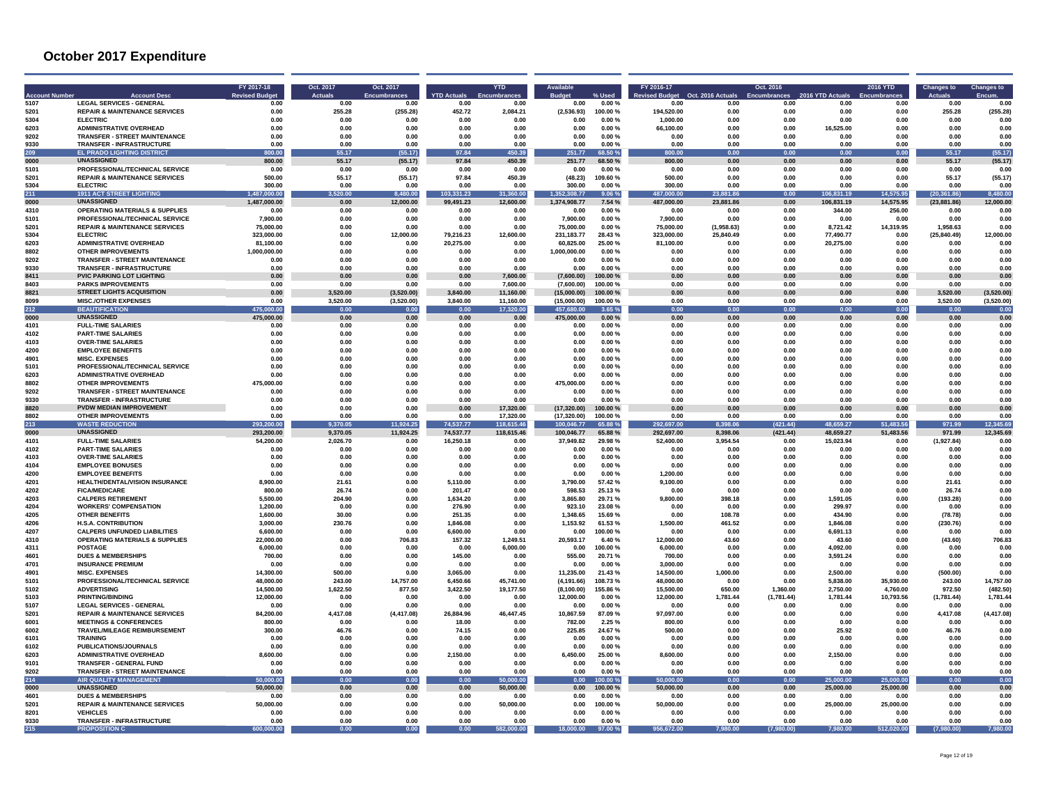|              | <b>Account Des</b>                                            | FY 2017-18<br><b>Revised Budge</b> | Oct. 2017<br><b>Actuals</b> | Oct. 2017<br><b>Encumbrances</b> | <b>YTD Actuals</b>      | <b>YTD</b>              | <b>Available</b>             |                   | FY 2016-17<br>evised Budget | Oct. 2016 Actual       | Oct. 2016        | 2016 YTD Actual          | 2016 YTD               | <b>Changes to</b>            | <b>Changes to</b>     |
|--------------|---------------------------------------------------------------|------------------------------------|-----------------------------|----------------------------------|-------------------------|-------------------------|------------------------------|-------------------|-----------------------------|------------------------|------------------|--------------------------|------------------------|------------------------------|-----------------------|
| 5107         | <b>LEGAL SERVICES - GENERAL</b>                               | 0.00                               | 0.00                        | 0.00                             | 0.00                    | 0.00                    | 0.00                         | 0.00%             | 0.00                        | 0.00                   | 0.00             | 0.00                     | 0.00                   | 0.00                         | 0.00                  |
| 5201<br>5304 | <b>REPAIR &amp; MAINTENANCE SERVICES</b><br><b>ELECTRIC</b>   | 0.00                               | 255.28                      | (255.28)                         | 452.72                  | 2.084.21                | (2,536.93)                   | 100.00%           | 194.520.00<br>1.000.00      | 0.00                   | 0.00             | 0.00                     | 0.00                   | 255.28                       | (255.28)<br>0.00      |
| 6203         | <b>ADMINISTRATIVE OVERHEAD</b>                                | 0.00<br>0.00                       | 0.00<br>0.00                | 0.00<br>0.00                     | 0.00<br>0.00            | 0.00<br>0.00            | 0.00<br>0.00                 | 0.00%<br>0.00%    | 66,100.00                   | 0.00<br>0.00           | 0.00<br>0.00     | 0.00<br>16,525.00        | 0.00<br>0.00           | 0.00<br>0.00                 | 0.00                  |
| 9202         | <b>TRANSFER - STREET MAINTENANCE</b>                          | 0.00                               | 0.00                        | 0.00                             | 0.00                    | 0.00                    | 0.00                         | 0.00%             | 0.00                        | 0.00                   | 0.00             | 0.00                     | 0.00                   | 0.00                         | 0.00                  |
| 9330         | <b>TRANSFER - INFRASTRUCTURE</b>                              | 0.00                               | 0.00                        | 0.00                             | 0.00                    | 0.00                    | 0.00                         | 0.00%             | 0.00                        | 0.00                   | 0.00             | 0.00                     | 0.00                   | 0.00                         | 0.00                  |
| 209          | <b>EL PRADO LIGHTING DISTRICT</b>                             | 800.00                             | 55 17                       | (55.17)                          | 97.84                   | 450.39                  | 251.77                       | 68.50%            | nn nn                       | 0.00                   | 0.00             | 0.00                     | 0.00                   | 55.17                        | (55.17)               |
| 0000         | <b>UNASSIGNED</b>                                             | 800.00                             | 55.17                       | (55.17)                          | 97.84                   | 450.39                  | 251.77                       | 68.50 %           | 800.00                      | 0.00                   | 0.00             | 0.00                     | 0.00                   | 55.17                        | (55.17)               |
| 5101         | PROFESSIONAL/TECHNICAL SERVICE                                | 0.00                               | 0.00                        | 0.00                             | 0.00                    | 0.00                    | 0.00                         | 0.00%             | 0.00                        | 0.00                   | 0.00             | 0.00                     | 0.00                   | 0.00                         | 0.00                  |
| 5201         | <b>REPAIR &amp; MAINTENANCE SERVICES</b>                      | 500.00                             | 55.17                       | (55.17)                          | 97.84                   | 450.39                  | (48.23)                      | 109.60%           | 500.00                      | 0.00                   | $0.00\,$         | 0.00                     | 0.00                   | 55.17                        | (55.17)               |
| 5304         | <b>ELECTRIC</b>                                               | 300.00<br>1 487 000 00             | 0.00                        | 0.00                             | 0.00                    | 0.00                    | 300.00                       | 0.00%             | 300.00<br>487,000.00        | 0.00                   | 0.00<br>0.00     | 0.00                     | 0.00                   | 0.00                         | 0.00                  |
| 211<br>0000  | <b>1911 ACT STREET LIGHTING</b><br><b>UNASSIGNED</b>          | 1,487,000.00                       | 520.00<br>0.00              | 8,480.00<br>12,000.00            | 103,331.23<br>99,491.23 | 31,360.00<br>12,600.00  | 1.352.308.77<br>1,374,908.77 | 9.06%<br>7.54 %   | 487,000.00                  | 23,881.86<br>23,881.86 | 0.00             | 106,831.19<br>106,831.19 | 14,575.95<br>14,575.95 | (20, 361.86)<br>(23, 881.86) | 8,480.00<br>12,000.00 |
| 4310         | <b>OPERATING MATERIALS &amp; SUPPLIES</b>                     | 0.00                               | 0.00                        | 0.00                             | 0.00                    | 0.00                    | 0.00                         | 0.00%             | 0.00                        | 0.00                   | 0.00             | 344.00                   | 256.00                 | 0.00                         | 0.00                  |
| 5101         | PROFESSIONAL/TECHNICAL SERVICE                                | 7,900.00                           | 0.00                        | 0.00                             | 0.00                    | 0.00                    | 7.900.00                     | 0.00%             | 7,900.00                    | 0.00                   | 0.00             | 0.00                     | 0.00                   | 0.00                         | 0.00                  |
| 5201         | <b>REPAIR &amp; MAINTENANCE SERVICES</b>                      | 75.000.00                          | 0.00                        | 0.00                             | 0.00                    | 0.00                    | 75,000.00                    | 0.00%             | 75,000.00                   | (1.958.63)             | 0.00             | 8,721.42                 | 14.319.95              | 1,958.63                     | 0.00                  |
| 5304         | <b>ELECTRIC</b>                                               | 323.000.00                         | 0.00                        | 12.000.00                        | 79.216.23               | 12,600.00               | 231.183.77                   | 28.43%            | 323,000.00                  | 25.840.49              | 0.00             | 77.490.77                | 0.00                   | (25, 840.49)                 | 12,000.00             |
| 6203         | <b>ADMINISTRATIVE OVERHEAD</b>                                | 81.100.00                          | 0.00                        | 0.00                             | 20,275.00               | 0.00                    | 60,825.00                    | 25.00%            | 81.100.00                   | 0.00                   | 0.00             | 20,275.00                | 0.00                   | 0.00                         | 0.00                  |
| 8802         | <b>OTHER IMPROVEMENTS</b>                                     | 1.000.000.00                       | 0.00                        | 0.00                             | n nn                    | 0.00                    | 1.000.000.00                 | 0.00%             | 0.00                        | 0.00                   | 0.00             | 0.00                     | 0.00                   | 0.00                         | 0.00                  |
| 9202         | <b>TRANSFER - STREET MAINTENANCE</b>                          | 0.00                               | 0.00                        | 0.00                             | 0.00                    | 0.00                    | 0.00                         | 0.00%             | 0.00                        | 0.00                   | 0.00             | 0.00                     | 0.00                   | 0.00                         | 0.00                  |
| 9330<br>8411 | <b>TRANSFER - INFRASTRUCTURE</b><br>PVIC PARKING LOT LIGHTING | 0.00<br>0.00                       | 0.00<br>$0.00\,$            | 0.00<br>0.00                     | 0.00<br>0.00            | 0.00<br>7,600.00        | 0.00<br>(7,600.00)           | 0.00%<br>100.00%  | 0.00<br>0.00                | 0.00<br>0.00           | 0.00<br>0.00     | 0.00<br>0.00             | 0.00<br>$0.00\,$       | 0.00<br>0.00                 | 0.00<br>0.00          |
| 8403         | <b>PARKS IMPROVEMENTS</b>                                     | 0.00                               | 0.00                        | 0.00                             | 0.00                    | 7.600.00                | (7.600.00)                   | 100.00%           | 0.00                        | 0.00                   | 0.00             | 0.00                     | 0.00                   | 0.00                         | 0.00                  |
| 8821         | <b>STREET LIGHTS ACQUISITION</b>                              | 0.00                               | 3,520.00                    | (3.520.00)                       | 3.840.00                | 11.160.00               | (15.000.00)                  | 100.00 %          | 0.00                        | 0.00                   | 0.00             | 0.00                     | 0.00                   | 3,520.00                     | (3,520.00)            |
| 8099         | <b>MISC./OTHER EXPENSES</b>                                   | 0.00                               | 3,520.00                    | (3,520.00)                       | 3,840.00                | 11,160.00               | (15,000.00)                  | 100.00%           | 0.00                        | 0.00                   | 0.00             | 0.00                     | 0.00                   | 3,520.00                     | (3,520.00)            |
| 212          | <b>BEAUTIFICATION</b>                                         | 475,000.00                         | 0.00                        | 0.00                             | 0.00                    | 17,320.00               | 457,680.00                   | 3.65%             | 0.00                        | 0.00                   | 0.00             | 0.00                     | 0.00                   | 0.00                         | 0.00                  |
| 0000         | <b>UNASSIGNED</b>                                             | 475.000.00                         | 0.00                        | 0.00                             | 0.00                    | 0.00                    | 475.000.00                   | 0.00%             | 0.00                        | 0.00                   | 0.00             | 0.00                     | 0.00                   | 0.00                         | 0.00                  |
| 4101         | <b>FULL-TIME SALARIES</b>                                     | 0.00                               | 0.00                        | 0.00                             | 0.00                    | 0.00                    | 0.00                         | 0.00%             | 0.00                        | 0.00                   | 0.00             | 0.00                     | 0.00                   | 0.00                         | 0.00                  |
| 4102         | <b>PART-TIME SALARIES</b>                                     | 0.00                               | 0.00                        | 0.00                             | 0.00                    | 0.00                    | 0.00                         | 0.00%             | 0.00                        | 0.00                   | 0.00             | 0.00                     | 0.00                   | 0.00                         | 0.00                  |
| 4103<br>4200 | <b>OVER-TIME SALARIES</b><br><b>EMPLOYEE BENEFITS</b>         | 0.00<br>0.00                       | 0.00<br>0.00                | 0.00<br>0.00                     | 0.00<br>0.00            | 0.00<br>0.00            | 0.00<br>0.00                 | 0.00%<br>0.00%    | 0.00<br>0.00                | 0.00<br>0.00           | 0.00<br>0.00     | 0.00<br>0.00             | 0.00<br>0.00           | 0.00<br>0.00                 | 0.00<br>0.00          |
| 4901         | <b>MISC EXPENSES</b>                                          | 0.00                               | 0.00                        | 0.00                             | 0.00                    | 0.00                    | 0.00                         | 0.00%             | 0.00                        | 0.00                   | 0.00             | 0.00                     | 0.00                   | 0.00                         | 0.00                  |
| 5101         | PROFESSIONAL/TECHNICAL SERVICE                                | 0.00                               | 0.00                        | 0.00                             | 0.00                    | 0.00                    | 0.00                         | 0.00%             | 0.00                        | 0.00                   | 0.00             | 0.00                     | 0.00                   | 0.00                         | 0.00                  |
| 6203         | <b>ADMINISTRATIVE OVERHEAD</b>                                | 0.00                               | 0.00                        | 0.00                             | 0.00                    | 0.00                    | 0.00                         | 0.00%             | 0.00                        | 0.00                   | 0.00             | 0.00                     | 0.00                   | 0.00                         | 0.00                  |
| 8802         | <b>OTHER IMPROVEMENTS</b>                                     | 475.000.00                         | 0.00                        | 0.00                             | 0.00                    | 0.00                    | 475,000.00                   | 0.00%             | 0.00                        | 0.00                   | 0.00             | 0.00                     | 0.00                   | 0.00                         | 0.00                  |
| 9202         | <b>TRANSFER - STREET MAINTENANCE</b>                          | 0.00                               | 0.00                        | 0.00                             | 0.00                    | 0.00                    | 0.00                         | 0.00%             | 0.00                        | 0.00                   | 0.00             | 0.00                     | 0.00                   | 0.00                         | 0.00                  |
| 9330         | <b>TRANSFER - INFRASTRUCTURE</b>                              | 0.00                               | 0.00                        | 0.00                             | 0.00                    | 0.00                    | 0.00                         | 0.00%             | 0.00                        | 0.00                   | 0.00             | 0.00                     | 0.00                   | 0.00                         | 0.00                  |
| 8820         | PVDW MEDIAN IMPROVEMENT                                       | 0.00                               | 0.00                        | 0.00                             | 0.00                    | 17,320.00               | (17,320.00)                  | 100.00 %          | 0.00                        | 0.00                   | 0.00             | 0.00                     | 0.00                   | 0.00                         | 0.00                  |
| 8802<br>213  | <b>OTHER IMPROVEMENTS</b><br><b>WASTE REDUCTION</b>           | 0.00<br>293.200.00                 | 0.00<br>9.370.05            | 0.00<br>11,924.25                | 0.00<br>74,537.77       | 17,320.00<br>118,615.46 | (17, 320.00)<br>100.046.77   | 100.00%<br>65.88% | 0.00<br>1.697.00            | 0.00<br>8.398.06       | 0.00<br>(421.44) | 0.00<br>48.659.27        | 0.00<br>51,483.56      | 0.00<br>971.99               | 0.00<br>2,345.69      |
| 0000         | <b>UNASSIGNED</b>                                             | 293,200.00                         | 9,370.05                    | 11,924.25                        | 74,537.77               | 118,615.46              | 100,046.77                   | 65.88%            | 292,697.00                  | 8,398.06               | (421.44)         | 48,659.27                | 51,483.56              | 971.99                       | 12,345.69             |
| 4101         | <b>FULL-TIME SALARIES</b>                                     | 54,200.00                          | 2,026.70                    | 0.00                             | 16,250.18               | 0.00                    | 37,949.82                    | 29.98%            | 52,400.00                   | 3,954.54               | 0.00             | 15,023.94                | 0.00                   | (1,927.84)                   | 0.00                  |
| 4102         | <b>PART-TIME SALARIES</b>                                     | 0.00                               | 0.00                        | 0.00                             | 0.00                    | 0.00                    | 0.00                         | 0.00%             | 0.00                        | 0.00                   | 0.00             | 0.00                     | 0.00                   | 0.00                         | 0.00                  |
| 4103         | <b>OVER-TIME SALARIES</b>                                     | 0.00                               | 0.00                        | 0.00                             | 0.00                    | 0.00                    | 0.00                         | 0.00%             | 0.00                        | 0.00                   | 0.00             | 0.00                     | 0.00                   | 0.00                         | 0.00                  |
| 4104         | <b>EMPLOYEE BONUSES</b>                                       | 0.00                               | 0.00                        | 0.00                             | 0.00                    | 0.00                    | 0.00                         | 0.00%             | 0.00                        | 0.00                   | 0.00             | 0.00                     | 0.00                   | 0.00                         | 0.00                  |
| 4200         | <b>EMPLOYEE BENEFITS</b>                                      | 0.00                               | 0.00                        | 0.00                             | 0.00                    | 0.00                    | 0.00                         | 0.00%             | 1,200.00                    | 0.00                   | 0.00             | 0.00                     | 0.00                   | 0.00                         | 0.00                  |
| 4201         | HEALTH/DENTAL/VISION INSURANCE<br><b>FICA/MEDICARE</b>        | 8.900.00<br>800.00                 | 21.61<br>26.74              | 0.00<br>0.00                     | 5.110.00<br>201.47      | 0.00<br>0.00            | 3,790.00<br>598.53           | 57.42%<br>25.13%  | 9.100.00<br>0.00            | 0.00<br>0.00           | 0.00<br>0.00     | 0.00<br>0.00             | 0.00<br>0.00           | 21.61<br>26.74               | 0.00<br>0.00          |
| 4202<br>4203 | <b>CALPERS RETIREMENT</b>                                     | 5.500.00                           | 204.90                      | 0.00                             | 1.634.20                | 0.00                    | 3.865.80                     | 29.71%            | 9.800.00                    | 398.18                 | 0.00             | 1.591.05                 | 0.00                   | (193.28)                     | 0.00                  |
| 4204         | <b>WORKERS' COMPENSATION</b>                                  | 1,200.00                           | 0.00                        | 0.00                             | 276.90                  | 0.00                    | 923.10                       | 23.08%            | 0.00                        | 0.00                   | 0.00             | 299.97                   | 0.00                   | 0.00                         | 0.00                  |
| 4205         | <b>OTHER BENEFITS</b>                                         | 1.600.00                           | 30.00                       | 0.00                             | 251.35                  | 0.00                    | 1.348.65                     | 15.69%            | 0.00                        | 108.78                 | 0.00             | 434.90                   | 0.00                   | (78.78)                      | 0.00                  |
| 4206         | <b>H.S.A. CONTRIBUTION</b>                                    | 3.000.00                           | 230.76                      | 0.00                             | 1.846.08                | 0.00                    | 1.153.92                     | 61.53 %           | 1,500.00                    | 461.52                 | 0.00             | 1.846.08                 | 0.00                   | (230.76)                     | 0.00                  |
| 4207         | <b>CALPERS UNFUNDED LIABILITIES</b>                           | 6,600.00                           | 0.00                        | 0.00                             | 6.600.00                | 0.00                    | 0.00                         | 100.00 %          | 0.00                        | 0.00                   | 0.00             | 6.691.13                 | 0.00                   | 0.00                         | 0.00                  |
| 4310         | <b>OPERATING MATERIALS &amp; SUPPLIES</b>                     | 22.000.00                          | 0.00                        | 706.83                           | 157.32                  | 1.249.51                | 20.593.17                    | 6.40%             | 12,000.00                   | 43.60                  | 0.00             | 43.60                    | 0.00                   | (43.60)                      | 706.83                |
| 4311         | <b>POSTAGE</b>                                                | 6.000.00                           | 0.00                        | 0.00                             | 0.00                    | 6.000.00                | 0.00                         | 100.00 %          | 6.000.00                    | 0.00                   | 0.00             | 4.092.00                 | 0.00                   | 0.00                         | 0.00                  |
| 4601         | <b>DUES &amp; MEMBERSHIPS</b><br><b>INSURANCE PREMIUM</b>     | 700.00<br>0.00                     | 0.00<br>0.00                | 0.00                             | 145.00                  | 0.00                    | 555.00<br>0.00               | 20.71%            | 700.00                      | 0.00                   | 0.00<br>0.00     | 3,591.24                 | 0.00                   | 0.00                         | 0.00<br>0.00          |
| 4701<br>4901 | <b>MISC. EXPENSES</b>                                         | 14.300.00                          | 500.00                      | 0.00<br>0.00                     | 0.00<br>3.065.00        | 0.00<br>0.00            | 11,235.00                    | 0.00%<br>21.43%   | 3.000.00<br>14.500.00       | 0.00<br>1.000.00       | 0.00             | 0.00<br>2,500.00         | 0.00<br>0.00           | 0.00<br>(500.00)             | 0.00                  |
| 5101         | PROFESSIONAL/TECHNICAL SERVICE                                | 48.000.00                          | 243.00                      | 14,757.00                        | 6.450.66                | 45,741.00               | (4, 191.66)                  | 108.73%           | 48,000.00                   | 0.00                   | 0.00             | 5,838.00                 | 35,930.00              | 243.00                       | 14,757.00             |
| 5102         | <b>ADVERTISING</b>                                            | 14.500.00                          | 1.622.50                    | 877.50                           | 3.422.50                | 19,177.50               | (8, 100.00)                  | 155.86%           | 15,500.00                   | 650.00                 | 1.360.00         | 2.750.00                 | 4.760.00               | 972.50                       | (482.50)              |
| 5103         | <b>PRINTING/RINDING</b>                                       | 12.000.00                          | 0.00                        | 0.00                             | 0.00                    | 0.00                    | 12,000.00                    | 0.00%             | 12,000.00                   | 1,781.44               | (1,781.44)       | 1,781.44                 | 10,793.56              | (1,781.44)                   | 1.781.44              |
| 5107         | <b>LEGAL SERVICES - GENERAL</b>                               | 0.00                               | 0.00                        | 0.00                             | 0.00                    | 0.00                    | 0.00                         | 0.00%             | 0.00                        | 0.00                   | 0.00             | 0.00                     | 0.00                   | 0.00                         | 0.00                  |
| 5201         | <b>REPAIR &amp; MAINTENANCE SERVICES</b>                      | 84,200.00                          | 4,417.08                    | (4, 417.08)                      | 26.884.96               | 46,447.45               | 10.867.59                    | 87.09 %           | 97,097.00                   | 0.00                   | 0.00             | 0.00                     | 0.00                   | 4,417.08                     | (4, 417.08)           |
| 6001         | <b>MEETINGS &amp; CONFERENCES</b>                             | 800.00                             | 0.00                        | 0.00                             | 18.00                   | 0.00                    | 782.00                       | 2.25%             | 800.00                      | 0.00                   | 0.00             | 0.00                     | 0.00                   | 0.00                         | 0.00                  |
| 6002<br>6101 | <b>TRAVEL/MILEAGE REIMBURSEMENT</b><br><b>TRAINING</b>        | 300.00                             | 46.76                       | 0.00                             | 74.15                   | 0.00                    | 225.85                       | 24.67%            | 500.00                      | 0.00<br>0.00           | 0.00             | 25.92                    | 0.00                   | 46.76                        | 0.00<br>0.00          |
| 6102         | PUBLICATIONS/JOURNALS                                         | 0.00<br>0.00                       | 0.00<br>0.00                | 0.00<br>0.00                     | 0.00<br>0.00            | 0.00<br>0.00            | 0.00<br>0.00                 | 0.00%<br>0.00%    | 0.00<br>0.00                | 0.00                   | 0.00<br>0.00     | 0.00<br>0.00             | 0.00<br>0.00           | 0.00<br>0.00                 | 0.00                  |
| 6203         | <b>ADMINISTRATIVE OVERHEAD</b>                                | 8,600.00                           | 0.00                        | 0.00                             | 2.150.00                | 0.00                    | 6.450.00                     | 25.00%            | 8.600.00                    | 0.00                   | 0.00             | 2,150.00                 | 0.00                   | 0.00                         | 0.00                  |
| 9101         | <b>TRANSFER - GENERAL FUND</b>                                | 0.00                               | 0.00                        | 0.00                             | 0.00                    | 0.00                    | 0.00                         | 0.00%             | 0.00                        | 0.00                   | 0.00             | 0.00                     | 0.00                   | 0.00                         | 0.00                  |
| 9202         | <b>TRANSFER - STREET MAINTENANCE</b>                          | 0.00                               | 0.00                        | 0.00                             | 0.00                    | 0.00                    | 0.00                         | 0.00%             | 0.00                        | 0.00                   | 0.00             | 0.00                     | 0.00                   | 0.00                         | 0.00                  |
| 214          | <b>AIR QUALITY MANAGEMENT</b>                                 | 50,000,00                          | 0.00                        | 0.00                             | 0.00                    | 50,000.00               | n nn                         | 00.00%            | 50.000.00                   | 0.00                   | 0.00             | 25,000.00                | 25.000.00              | 0.00                         | 0.00                  |
| 0000         | <b>UNASSIGNED</b>                                             | 50.000.00                          | 0.00                        | 0.00                             | 0.00                    | 50,000.00               | 0.00                         | 100.00%           | 50,000.00                   | 0.00                   | 0.00             | 25,000.00                | 25,000.00              | 0.00                         | 0.00                  |
| 4601         | <b>DUES &amp; MEMBERSHIPS</b>                                 | 0.00                               | 0.00                        | 0.00                             | 0.00                    | 0.00                    | 0.00                         | 0.00%             | 0.00                        | 0.00                   | 0.00             | 0.00                     | 0.00                   | 0.00                         | 0.00                  |
| 5201         | <b>REPAIR &amp; MAINTENANCE SERVICES</b>                      | 50,000.00                          | 0.00                        | 0.00                             | 0.00                    | 50,000.00               | 0.00                         | 100.00%           | 50,000.00                   | 0.00                   | 0.00             | 25,000.00                | 25.000.00              | 0.00                         | 0.00                  |
| 8201<br>9330 | <b>VEHICLES</b><br><b>TRANSFER - INFRASTRUCTURE</b>           | 0.00<br>0.00                       | 0.00<br>0.00                | 0.00<br>0.00                     | 0.00<br>0.00            | 0.00<br>0.00            | 0.00<br>0.00                 | 0.00%<br>0.00%    | 0.00<br>0.00                | 0.00<br>0.00           | 0.00<br>0.00     | 0.00<br>0.00             | 0.00<br>0.00           | 0.00<br>0.00                 | 0.00<br>0.00          |
| 215          | <b>PROPOSITION C</b>                                          | 600,000,00                         | 0.00                        | 0.00                             | 0.00                    | 582,000.00              | 18.000.00                    | 97.00 %           | 672.00                      | 7.980.00               | (7.980.00)       | 7.980.00                 | 512.020.00             | (7.980.00)                   | 7,980.00              |
|              |                                                               |                                    |                             |                                  |                         |                         |                              |                   |                             |                        |                  |                          |                        |                              |                       |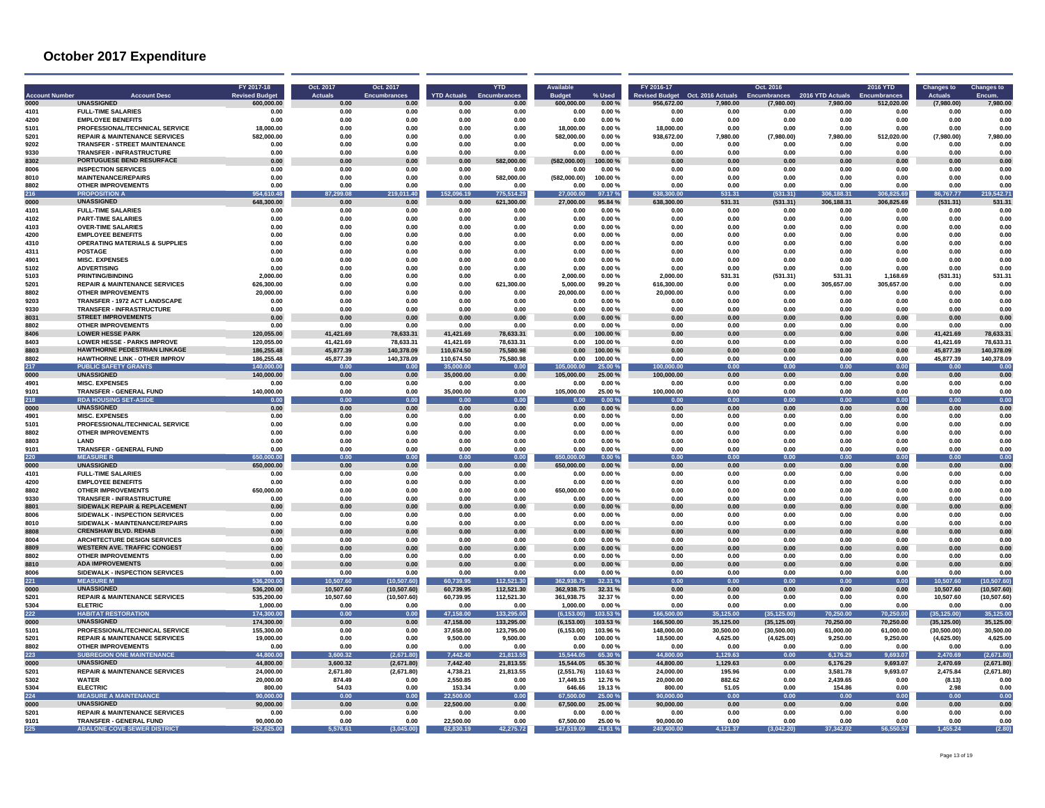|                              |                                                                       | FY 2017-18                         | Oct. 2017              | Oct. 2017                   |                            | <b>YTD</b>           |                             |                    | FY 2016-17                          |                               | Oct. 2016                         |                              | <b>2016 YTD</b>            | <b>Changes to</b>            | <b>Changes to</b>    |
|------------------------------|-----------------------------------------------------------------------|------------------------------------|------------------------|-----------------------------|----------------------------|----------------------|-----------------------------|--------------------|-------------------------------------|-------------------------------|-----------------------------------|------------------------------|----------------------------|------------------------------|----------------------|
| <b>Account Numbe</b><br>0000 | <b>Account Desc</b><br><b>UNASSIGNED</b>                              | <b>Revised Budge</b><br>600.000.00 | <b>Actuals</b><br>0.00 | <b>Encumbrances</b><br>0.00 | <b>YTD Actuals</b><br>0.00 | Encumbrances<br>0.00 | <b>Budget</b><br>600.000.00 | % Used<br>0.00%    | <b>Revised Budget</b><br>956.672.00 | Oct. 2016 Actuals<br>7,980.00 | <b>Encumbrances</b><br>(7,980.00) | 2016 YTD Actuals<br>7,980.00 | Encumbrances<br>512,020.00 | <b>Actuals</b><br>(7,980.00) | Encum.<br>7.980.00   |
| 4101                         | <b>FULL-TIME SALARIES</b>                                             | 0.00                               | 0.00                   | 0.00                        | 0.00                       | 0.00                 | 0.00                        | 0.00%              | 0.00                                | 0.00                          | 0.00                              | 0.00                         | 0.00                       | 0.00                         | 0.01                 |
| 4200                         | <b>EMPLOYEE BENEFITS</b>                                              | 0.00                               | 0.00                   | 0.00                        | 0.00                       | 0.00                 | 0.00                        | 0.00%              | 0.00                                | 0.00                          | 0.00                              | 0.00                         | 0.00                       | 0.00                         | 0.00                 |
| 5101                         | PROFESSIONAL/TECHNICAL SERVICE                                        | 18,000.00                          | 0.00                   | 0.00                        | 0.00                       | 0.00                 | 18.000.00                   | 0.00%              | 18,000.00                           | 0.00                          | 0.00                              | 0.00                         | 0.00                       | 0.00                         | 0.00                 |
| 5201                         | <b>REPAIR &amp; MAINTENANCE SERVICES</b>                              | 582,000,00                         | <b>በ በበ</b>            | n nn                        | .ስ. ሰበ                     | 0.00                 | 582.000.00                  | $0.00 \%$          | 938.672.00                          | 7.980.00                      | (7,980.00)                        | 7.980.00                     | 512.020.00                 | (7.980.00)                   | 7,980.00             |
| 9202                         | <b>TRANSFER - STREET MAINTENANCE</b>                                  | 0.00                               | 0.00                   | 0.00                        | 0.00                       | 0.00                 | 0.00                        | 0.00%              | 0.00                                | 0.00                          | 0.00                              | 0.00                         | 0.00                       | 0.00                         | 0.00                 |
| 9330                         | <b>TRANSFER - INFRASTRUCTURE</b>                                      | 0.00                               | 0.00                   | 0.00                        | 0.00                       | 0.00                 | 0.00                        | 0.00%              | 0.00                                | 0.00                          | 0.00                              | 0.00                         | 0.00                       | 0.00                         | 0.00                 |
| 8302<br>8006                 | PORTUGUESE BEND RESURFACE<br><b>INSPECTION SERVICES</b>               | 0.00<br>0.00                       | 0.00<br>0.00           | 0.00<br>0.00                | 0.00<br>0.00               | ,000.00<br>0.00      | 00.00)<br>0.00              | 00.00 %<br>0.00%   | 0.00<br>0.00                        | 0.00<br>0.00                  | 0.00<br>0.00                      | 0.00<br>0.00                 | 0.00<br>0.00               | 0.00<br>0.00                 | 0.00<br>0.00         |
| 8010                         | <b>MAINTENANCE/REPAIRS</b>                                            | 0.00                               | 0.00                   | 0.00                        | 0.00                       | 582,000.00           | (582.000.00)                | 100.00%            | 0.00                                | 0.00                          | 0.00                              | 0.00                         | 0.00                       | 0.00                         | 0.00                 |
| 8802                         | <b>OTHER IMPROVEMENTS</b>                                             | 0.00                               | 0.00                   | 0.00                        | 0.00                       | 0.00                 | 0.00                        | 0.00%              | 0.00                                | 0.00                          | 0.00                              | 0.00                         | 0.00                       | 0.00                         | 0.00                 |
| 216                          | <b>PROPOSITION</b>                                                    | 954,610.48                         | 299.08                 | 11.40                       | 096.19                     | 775,514.29           | 27,000.00                   | 97.17%             | 638,300.00                          | 531.31                        | 531.31                            | 306,188.31                   | 306,825.69                 | ,767.77                      | 219,542.71           |
| 0000                         | <b>UNASSIGNED</b>                                                     | 648,300.00                         | 0.00                   | 0.00                        | 0.00                       | 621,300.00           | 27.000.00                   | 95.84 %            | 638,300.00                          | 531.31                        | (531.31)                          | 306.188.31                   | 306,825.69                 | (531.31)                     | 531.31               |
| 4101                         | <b>FULL-TIME SALARIES</b>                                             | 0.00                               | 0.00                   | 0.00                        | 0.00                       | 0.00                 | 0.00                        | 0.00%              | 0.00                                | 0.00                          | 0.00                              | 0.00                         | 0.00                       | 0.00                         | 0.00                 |
| 4102                         | <b>PART-TIME SALARIES</b>                                             | 0.00                               | 0.00                   | 0.00                        | 0.00                       | 0.00                 | 0.00                        | 0.00%              | 0.00                                | 0.00                          | 0.00                              | 0.00                         | 0.00                       | 0.00                         | 0.00                 |
| 4103<br>4200                 | <b>OVER-TIME SALARIES</b><br><b>EMPLOYEE BENEFITS</b>                 | 0.00<br>0.00                       | 0.00<br>0.00           | 0.00<br>0.00                | 0.00<br>0.00               | 0.00<br>0.00         | 0.00<br>0.00                | 0.00%<br>$0.00 \%$ | 0.00<br>0.00                        | 0.00<br>0.00                  | 0.00                              | 0.00                         | 0.00<br>0.00               | 0.00<br>0.00                 | 0.00<br>0.00         |
| 4310                         | <b>OPERATING MATERIALS &amp; SUPPLIES</b>                             | 0.00                               | 0.00                   | 0.00                        | 0.00                       | 0.00                 | 0.00                        | 0.00%              | 0.00                                | 0.00                          | 0.00<br>0.00                      | 0.00<br>0.00                 | 0.00                       | 0.00                         | 0.00                 |
| 4311                         | <b>POSTAGE</b>                                                        | 0.00                               | 0.00                   | 0.00                        | 0.00                       | 0.00                 | 0.00                        | 0.00%              | 0.00                                | 0.00                          | 0.00                              | 0.00                         | 0.00                       | 0.00                         | 0.00                 |
| 490                          | <b>MISC. EXPENSES</b>                                                 | 0.00                               | 0.00                   | 0.00                        | 0.00                       | 0.00                 | 0.00                        | 0.00%              | 0.00                                | 0.00                          | 0.00                              | 0.00                         | 0.00                       | 0.00                         | 0.00                 |
| 5102                         | <b>ADVERTISING</b>                                                    | 0.00                               | 0.00                   | 0.00                        | 0.00                       | 0.00                 | 0.00                        | 0.00%              | 0.00                                | 0.00                          | 0.00                              | 0.00                         | 0.00                       | 0.00                         | 0.00                 |
| 5103                         | PRINTING/BINDING                                                      | 2.000.00                           | 0.00                   | 0.00                        | 0.00                       | 0.00                 | 2.000.00                    | 0.00%              | 2.000.00                            | 531.31                        | (531.31)                          | 531.31                       | 1.168.69                   | (531.31)                     | 531.31               |
| 5201                         | <b>REPAIR &amp; MAINTENANCE SERVICES</b>                              | 626.300.00                         | 0.00                   | 0.00                        | 0.00                       | 621<br>.300.00       | 5.000.00                    | 99.20%             | 616,300.00                          | 0.00                          | 0.00                              | 305.657.00                   | 305.657.00                 | 0.00                         | 0.00                 |
| 8802                         | <b>OTHER IMPROVEMENTS</b><br>TRANSFER - 1972 ACT I ANDSCAPE           | 20.000.00                          | 0.00                   | 0.00                        | 0.00                       | 0.00                 | 20.000.00                   | 0.00%              | 20,000.00                           | 0.00                          | 0.00                              | 0.00                         | 0.00                       | 0.00                         | 0.00                 |
| 9203<br>9330                 | <b>TRANSFER - INFRASTRUCTURE</b>                                      | n nn<br>0.00                       | n nn<br>0.00           | 0.00<br>0.00                | 0.00<br>0.00               | 0.00<br>0.00         | 0.00<br>0.00                | $0.00 \%$<br>0.00% | 0.00<br>0.00                        | 0.00<br>0.00                  | 0.00<br>0.00                      | 0.00<br>0.00                 | 0.00<br>0.00               | 0.00<br>0.00                 | 0.00<br>0.00         |
| 8031                         | <b>STREET IMPROVEMENTS</b>                                            | 0.00                               | 0.00                   | 0.00                        | 0.00                       | 0.00                 | 0.00                        | 0.00%              | 0.00                                | 0.00                          | 0.00                              | 0.00                         | 0.00                       | 0.00                         | 0.00                 |
| 8802                         | <b>OTHER IMPROVEMENTS</b>                                             | 0.00                               | 0.00                   | 0.00                        | 0.00                       | 0.00                 | 0.00                        | 0.00%              | 0.00                                | 0.00                          | 0.00                              | 0.00                         | 0.00                       | 0.00                         | 0.00                 |
| 8406                         | <b>LOWER HESSE PARK</b>                                               | 120.055.00                         | 41.421.69              | 78,633.31                   | 41.421.69                  | 78,633.31            | 0.00                        | 100.00%            | 0.00                                | 0.00                          | 0.00                              | 0.00                         | 0.00                       | 41,421.69                    | 78,633.31            |
| 8403                         | <b>LOWER HESSE - PARKS IMPROVE</b>                                    | 120,055.00                         | 41,421.69              | 78,633.31                   | 41,421.69                  | 78,633.31            | 0.00                        | 100.00%            | 0.00                                | 0.00                          | 0.00                              | 0.00                         | 0.00                       | 41,421.69                    | 78,633.31            |
| 8803                         | HAWTHORNE PEDESTRIAN LINKAGE                                          | 186.255.48                         | 45.877.39              | 140.378.09                  | 110.674.50                 | 75.580.98            | 0.00                        | 100.00%            | 0.00                                | 0.00                          | 0.00                              | 0.00                         | 0.00                       | 45.877.39                    | 140,378.09           |
| 8802                         | <b>HAWTHORNE LINK - OTHER IMPROV</b>                                  | 186,255.48                         | 45,877.39              | 140,378.09                  | 110,674.50                 | 75,580.98            | 0.00                        | 100.00%            | 0.00                                | 0.00                          | 0.00                              | 0.00                         | 0.00                       | 45,877.39                    | 140,378.09           |
| 217<br>0000                  | <b>PUBLIC SAFETY GRANTS</b><br><b>UNASSIGNED</b>                      | 140,000,00<br>140,000.00           | 0.00<br>0.00           | 0.00<br>0.00                | 35,000.00<br>35,000.00     | 0.00<br>0.00         | 105<br>00.00<br>105,000.00  | 25.00 %<br>25.00 % | 00.00<br>100,000.00                 | 0.00<br>0.00                  | 0.00<br>0.00                      | 0.00<br>0.00                 | 0.00<br>0.00               | 0.00<br>0.00                 | 0.00<br>0.00         |
| 4901                         | <b>MISC. EXPENSES</b>                                                 | 0.00                               | 0.00                   | 0.00                        | 0.00                       | 0.00                 | 0.00                        | 0.00%              | 0.00                                | 0.00                          | 0.00                              | 0.00                         | 0.00                       | 0.00                         | 0.00                 |
| 9101                         | TRANSFER - GENERAL FUND                                               | 140,000.00                         | 0.00                   | 0.00                        | 35,000.00                  | 0.00                 | 105,000.00                  | 25.00%             | 100,000.00                          | 0.00                          | 0.00                              | 0.00                         | 0.00                       | 0.00                         | 0.00                 |
| 218                          | <b>RDA HOUSING SET-ASIDI</b>                                          | 0.00                               | 0.00                   | 0.00                        | 0.00                       | 0.00                 | 0.00                        | $0.00 \%$          | 0.00                                | 0.00                          | 0.00                              | 0.00                         | 0.00                       | 0.00                         | 0.00                 |
| 0000                         | <b>UNASSIGNED</b>                                                     | 0.00                               | 0.00                   | 0.00                        | 0.00                       | 0.00                 | 0.00                        | 0.00%              | 0.00                                | 0.00                          | 0.00                              | 0.00                         | 0.00                       | 0.00                         | 0.00                 |
| 490                          | <b>MISC. EXPENSES</b>                                                 | 0.00                               | 0.00                   | 0.00                        | 0.00                       | 0.00                 | 0.00                        | 0.00%              | 0.00                                | 0.00                          | 0.00                              | 0.00                         | 0.00                       | 0.00                         | 0.00                 |
| 5101                         | PROFESSIONAL/TECHNICAL SERVICE                                        | 0.00                               | 0.00                   | 0.00                        | 0.00                       | 0.00                 | 0.00                        | 0.00%              | 0.00                                | 0.00                          | 0.00                              | 0.00                         | 0.00                       | 0.00                         | 0.00                 |
| 8802                         | <b>OTHER IMPROVEMENTS</b><br>LAND                                     | 0.00                               | 0.00                   | 0.00                        | 0.00                       | 0.00                 | 0.00                        | $0.00 \%$          | 0.00                                | 0.00                          | 0.00                              | 0.00                         | 0.00                       | 0.00                         | 0.00                 |
| 8803<br>9101                 | TRANSFER - GENERAL FUND                                               | 0.00<br>0.00                       | 0.00<br>0.00           | 0.00<br>0.00                | 0.00<br>0.00               | 0.00<br>0.00         | 0.00<br>0.00                | 0.00%<br>0.00%     | 0.00<br>0.00                        | 0.00<br>0.00                  | 0.00<br>0.00                      | 0.00<br>0.00                 | 0.00<br>0.00               | 0.00<br>0.00                 | 0.00<br>0.00         |
| 220                          | <b>MEASURER</b>                                                       | 00.00                              | 0.00                   | 0.00                        | 0.00                       | 0.00                 | 000.00                      | 0.00%              | 0.00                                | 0.01                          | 0.00                              | 0.00                         | 0.00                       | 0.00                         | 0.00                 |
| 0000                         | <b>UNASSIGNED</b>                                                     | 650.000.00                         | 0.00                   | 0.00                        | 0.00                       | 0.00                 | 650,000.00                  | 0.00%              | 0.00                                | 0.00                          | 0.00                              | 0.00                         | 0.00                       | 0.00                         | 0.00                 |
| 4101                         | <b>FULL-TIME SALARIES</b>                                             | 0.00                               | 0.00                   | 0.00                        | 0.00                       | 0.00                 | 0.00                        | 0.00%              | 0.00                                | 0.00                          | 0.00                              | 0.00                         | 0.00                       | 0.00                         | 0.00                 |
| 4200                         | <b>EMPLOYEE BENEFITS</b>                                              | 0.00                               | 0.00                   | 0.00                        | 0.00                       | 0.00                 | 0.00                        | 0.00%              | 0.00                                | 0.00                          | 0.00                              | 0.00                         | 0.00                       | 0.00                         | 0.00                 |
| 8802                         | <b>OTHER IMPROVEMENTS</b>                                             | 650,000.00                         | 0.00                   | 0.00                        | 0.00                       | 0.00                 | 650,000.00                  | 0.00%              | 0.00                                | 0.00                          | 0.00                              | 0.00                         | 0.00                       | 0.00                         | 0.00                 |
| 9330                         | <b>TRANSFER - INFRASTRUCTURE</b>                                      | 0.00                               | 0.00                   | 0.00                        | 0.00                       | 0.00                 | 0.00                        | 0.00%              | 0.00                                | 0.00                          | 0.00                              | 0.00                         | 0.00                       | 0.00                         | 0.00                 |
| 8801<br>8006                 | SIDEWALK REPAIR & REPLACEMENT<br>SIDEWALK - INSPECTION SERVICES       | 0.00<br>0.00                       | 0.00<br>0.00           | 0.00<br>0.00                | 0.00<br>0.00               | 0.00<br>0.00         | 0.00<br>0.00                | 0.00%<br>0.00%     | 0.00<br>0.00                        | 0.00<br>0.00                  | 0.00<br>0.00                      | 0.00<br>0.00                 | 0.00<br>0.00               | 0.00<br>0.00                 | 0.00<br>0.00         |
| 8010                         | SIDEWALK - MAINTENANCE/REPAIRS                                        | 0.00                               | 0.00                   | 0.00                        | 0.00                       | 0.00                 | 0.00                        | 0.00%              | 0.00                                | 0.00                          | 0.00                              | 0.00                         | 0.00                       | 0.00                         | 0.00                 |
| 8808                         | <b>CRENSHAW BLVD, REHAB</b>                                           | 0.00                               | 0.00                   | 0.00                        | 0.00                       | 0.00                 | 0.00                        | 0.00%              | 0.00                                | 0.00                          | 0.00                              | 0.00                         | 0.00                       | 0.00                         | 0.00                 |
| 8004                         | <b>ARCHITECTURE DESIGN SERVICES</b>                                   | 0.00                               | 0.00                   | 0.00                        | 0.00                       | 0.00                 | 0.00                        | 0.00%              | 0.00                                | 0.00                          | 0.00                              | 0.00                         | 0.00                       | 0.00                         | 0.00                 |
| 8809                         | <b>WESTERN AVE. TRAFFIC CONGEST</b>                                   | 0.00                               | 0.00                   | 0.00                        | 0.00                       | 0.00                 | 0.00                        | 0.00%              | 0.00                                | 0.00                          | 0.00                              | 0.00                         | 0.00                       | 0.00                         | 0.00                 |
| 8802                         | <b>OTHER IMPROVEMENTS</b>                                             | 0.00                               | 0.00                   | 0.00                        | 0.00                       | 0.00                 | 0.00                        | 0.00%              | 0.00                                | 0.00                          | 0.00                              | 0.00                         | 0.00                       | 0.00                         | 0.00                 |
| 8810                         | <b>ADA IMPROVEMENTS</b>                                               | 0.00                               | 0.00                   | 0.00                        | 0.00                       | 0.00                 | 0.00                        | 0.00%              | 0.00                                | 0.OC                          | 0.00                              | 0.00                         | 0.00                       | 0.00                         | 0.00                 |
| 8006<br>221                  | SIDEWALK - INSPECTION SERVICES<br><b>MEASURE N</b>                    | 0.00<br>536.200.00                 | 0.00<br>10.507.60      | 0.00<br>(10, 507.60)        | 0.00<br>60.739.95          | 0.00<br>112,521.30   | 0.00<br>362.938.75          | 0.00%<br>32.31 %   | 0.00<br>0.00                        | 0.00<br>0.00                  | 0.00<br>0.00                      | 0.00<br>0.00                 | 0.00<br>0.00               | 0.00<br>10,507.60            | 0.00<br>(10, 507.60) |
| 0000                         | <b>UNASSIGNED</b>                                                     | 536,200.00                         | 10,507.60              | (10, 507.60)                | 60,739.95                  | 112,521.30           | 362.938.75                  | 32.31 %            | 0.00                                | 0.00                          | 0.00                              | 0.00                         | 0.00                       | 10,507.60                    | (10, 507.60)         |
| 5201                         | <b>REPAIR &amp; MAINTENANCE SERVICES</b>                              | 535.200.00                         | 10,507.60              | (10, 507.60)                | 60,739.95                  | 112,521.30           | 361.938.75                  | 32.37%             | 0.00                                | 0.00                          | 0.00                              | 0.00                         | 0.00                       | 10,507.60                    | (10, 507.60)         |
| 5304                         | <b>ELETRIC</b>                                                        | 1.000.00                           | 0.00                   | 0.00                        | 0.00                       | 0.00                 | 1,000.00                    | 0.00%              | 0.00                                | 0.00                          | 0.00                              | 0.00                         | 0.00                       | 0.00                         | 0.00                 |
| 222                          | <b>HABITAT RESTORATION</b>                                            | 174,300.00                         | 0.00                   | 0.00                        | 158.00<br>47               | 133,295.00           | (6, 153.00)                 | 103.53 %           | 500.00                              | 35,125.00                     | (35, 125.00)                      | 70,250.00                    | 70,250.00                  | (35, 125.00)                 | 35,125.00            |
| 0000                         | <b>UNASSIGNED</b>                                                     | 174.300.00                         | 0.00                   | 0.00                        | 47.158.00                  | 133.295.00           | (6.153.00)                  | 103.53 %           | 166.500.00                          | 35.125.00                     | (35, 125.00)                      | 70.250.00                    | 70,250.00                  | (35, 125.00)                 | 35,125.00            |
| 5101                         | PROFESSIONAL/TECHNICAL SERVICE                                        | 155.300.00                         | 0.00                   | 0.00                        | 37,658.00                  | 123.795.00           | (6, 153.00)                 | 103.96%            | 148.000.00                          | 30,500.00                     | (30, 500.00)                      | 61.000.00                    | 61.000.00                  | (30.500.00)                  | 30,500.00            |
| 5201<br>8802                 | <b>REPAIR &amp; MAINTENANCE SERVICES</b><br><b>OTHER IMPROVEMENTS</b> | 19,000.00<br>0.00                  | 0.00<br>0.00           | 0.00<br>0.00                | 9,500.00                   | 9,500.00             | 0.00<br>0.00                | 100.00%<br>0.00%   | 18,500.00<br>0.00                   | 4,625.00<br>0.00              | (4,625.00)<br>0.00                | 9,250.00<br>0.00             | 9,250.00                   | (4,625.00)<br>0.00           | 4,625.00<br>0.00     |
| 223                          | <b>SUBREGION ONE MAINTENANCE</b>                                      | 44,800.00                          | 3,600.32               | (2,671.80)                  | 0.00<br>7.442.40           | 0.00<br>21,813.55    | 15,544.05                   | 65.30 %            | 44,800.00                           | 1,129.63                      | 0.00                              | 6,176.29                     | 0.00<br>9,693.07           | 2,470.69                     | (2,671.80)           |
| 0000                         | <b>UNASSIGNED</b>                                                     | 44.800.00                          | 3.600.32               | (2,671.80)                  | 7.442.40                   | 21,813.55            | 15.544.05                   | 65.30 %            | 44,800.00                           | 1,129.63                      | 0.00                              | 6.176.29                     | 9.693.07                   | 2.470.69                     | (2,671.80)           |
| 5201                         | <b>REPAIR &amp; MAINTENANCE SERVICES</b>                              | 24,000.00                          | 2,671.80               | (2,671.80)                  | 4,738.21                   | 21,813.55            | (2,551.76)                  | 110.63%            | 24,000.00                           | 195.96                        | 0.00                              | 3,581.78                     | 9,693.07                   | 2,475.84                     | (2,671.80)           |
| 5302                         | <b>WATER</b>                                                          | 20,000.00                          | 874.49                 | 0.00                        | 2.550.85                   | 0.00                 | 17.449.15                   | 12.76%             | 20.000.00                           | 882.62                        | 0.00                              | 2.439.65                     | 0.00                       | (8.13)                       | 0.00                 |
| 5304                         | <b>ELECTRIC</b>                                                       | 800.00                             | 54.03                  | 0.00                        | 153.34                     | 0.00                 | 646.66                      | 19.13%             | 800.00                              | 51.05                         | 0.00                              | 154.86                       | 0.00                       | 2.98                         | 0.00                 |
| 224                          | <b>MEASURE</b><br><b>AINTENANCE</b>                                   | 0.000.00                           | 0.00                   | 0.00                        | 22,500.00                  | 0.00                 | 67.500.00                   | 25.00%             | 0.000.00                            | 0.00                          | 0.00                              | 0.00                         | 0.00                       | 0.00                         | 0.00                 |
| 0000                         | <b>UNASSIGNED</b>                                                     | 90,000.00                          | 0.00                   | 0.00                        | 22,500.00                  | 0.00                 | 67,500.00                   | 25.00 %            | 90,000.00                           | 0.00                          | 0.00                              | 0.00                         | $0.00\,$                   | 0.00                         | $0.00\,$             |
| 5201                         | <b>REPAIR &amp; MAINTENANCE SERVICES</b>                              | 0.00                               | 0.00                   | 0.00                        | 0.00                       | 0.00                 | 0.00                        | 0.00%<br>25.00 %   | 0.00                                | 0.00                          | 0.00                              | 0.00<br>0.00                 | 0.00                       | 0.00                         | 0.00<br>0.00         |
| 9101<br>225                  | TRANSFER - GENERAL FUND<br><b>ABALONE COVE SEWER DISTRICT</b>         | 90,000.00<br>252.625.00            | 0.00<br>5.576.61       | 0.00<br>(3.045.00)          | 22,500.00<br>62.830.19     | 0.00<br>42,275.72    | 67,500.00<br>147.519.09     | 41.61%             | 90,000.00<br>249.400.00             | 0.00<br>4.121.37              | 0.00<br>(3.042.20)                | 37.342.02                    | 0.00<br>56.550.57          | 0.00<br>.455.24              | (2.80)               |
|                              |                                                                       |                                    |                        |                             |                            |                      |                             |                    |                                     |                               |                                   |                              |                            |                              |                      |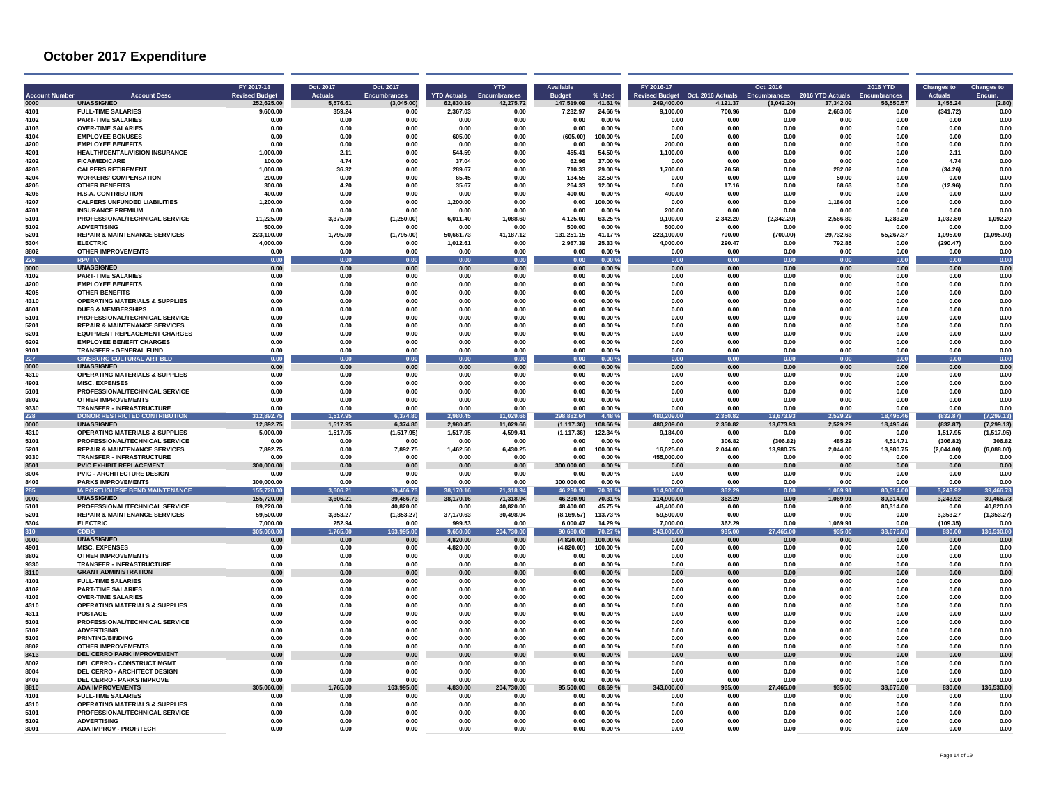| <b>Account Number</b><br>nnn | <b>Account Desc</b><br><b>UNASSIGNED</b>                                    | FY 2017-18<br><b>Revised Budget</b><br>252.625.00 | Oct. 2017<br><b>Actuals</b><br>5.576.61 | Oct. 2017<br><b>Encumbrances</b><br>(3,045.00) | <b>YTD Actuals</b><br>62.830.19 | <b>YTD</b><br>Encumbrances<br>42,275.72 | <b>Budget</b><br>147.519.09 | % Used<br>41.61%    | FY 2016-17<br><b>Revised Budget</b><br>249.400.00 | Oct. 2016 Actuals<br>4,121.37 | Oct. 2016<br>Encumbrances<br>(3,042.20) | 2016 YTD Actuals<br>37,342.02 | 2016 YTD<br><b>Encumbrances</b><br>56,550.57 | <b>Changes to</b><br><b>Actuals</b><br>1 455 24 | <b>Changes to</b><br>Encum.<br>(2.80) |
|------------------------------|-----------------------------------------------------------------------------|---------------------------------------------------|-----------------------------------------|------------------------------------------------|---------------------------------|-----------------------------------------|-----------------------------|---------------------|---------------------------------------------------|-------------------------------|-----------------------------------------|-------------------------------|----------------------------------------------|-------------------------------------------------|---------------------------------------|
| 4101                         | <b>FULL-TIME SALARIES</b>                                                   | 9.600.00                                          | 359.24                                  | 0.00                                           | 2,367.03                        | 0.00                                    | 7,232.97                    | 24.66%              | 9.100.00                                          | 700.96                        | 0.00                                    | 2,663.06                      | 0.00                                         | (341.72)                                        | 0.00                                  |
| 4102                         | <b>PART-TIME SALARIES</b>                                                   | 0.00                                              | 0.00                                    | 0.00                                           | 0.00                            | 0.00                                    | 0.00                        | 0.00%               | 0.00                                              | 0.00                          | 0.00                                    | 0.00                          | 0.00                                         | 0.00                                            | 0.00                                  |
| 4103                         | <b>OVER-TIME SALARIES</b>                                                   | 0.00                                              | 0.00                                    | 0.00                                           | 0.00                            | 0.00                                    | 0.00                        | 0.00%               | 0.00                                              | 0.00                          | 0.00                                    | 0.00                          | 0.00                                         | 0.00                                            | 0.00                                  |
| 4104<br>4200                 | <b>EMPLOYEE BONUSES</b><br><b>EMPLOYEE BENEFITS</b>                         | 0.00<br>0.00                                      | <b>0.00</b><br>0.00                     | <b>በ በበ</b><br>0.00                            | 605.00<br>0.00                  | 0.00<br>0.00                            | (605.00)                    | 100.00%<br>0.00%    | 0.00<br>200.00                                    | n nn<br>0.00                  | n nn<br>0.00                            | n nn<br>0.00                  | n nn<br>0.00                                 | 0.00<br>0.00                                    | 0.00<br>0.00                          |
| 4201                         | HEALTH/DENTAL/VISION INSURANCE                                              | 1.000.00                                          | 2.11                                    | 0.00                                           | 544.59                          | 0.00                                    | 0.00<br>455.41              | 54.50%              | 1,100.00                                          | 0.00                          | 0.00                                    | 0.00                          | 0.00                                         | 2.11                                            | 0.00                                  |
| 4202                         | <b>FICA/MEDICARE</b>                                                        | 100.00                                            | 4.74                                    | 0.00                                           | 37.04                           | 0.00                                    | 62.96                       | 37.00%              | 0.00                                              | 0.00                          | $0.00\,$                                | 0.00                          | 0.00                                         | 4.74                                            | 0.00                                  |
| 4203                         | <b>CALPERS RETIREMENT</b>                                                   | 1.000.00                                          | 36.32                                   | 0.00                                           | 289.67                          | 0.00                                    | 710.33                      | 29.00 %             | 1.700.00                                          | 70.58                         | 0.00                                    | 282.02                        | 0.00                                         | (34.26)                                         | 0.00                                  |
| 4204                         | <b>WORKERS' COMPENSATION</b>                                                | 200.00                                            | 0.00                                    | 0.00                                           | 65.45                           | 0.00                                    | 134.55                      | 32.50 %             | 0.00                                              | 0.00                          | 0.00                                    | 50.00                         | 0.00                                         | 0.00                                            | 0.00                                  |
| 4205                         | <b>OTHER BENEFITS</b>                                                       | 300.00                                            | 4.20                                    | 0.00                                           | 35.67                           | 0.00                                    | 264.33                      | 12.00%              | 0.00                                              | 17.16                         | 0.00                                    | 68.63                         | 0.00                                         | (12.96)                                         | 0.00                                  |
| 4206<br>4207                 | <b>H.S.A. CONTRIBUTION</b><br><b>CALPERS UNFUNDED LIABILITIES</b>           | 400.00<br>1.200.00                                | 0.00<br><b>0.00</b>                     | 0.00<br><b>በ በበ</b>                            | 0.00<br>1,200.00                | 0.00<br>0.00                            | 400.00<br>0.00              | 0.00%<br>100.00%    | 400.00<br>0.00                                    | 0.00<br>n nn                  | 0.00<br>n nn                            | 0.00<br>1,186.03              | 0.00<br>n nn                                 | 0.00<br>0.00                                    | 0.00<br>0.00                          |
| 4701                         | <b>INSURANCE PREMIUM</b>                                                    | 0.00                                              | 0.00                                    | 0.00                                           | 0.00                            | 0.00                                    | 0.00                        | 0.00%               | 200.00                                            | 0.00                          | 0.00                                    | 0.00                          | 0.00                                         | 0.00                                            | 0.00                                  |
| 5101                         | PROFESSIONAL/TECHNICAL SERVICE                                              | 11,225.00                                         | 3,375.00                                | (1, 250.00)                                    | 6,011.40                        | 1,088.60                                | 4,125.00                    | 63.25%              | 9,100.00                                          | 2,342.20                      | (2,342.20)                              | 2,566.80                      | 1,283.20                                     | 1,032.80                                        | 1,092.20                              |
| 5102                         | <b>ADVERTISING</b>                                                          | 500.00                                            | 0.00                                    | 0.00                                           | 0.00                            | 0.00                                    | 500.00                      | 0.00%               | 500.00                                            | 0.00                          | 0.00                                    | 0.00                          | 0.00                                         | 0.00                                            | 0.00                                  |
| 5201<br>5304                 | <b>REPAIR &amp; MAINTENANCE SERVICES</b><br><b>ELECTRIC</b>                 | 223.100.00<br>4.000.00                            | 1.795.00<br>0.00                        | (1,795.00)<br>0.00                             | 50.661.73<br>1.012.61           | 41.187.12<br>0.00                       | 131.251.15<br>2.987.39      | 41.17%<br>25.33%    | 223.100.00<br>4.000.00                            | 700.00<br>290.47              | (700.00)<br>0.00                        | 29.732.63<br>792.85           | 55.267.37<br>0.00                            | 1.095.00<br>(290.47)                            | (1,095.00)<br>0.00                    |
| 8802                         | <b>OTHER IMPROVEMENTS</b>                                                   | 0.00                                              | 0.00                                    | 0.00                                           | 0.00                            | 0.00                                    | 0.00                        | 0.00%               | 0.00                                              | 0.00                          | 0.00                                    | 0.00                          | 0.00                                         | 0.00                                            | 0.00                                  |
| 226                          | <b>RPV TV</b>                                                               | 0.00                                              | 0.00                                    | 0.00                                           | 0.00                            | 0.00                                    | 0.00                        | 0.00%               | 0.00                                              | 0.00                          | 0.00                                    | 0.00                          | 0.00                                         | 0.00                                            | 0.00                                  |
| 0000                         | <b>UNASSIGNED</b>                                                           | 0.00                                              | 0.00                                    | 0.00                                           | 0.00                            | 0.00                                    | 0.00                        | 0.00%               | 0.00                                              | 0.00                          | 0.00                                    | 0.00                          | 0.00                                         | 0.00                                            | 0.00                                  |
| 4102                         | <b>PART-TIME SALARIES</b>                                                   | 0.00                                              | 0.00                                    | 0.00                                           | 0.00                            | 0.00                                    | 0.00                        | 0.00%               | 0.00                                              | 0.00                          | 0.00                                    | 0.00                          | 0.00                                         | 0.00                                            | 0.00                                  |
| 4200<br>4205                 | <b>EMPLOYEE BENEFITS</b><br><b>OTHER BENEFITS</b>                           | 0.00<br>0.00                                      | 0.00<br>0.00                            | 0.00<br>0.00                                   | 0.00<br>0.00                    | 0.00<br>0.00                            | 0.00<br>0.00                | 0.00%<br>0.00%      | 0.00<br>0.00                                      | 0.00<br>0.00                  | 0.00<br>0.00                            | 0.00<br>0.00                  | 0.00<br>0.00                                 | 0.00<br>0.00                                    | 0.00<br>0.00                          |
| 4310                         | <b>OPERATING MATERIALS &amp; SUPPLIES</b>                                   | 0.00                                              | 0.00                                    | 0.00                                           | 0.00                            | 0.00                                    | 0.00                        | 0.00%               | 0.00                                              | 0.00                          | 0.00                                    | 0.00                          | 0.00                                         | 0.00                                            | 0.00                                  |
| 4601                         | <b>DUES &amp; MEMBERSHIPS</b>                                               | 0.00                                              | 0.00                                    | 0.00                                           | 0.00                            | 0.00                                    | 0.00                        | $0.00 \%$           | 0.00                                              | 0.00                          | 0.00                                    | 0.00                          | 0.00                                         | 0.00                                            | 0.00                                  |
| 5101                         | PROFESSIONAL/TECHNICAL SERVICE                                              | 0.00                                              | 0.00                                    | 0.00                                           | 0.00                            | 0.00                                    | 0.00                        | 0.00%               | 0.00                                              | 0.00                          | 0.00                                    | 0.00                          | 0.00                                         | 0.00                                            | 0.00                                  |
| 5201                         | <b>REPAIR &amp; MAINTENANCE SERVICES</b>                                    | 0.00                                              | 0.00                                    | 0.00                                           | 0.00                            | 0.00                                    | 0.00                        | 0.00%               | 0.00                                              | 0.00                          | 0.00                                    | 0.00                          | 0.00                                         | 0.00                                            | 0.00                                  |
| 6201<br>6202                 | <b>EQUIPMENT REPLACEMENT CHARGES</b><br><b>EMPLOYEE BENEFIT CHARGES</b>     | 0.00<br>0.00                                      | 0.00<br>0.00                            | 0.00<br>0.00                                   | 0.00<br>0.00                    | 0.00<br>0.00                            | 0.00<br>0.00                | 0.00%<br>$0.00 \%$  | 0.00<br>0.00                                      | 0.00<br>0.00                  | 0.00<br>0.00                            | 0.00<br>0.00                  | 0.00<br>0.00                                 | 0.00<br>0.00                                    | 0.00<br>0.00                          |
| 9101                         | TRANSFER - GENERAL FUND                                                     | 0.00                                              | 0.00                                    | 0.00                                           | 0.00                            | 0.00                                    | 0.00                        | 0.00%               | 0.00                                              | 0.00                          | 0.00                                    | 0.00                          | 0.00                                         | 0.00                                            | 0.00                                  |
| 227                          | <b>GINSBURG CULTURAL ART BLD</b>                                            | 0.00                                              | 0.00                                    | 0.00                                           | 0.00                            | 0.00                                    | 0.00                        | 0.00%               | 0.00                                              | 0.00                          | 0.00                                    | 0.00                          | 0.00                                         | 0.00                                            | 0.00                                  |
| 0000                         | <b>UNASSIGNED</b>                                                           | 0.00                                              | 0.00                                    | 0.00                                           | 0.00                            | 0.00                                    | 0.00                        | 0.00%               | 0.00                                              | 0.00                          | 0.00                                    | 0.00                          | 0.00                                         | 0.00                                            | 0.00                                  |
| 4310                         | <b>OPERATING MATERIALS &amp; SUPPLIES</b>                                   | 0.00                                              | 0.00                                    | 0.00                                           | 0.00                            | 0.00                                    | 0.00                        | 0.00%               | 0.00                                              | 0.00                          | 0.00                                    | 0.00                          | 0.00                                         | 0.00                                            | 0.00                                  |
| 4901<br>5101                 | <b>MISC. EXPENSES</b><br>PROFESSIONAL/TECHNICAL SERVICE                     | 0.00<br>0.00                                      | 0.00<br>0.00                            | 0.00<br>0.00                                   | 0.00<br>0.00                    | 0.00<br>0.00                            | 0.00<br>0.00                | 0.00%<br>0.00%      | 0.00<br>0.00                                      | 0.00<br>0.00                  | 0.00<br>0.00                            | 0.00<br>0.00                  | 0.00<br>0.00                                 | 0.00<br>0.00                                    | 0.00<br>0.00                          |
| 8802                         | <b>OTHER IMPROVEMENTS</b>                                                   | 0.00                                              | 0.00                                    | 0.00                                           | 0.00                            | 0.00                                    | 0.00                        | 0.00%               | 0.00                                              | 0.00                          | 0.00                                    | 0.00                          | 0.00                                         | 0.00                                            | 0.00                                  |
| 9330                         | <b>TRANSFER - INFRASTRUCTURE</b>                                            | 0.00                                              | 0.00                                    | 0.00                                           | 0.00                            | 0.00                                    | 0.00                        | 0.00%               | 0.00                                              | 0.00                          | 0.00                                    | 0.00                          | 0.00                                         | 0.00                                            | 0.00                                  |
| 228                          | <b>DONOR RESTRICTED CONTRIBUTION</b>                                        | 312.892.75                                        | 1,517.95                                | 6,374.80                                       | 980.45                          | 11,029.66                               | 298.882.64                  | 4.48%               | 480.209.00                                        | 2,350.82                      | 13,673.93                               | 2,529.29                      | 18,495.46                                    | (832.87)                                        | 7,299.13                              |
| 0000<br>4310                 | <b>UNASSIGNED</b><br><b>OPERATING MATERIALS &amp; SUPPLIES</b>              | 12.892.75<br>5.000.00                             | 1,517.95<br>1,517.95                    | 6,374.80                                       | 2,980.45<br>1,517.95            | 11,029.66<br>4,599.41                   | (1, 117.36)<br>(1, 117.36)  | 108.66%<br>122.34 % | 480,209.00<br>9,184.00                            | 2,350.82<br>0.00              | 13,673.93<br>0.00                       | 2,529.29<br>0.00              | 18,495.46<br>0.00                            | (832.87)<br>1,517.95                            | (7, 299.13)<br>(1,517.95)             |
| 5101                         | PROFESSIONAL/TECHNICAL SERVICE                                              | 0.00                                              | 0.00                                    | (1,517.95)<br>0.00                             | 0.00                            | 0.00                                    | 0.00                        | 0.00%               | 0.00                                              | 306.82                        | (306.82)                                | 485.29                        | 4.514.71                                     | (306.82)                                        | 306.82                                |
| 5201                         | <b>REPAIR &amp; MAINTENANCE SERVICES</b>                                    | 7,892.75                                          | 0.00                                    | 7,892.75                                       | 1,462.50                        | 6,430.25                                | 0.00                        | 100.00%             | 16,025.00                                         | 2,044.00                      | 13,980.75                               | 2,044.00                      | 13,980.75                                    | (2,044.00)                                      | (6,088.00)                            |
| 9330                         | <b>TRANSFER - INFRASTRUCTURE</b>                                            | 0.00                                              | 0.00                                    | 0.00                                           | 0.00                            | 0.00                                    | 0.00                        | 0.00%               | 455,000.00                                        | 0.00                          | 0.00                                    | 0.00                          | 0.00                                         | 0.00                                            | 0.00                                  |
| 8501                         | <b>PVIC EXHIBIT REPLACEMENT</b>                                             | 300.000.00                                        | 0.00                                    | 0.00                                           | 0.00                            | 0.00                                    | 300.000.00                  | 0.00%               | 0.00                                              | 0.00                          | 0.00                                    | 0.00                          | 0.00                                         | 0.00                                            | 0.00                                  |
| 8004<br>8403                 | <b>PVIC - ARCHITECTURE DESIGN</b><br><b>PARKS IMPROVEMENTS</b>              | 0.00<br>300,000.00                                | 0.00<br>0.00                            | 0.00<br>0.00                                   | 0.00<br>0.00                    | 0.00<br>0.00                            | 0.00<br>300,000.00          | $0.00 \%$<br>0.00%  | 0.00<br>0.00                                      | 0.00<br>0.00                  | 0.00<br>0.00                            | 0.00<br>0.00                  | 0.00<br>0.00                                 | 0.00<br>0.00                                    | 0.00<br>0.00                          |
| 285                          | IA PORTUGUESE BEND MAINTENANCE                                              | 155,720.00                                        | 606.21                                  | 39,466.73                                      | 38,170.16                       | 71,318.94                               | 46,230.90                   | 70.31 %             | 114,900.00                                        | 362.29                        | 0.00                                    | 1,069.91                      | 80,314.00                                    | 3,243.92                                        | 39,466.73                             |
| 0000                         | <b>IINASSIGNED</b>                                                          | 155.720.00                                        | 3,606.21                                | 39.466.73                                      | 38,170.16                       | 71.318.94                               | 46.230.90                   | 70.31 %             | 114.900.00                                        | 362.29                        | 0.00                                    | 1.069.91                      | 80.314.00                                    | 3,243.92                                        | 39,466.73                             |
| 5101                         | PROFESSIONAL/TECHNICAL SERVICE                                              | 89.220.00                                         | 0.00                                    | 40.820.00                                      | 0.00                            | 40.820.00                               | 48.400.00                   | 45.75%              | 48.400.00                                         | 0.00                          | 0.00                                    | 0.00                          | 80,314.00                                    | 0.00                                            | 40.820.00                             |
| 5201<br>5304                 | <b>REPAIR &amp; MAINTENANCE SERVICES</b><br><b>ELECTRIC</b>                 | 59,500.00<br>7,000.00                             | 3,353.27<br>252.94                      | (1, 353.27)<br>0.00                            | 37,170.63<br>999.53             | 30,498.94<br>0.00                       | (8, 169.57)<br>6,000.47     | 113.73%<br>14.29%   | 59,500.00<br>7,000.00                             | 0.00<br>362.29                | 0.00<br>0.00                            | 0.00<br>1,069.91              | 0.00<br>0.00                                 | 3,353.27<br>(109.35)                            | (1, 353.27)                           |
| 310                          | <b>CDBG</b>                                                                 | 305.060.00                                        | 1,765.00                                | 163,995.00                                     | 9.650.00                        | 204,730.00                              | 90.680.00                   | 70.27 %             | 343.000.00                                        | 935.00                        | 27,465.00                               | 935.00                        | 38,675.00                                    | 830.00                                          | 0.00<br>136.530.00                    |
| 0000                         | <b>UNASSIGNED</b>                                                           | 0.00                                              | 0.00                                    | 0.00                                           | 4.820.00                        | 0.00                                    | (4.820.00)                  | 100.00%             | 0.00                                              | 0.00                          | 0.00                                    | 0.00                          | 0.00                                         | 0.00                                            | 0.00                                  |
| 4901                         | <b>MISC. EXPENSES</b>                                                       | 0.00                                              | 0.00                                    | 0.00                                           | 4,820.00                        | 0.00                                    | (4,820.00)                  | 100.00%             | 0.00                                              | 0.00                          | 0.00                                    | 0.00                          | 0.00                                         | $\bf 0.00$                                      | 0.00                                  |
| 8802                         | <b>OTHER IMPROVEMENTS</b>                                                   | 0.00                                              | 0.00                                    | 0.00                                           | 0.00                            | 0.00                                    | 0.00                        | 0.00%               | 0.00                                              | 0.00                          | 0.00                                    | 0.00                          | 0.00                                         | 0.00                                            | 0.00                                  |
| 9330<br>8110                 | <b>TRANSFER - INFRASTRUCTURE</b><br><b>GRANT ADMINISTRATION</b>             | 0.00<br>0.00                                      | 0.00<br>0.00                            | 0.00<br>0.00                                   | 0.00<br>0.00                    | 0.00<br>0.00                            | 0.00<br>0.00                | 0.00%<br>$0.00 \%$  | 0.00<br>0.00                                      | 0.00<br>0.00                  | 0.00<br>0.00                            | 0.00<br>0.00                  | 0.00<br>0.00                                 | 0.00<br>0.00                                    | 0.00<br>0.00                          |
| 4101                         | <b>FULL-TIME SALARIES</b>                                                   | 0.00                                              | 0.00                                    | 0.00                                           | 0.00                            | 0.00                                    | 0.00                        | 0.00%               | 0.00                                              | 0.00                          | 0.00                                    | 0.00                          | 0.00                                         | 0.00                                            | 0.00                                  |
| 4102                         | <b>PART-TIME SALARIES</b>                                                   | 0.00                                              | 0.00                                    | 0.00                                           | 0.00                            | 0.00                                    | 0.00                        | 0.00%               | 0.00                                              | 0.00                          | 0.00                                    | 0.00                          | 0.00                                         | 0.00                                            | 0.00                                  |
| 4103                         | <b>OVER-TIME SALARIES</b>                                                   | 0.00                                              | 0.00                                    | 0.00                                           | 0.00                            | 0.00                                    | 0.00                        | 0.00%               | 0.00                                              | 0.00                          | 0.00                                    | 0.00                          | 0.00                                         | 0.00                                            | 0.00                                  |
| 4310<br>4311                 | <b>OPERATING MATERIALS &amp; SUPPLIES</b><br><b>POSTAGE</b>                 | 0.00<br>0.00                                      | 0.00                                    | 0.00<br>0.00                                   | 0.00<br>0.00                    | 0.00<br>0.00                            | 0.00<br>0.00                | 0.00%<br>0.00%      | 0.00<br>0.00                                      | 0.00<br>0.00                  | 0.00<br>0.00                            | 0.00<br>0.00                  | 0.00<br>0.00                                 | 0.00                                            | 0.00<br>0.00                          |
| 5101                         | PROFESSIONAL/TECHNICAL SERVICE                                              | 0.00                                              | 0.00<br>0.00                            | 0.00                                           | 0.00                            | 0.00                                    | 0.00                        | 0.00%               | 0.00                                              | 0.00                          | 0.00                                    | 0.00                          | 0.00                                         | 0.00<br>0.00                                    | 0.00                                  |
| 5102                         | <b>ADVERTISING</b>                                                          | 0.00                                              | 0.00                                    | 0.00                                           | 0.00                            | 0.00                                    | 0.00                        | 0.00%               | 0.00                                              | 0.00                          | 0.00                                    | 0.00                          | 0.00                                         | 0.00                                            | 0.00                                  |
| 5103                         | PRINTING/BINDING                                                            | 0.00                                              | 0.00                                    | 0.00                                           | 0.00                            | 0.00                                    | 0.00                        | $0.00 \%$           | 0.00                                              | 0.00                          | 0.00                                    | 0.00                          | 0.00                                         | 0.00                                            | 0.00                                  |
| 8802                         | <b>OTHER IMPROVEMENTS</b>                                                   | 0.00                                              | 0.00                                    | 0.00                                           | 0.00                            | 0.00                                    | 0.00                        | 0.00%               | 0.00                                              | 0.00                          | 0.00                                    | 0.00                          | 0.00                                         | 0.00                                            | 0.00                                  |
| 8413<br>8002                 | DEL CERRO PARK IMPROVEMENT<br><b>DEL CERRO - CONSTRUCT MGMT</b>             | 0.00<br>0.00                                      | 0.00<br>0.00                            | 0.00<br>0.00                                   | 0.00<br>0.00                    | 0.00<br>0.00                            | 0.00<br>0.00                | 0.00%<br>0.00%      | 0.00<br>0.00                                      | 0.00<br>0.00                  | 0.00<br>0.00                            | 0.00<br>0.00                  | 0.00<br>0.00                                 | 0.00<br>0.00                                    | 0.00<br>0.00                          |
| 8004                         | DEL CERRO - ARCHITECT DESIGN                                                | 0.00                                              | 0.00                                    | 0.00                                           | 0.00                            | 0.00                                    | 0.00                        | 0.00%               | 0.00                                              | 0.00                          | 0.00                                    | 0.00                          | 0.00                                         | 0.00                                            | 0.00                                  |
| 8403                         | <b>DEL CERRO - PARKS IMPROVE</b>                                            | 0.00                                              | 0.00                                    | 0.00                                           | 0.00                            | 0.00                                    | 0.00                        | 0.00%               | 0.00                                              | 0.00                          | 0.00                                    | 0.00                          | 0.00                                         | 0.00                                            | 0.00                                  |
| 8810                         | <b>ADA IMPROVEMENTS</b>                                                     | 060.00<br>305                                     | 765.00                                  | 163,995.00                                     | 30.00                           | 730.00                                  | 500.00                      | 8.69 %              | 00.00                                             | 935.00                        | ,465.00                                 | 35.00                         | 75.00                                        | 30.00                                           | 530.00                                |
| 4101                         | <b>FULL-TIME SALARIES</b>                                                   | 0.00                                              | 0.00                                    | 0.00                                           | 0.00                            | 0.00                                    | 0.00                        | 0.00%               | 0.00                                              | 0.00                          | 0.00                                    | 0.00                          | 0.00                                         | 0.00                                            | 0.00                                  |
| 4310<br>5101                 | <b>OPERATING MATERIALS &amp; SUPPLIES</b><br>PROFESSIONAL/TECHNICAL SERVICE | 0.00<br>0.00                                      | 0.00<br>0.00                            | 0.00<br>0.00                                   | 0.00<br>0.00                    | 0.00<br>0.00                            | 0.00<br>0.00                | 0.00%<br>0.00%      | 0.00<br>0.00                                      | 0.00<br>0.00                  | 0.00<br>0.00                            | 0.00<br>0.00                  | 0.00<br>0.00                                 | 0.00<br>0.00                                    | 0.00<br>0.00                          |
| 5102                         | <b>ADVERTISING</b>                                                          | 0.00                                              | 0.00                                    | 0.00                                           | 0.00                            | 0.00                                    | 0.00                        | 0.00%               | 0.00                                              | 0.00                          | 0.00                                    | 0.00                          | 0.00                                         | 0.00                                            | 0.00                                  |
| 8001                         | <b>ADA IMPROV - PROF/TECH</b>                                               | 0.00                                              | 0.00                                    | 0.00                                           | 0.00                            | 0.00                                    | 0.00                        | 0.00%               | 0.00                                              | 0.00                          | 0.00                                    | 0.00                          | 0.00                                         | 0.00                                            | 0.00                                  |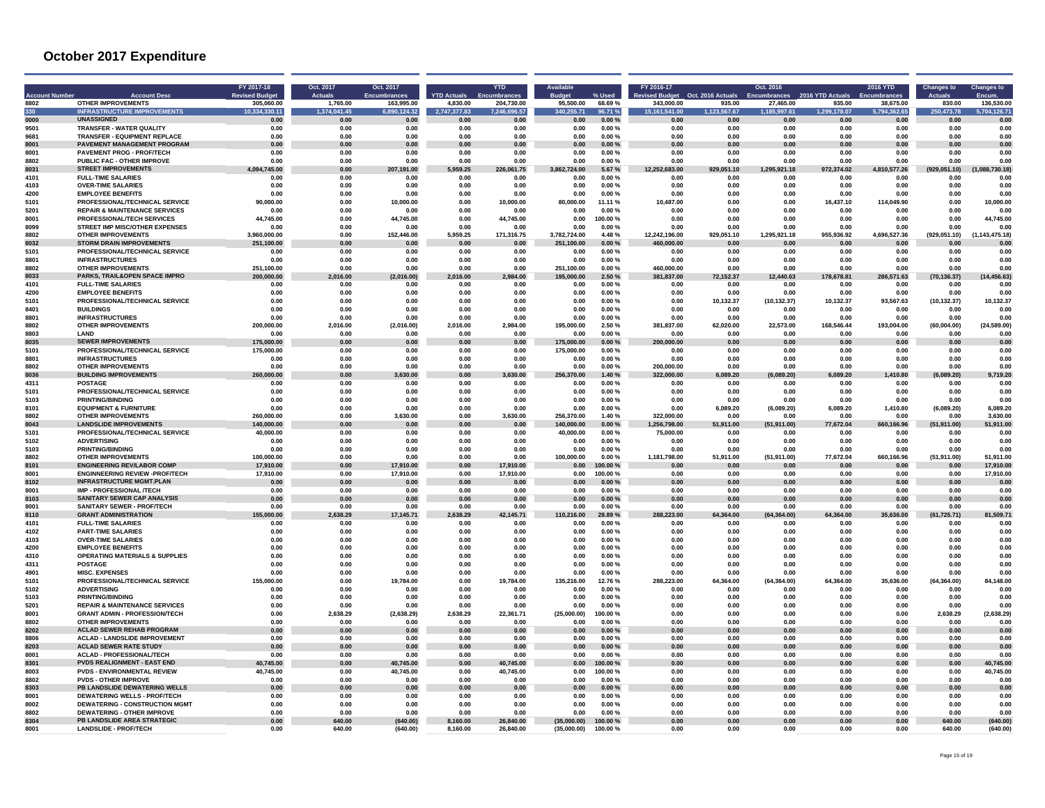| 8802         | <b>Account Dese</b><br><b>OTHER IMPROVEMENTS</b>                     | FY 2017-18<br><b>Revised Budge</b><br>305.060.00 | Oct. 2017<br><b>Actuals</b><br>1.765.00 | Oct. 2017<br>Encumbrances<br>163.995.00 | <b>YTD Actuals</b><br>4.830.00 | <b>YTD</b><br>imbrance:<br>204.730.00 | 95.500.00                  | % Used<br>68.69%   | FY 2016-17<br><b>ised Budget</b><br>343,000.00 | Oct. 2016 Actuals<br>935.00 | Oct. 2016<br><b>Encumbrances</b><br>27,465.00 | 2016 YTD Actuals<br>935.00 | <b>2016 YTD</b><br>38.675.00 | <b>Changes to</b><br>830.00 | <b>Changes to</b><br>136,530.00 |
|--------------|----------------------------------------------------------------------|--------------------------------------------------|-----------------------------------------|-----------------------------------------|--------------------------------|---------------------------------------|----------------------------|--------------------|------------------------------------------------|-----------------------------|-----------------------------------------------|----------------------------|------------------------------|-----------------------------|---------------------------------|
| 330          | <b>INFRASTRUCTURE IMPROVEMENTS</b>                                   | 10,334,330.11                                    | 1.374.041.45                            | 6,890,124.32                            | 2,747,377.83                   | 7,246,696.57                          | 340.255.71                 | 96.71 %            | 15, 161, 541.00                                | ,123,567.6                  | .185.997.6                                    | 1.299.178.07               | 5,794,362.65                 | 250,473.78                  | 5,704,126.71                    |
| 0000         | <b>UNASSIGNED</b>                                                    | 0.00                                             | 0.00                                    | 0.00                                    | 0.00                           | 0.00                                  | 0.00                       | $0.00 \%$          | 0.00                                           | 0.00                        | 0.00                                          | 0.00                       | 0.00                         | 0.00                        | 0.00                            |
| 9501<br>9681 | TRANSFER - WATER QUALITY<br><b>TRANSFER - FOURMENT REPLACE</b>       | 0.00<br>0.00                                     | 0.00<br>0.00                            | 0.00<br>0.00                            | 0.00<br>n nn                   | 0.00<br>0.00                          | 0.00<br>n nn               | 0.00%<br>0.00 %    | 0.00<br>0.00                                   | 0.00<br>n nn                | 0.00<br>n nn                                  | 0.00<br>n nn               | 0.00<br>n nn                 | 0.00<br>n nn                | 0.00<br>n nn                    |
| 8001         | PAVEMENT MANAGEMENT PROGRAM                                          | 0.00                                             | 0.00                                    | 0.00                                    | 0.00                           | 0.00                                  | 0.00                       | 0.00%              | 0.00                                           | 0.00                        | 0.00                                          | 0.00                       | 0.00                         | 0.00                        | 0.00                            |
| 8001         | <b>PAVEMENT PROG - PROF/TECH</b>                                     | 0.00                                             | 0.00                                    | 0.00                                    | 0.00                           | 0.00                                  | 0.00                       | 0.00%              | 0.00                                           | 0.00                        | 0.00                                          | 0.00                       | 0.00                         | 0.00                        | 0.00                            |
| 8802         | PUBLIC FAC - OTHER IMPROVE                                           | 0.00                                             | 0.00                                    | 0.00                                    | 0.00                           | 0.00                                  | 0.00                       | 0.00%              | 0.00                                           | 0.00                        | 0.00                                          | 0.00                       | 0.00                         | 0.00                        | 0.00                            |
| 8031         | <b>STREET IMPROVEMENTS</b>                                           | 4,094,745.00                                     | 0.00                                    | 207.191.00                              | 959.25                         | 226.061.75                            | 3.862.724.00               | 5.67%              | 12.25<br>683.00                                | 929.051.10                  | 1.295<br>921.18                               | 972.374.02                 | 4.810<br>577.26              | (929)<br>051.10)            | (1.088.730.18)                  |
| 4101         | <b>FULL-TIME SALARIES</b>                                            | 0.00                                             | 0.00                                    | 0.00                                    | 0.00                           | 0.00                                  | 0.00                       | 0.00%              | 0.00                                           | 0.00                        | 0.00                                          | 0.00                       | 0.00                         | 0.00                        | 0.00                            |
| 4103<br>4200 | <b>OVER-TIME SALARIES</b><br><b>EMPLOYEE BENEFITS</b>                | 0.00<br>0.00                                     | 0.00<br>0.00                            | 0.00<br>0.00                            | 0.00<br>0.00                   | 0.00<br>0.00                          | 0.00<br>0.00               | 0.00%<br>0.00%     | 0.00<br>0.00                                   | 0.00<br>0.00                | 0.00<br>0.00                                  | 0.00<br>0.00               | 0.00<br>0.00                 | 0.00<br>0.00                | 0.00<br>0.00                    |
| 5101         | PROFESSIONAL/TECHNICAL SERVICE                                       | 90.000.00                                        | 0.00                                    | 10.000.00                               | 0.00                           | 10.000.00                             | 80,000.00                  | 11.11 %            | 10,487.00                                      | 0.00                        | 0.00                                          | 16.437.10                  | 114.049.90                   | 0.00                        | 10.000.00                       |
| 5201         | <b>REPAIR &amp; MAINTENANCE SERVICES</b>                             | n nr                                             | 0.00                                    | 0.00                                    | 0.00                           | 0.00                                  | 0.00                       | 0.00%              | 0.00                                           | 0.00                        | 0.00                                          | 0.00                       | 0.00                         | 0.00                        | 0.00                            |
| 8001         | PROFESSIONAL/TECH SERVICES                                           | 44,745.00                                        | 0.00                                    | 44,745.00                               | 0.00                           | 44,745.00                             | 0.00                       | 100.00%            | 0.00                                           | 0.00                        | 0.00                                          | 0.00                       | 0.00                         | 0.00                        | 44.745.00                       |
| 8099         | <b>STREET IMP MISC/OTHER EXPENSES</b>                                | 0.00                                             | 0.00                                    | 0.00                                    | 0.00                           | 0.00                                  | 0.00                       | 0.00%              | 0.00                                           | 0.00                        | 0.00                                          | 0.00                       | 0.00                         | 0.00                        | 0.00                            |
| 8802<br>8032 | <b>OTHER IMPROVEMENTS</b><br><b>STORM DRAIN IMPROVEMENTS</b>         | 3.960.000.00<br>251.100.00                       | 0.00<br>0.00                            | 152.446.00<br>0.00                      | 5.959.25<br>0.00               | 171,316.75<br>0.00                    | 3.782.724.00<br>251.100.00 | 4 48 %<br>0.00%    | 12.242.196.00<br>460.000.00                    | 929.051.10<br>0.00          | 1,295,921.18<br>0.00                          | 955,936.92<br>0.00         | 4,696,527.36<br>0.00         | (929, 051.10)<br>0.00       | (1, 143, 475.18)<br>0.00        |
| 5101         | PROFESSIONAL/TECHNICAL SERVICE                                       | 0.00                                             | 0.00                                    | 0.00                                    | 0.00                           | 0.00                                  | 0.00                       | 0.00%              | 0.00                                           | 0.00                        | 0.00                                          | 0.00                       | 0.00                         | 0.00                        | 0.00                            |
| 8801         | <b>INFRASTRUCTURES</b>                                               | 0.00                                             | 0.00                                    | 0.00                                    | 0.00                           | 0.00                                  | 0.00                       | 0.00%              | 0.00                                           | 0.00                        | 0.00                                          | 0.00                       | 0.00                         | 0.00                        | 0.00                            |
| 8802         | <b>OTHER IMPROVEMENTS</b>                                            | 251.100.00                                       | 0.00                                    | 0.00                                    | 0.00                           | 0.00                                  | 251.100.00                 | 0.00%              | 460.000.00                                     | 0.00                        | 0.00                                          | 0.00                       | 0.00                         | 0.00                        | 0.00                            |
| 8033         | PARKS, TRAIL&OPEN SPACE IMPRO                                        | 200.000.00                                       | 2.016.00                                | (2,016.00)                              | 016.00                         | ,984.00                               | 195.000.00                 | 2.50%              | 381,837.00                                     | 72,152.37                   | 12,440.63                                     | 178,678.81                 | 286,571.63                   | 136.37)<br>(70,             | (14.456.63)                     |
| 4101         | <b>FULL-TIME SALARIES</b>                                            | 0.00                                             | 0.00                                    | 0.00                                    | 0.00                           | 0.00                                  | 0.00                       | 0.00%              | 0.00                                           | 0.00                        | 0.00                                          | 0.00                       | 0.00                         | 0.00                        | 0.00                            |
| 4200<br>5101 | <b>EMPLOYEE BENEFITS</b><br>PROFESSIONAL/TECHNICAL SERVICE           | 0.00<br>0.00                                     | 0.00<br>0.00                            | 0.00<br>0.00                            | 0.00<br>0.00                   | 0.00<br>0.00                          | 0.00<br>0.00               | 0.00%<br>$0.00 \%$ | 0.00<br>0.00                                   | 0.00<br>10,132.37           | 0.00<br>(10, 132.37)                          | 0.00<br>10,132.37          | 0.00<br>93.567.63            | 0.00<br>(10, 132.37)        | 0.00<br>10,132.37               |
| 8401         | <b>BUILDINGS</b>                                                     | 0.00                                             | 0.00                                    | 0.00                                    | 0.00                           | 0.00                                  | 0.00                       | 0.00%              | 0.00                                           | 0.00                        | 0.00                                          | 0.00                       | 0.00                         | 0.00                        | 0.00                            |
| 880          | <b>INFRASTRUCTURES</b>                                               | 0.00                                             | 0.00                                    | 0.00                                    | 0.00                           | 0.00                                  | 0.00                       | 0.00%              | 0.00                                           | 0.00                        | 0.00                                          | 0.00                       | 0.00                         | 0.00                        | 0.00                            |
| 8802         | <b>OTHER IMPROVEMENTS</b>                                            | 200,000.00                                       | 2,016.00                                | (2,016.00)                              | 2,016.00                       | 2,984.00                              | 195,000.00                 | 2.50 %             | 381,837.00                                     | 62,020.00                   | 22,573.00                                     | 168,546.44                 | 193,004.00                   | (60,004.00)                 | (24, 589.00)                    |
| 8803         | LAND                                                                 | 0.00                                             | 0.00                                    | 0.00                                    | 0.00                           | 0.00                                  | 0.00                       | 0.00%              | 0.00                                           | 0.00                        | 0.00                                          | 0.00                       | 0.00                         | 0.00                        | 0.00                            |
| 8035         | <b>SEWER IMPROVEMENTS</b>                                            | 175.000.00                                       | 0.00                                    | 0.00                                    | 0.00                           | 0.00                                  | 175.000.00                 | 0.00%              | 200,000.00                                     | 0.00                        | 0.00                                          | 0.00                       | 0.00                         | 0.00                        | 0.00                            |
| 510'<br>8801 | <b>PROFESSIONAL/TECHNICAL SERVICE</b><br><b>INFRASTRUCTURES</b>      | 175,000.00<br>0.00                               | 0.00<br>0.00                            | 0.00<br>0.00                            | 0.00<br>0.00                   | 0.00<br>0.00                          | 175,000.00<br>0.00         | 0.00%<br>0.00%     | 0.00<br>0.00                                   | 0.00<br>0.00                | 0.00<br>0.00                                  | 0.00<br>0.00               | 0.00<br>0.00                 | 0.00<br>0.00                | 0.00<br>0.00                    |
| 8802         | <b>OTHER IMPROVEMENTS</b>                                            | 0.00                                             | 0.00                                    | 0.00                                    | 0.00                           | 0.00                                  | 0.00                       | $0.00 \%$          | 200,000.00                                     | 0.00                        | 0.00                                          | 0.00                       | 0.00                         | 0.00                        | 0.00                            |
| 8036         | <b>BUILDING IMPROVEMENTS</b>                                         | 260.000.00                                       | 0.00                                    | 3.630.00                                | 0.00                           | 8.630.00                              | 256,370.00                 | 1.40%              | 322,000.00                                     | 6,089.20                    | (6.089.20)                                    | 6,089.20                   | 1,410.80                     | (6,089.20)                  | 9,719.20                        |
| 4311         | <b>POSTAGE</b>                                                       | 0.00                                             | 0.00                                    | 0.00                                    | 0.00                           | 0.00                                  | 0.00                       | 0.00%              | 0.00                                           | 0.00                        | 0.00                                          | 0.00                       | 0.00                         | 0.00                        | 0.00                            |
| 5101         | PROFESSIONAL/TECHNICAL SERVICE                                       | 0.00                                             | 0.00                                    | 0.00                                    | 0.00                           | 0.00                                  | 0.00                       | 0.00%              | 0.00                                           | 0.00                        | 0.00                                          | 0.00                       | 0.00                         | 0.00                        | 0.00                            |
| 5103<br>8101 | <b>PRINTING/BINDING</b><br><b>EQUIPMENT &amp; FURNITURE</b>          | 0.00<br>0.00                                     | 0.00<br>0.00                            | 0.00<br>0.00                            | n nn<br>0.00                   | 0.00<br>0.00                          | 0.00<br>0.00               | $0.00 \%$<br>0.00% | 0.00<br>0.00                                   | n nn<br>6,089.20            | n nn<br>(6,089.20)                            | n nn<br>6,089.20           | 0.00<br>1,410.80             | 0.00<br>(6,089.20)          | 0.00<br>6,089.20                |
| 8802         | <b>OTHER IMPROVEMENTS</b>                                            | 260.000.00                                       | 0.00                                    | 3.630.00                                | 0.00                           | 3.630.00                              | 256.370.00                 | 1.40%              | 322.000.00                                     | 0.00                        | 0.00                                          | 0.00                       | 0.00                         | 0.00                        | 3.630.00                        |
| 8043         | <b>LANDSLIDE IMPROVEMENTS</b>                                        | 140.000.00                                       | 0.00                                    | 0.00                                    | 0.00                           | 0.00                                  | 140.000.00                 | $0.00 \%$          | ,256,798.00                                    | 1,911.00                    | (51.911.00)                                   | 77,672.04                  | 66.96<br>660                 | (51, 911.00)                | 51,911.00                       |
| 5101         | PROFESSIONAL/TECHNICAL SERVICE                                       | 40.000.00                                        | 0.00                                    | 0.00                                    | 0.00                           | 0.00                                  | 40.000.00                  | $0.00 \%$          | 75,000,00                                      | 0.00                        | 0.00                                          | 0.00                       | 0.00                         | 0.00                        | 0.00                            |
| 5102         | <b>ADVERTISING</b>                                                   | 0.00                                             | 0.00                                    | 0.00                                    | 0.00                           | 0.00                                  | 0.00                       | 0.00%              | 0.00                                           | 0.00                        | 0.00                                          | 0.00                       | 0.00                         | 0.00                        | 0.00                            |
| 5103         | <b>PRINTING/BINDING</b>                                              | 0.00                                             | 0.00                                    | 0.00                                    | 0.00                           | 0.00                                  | 0.00                       | 0.00%              | 0.00                                           | 0.00                        | 0.00                                          | 0.00                       | 0.00                         | 0.00                        | 0.00                            |
| 8802<br>8101 | <b>OTHER IMPROVEMENTS</b><br><b>ENGINEERING REV/LABOR COMP</b>       | 100.000.00                                       | 0.00<br>0.00                            | 0.00<br>17.910.00                       | 0.00<br>0.00                   | 0.00<br>17.910.00                     | 100,000.00<br>0.00         | 0.00%<br>100.00%   | 1,181,798.00<br>n nn                           | 51,911.00<br>n nn           | (51, 911.00)<br>n nn                          | 77,672.04<br>n nn          | 660,166.96<br>0.00           | (51, 911.00)<br>0.00        | 51.911.00<br>17.910.00          |
| 800'         | <b>ENGINNEERING REVIEW -PROF/TECH</b>                                | 17,910.00<br>17,910.00                           | 0.00                                    | 17.910.00                               | 0.00                           | 17,910.00                             | 0.00                       | 100.00%            | 0.00                                           | 0.00                        | 0.00                                          | 0.00                       | 0.00                         | 0.00                        | 17.910.00                       |
| 8102         | <b>INFRASTRUCTURE MGMT.PLAN</b>                                      | 0.00                                             | 0.00                                    | 0.00                                    | 0.00                           | 0.00                                  | 0.00                       | 0.00%              | 0.00                                           | 0.00                        | 0.00                                          | 0.00                       | 0.00                         | 0.00                        | 0.00                            |
| 8001         | IMP - PROFESSIONAL /TECH                                             | 0.00                                             | 0.00                                    | 0.00                                    | 0.00                           | 0.00                                  | 0.00                       | 0.00%              | 0.00                                           | 0.00                        | 0.00                                          | 0.00                       | 0.00                         | 0.00                        | 0.00                            |
| 8103         | <b>SANITARY SEWER CAP ANALYSIS</b>                                   | 0.00                                             | 0.00                                    | 0.00                                    | 0.00                           | 0.00                                  | 0.00                       | 0.00%              | 0.00                                           | 0.00                        | 0.00                                          | 0.00                       | 0.00                         | 0.00                        | 0.00                            |
| 8001         | SANITARY SEWER - PROF/TECH                                           | 0.00                                             | 0.00                                    | 0.00                                    | 0.00                           | 0.00                                  | 0.00                       | 0.00%              | 0.00                                           | 0.00                        | 0.00                                          | 0.00                       | 0.00                         | 0.00                        | 0.00                            |
| 8110<br>4101 | <b>GRANT ADMINISTRATION</b><br><b>FULL-TIME SALARIES</b>             | 155,000.00<br>0.00                               | 2,638.29<br>0.00                        | 17,145.71<br>0.00                       | 638.29<br>0.00                 | 42,145.71<br>0.00                     | 110,216.00<br>0.00         | 28.89%<br>0.00%    | 223.00<br>0.00                                 | 64,364.00<br>0.00           | (64, 364.00)<br>0.00                          | 64,364.00<br>0.00          | 35,636.00<br>0.00            | 725.71)<br>0.00             | 81,509.71<br>0.00               |
| 4102         | <b>PART-TIME SALARIES</b>                                            | 0.00                                             | 0.00                                    | 0.00                                    | 0.00                           | 0.00                                  | 0.00                       | $0.00 \%$          | 0.00                                           | 0.00                        | 0.00                                          | 0.00                       | 0.00                         | 0.00                        | 0.00                            |
| 4103         | <b>OVER-TIME SALARIES</b>                                            | 0.00                                             | 0.00                                    | 0.00                                    | 0.00                           | 0.00                                  | 0.00                       | 0.00%              | 0.00                                           | 0.00                        | 0.00                                          | 0.00                       | 0.00                         | 0.00                        | 0.00                            |
| 4200         | <b>EMPLOYEE BENEFITS</b>                                             | 0.00                                             | 0.00                                    | 0.00                                    | 0.00                           | 0.00                                  | 0.00                       | 0.00%              | 0.00                                           | 0.00                        | 0.00                                          | 0.00                       | 0.00                         | 0.00                        | 0.00                            |
| 4310         | <b>OPERATING MATERIALS &amp; SUPPLIES</b>                            | 0.00                                             | 0.00                                    | 0.00                                    | 0.00                           | 0.00                                  | 0.00                       | 0.00%              | 0.00                                           | 0.00                        | 0.00                                          | 0.00                       | 0.00                         | 0.00                        | 0.00                            |
| 4311         | <b>POSTAGE</b>                                                       | 0.00                                             | 0.00                                    | 0.00                                    | 0.00                           | 0.00                                  | 0.00                       | $0.00 \%$          | 0.00                                           | 0.00                        | 0.00                                          | 0.00                       | 0.00                         | 0.00                        | 0.00                            |
| 4901<br>5101 | <b>MISC. EXPENSES</b><br>PROFESSIONAL/TECHNICAL SERVICE              | 0.00<br>155.000.00                               | 0.00<br>0.00                            | 0.00<br>19.784.00                       | 0.00<br>0.00                   | 0.00<br>19.784.00                     | 0.00<br>135,216.00         | 0.00%<br>12.76%    | 0.00<br>288,223.00                             | 0.00<br>64.364.00           | 0.00<br>(64, 364.00)                          | 0.00<br>64.364.00          | 0.00<br>35,636.00            | 0.00<br>(64, 364.00)        | 0.00<br>84,148.00               |
| 5102         | <b>ADVERTISING</b>                                                   | 0.00                                             | 0.00                                    | 0.00                                    | 0.00                           | 0.00                                  | 0.00                       | 0.00%              | 0.00                                           | 0.00                        | 0.00                                          | 0.00                       | 0.00                         | 0.00                        | 0.00                            |
| 5103         | <b>PRINTING/BINDING</b>                                              | 0.00                                             | 0.00                                    | 0.00                                    | 0.00                           | 0.00                                  | 0.00                       | 0.00%              | 0.00                                           | 0.00                        | 0.00                                          | 0.00                       | 0.00                         | 0.00                        | 0.00                            |
| 5201         | <b>REPAIR &amp; MAINTENANCE SERVICES</b>                             | 0.00                                             | 0.00                                    | 0.00                                    | 0.00                           | 0.00                                  | 0.00                       | 0.00%              | 0.00                                           | 0.00                        | 0.00                                          | 0.00                       | 0.00                         | 0.00                        | 0.00                            |
| 8001         | <b>GRANT ADMIN - PROFESSION/TECH</b>                                 | 0.00                                             | 2,638.29                                | (2,638.29)                              | 2,638.29                       | 22,361.71                             | (25,000.00)                | 100.00%            | 0.00                                           | 0.00                        | 0.00                                          | 0.00                       | 0.00                         | 2,638.29                    | (2,638.29)                      |
| 8802         | <b>OTHER IMPROVEMENTS</b><br><b>ACLAD SEWER REHAB PROGRAM</b>        | 0.00                                             | 0.00                                    | 0.00                                    | 0.00                           | 0.00                                  | 0.00                       | 0.00%              | 0.00                                           | 0.00                        | 0.00                                          | 0.00                       | 0.00                         | 0.00                        | 0.00                            |
| 8202<br>8806 | <b>ACLAD - LANDSLIDE IMPROVEMENT</b>                                 | 0.00<br>0.00                                     | 0.00<br>0.00                            | 0.00<br>0.00                            | 0.00<br>0.00                   | 0.00<br>0.00                          | 0.00<br>0.00               | 0.00%<br>0.00%     | 0.00<br>0.00                                   | 0.00<br>0.00                | 0.00<br>0.00                                  | 0.00<br>0.00               | 0.00<br>0.00                 | 0.00<br>0.00                | 0.00<br>0.00                    |
| 8203         | <b>ACLAD SEWER RATE STUDY</b>                                        | 0.00                                             | 0.00                                    | 0.00                                    | 0.00                           | 0.00                                  | 0.00                       | 0.00%              | 0.00                                           | 0.00                        | 0.00                                          | 0.00                       | 0.00                         | 0.00                        | 0.00                            |
| 8001         | <b>ACLAD - PROFESSIONAL/TECH</b>                                     | 0.00                                             | 0.00                                    | 0.00                                    | 0.00                           | 0.00                                  | 0.00                       | 0.00%              | 0.00                                           | 0.00                        | 0.00                                          | 0.00                       | 0.00                         | 0.00                        | 0.00                            |
| 8301         | <b>PVDS REALIGNMENT - EAST END</b>                                   | 40.745.00                                        | 0.00                                    | 40.745.00                               | 0.00                           | 40.745.00                             | 0.00                       | 100.00%            | 0.00                                           | 0.00                        | 0.00                                          | 0.00                       | 0.00                         | 0.00                        | 40.745.00                       |
| 8003         | <b>PVDS - ENVIRONMENTAL REVIEW</b>                                   | 40,745.00                                        | 0.00                                    | 40,745.00                               | 0.00                           | 40,745.00                             | 0.00                       | 100.00%            | 0.00                                           | 0.00                        | 0.00                                          | 0.00                       | 0.00                         | 0.00                        | 40,745.00                       |
| 8802         | <b>PVDS - OTHER IMPROVE</b>                                          | 0.00                                             | 0.00                                    | 0.00                                    | 0.00                           | 0.00                                  | 0.00                       | 0.00%              | 0.00                                           | 0.00                        | 0.00                                          | 0.00                       | 0.00                         | 0.00                        | 0.00                            |
| 8303<br>8001 | PB LANDSLIDE DEWATERING WELLS<br><b>DEWATERING WELLS - PROF/TECH</b> | 0.00<br>0.00                                     | 0.00<br>0.00                            | 0.00<br>0.00                            | 0.00<br>0.00                   | 0.00<br>0.00                          | 0.00<br>0.00               | 0.00%<br>$0.00 \%$ | 0.00<br>0.00                                   | 0.00<br>0.00                | 0.00<br>0.00                                  | 0.00<br>0.00               | 0.00<br>0.00                 | 0.00<br>0.00                | 0.00<br>0.00                    |
| 8002         | <b>DEWATERING - CONSTRUCTION MGMT</b>                                | 0.00                                             | 0.00                                    | 0.00                                    | 0.00                           | 0.00                                  | 0.00                       | 0.00%              | 0.00                                           | 0.00                        | 0.00                                          | 0.00                       | 0.00                         | 0.00                        | 0.00                            |
| 8802         | <b>DEWATERING - OTHER IMPROVE</b>                                    | 0.00                                             | 0.00                                    | 0.00                                    | 0.00                           | 0.00                                  | 0.00                       | 0.00%              | 0.00                                           | 0.00                        | 0.00                                          | 0.00                       | 0.00                         | 0.00                        | 0.00                            |
| 8304         | PB LANDSLIDE AREA STRATEGIC                                          | 0.00                                             | 640.00                                  | (640.00)                                | 8.160.00                       | 26,840.00                             | (35,000.00)                | 100.00%            | 0.00                                           | 0.00                        | 0.00                                          | 0.00                       | 0.00                         | 640.00                      | (640.00)                        |
| 8001         | <b>LANDSLIDE - PROF/TECH</b>                                         | 0.00                                             | 640.00                                  | (640.00)                                | 8.160.00                       | 26,840.00                             | (35.000.00)                | 100.00%            | 0.00                                           | 0.00                        | 0.00                                          | 0.00                       | 0.00                         | 640.00                      | (640.00)                        |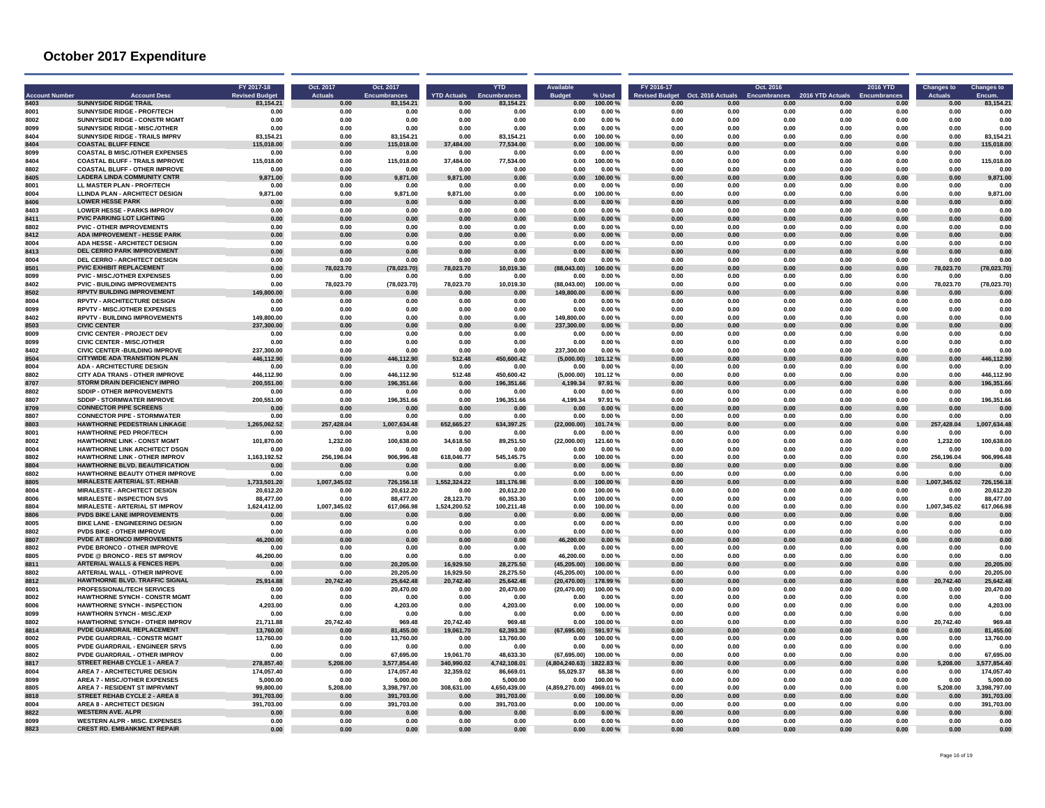| <b>Ccount Number</b> | <b>Account Desc</b>                                                           | FY 2017-18<br><b>Revised Budget</b> | Oct. 2017<br><b>Actuals</b> | Oct. 2017<br>Encumbrances  | <b>YTD Actuals</b>      | <b>YTD</b><br>Encumbrances | <b>Budget</b>               | % Used             | FY 2016-17<br><b>Revised Budget</b> | Oct. 2016 Actuals | Oct. 2016<br><b>Encumbrances</b> | 2016 YTD Actuals | <b>2016 YTD</b><br><b>Encumbrances</b> | <b>Changes to</b><br><b>Actuals</b> | <b>Changes to</b><br>Encum. |
|----------------------|-------------------------------------------------------------------------------|-------------------------------------|-----------------------------|----------------------------|-------------------------|----------------------------|-----------------------------|--------------------|-------------------------------------|-------------------|----------------------------------|------------------|----------------------------------------|-------------------------------------|-----------------------------|
| 8403<br>8001         | <b>SUNNYSIDE RIDGE TRAIL</b><br>SUNNYSIDE RIDGE - PROF/TECH                   | 83.154.21<br>0.00                   | 0.00<br>0.00                | 83.154.21<br>0.00          | 0.00<br>0.00            | 83.154.21<br>0.00          | 0.00<br>0.00                | 100.00%<br>0.00%   | 0.00<br>0.00                        | 0.00<br>0.00      | 0.00<br>0.00                     | 0.00<br>0.00     | 0.00<br>0.00                           | 0.00<br>0.00                        | 83,154.21<br>0.00           |
| 8002                 | SUNNYSIDE RIDGE - CONSTR MGM1                                                 | 0.00                                | 0.00                        | 0.00                       | 0.00                    | 0.00                       | 0.00                        | 0.00%              | 0.00                                | 0.00              | 0.00                             | 0.00             | 0.00                                   | 0.00                                | 0.00                        |
| 8099                 | SUNNYSIDE RIDGE - MISC./OTHER                                                 | 0.00                                | 0.00                        | 0.00                       | 0.00                    | 0.00                       | 0.00                        | 0.00%              | 0.00                                | 0.00              | 0.00                             | 0.00             | 0.00                                   | 0.00                                | 0.00                        |
| 8404                 | <b>SUNNYSIDE RIDGE - TRAILS IMPRV</b>                                         | 83.154.21                           | <b>0.00</b>                 | 83.154.21                  | 0.00                    | 83.154.21                  | n nn                        | 100.00 %           | 0.00                                | n nn              | n nn                             | n nn             | n nn                                   | n nn                                | 83.154.21                   |
| 8404                 | <b>COASTAL BLUFF FENCE</b>                                                    | 115.018.00                          | 0.00                        | 115.018.00                 | 37.484.00               | 77,534.00                  | 0.00                        | 100.00%            | 0.00                                | 0.00              | 0.00                             | 0.00             | 0.00                                   | 0.00                                | 115.018.00                  |
| 8099<br>8404         | <b>COASTAL B MISC./OTHER EXPENSES</b>                                         | 0.00                                | 0.00                        | 0.00                       | 0.00                    | 0.00                       | 0.00                        | 0.00%              | 0.00                                | 0.00<br>0.00      | 0.00<br>0.00                     | 0.00             | 0.00                                   | 0.00                                | 0.00                        |
| 8802                 | <b>COASTAL BLUFF - TRAILS IMPROVE</b><br><b>COASTAL BLUFF - OTHER IMPROVE</b> | 115,018.00<br>0.00                  | 0.00<br>0.00                | 115,018.00<br>0.00         | 37,484.00<br>0.00       | 77,534.00<br>0.00          | 0.00<br>0.00                | 100.00%<br>0.00%   | 0.00<br>0.00                        | 0.00              | 0.00                             | 0.00<br>0.00     | 0.00<br>0.00                           | 0.00<br>0.00                        | 115,018.00<br>0.00          |
| 8405                 | <b>LADERA LINDA COMMUNITY CNTR</b>                                            | 9.871.00                            | 0.00                        | 9.871.00                   | 9.871.00                | 0.00                       | 0.00                        | 100.00 %           | 0.00                                | 0.00              | 0.00                             | 0.00             | 0.00                                   | 0.00                                | 9,871.00                    |
| 8001                 | LL MASTER PLAN - PROF/TECH                                                    | 0.00                                | 0.00                        | 0.00                       | 0.00                    | 0.00                       | 0.00                        | 0.00%              | 0.00                                | 0.00              | 0.00                             | 0.00             | 0.00                                   | 0.00                                | 0.00                        |
| 8004                 | <b>LLINDA PLAN - ARCHITECT DESIGN</b>                                         | 9.871.00                            | 0.00                        | 9,871.00                   | 9,871.00                | 0.00                       | 0.00                        | 100.00%            | 0.00                                | 0.00              | 0.00                             | 0.00             | 0.00                                   | 0.00                                | 9,871.00                    |
| 8406                 | <b>LOWER HESSE PARK</b>                                                       | 0.00                                | 0.00                        | 0.00                       | 0.00                    | 0.00                       | 0.00                        | 0.00%              | 0.00                                | 0.00              | 0.00                             | 0.00             | 0.00                                   | 0.00                                | 0.00                        |
| 8403<br>8411         | <b>LOWER HESSE - PARKS IMPROV</b><br><b>PVIC PARKING LOT LIGHTING</b>         | 0.00<br>0.00                        | 0.00<br>0.00                | 0.00<br>0.00               | 0.00<br>0.00            | 0.00<br>0.00               | 0.00<br>0.00                | 0.00%<br>0.00%     | 0.00<br>0.00                        | 0.00<br>0.00      | 0.00<br>0.00                     | 0.00<br>0.00     | 0.00<br>0.00                           | 0.00<br>0.00                        | 0.00<br>0.00                |
| 8802                 | <b>PVIC - OTHER IMPROVEMENTS</b>                                              | 0.00                                | 0.00                        | 0.00                       | 0.00                    | 0.00                       | 0.00                        | 0.00%              | 0.00                                | 0.00              | 0.00                             | 0.00             | 0.00                                   | 0.00                                | 0.00                        |
| 8412                 | <b>ADA IMPROVEMENT - HESSE PARK</b>                                           | 0.00                                | 0.00                        | 0.00                       | 0.00                    | 0.00                       | 0.00                        | 0.00%              | 0.00                                | 0.00              | 0.00                             | 0.00             | 0.00                                   | 0.00                                | 0.00                        |
| 8004                 | <b>ADA HESSE - ARCHITECT DESIGN</b>                                           | 0.00                                | 0.00                        | 0.00                       | 0.00                    | 0.00                       | 0.00                        | 0.00%              | 0.00                                | 0.00              | 0.00                             | 0.00             | 0.00                                   | 0.00                                | 0.00                        |
| 8413                 | DEL CERRO PARK IMPROVEMENT                                                    | 0.00                                | 0.00                        | 0.00                       | 0.00                    | 0.00                       | 0.00                        | 0.00%              | 0.00                                | 0.00              | 0.00                             | 0.00             | 0.00                                   | 0.00                                | 0.00                        |
| 8004                 | DEL CERRO - ARCHITECT DESIGN                                                  | 0.00                                | 0.00                        | 0.00                       | 0.00                    | 0.00                       | 0.00                        | 0.00%              | 0.00                                | 0.00              | 0.00                             | 0.00             | 0.00                                   | 0.00                                | 0.00                        |
| 8501<br>8099         | <b>PVIC EXHIBIT REPLACEMENT</b><br><b>PVIC - MISC./OTHER EXPENSES</b>         | 0.00<br>0.00                        | 78.023.70<br>0.00           | (78, 023.70)<br>0.00       | 78.023.70<br>0.00       | 10,019.30<br>0.00          | (88,043.00)<br>0.00         | 00.00 %<br>0.00%   | 0.00<br>0.00                        | 0.00<br>0.00      | 0.00<br>0.00                     | 0.00<br>0.00     | 0.00<br>0.00                           | 78,023.70<br>0.00                   | (78, 023.70)<br>0.00        |
| 8402                 | <b>PVIC - BUILDING IMPROVEMENTS</b>                                           | 0.00                                | 78,023.70                   | (78,023.70)                | 78.023.70               | 10,019.30                  | (88.043.00)                 | 100.00%            | 0.00                                | 0.00              | 0.00                             | 0.00             | 0.00                                   | 78.023.70                           | (78, 023.70)                |
| 8502                 | <b>RPVTV BUILDING IMPROVEMENT</b>                                             | 149,800.00                          | 0.00                        | 0.00                       | 0.00                    | 0.00                       | 149.800.00                  | 0.00%              | 0.00                                | 0.00              | 0.00                             | 0.00             | 0.00                                   | 0.00                                | 0.00                        |
| 8004                 | <b>RPVTV - ARCHITECTURE DESIGN</b>                                            | 0.00                                | 0.00                        | 0.00                       | 0.00                    | 0.00                       | 0.00                        | $0.00 \%$          | 0.00                                | 0.00              | 0.00                             | 0.00             | 0.00                                   | 0.00                                | 0.00                        |
| 8099                 | <b>RPVTV - MISC./OTHER EXPENSES</b>                                           | 0.00                                | 0.00                        | 0.00                       | 0.00                    | 0.00                       | 0.00                        | 0.00%              | 0.00                                | 0.00              | 0.00                             | 0.00             | 0.00                                   | 0.00                                | 0.00                        |
| 8402                 | <b>RPVTV - BUILDING IMPROVEMENTS</b>                                          | 149,800.00                          | 0.00                        | 0.00                       | 0.00                    | 0.00                       | 149.800.00                  | 0.00%              | 0.00                                | 0.00              | 0.00                             | 0.00             | 0.00                                   | 0.00                                | 0.00                        |
| 8503<br>8009         | <b>CIVIC CENTER</b><br><b>CIVIC CENTER - PROJECT DEV</b>                      | 237,300.00<br>0.00                  | 0.00<br>0.00                | 0.00<br>0.00               | 0.00<br>0.00            | 0.00<br>0.00               | 237,300.00<br>0.00          | $0.00 \%$<br>0.00% | 0.00<br>0.00                        | 0.00<br>0.00      | 0.00<br>0.00                     | 0.00<br>0.00     | 0.00<br>0.00                           | 0.00<br>0.00                        | 0.00<br>0.00                |
| 8099                 | <b>CIVIC CENTER - MISC./OTHER</b>                                             | 0.00                                | 0.00                        | 0.00                       | 0.00                    | 0.00                       | 0.00                        | 0.00%              | 0.00                                | 0.00              | 0.00                             | 0.00             | 0.00                                   | 0.00                                | 0.00                        |
| 8402                 | <b>CIVIC CENTER - BUILDING IMPROVE</b>                                        | 237.300.00                          | 0.00                        | 0.00                       | 0.00                    | 0.00                       | 237.300.00                  | 0.00%              | 0.00                                | 0.00              | 0.00                             | 0.00             | 0.00                                   | 0.00                                | 0.00                        |
| 8504                 | <b>CITYWIDE ADA TRANSITION PLAN</b>                                           | 446.112.90                          | 0.00                        | 446,112.90                 | 512.48                  | 450,600.42                 | (5.000.00)                  | 101.12%            | 0.00                                | 0.00              | 0.00                             | 0.00             | 0.00                                   | 0.00                                | 446,112.90                  |
| 8004                 | <b>ADA - ARCHITECTURE DESIGN</b>                                              | 0.00                                | 0.00                        | 0.00                       | 0.00                    | 0.00                       | 0.00                        | $0.00 \%$          | 0.00                                | 0.00              | 0.00                             | 0.00             | 0.00                                   | 0.00                                | 0.00                        |
| 8802                 | CITY ADA TRANS - OTHER IMPROVE                                                | 446.112.90                          | 0.00                        | 446.112.90                 | 512.48                  | 450.600.42                 | (5.000.00)                  | 101.12%            | 0.00                                | 0.00              | 0.00                             | 0.00             | 0.00                                   | 0.00                                | 446,112.90                  |
| 8707<br>8802         | <b>STORM DRAIN DEFICIENCY IMPRO</b><br>SDDIP - OTHER IMPROVEMENTS             | 200.551.00<br>0.00                  | 0.00<br>0.00                | 196,351.66<br>0.00         | 0.00<br>0.00            | 196,351.66<br>0.00         | 4,199.34<br>0.00            | 97.91 %<br>0.00%   | 0.00<br>0.00                        | 0.00<br>0.00      | 0.00<br>0.00                     | 0.00<br>0.00     | 0.00<br>0.00                           | 0.00<br>0.00                        | 196,351.66<br>0.00          |
| 8807                 | SDDIP - STORMWATER IMPROVE                                                    | 200,551.00                          | 0.00                        | 196,351.66                 | n nn                    | 196,351.66                 | 4,199.34                    | 97.91%             | 0.00                                | 0.00              | 0.00                             | 0.00             | 0.00                                   | 0.00                                | 196,351.66                  |
| 8709                 | <b>CONNECTOR PIPE SCREENS</b>                                                 | 0.00                                | 0.00                        | 0.00                       | 0.00                    | 0.00                       | 0.00                        | 0.00%              | 0.00                                | 0.00              | 0.00                             | 0.00             | 0.00                                   | 0.00                                | 0.00                        |
| 8807                 | <b>CONNECTOR PIPE - STORMWATER</b>                                            | 0.00                                | 0.00                        | 0.00                       | 0.00                    | 0.00                       | 0.00                        | 0.00%              | 0.00                                | 0.00              | 0.00                             | 0.00             | 0.00                                   | 0.00                                | 0.00                        |
| 8803                 | <b>HAWTHORNE PEDESTRIAN LINKAGE</b>                                           | 1,265,062.52                        | 257,428.04                  | 1,007,634.48               | 652,665.27              | 634,397.25                 | (22,000.00)                 | 101.74 %           | 0.00                                | 0.00              | 0.00                             | 0.00             | $\bf 0.00$                             | 428.04<br>257                       | 007,634.48                  |
| 8001                 | <b>HAWTHORNE PED PROF/TECH</b>                                                | 0.00                                | 0.00                        | 0.00                       | 0.00                    | 0.00                       | 0.00                        | $0.00 \%$          | 0.00                                | 0.00              | 0.00                             | 0.00             | 0.00                                   | 0.00                                | 0.00                        |
| 8002<br>8004         | <b>HAWTHORNE LINK - CONST MGMT</b><br><b>HAWTHORNE LINK ARCHITECT DSGN</b>    | 101.870.00<br>0.00                  | 1.232.00<br>0.00            | 100.638.00<br>0.00         | 34,618.50<br>0.00       | 89,251.50<br>0.00          | (22,000.00)<br>0.00         | 121.60%<br>0.00%   | 0.00<br>0.00                        | 0.00<br>0.00      | 0.00<br>0.00                     | 0.00<br>0.00     | 0.00<br>0.00                           | 1,232.00<br>0.00                    | 100,638.00<br>0.00          |
| 8802                 | <b>HAWTHORNE LINK - OTHER IMPROV</b>                                          | 1,163,192.52                        | 256.196.04                  | 906,996.48                 | 618,046.77              | 545,145.75                 | 0.00                        | 100.00%            | 0.00                                | 0.00              | 0.00                             | 0.00             | 0.00                                   | 256,196.04                          | 906.996.48                  |
| 8804                 | <b>HAWTHORNE BLVD, BEAUTIFICATION</b>                                         | 0.00                                | 0.00                        | 0.00                       | 0.00                    | 0.00                       | 0.00                        | 0.00%              | 0.00                                | n nn              | 0.00                             | n nn             | 0.00                                   | n nn                                | 0.00                        |
| 8802                 | <b>HAWTHORNE BEAUTY OTHER IMPROVE</b>                                         | 0.00                                | 0.00                        | 0.00                       | 0.00                    | 0.00                       | 0.00                        | 0.00%              | 0.00                                | 0.00              | 0.00                             | 0.00             | 0.00                                   | 0.00                                | 0.00                        |
| 8805                 | <b>MIRALESTE ARTERIAL ST. REHAB</b>                                           | 1.733.501.20                        | 1,007,345.02                | 726.156.18                 | 1.552.324.22            | 181.176.98                 | 0.00                        | 100.00%            | 0.00                                | 0.00              | 0.00                             | 0.00             | 0.00                                   | 345.02<br>1.007                     | 726.156.18                  |
| 8004<br>8006         | <b>MIRALESTE - ARCHITECT DESIGN</b><br><b>MIRALESTE - INSPECTION SVS</b>      | 20,612.20<br>88.477.00              | 0.00<br>0.00                | 20,612.20<br>88.477.00     | 0.00<br>28.123.70       | 20,612.20<br>60.353.30     | 0.00<br>0.00                | 100.00%<br>100.00% | 0.00<br>0.00                        | 0.00<br>0.00      | 0.00<br>0.00                     | 0.00<br>0.00     | 0.00<br>0.00                           | 0.00<br>0.00                        | 20.612.20<br>88.477.00      |
| 8804                 | <b>MIRALESTE - ARTERIAL ST IMPROV</b>                                         | 1.624.412.00                        | 1,007,345.02                | 617,066.98                 | 1,524,200.52            | 100,211.48                 | 0.00                        | 100.00%            | 0.00                                | 0.00              | 0.00                             | 0.00             | 0.00                                   | 1,007,345.02                        | 617,066.98                  |
| 8806                 | PVDS BIKE LANE IMPROVEMENTS                                                   | 0.00                                | 0.00                        | 0.00                       | 0.00                    | 0.00                       | 0.00                        | 0.00%              | 0.00                                | 0.00              | 0.00                             | 0.00             | 0.00                                   | 0.00                                | 0.00                        |
| 8005                 | <b>BIKE LANE - ENGINEERING DESIGN</b>                                         | 0.00                                | 0.00                        | 0.00                       | 0.00                    | 0.00                       | 0.00                        | 0.00%              | 0.00                                | 0.00              | 0.00                             | 0.00             | 0.00                                   | 0.00                                | 0.00                        |
| 8802                 | <b>PVDS BIKE - OTHER IMPROVE</b>                                              | 0.00                                | 0.00                        | 0.00                       | 0.00                    | 0.00                       | 0.00                        | $0.00 \%$          | 0.00                                | 0.00              | 0.00                             | 0.00             | 0.00                                   | 0.00                                | 0.00                        |
| 8807                 | PVDE AT BRONCO IMPROVEMENTS                                                   | 46,200.00                           | 0.00                        | 0.00                       | 0.00                    | 0.00                       | 46.200.00                   | 0.00%              | 0.00                                | 0.00              | 0.00                             | 0.00             | 0.00                                   | 0.00                                | 0.00                        |
| 8802<br>8805         | <b>PVDE BRONCO - OTHER IMPROVE</b><br><b>PVDE @ BRONCO - RES ST IMPROV</b>    | 0.00                                | 0.00                        | 0.00                       | 0.00<br>0.00            | 0.00                       | 0.00                        | 0.00%              | 0.00<br>0.00                        | 0.00<br>0.00      | 0.00<br>0.00                     | 0.00<br>0.00     | 0.00                                   | 0.00<br>0.00                        | 0.00<br>0.00                |
| 8811                 | <b>ARTERIAL WALLS &amp; FENCES REPL</b>                                       | 46,200.00<br>0.00                   | 0.00<br>0.00                | 0.00<br>20,205.00          | 16.929.50               | 0.00<br>28,275.50          | 46,200.00<br>(45.205.00)    | 0.00%<br>100.00%   | 0.00                                | 0.OC              | n nn                             | n nn             | 0.00<br>0.00                           | 0.00                                | 20.205.00                   |
| 8802                 | <b>ARTERIAL WALL - OTHER IMPROVE</b>                                          | 0.00                                | 0.00                        | 20,205.00                  | 16,929.50               | 28,275.50                  | (45, 205.00)                | 100.00%            | 0.00                                | 0.00              | 0.00                             | 0.00             | 0.00                                   | 0.00                                | 20,205.00                   |
| 8812                 | HAWTHORNE BLVD. TRAFFIC SIGNAL                                                | 25.914.88                           | 20.742.40                   | 25,642.48                  | 20.742.40               | 25,642.48                  | (20, 470.00)                | 178.99%            | 0.00                                | 0.00              | 0.00                             | 0.00             | 0.00                                   | 742.40                              | 25.642.48                   |
| 800                  | PROFESSIONAL/TECH SERVICES                                                    | 0.00                                | 0.00                        | 20.470.00                  | 0.00                    | 20,470.00                  | (20.470.00)                 | 100.00 %           | 0.00                                | 0.00              | 0.00                             | 0.00             | 0.00                                   | 0.00                                | 20,470.00                   |
| 8002                 | <b>HAWTHORNE SYNCH - CONSTR MGMT</b>                                          | 0.00                                | 0.00                        | 0.00                       | 0.00                    | 0.00                       | 0.00                        | 0.00%              | 0.00                                | 0.00              | 0.00                             | 0.00             | 0.00                                   | 0.00                                | 0.00                        |
| 8006<br>8099         | <b>HAWTHORNE SYNCH - INSPECTION</b><br><b>HAWTHORN SYNCH - MISC./EXP</b>      | 4.203.00<br>0.00                    | 0.00<br>0.00                | 4,203.00<br>0.00           | 0.00<br>0.00            | 4,203.00<br>0.00           | 0.00<br>0.00                | 100.00%<br>0.00%   | 0.00<br>0.00                        | 0.00<br>0.00      | 0.00<br>0.00                     | 0.00<br>0.00     | 0.00<br>0.00                           | 0.00<br>0.00                        | 4,203.00                    |
| 8802                 | <b>HAWTHORNE SYNCH - OTHER IMPROV</b>                                         | 21.711.88                           | 20.742.40                   | 969.48                     | 20.742.40               | 969.48                     | 0.00                        | 100.00%            | 0.00                                | 0.00              | 0.00                             | 0.00             | 0.00                                   | 20,742.40                           | 969.48                      |
| 8814                 | <b>PVDE GUARDRAIL REPLACEMENT</b>                                             | 13,760.00                           | 0.00                        | 81,455.00                  | 19.061.70               | 62.393.30                  | (67, 695.00)                | 591.97%            | 0.00                                | 0.00              | 0.00                             | 0.00             | 0.00                                   | 0.00                                | 81.455.00                   |
| 8002                 | PVDE GUARDRAIL - CONSTR MGMT                                                  | 13,760.00                           | 0.00                        | 13,760.00                  | 0.00                    | 13,760.00                  | 0.00                        | 100.00%            | 0.00                                | 0.00              | 0.00                             | 0.00             | 0.00                                   | 0.00                                | 13,760.00                   |
| 8005                 | <b>PVDE GUARDRAIL - ENGINEER SRVS</b>                                         | 0.00                                | 0.00                        | 0.00                       | 0.00                    | 0.00                       | 0.00                        | 0.00%              | 0.00                                | 0.00              | 0.00                             | 0.00             | 0.00                                   | 0.00                                | 0.00                        |
| 8802                 | PVDE GUARDRAIL - OTHER IMPROV                                                 | 0.00                                | 0.00                        | 67,695.00                  | 19,061.70               | 48,633.30                  | (67, 695.00)                | 100.00 %           | 0.00                                | 0.00              | 0.00                             | 0.00             | 0.00                                   | 0.00                                | 67,695.00                   |
| 8817<br>8004         | <b>STREET REHAB CYCLE 1 - AREA 7</b><br><b>AREA 7 - ARCHITECTURE DESIGN</b>   | 278.857.40<br>174.057.40            | 5.208.00<br>0.00            | 3.577.854.40<br>174.057.40 | 340.990.02<br>32,359.02 | 4.742.108.01<br>86,669.01  | (4,804,240.63)<br>55.029.37 | 1822.83%<br>68.38% | 0.00<br>0.00                        | 0.00<br>0.00      | 0.00<br>0.00                     | 0.00<br>0.00     | 0.00<br>0.00                           | 5.208.00<br>0.00                    | 3.577.854.40<br>174,057.40  |
| 8099                 | <b>AREA 7 - MISCJOTHER EXPENSES</b>                                           | 5.000.00                            | 0.00                        | 5.000.00                   | 0.00                    | 5.000.00                   | 0.00                        | 100.00 %           | 0.00                                | 0.00              | 0.00                             | 0.00             | 0.00                                   | 0.00                                | 5.000.00                    |
| 8805                 | <b>AREA 7 - RESIDENT ST IMPRVMNT</b>                                          | 99.800.00                           | 5.208.00                    | 3.398.797.00               | 308.631.00              | 4.650.439.00               | (4,859,270.00)              | 4969.01 %          | 0.00                                | 0.00              | 0.00                             | 0.00             | 0.00                                   | 5.208.00                            | 3.398.797.00                |
| 8818                 | STREET REHAB CYCLE 2 - AREA 8                                                 | 391.703.00                          | 0.00                        | 391.703.00                 | 0.00                    | 391.703.00                 | 0.00                        | 100.00 %           | 0.00                                | 0.00              | 0.00                             | 0.00             | 0.00                                   | 0.00                                | 391.703.00                  |
| 8004                 | <b>AREA 8 - ARCHITECT DESIGN</b>                                              | 391,703.00                          | 0.00                        | 391,703.00                 | 0.00                    | 391,703.00                 | 0.00                        | 100.00%            | 0.00                                | 0.00              | 0.00                             | 0.00             | 0.00                                   | 0.00                                | 391,703.00                  |
| 8822                 | <b>WESTERN AVE, ALPR</b>                                                      | 0.00                                | 0.00                        | 0.00                       | 0.00                    | 0.00                       | 0.00                        | 0.00%              | 0.00                                | 0.00              | 0.00                             | 0.00             | 0.00                                   | 0.00                                | 0.00                        |
| 8099<br>8823         | <b>WESTERN ALPR - MISC, EXPENSES</b><br><b>CREST RD. EMBANKMENT REPAIR</b>    | 0.00                                | 0.00<br>0.00                | 0.00<br>0.00               | 0.00<br>0.00            | 0.00<br>0.00               | 0.00<br>0.00                | 0.00%<br>0.00%     | 0.00<br>0.00                        | 0.00<br>0.00      | 0.00<br>0.00                     | 0.00<br>0.00     | 0.00                                   | 0.00<br>0.00                        | 0.00<br>0.00                |
|                      |                                                                               | 0.00                                |                             |                            |                         |                            |                             |                    |                                     |                   |                                  |                  | 0.00                                   |                                     |                             |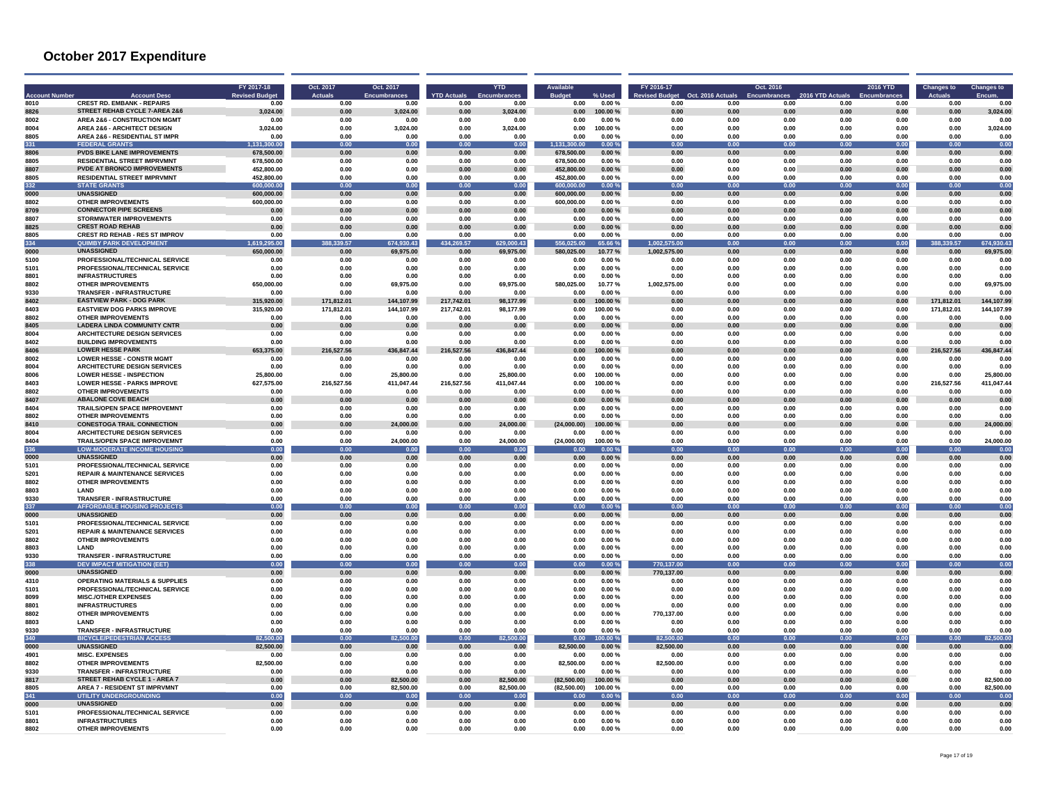|              | <b>Account Dese</b>                                                    | FY 2017-18<br><b>Revised Budge</b> | Oct. 2017<br><b>Actuals</b> | Oct. 2017<br><b>Encumbrances</b> | <b>YTD Actuals</b> | <b>YTD</b>             | <b>Budge</b>               |                     | FY 2016-17      | Oct. 2016 Actuals | Oct. 2016<br>Encumbrance | 2016 YTD Actual | 2016 YTD     | Changes to    | <b>Changes to</b>      |
|--------------|------------------------------------------------------------------------|------------------------------------|-----------------------------|----------------------------------|--------------------|------------------------|----------------------------|---------------------|-----------------|-------------------|--------------------------|-----------------|--------------|---------------|------------------------|
| 8010         | <b>CREST RD. EMBANK - REPAIRS</b>                                      | 0.00                               | 0.00                        | 0.00                             | 0.00               | 0.00                   | 0.00                       | 0.00%               | 0.00            | 0.00              | 0.00                     | 0.00            | 0.00         | 0.00          | 0.00                   |
| 8826         | STREET REHAB CYCLE 7-AREA 2&6                                          | 3.024.00                           | 0.00                        | 3,024.00                         | 0.00               | 3.024.00               | 0.00                       | 100.00%             | 0.00            | 0.00              | 0.00                     | 0.00            | 0.00         | 0.00          | 3,024.00               |
| 8002         | <b>AREA 2&amp;6 - CONSTRUCTION MGMT</b>                                | 0.00                               | 0.00                        | 0.00                             | 0.00               | 0.00                   | 0.00                       | 0.00%               | 0.00            | 0.00              | 0.00                     | 0.00            | 0.00         | 0.00          | 0.00                   |
| 8004         | <b>AREA 2&amp;6 - ARCHITECT DESIGN</b>                                 | 3,024.00                           | 0.00                        | 3,024.00                         | 0.00               | 3,024.00               | 0.00                       | 100.00%             | 0.00            | 0.00              | 0.00                     | 0.00            | 0.00         | 0.00          | 3,024.00               |
| 8805         | AREA 2&6 - RESIDENTIAL ST IMPR                                         | 0.00                               | 0.00                        | 0.00                             | 0.00               | 0.00                   | 0.00                       | 0.00%               | 0.00            | 0.00              | 0.00                     | 0.00            | 0.00         | 0.00          | 0.00                   |
| 331          | <b>FEDERAL GRANTS</b>                                                  | 131.300.00                         | 0.00                        | 0.00                             | 0.00               | 0.00                   | 1,131,300.00               | 0.00%               | 0.00            | 0.00              | 0.00                     | 0.00            | 0.00         | 0.00          | 0.00                   |
| 8806         | <b>PVDS BIKE LANE IMPROVEMENTS</b>                                     | 678.500.00                         | 0.00                        | 0.00                             | 0.00               | 0.00                   | 678,500.00                 | 0.00%               | 0.00            | 0.00              | 0.00                     | 0.00            | 0.00         | 0.00          | 0.00                   |
| 8805         | <b>RESIDENTIAL STREET IMPRVMNT</b>                                     | 678.500.00                         | 0.00                        | 0.00                             | 0.00               | 0.00                   | 678,500.00                 | 0.00%               | 0.00            | 0.00              | 0.00                     | 0.00            | 0.00         | 0.00          | 0.00                   |
| 8807         | <b>PVDE AT BRONCO IMPROVEMENTS</b>                                     | 452,800.00                         | 0.00                        | 0.00                             | 0.00               | 0.00                   | 452,800.00                 | $0.00 \%$           | $\bf 0.00$      | 0.00              | 0.00                     | 0.00            | $0.00\,$     | 0.00          | 0.00                   |
| 8805         | <b>RESIDENTIAL STREET IMPRVMNT</b>                                     | 452.800.00                         | 0.00                        | 0.00                             | 0.00               | 0.00                   | 452,800.00                 | 0.00%               | 0.00            | 0.00              | 0.00                     | 0.00            | 0.00         | 0.00          | 0.00                   |
| 332          | <b>STATE GRANTS</b>                                                    | 600.000.00                         | 0.00                        | 0.00                             | 0.00               | 0.00                   | 600.000.01                 | 0.00%               | 0.00            | 0.00              | 0.00                     | 0.00            | 0.00         | 0.00          | 0.00                   |
| 0000<br>8802 | <b>UNASSIGNED</b>                                                      | 600,000.00                         | 0.00                        | 0.00<br>0.00                     | 0.00<br>0.00       | 0.00                   | 600,000.00                 | 0.00%               | 0.00            | 0.00              | 0.00<br>0.00             | 0.00<br>0.00    | 0.00<br>0.00 | 0.00<br>0.00  | 0.00                   |
| 8709         | <b>OTHER IMPROVEMENTS</b><br><b>CONNECTOR PIPE SCREENS</b>             | 600,000.00<br>0.00                 | 0.00<br>0.00                | 0.00                             | 0.00               | 0.00<br>0.00           | 600,000.00<br>0.00         | 0.00%<br>0.00%      | 0.00<br>0.00    | 0.00<br>0.00      | 0.00                     | 0.00            | 0.00         | 0.00          | 0.00<br>0.00           |
| 8807         | <b>STORMWATER IMPROVEMENTS</b>                                         | 0.00                               | 0.00                        | 0.00                             | 0.00               | 0.00                   | 0.00                       | 0.00%               | 0.00            | 0.00              | 0.00                     | 0.00            | 0.00         | 0.00          | 0.00                   |
| 8825         | <b>CREST ROAD REHAB</b>                                                | 0.00                               | 0.00                        | 0.00                             | 0.00               | 0.00                   | 0.00                       | $0.00 \%$           | 0.00            | 0.00              | 0.00                     | 0.00            | 0.00         | 0.00          | 0.00                   |
| 8805         | <b>CREST RD REHAB - RES ST IMPROV</b>                                  | 0.00                               | 0.00                        | 0.00                             | 0.00               | 0.00                   | 0.00                       | 0.00%               | 0.00            | 0.00              | 0.00                     | 0.00            | 0.00         | 0.00          | 0.00                   |
| 334          | <b>QUIMBY PARK DEVELOPMENT</b>                                         | 1.619.295.00                       | 388.339.57                  | 674,930.43                       | 269.57<br>43       | 629,000.43             | 556.025.00                 | 65.66 %             | 575.00<br>1.002 | 0.00              | 0.00                     | n nn            | 0.00         | 339.57<br>388 | 674,930.43             |
| 0000         | <b>UNASSIGNED</b>                                                      | 650,000.00                         | 0.00                        | 69,975.00                        | 0.00               | 69,975.00              | 580,025.00                 | 10.77%              | 1,002,575.00    | 0.00              | 0.00                     | 0.00            | 0.00         | 0.00          | 69,975.00              |
| 5100         | PROFESSIONAL/TECHNICAL SERVICE                                         | 0.00                               | $0.00\,$                    | 0.00                             | 0.00               | 0.00                   | 0.00                       | 0.00%               | 0.00            | 0.00              | 0.00                     | 0.00            | 0.00         | 0.00          | 0.00                   |
| 5101         | PROFESSIONAL/TECHNICAL SERVICE                                         | 0.00                               | 0.00                        | 0.00                             | 0.00               | 0.00                   | 0.00                       | 0.00%               | 0.00            | 0.00              | 0.00                     | 0.00            | 0.00         | 0.00          | 0.00                   |
| 8801         | <b>INFRASTRUCTURES</b>                                                 | 0.00                               | 0.00                        | 0.00                             | 0.00               | 0.00                   | 0.00                       | 0.00%               | 0.00            | 0.00              | 0.00                     | 0.00            | 0.00         | 0.00          | 0.00                   |
| 8802         | <b>OTHER IMPROVEMENTS</b>                                              | 650.000.00                         | 0.00                        | 69.975.00                        | 0.00               | 69,975.00              | 580.025.00                 | 10.77%              | 1,002,575.00    | 0.00              | 0.00                     | 0.00            | 0.00         | 0.00          | 69,975.00              |
| 9330         | <b>TRANSFER - INFRASTRUCTURE</b>                                       | 0.00                               | 0.00                        | 0.00                             | 0.00               | 0.00                   | 0.00                       | 0.00%               | 0.00            | 0.00              | 0.00                     | 0.00            | 0.00         | 0.00          | 0.00                   |
| 8402         | <b>EASTVIEW PARK - DOG PARK</b>                                        | 315.920.00                         | 171,812.01                  | 144,107.99                       | '42.01<br>21       | 98,177.99              | 0.00                       | 00.00 %             | 0.00            | 0.00              | 0.00                     | 0.00            | 0.00         | 171,812.01    | 44,107.99              |
| 8403         | <b>EASTVIEW DOG PARKS IMPROVE</b>                                      | 315.920.00                         | 171.812.01                  | 144.107.99                       | 217.742.01         | 98.177.99              | 0.00                       | 100.00%             | 0.00            | 0.00              | 0.00                     | 0.00            | 0.00         | 171.812.01    | 144,107.99             |
| 8802         | <b>OTHER IMPROVEMENTS</b>                                              | 0.00                               | 0.00                        | 0.00                             | 0.00               | 0.00                   | 0.00                       | 0.00%               | 0.00            | 0.00              | 0.00                     | 0.00            | 0.00         | 0.00          | 0.00                   |
| 8405         | <b>LADERA LINDA COMMUNITY CNTR</b>                                     | 0.00                               | 0.00                        | 0.00                             | 0.00               | 0.00                   | 0.00                       | $0.00 \%$           | 0.00            | 0.00              | 0.00                     | 0.00            | 0.00         | 0.00          | 0.00                   |
| 8004         | <b>ARCHITECTURE DESIGN SERVICES</b>                                    | 0.00                               | 0.00                        | 0.00                             | 0.00               | 0.00                   | $0.00\,$                   | 0.00%               | 0.00            | 0.00              | 0.00                     | 0.00            | 0.00         | 0.00          | 0.00                   |
| 8402         | <b>BUILDING IMPROVEMENTS</b>                                           | 0.00                               | 0.00                        | 0.00                             | 0.00               | 0.00                   | 0.00                       | 0.00%               | 0.00            | 0.00              | 0.00                     | 0.00            | 0.00         | 0.00          | 0.00                   |
| 8406         | <b>LOWER HESSE PARK</b>                                                | 653.<br>375.00                     | 216,527.56                  | 436,847.44                       | 216,527.56         | 436.847.44             | 0.00                       | 100.00%             | 0.00            | 0.00              | 0.00                     | 0.00            | 0.00         | 216,527.56    | 436,847.44             |
| 8002         | <b>LOWER HESSE - CONSTR MGMT</b>                                       | 0.00                               | 0.00                        | 0.00                             | 0.00               | 0.00                   | 0.00                       | 0.00%               | 0.00            | 0.00              | 0.00                     | 0.00            | 0.00         | 0.00          | 0.00                   |
| 8004         | <b>ARCHITECTURE DESIGN SERVICES</b><br><b>LOWER HESSE - INSPECTION</b> | 0.00                               | 0.00                        | 0.00<br>25.800.00                | 0.00<br>0.00       | 0.00<br>25,800.00      | 0.00                       | 0.00%               | 0.00<br>n nn    | 0.00<br>0.00      | 0.00<br>0.00             | 0.00            | 0.00         | 0.00<br>0.00  | 0.00<br>25,800.00      |
| 8006<br>8403 | <b>LOWER HESSE - PARKS IMPROVE</b>                                     | 25.800.00<br>627.575.00            | 0.00<br>216.527.56          | 411.047.44                       | 216.527.56         | 411.047.44             | 0.00<br>0.00               | 100.00%<br>100.00%  | 0.00            | 0.00              | 0.00                     | 0.00<br>0.00    | 0.00<br>0.00 | 216.527.56    | 411.047.44             |
| 8802         | <b>OTHER IMPROVEMENTS</b>                                              | 0.00                               | 0.00                        | 0.00                             | 0.00               | 0.00                   | 0.00                       | 0.00%               | 0.00            | 0.00              | 0.00                     | 0.00            | 0.00         | 0.00          | 0.00                   |
| 8407         | <b>ABALONE COVE BEACH</b>                                              | 0.00                               | 0.00                        | 0.00                             | 0.00               | 0.00                   | 0.00                       | 0.00%               | 0.00            | 0.00              | 0.00                     | 0.00            | 0.00         | 0.00          | 0.00                   |
| 8404         | <b>TRAILS/OPEN SPACE IMPROVEMNT</b>                                    | 0.00                               | 0.00                        | 0.00                             | 0.00               | 0.00                   | 0.00                       | 0.00%               | 0.00            | 0.00              | 0.00                     | 0.00            | 0.00         | 0.00          | 0.00                   |
| 8802         | <b>OTHER IMPROVEMENTS</b>                                              | 0.00                               | 0.00                        | 0.00                             | 0.00               | 0.00                   | 0.00                       | 0.00%               | 0.00            | 0.00              | 0.00                     | 0.00            | 0.00         | 0.00          | 0.00                   |
| 8410         | <b>CONESTOGA TRAIL CONNECTION</b>                                      | $0.00\,$                           | 0.00                        | 24,000.00                        | 0.00               | 000.00                 | (24,000.00)                | 100.00%             | 0.00            | 0.00              | 0.00                     | 0.00            | $0.00\,$     | 0.00          | 24.000.00              |
| 8004         | <b>ARCHITECTURE DESIGN SERVICES</b>                                    | 0.00                               | 0.00                        | 0.00                             | 0.00               | 0.00                   | 0.00                       | 0.00%               | 0.00            | 0.00              | 0.00                     | 0.00            | 0.00         | 0.00          | 0.00                   |
| 8404         | <b>TRAILS/OPEN SPACE IMPROVEMNT</b>                                    | 0.00                               | 0.00                        | 24.000.00                        | 0.00               | 24,000.00              | (24,000.00)                | 100.00 %            | 0.00            | 0.00              | 0.00                     | 0.00            | 0.00         | 0.00          | 24,000.00              |
| 336          | <b>LOW-MODERATE INCOME HOUSING</b>                                     | 0.00                               | 0.00                        | 0.00                             | 0.00               | 0.00                   | 0.00                       | 0.00%               | 0.00            | 0.00              | 0.00                     | 0.00            | 0.00         | 0.00          | 0.00                   |
| 0000         | <b>UNASSIGNED</b>                                                      | 0.00                               | 0.00                        | 0.00                             | 0.00               | 0.00                   | 0.00                       | 0.00%               | 0.00            | 0.00              | 0.00                     | 0.00            | 0.00         | 0.00          | 0.00                   |
| 5101         | PROFESSIONAL/TECHNICAL SERVICE                                         | 0.00                               | 0.00                        | 0.00                             | 0.00               | 0.00                   | 0.00                       | 0.00%               | 0.00            | 0.00              | 0.00                     | 0.00            | 0.00         | 0.00          | 0.00                   |
| 5201         | <b>REPAIR &amp; MAINTENANCE SERVICES</b>                               | 0.00                               | 0.00                        | 0.00                             | 0.00               | 0.00                   | 0.00                       | 0.00%               | 0.00            | 0.00              | 0.00                     | 0.00            | 0.00         | 0.00          | 0.00                   |
| 8802         | <b>OTHER IMPROVEMENTS</b>                                              | 0.00                               | 0.00                        | 0.00                             | 0.00               | 0.00                   | 0.00                       | 0.00%               | 0.00            | 0.00              | 0.00                     | 0.00            | 0.00         | 0.00          | 0.00                   |
| 8803         | LAND                                                                   | 0.00                               | 0.00                        | 0.00                             | 0.00               | 0.00                   | 0.00                       | 0.00%               | 0.00            | 0.00              | 0.00                     | 0.00            | 0.00         | 0.00          | 0.00                   |
| 9330         | <b>TRANSFER - INFRASTRUCTURE</b>                                       | 0.00                               | 0.00                        | 0.00                             | 0.00               | 0.00                   | 0.00                       | 0.00%               | 0.00            | 0.00              | 0.00                     | 0.00            | 0.00         | 0.00          | 0.00                   |
| 337          | <b>AFFORDABLE HOUSING PROJECTS</b><br><b>UNASSIGNED</b>                | 0.00                               | 0.00                        | 0.00                             | 0.00               | 0.00                   | 0.00                       | 0.00%               | 0.00            | 0.00              | 0.00                     | 0.00            | 0.00         | 0.00          | 0.00                   |
| 0000<br>5101 | PROFESSIONAL/TECHNICAL SERVICE                                         | 0.00<br>0.00                       | 0.00<br>0.00                | 0.00<br>0.00                     | 0.00<br>0.00       | 0.00<br>0.00           | 0.00<br>0.00               | 0.00%<br>0.00%      | 0.00<br>0.00    | 0.00<br>0.00      | 0.00<br>0.00             | 0.00<br>0.00    | 0.00<br>0.00 | 0.00<br>0.00  | 0.00<br>0.00           |
|              |                                                                        | 0.00                               | 0.00                        | 0.00                             | 0.00               | 0.00                   | 0.00                       |                     | 0.00            |                   |                          | 0.00            | 0.00         | 0.00          | 0.00                   |
| 5201<br>8802 | <b>REPAIR &amp; MAINTENANCE SERVICES</b><br><b>OTHER IMPROVEMENTS</b>  | n nn                               | 0.00                        | 0.00                             | n nn               | <b>0.00</b>            | 0.00                       | 0.00%<br>0.00%      | 0.00            | 0.00<br>0.00      | 0.00<br>0.00             | 0.00            | 0.00         | n nn          | 0.00                   |
| 8803         | LAND                                                                   | 0.00                               | 0.00                        | 0.00                             | 0.00               | 0.00                   | 0.00                       | 0.00%               | 0.00            | 0.00              | 0.00                     | 0.00            | 0.00         | 0.00          | 0.00                   |
| 9330         | <b>TRANSFER - INFRASTRUCTURE</b>                                       | 0.00                               | 0.00                        | 0.00                             | 0.00               | 0.00                   | 0.00                       | 0.00%               | 0.00            | 0.00              | 0.00                     | 0.00            | 0.00         | 0.00          | 0.00                   |
| 338          | <b>DEV IMPACT MITIGATION (EET)</b>                                     | 0.00                               | 0.00                        | 0.00                             | 0.00               | 0.00                   | 0.00                       | 0.00%               | 770,137.00      | 0.00              | 0.00                     | 0.00            | 0.00         | 0.00          | 0.00                   |
| 0000         | <b>UNASSIGNED</b>                                                      | 0.00                               | 0.00                        | 0.00                             | 0.00               | 0.00                   | 0.00                       | 0.00%               | 770,137.00      | 0.00              | 0.00                     | 0.00            | 0.00         | 0.00          | 0.00                   |
| 4310         | <b>OPERATING MATERIALS &amp; SUPPLIES</b>                              | 0.00                               | 0.00                        | 0.00                             | 0.00               | 0.00                   | 0.00                       | 0.00%               | 0.00            | 0.00              | 0.00                     | 0.00            | 0.00         | 0.00          | 0.00                   |
| 5101         | PROFESSIONAL/TECHNICAL SERVICE                                         | 0.00                               | 0.00                        | 0.00                             | 0.00               | 0.00                   | $0.00\,$                   | 0.00%               | 0.00            | 0.00              | 0.00                     | 0.00            | 0.00         | 0.00          | 0.00                   |
| 8099         | <b>MISC./OTHER EXPENSES</b>                                            | 0.00                               | 0.00                        | 0.00                             | 0.00               | 0.00                   | 0.00                       | 0.00%               | 0.00            | 0.00              | 0.00                     | 0.00            | 0.00         | 0.00          | 0.00                   |
| 8801         | <b>INFRASTRUCTURES</b>                                                 | 0.00                               | 0.00                        | 0.00                             | 0.00               | 0.00                   | 0.00                       | 0.00%               | 0.00            | 0.00              | 0.00                     | 0.00            | 0.00         | 0.00          | 0.00                   |
| 8802         | <b>OTHER IMPROVEMENTS</b>                                              | 0.00                               | 0.00                        | 0.00                             | 0.00               | 0.00                   | $0.00\,$                   | 0.00%               | 770,137.00      | 0.00              | 0.00                     | 0.00            | 0.00         | 0.00          | 0.00                   |
| 8803         | LAND                                                                   | 0.00                               | 0.00                        | 0.00                             | 0.00               | 0.00                   | 0.00                       | 0.00%               | 0.00            | 0.00              | 0.00                     | 0.00            | 0.00         | 0.00          | 0.00                   |
| 9330         | <b>TRANSFER - INFRASTRUCTURE</b>                                       | 0.00                               | 0.00                        | 0.00                             | 0.00               | 0.00                   | 0.00                       | 0.00%               | 0.00            | 0.00              | 0.00                     | 0.00            | 0.00         | 0.00          | 0.00                   |
| 340          | <b>BICYCLE/PEDESTRIAN ACCESS</b>                                       | 00.00                              | 0.00                        | 00.00                            | 0.00               | 82.500.00              | 0.00                       | 00.00%              | 82.500.00       | 0.00              | 0.00                     | 0.00            | 0.00         | 0.00          | 82.500.00              |
| 0000         | <b>UNASSIGNED</b>                                                      | 82,500.00                          | 0.00                        | 0.00                             | 0.00               | 0.00                   | 82,500.00                  | 0.00%               | 82,500.00       | 0.00              | 0.00                     | 0.00            | 0.00         | 0.00          | 0.00                   |
| 4901         | <b>MISC. EXPENSES</b>                                                  | 0.00                               | 0.00                        | 0.00                             | 0.00               | 0.00                   | 0.00                       | 0.00%               | 0.00            | 0.00              | 0.00                     | 0.00            | 0.00         | 0.00          | 0.00                   |
| 8802         | <b>OTHER IMPROVEMENTS</b>                                              | 82.500.00                          | 0.00                        | 0.00                             | 0.00               | 0.00                   | 82.500.00                  | 0.00%               | 82.500.00       | 0.00              | 0.00                     | 0.00            | 0.00         | 0.00          | 0.00                   |
| 9330         | <b>TRANSFER - INFRASTRUCTURE</b>                                       | 0.00                               | 0.00                        | 0.00                             | 0.00               | 0.00                   | 0.00                       | 0.00%               | 0.00            | 0.00              | 0.00                     | 0.00            | 0.00         | 0.00          | 0.00                   |
| 8817<br>8805 | STREET REHAB CYCLE 1 - AREA 7<br><b>AREA 7 - RESIDENT ST IMPRVMNT</b>  | 0.00<br>0.00                       | 0.00<br>0.00                | 82,500.00<br>82,500.00           | 0.00<br>0.00       | 82,500.00<br>82,500.00 | (82.500.00)<br>(82,500.00) | 100.00%<br>100.00 % | 0.00<br>0.00    | 0.00<br>0.00      | 0.00<br>0.00             | 0.00<br>0.00    | 0.00<br>0.00 | 0.00<br>0.00  | 82,500.00<br>82,500.00 |
| 341          | <b>UTILITY UNDERGROUNDIN</b>                                           | 0.00                               | 0.00                        |                                  | 0.00               |                        | 0.00                       | 0.00%               | 0.00            | 0.00              | 0.00                     | 0.00            | 0.00         | 0.00          |                        |
| 0000         | <b>UNASSIGNED</b>                                                      | 0.00                               | 0.00                        | 0.00<br>0.00                     | 0.00               | 0.00<br>0.00           | 0.00                       | 0.00%               | 0.00            | 0.00              | 0.00                     | 0.00            | 0.00         | 0.00          | 0.00<br>0.00           |
| 5101         | PROFESSIONAL/TECHNICAL SERVICE                                         | 0.00                               | 0.00                        | 0.00                             | 0.00               | 0.00                   | 0.00                       | 0.00%               | 0.00            | 0.00              | 0.00                     | 0.00            | 0.00         | 0.00          | 0.00                   |
| 8801         | <b>INFRASTRUCTURES</b>                                                 | 0.00                               | 0.00                        | 0.00                             | 0.00               | 0.00                   | 0.00                       | 0.00%               | 0.00            | 0.00              | 0.00                     | 0.00            | 0.00         | 0.00          | 0.00                   |
| 8802         | <b>OTHER IMPROVEMENTS</b>                                              | 0.00                               | 0.00                        | 0.00                             | 0.00               | 0.00                   | 0.00                       | 0.00%               | 0.00            | 0.00              | 0.00                     | 0.00            | 0.00         | 0.00          | 0.00                   |
|              |                                                                        |                                    |                             |                                  |                    |                        |                            |                     |                 |                   |                          |                 |              |               |                        |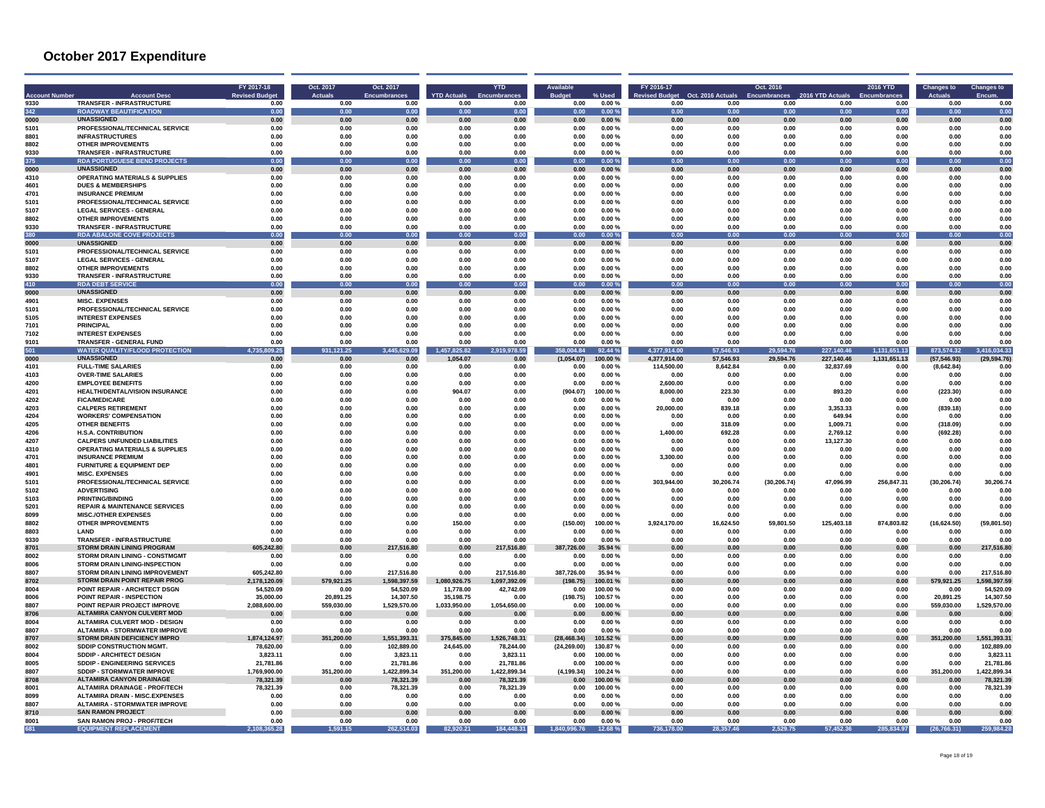|                  | <b>Account Desi</b>                                                | FY 2017-18<br><b>Revised Budget</b> | Oct. 2017<br><b>Actuals</b> | Oct. 2017<br><b>Encumbrances</b> | <b>YTD Actuals</b>   | <b>YTD</b>           | <b>Budge</b> | % Used           | FY 2016-17<br><b>Revised Budget</b> | Oct. 2016 Actuals | Oct. 2016    | 2016 YTD Actuals | <b>2016 YTD</b> | <b>Changes to</b>  | <b>Changes to</b><br>Encum |
|------------------|--------------------------------------------------------------------|-------------------------------------|-----------------------------|----------------------------------|----------------------|----------------------|--------------|------------------|-------------------------------------|-------------------|--------------|------------------|-----------------|--------------------|----------------------------|
| 9330             | <b>TRANSFER - INFRASTRUCTURE</b>                                   | 0.00                                | 0.00                        | 0.00                             | 0.00                 | 0.00                 | 0.00         | 0.00%            | 0.00                                | 0.00              | 0.00         | 0.00             | 0.00            | 0.00               | 0.00                       |
| 342              | <b>ROADWAY BEAUTIFICATION</b>                                      | 0.00                                | 0.00                        | 0.00                             | 0.00                 | 0.00                 | 0.00         | 0.00%            | 0.00                                | 0.00              | 0.00         | 0.00             | 0.00            | 0.00               | 0.00                       |
| 0000             | <b>UNASSIGNED</b>                                                  | 0.00                                | 0.00                        | 0.00                             | 0.00                 | $0.00\,$             | 0.00         | 0.00%            | 0.00                                | 0.00              | $0.00\,$     | 0.00             | $0.00\,$        | 0.00               | 0.00                       |
| 5101<br>8801     | PROFESSIONAL/TECHNICAL SERVICE                                     | 0.00<br>n nn                        | 0.00<br><b>0.00</b>         | 0.00<br>n nn                     | 0.00<br>n nn         | 0.00                 | 0.00<br>0.00 | 0.00%            | 0.00                                | 0.00              | 0.00<br>0.00 | 0.00<br>0.00     | 0.00            | 0.00               | 0.00<br>n nr               |
| 8802             | <b>INFRASTRUCTURES</b><br><b>OTHER IMPROVEMENTS</b>                | 0.00                                | 0.00                        | 0.00                             | 0.00                 | 0.00<br>0.00         | 0.00         | 0.00%<br>0.00%   | 0.00<br>0.00                        | 0.00<br>0.00      | 0.00         | 0.00             | 0.00<br>0.00    | 0.00<br>0.00       | 0.00                       |
| 9330             | <b>TRANSFER - INFRASTRUCTURE</b>                                   | 0.00                                | 0.00                        | 0.00                             | 0.00                 | 0.00                 | 0.00         | 0.00%            | 0.00                                | 0.00              | 0.00         | 0.00             | 0.00            | 0.00               | 0.00                       |
| 375              | <b>RDA PORTUGUESE BEND PROJECTS</b>                                | 0.00                                | 0.00                        | 0.00                             | 0.00                 | 0.00                 | 0.00         | 0.00%            | 0.00                                | 0.00              | 0.00         | 0.00             | 0.00            | 0.00               | 0.00                       |
| nnnn             | <b>UNASSIGNED</b>                                                  | 0.00                                | 0.00                        | 0.00                             | 0.00                 | 0.00                 | 0.00         | 0.00%            | 0.00                                | 0.00              | 0.00         | 0.00             | 0.00            | 0.00               | 0.00                       |
| 4310             | <b>OPERATING MATERIALS &amp; SUPPLIES</b>                          | 0.00                                | 0.00                        | 0.00                             | 0.00                 | 0.00                 | 0.00         | 0.00%            | 0.00                                | 0.00              | 0.00         | 0.00             | 0.00            | 0.00               | 0.00                       |
| 4601             | <b>DUES &amp; MEMBERSHIPS</b>                                      | 0.00                                | 0.00                        | 0.00                             | 0.00                 | 0.00                 | 0.00         | 0.00%            | 0.00                                | 0.00              | 0.00         | 0.00             | 0.00            | 0.00               | 0.00                       |
| 4701             | <b>INSURANCE PREMIUM</b>                                           | 0.00                                | 0.00                        | 0.00                             | 0.00                 | 0.00                 | 0.00         | 0.00%            | 0.00                                | 0.00              | 0.00         | 0.00             | 0.00            | 0.00               | 0.00                       |
| 5101             | PROFESSIONAL/TECHNICAL SERVICE                                     | 0.00                                | 0.00                        | 0.00                             | 0.00                 | 0.00                 | 0.00         | 0.00%            | 0.00                                | 0.00              | 0.00         | 0.00             | 0.00            | 0.00               | 0.00                       |
| 5107             | <b>LEGAL SERVICES - GENERAL</b>                                    | 0.00                                | 0.00                        | 0.00                             | 0.00                 | 0.00                 | 0.00         | 0.00%            | 0.00                                | 0.00              | 0.00         | 0.00             | 0.00            | 0.00               | 0.00                       |
| 8802             | <b>OTHER IMPROVEMENTS</b>                                          | 0.00                                | 0.00                        | 0.00                             | 0.00                 | 0.00                 | 0.00         | 0.00%            | 0.00                                | 0.00              | 0.00         | 0.00             | 0.00            | 0.00               | 0.00                       |
| 9330             | <b>TRANSFER - INFRASTRUCTURE</b>                                   | 0.00                                | 0.00                        | 0.00                             | 0.00                 | 0.00                 | 0.00         | 0.00%            | 0.00                                | 0.00              | 0.00         | 0.00             | 0.00            | 0.00               | 0.00                       |
| 380              | <b>RDA ABALONE COVE PROJECTS</b>                                   | 0.00                                | n nn                        | 0.00                             | n nn                 | 0.00                 | 0.00         | $0.00 \%$        | n on                                | 0.00              | 0.00         | n nn             | 0.00            | 0.00               | 0.00                       |
| 0000             | <b>UNASSIGNED</b>                                                  | 0.00                                | 0.00                        | 0.00                             | 0.00                 | 0.00                 | 0.00         | 0.00%            | 0.00                                | 0.00              | 0.00         | 0.00             | 0.00            | 0.00               | 0.00                       |
| 5101             | PROFESSIONAL/TECHNICAL SERVICE                                     | 0.00                                | 0.00                        | 0.00                             | 0.00                 | 0.00                 | 0.00         | 0.00%            | 0.00                                | 0.00              | 0.00         | 0.00             | 0.00            | 0.00               | 0.00                       |
| 5107             | <b>LEGAL SERVICES - GENERAL</b>                                    | 0.00                                | 0.00                        | 0.00                             | 0.00                 | 0.00                 | 0.00         | 0.00%            | 0.00                                | 0.00              | 0.00         | 0.00             | 0.00            | 0.00               | 0.00                       |
| 8802             | <b>OTHER IMPROVEMENTS</b>                                          | 0.00                                | 0.00                        | 0.00                             | 0.00                 | 0.00                 | 0.00         | 0.00%            | 0.00                                | 0.00              | 0.00         | 0.00             | 0.00            | 0.00               | 0.00                       |
| 9330             | <b>TRANSFER - INFRASTRUCTURE</b>                                   | 0.00                                | 0.00                        | 0.00                             | 0.00                 | 0.00                 | 0.00         | 0.00%            | 0.00                                | 0.00              | 0.00         | 0.00             | 0.00            | 0.00               | 0.00                       |
| 410<br>0000      | <b>RDA DEBT SERVICE</b><br><b>UNASSIGNED</b>                       | 0.00<br>0.00                        | 0.00<br>0.00                | 0.00<br>0.00                     | 0.00<br>0.00         | 0.00<br>0.00         | 0.00<br>0.00 | 0.00%<br>0.00%   | 0.00<br>0.00                        | 0.00<br>0.00      | 0.00<br>0.00 | 0.00<br>0.00     | 0.00            | 0.00<br>0.00       | 0.00<br>0.00               |
|                  | <b>MISC EXPENSES</b>                                               |                                     |                             |                                  |                      |                      |              |                  |                                     |                   |              |                  | 0.00            |                    |                            |
| 4901<br>5101     | PROFESSIONAL/TECHNICAL SERVICE                                     | 0.00<br>0.00                        | 0.00<br>0.00                | 0.00<br>0.00                     | 0.00<br>0.00         | 0.00<br>0.00         | 0.00<br>0.00 | 0.00%<br>0.00%   | 0.00<br>0.00                        | 0.00<br>0.00      | 0.00<br>0.00 | 0.00<br>0.00     | 0.00<br>0.00    | 0.00<br>0.00       | 0.00<br>0.00               |
| 5105             | <b>INTEREST EXPENSES</b>                                           | 0.00                                | 0.00                        | 0.00                             | 0.00                 | 0.00                 | 0.00         | 0.00%            | 0.00                                | 0.00              | 0.00         | 0.00             | 0.00            | 0.00               | 0.00                       |
| 7101             | <b>PRINCIPAL</b>                                                   | 0.00                                | 0.00                        | 0.00                             | 0.00                 | 0.00                 | 0.00         | 0.00%            | 0.00                                | 0.00              | 0.00         | 0.00             | 0.00            | 0.00               | 0.00                       |
| 7102             | <b>INTEREST EXPENSES</b>                                           | 0.00                                | 0.00                        | 0.00                             | 0.00                 | 0.00                 | 0.00         | 0.00%            | 0.00                                | 0.00              | 0.00         | 0.00             | 0.00            | 0.00               | 0.00                       |
| 9101             | TRANSFER - GENERAL FUND                                            | 0.00                                | 0.00                        | 0.00                             | 0.00                 | 0.00                 | 0.00         | 0.00%            | 0.00                                | 0.00              | 0.00         | 0.00             | 0.00            | 0.00               | 0.00                       |
| 501              | <b>WATER QUALITY/FLOOD PROTECTION</b>                              | 09.25<br>4.73                       | 21.25                       | 29.09                            | 1,457,825.82         | ,978.59<br>2.919     | 04.84        | 92.44 %          | 4.37<br>914.00                      | 546.93            | 594.76       | 140.46<br>227    | 651.13          | 873,574.32         | 3,416,034.33               |
| 0000             | <b>UNASSIGNED</b>                                                  | 0.00                                | 0.00                        | 0.00                             | 1,054.07             | 0.00                 | (1,054.07)   | 100.00%          | 4,377,914.00                        | 57,546.93         | 29,594.76    | 227,140.46       | 1,131,651.13    | (57, 546.93)       | (29.594.76)                |
| 4101             | <b>FULL-TIME SALARIES</b>                                          | 0.00                                | 0.00                        | 0.00                             | 0.00                 | 0.00                 | 0.00         | 0.00%            | 114.500.00                          | 8.642.84          | 0.00         | 32.837.69        | 0.00            | (8.642.84)         | 0.00                       |
| 4103             | <b>OVER-TIME SALARIES</b>                                          | 0.00                                | 0.00                        | 0.00                             | 0.00                 | 0.00                 | 0.00         | 0.00%            | 0.00                                | 0.00              | 0.00         | 0.00             | 0.00            | 0.00               | 0.00                       |
| 4200             | <b>EMPLOYEE BENEFITS</b>                                           | 0.00                                | 0.00                        | 0.00                             | 0.00                 | 0.00                 | 0.00         | 0.00%            | 2,600.00                            | 0.00              | 0.00         | 0.00             | 0.00            | 0.00               | 0.00                       |
| 4201             | HEALTH/DENTAL/VISION INSURANCE                                     | 0.00                                | 0.00                        | 0.00                             | 904.07               | 0.00                 | (904.07)     | 100.00%          | 8,000.00                            | 223.30            | 0.00         | 893.20           | 0.00            | (223.30)           | 0.00                       |
| 4202             | <b>FICA/MEDICARE</b>                                               | 0.00                                | 0.00                        | 0.00                             | 0.00                 | 0.00                 | 0.00         | 0.00%            | 0.00                                | 0.00              | 0.00         | 0.00             | 0.00            | 0.00               | n nr                       |
| 4203             | <b>CALPERS RETIREMENT</b>                                          | 0.00                                | 0.00                        | 0.00                             | 0.00                 | 0.00                 | 0.00         | 0.00%            | 20.000.00                           | 839.18            | 0.00         | 3,353.33         | 0.00            | (839.18)           | 0.00                       |
| 4204             | <b>WORKERS' COMPENSATION</b>                                       | 0.00                                | 0.00                        | 0.00                             | 0.00                 | 0.00                 | 0.00         | 0.00%            | 0.00                                | 0.00              | 0.00         | 649.94           | 0.00            | 0.00               | 0.00                       |
| 4205             | <b>OTHER BENEFITS</b>                                              | 0.00                                | 0.00                        | 0.00                             | 0.00                 | 0.00                 | 0.00         | 0.00%            | 0.00                                | 318.09            | 0.00         | 1.009.71         | 0.00            | (318.09)           | 0.00                       |
| 4206             | <b>H.S.A. CONTRIBUTION</b>                                         | 0.00                                | 0.00                        | 0.00                             | 0.00                 | 0.00                 | 0.00         | 0.00%            | 1,400.00                            | 692.28            | 0.00         | 2.769.12         | 0.00            | (692.28)           | 0.00                       |
| 4207             | <b>CALPERS UNFUNDED LIABILITIES</b>                                | 0.00                                | 0.00                        | 0.00                             | 0.00                 | 0.00                 | 0.00         | 0.00%            | 0.00                                | 0.00              | 0.00         | 13.127.30        | 0.00            | 0.00               | 0.00                       |
| 4310<br>4701     | <b>OPERATING MATERIALS &amp; SUPPLIES</b>                          | 0.00<br>0.00                        | 0.00<br>0.00                | 0.00<br>0.00                     | 0.00<br>0.00         | 0.00<br>0.00         | 0.00<br>0.00 | 0.00%            | 0.00                                | 0.00              | 0.00<br>0.00 | 0.00             | 0.00            | 0.00<br>0.00       | 0.00<br>0.00               |
| 480 <sup>-</sup> | <b>INSURANCE PREMIUM</b><br><b>FURNITURE &amp; EQUIPMENT DEP</b>   | n nn                                | <b>0.00</b>                 | 0.00                             | 0.00                 | 0.00                 | 0.00         | 0.00%<br>0.00%   | 3,300.00<br>0.00                    | 0.00<br>0.00      | 0.00         | 0.00<br>0.00     | 0.00<br>0.00    | n nn               | 0.00                       |
| 490              | <b>MISC. EXPENSES</b>                                              | 0.00                                | 0.00                        | 0.00                             | 0.00                 | 0.00                 | 0.00         | 0.00%            | 0.00                                | 0.00              | 0.00         | 0.00             | 0.00            | 0.00               | 0.00                       |
| 5101             | PROFESSIONAL/TECHNICAL SERVICE                                     | 0.00                                | 0.00                        | 0.00                             | 0.00                 | 0.00                 | 0.00         | 0.00%            | 303.944.00                          | 30.206.74         | (30.206.74)  | 47,096.99        | 256,847.31      | (30, 206.74)       | 30,206.74                  |
| 5102             | <b>ADVERTISING</b>                                                 | 0.00                                | 0.00                        | 0.00                             | 0.00                 | 0.00                 | 0.00         | 0.00%            | 0.00                                | 0.00              | 0.00         | 0.00             | 0.00            | 0.00               | 0.01                       |
| 5103             | <b>PRINTING/BINDING</b>                                            | 0.00                                | 0.00                        | 0.00                             | 0.00                 | 0.00                 | 0.00         | 0.00%            | 0.00                                | 0.00              | 0.00         | 0.00             | 0.00            | 0.00               | 0.01                       |
| 5201             | <b>REPAIR &amp; MAINTENANCE SERVICES</b>                           | 0.00                                | 0.00                        | 0.00                             | 0.00                 | 0.00                 | 0.00         | 0.00%            | 0.00                                | 0.00              | 0.00         | 0.00             | 0.00            | 0.00               | 0.00                       |
| 8099             | <b>MISC./OTHER EXPENSES</b>                                        | 0.00                                | 0.00                        | 0.00                             | 0.00                 | 0.00                 | 0.00         | 0.00%            | 0.00                                | 0.00              | 0.00         | 0.00             | 0.00            | 0.00               | 0.00                       |
| 8802             | <b>OTHER IMPROVEMENTS</b>                                          | 0.00                                | 0.00                        | 0.00                             | 150.00               | 0.00                 | (150.00)     | 100.00%          | 3.924.170.00                        | 16.624.50         | 59.801.50    | 125,403.18       | 874.803.82      | (16, 624.50)       | (59.801.50)                |
| 8803             | LAND                                                               | 0.00                                | 0.00                        | 0.00                             | 0.00                 | 0.00                 | 0.00         | 0.00%            | 0.00                                | 0.00              | 0.00         | 0.00             | 0.00            | 0.00               | 0.00                       |
| 9330             | <b>TRANSFER - INFRASTRUCTURE</b>                                   | 0.00                                | 0.00                        | 0.00                             | 0.00                 | 0.00                 | 0.00         | 0.00%            | 0.00                                | 0.00              | 0.00         | 0.00             | 0.00            | 0.00               | 0.00                       |
| 8701             | <b>STORM DRAIN LINING PROGRAM</b>                                  | 605.242.80                          | 0.00                        | 516.80<br>217                    | 0.00                 | 516.80               | 387.726.00   | 35.94 %          | 0.00                                | 0.00              | 0.00         | 0.00             | 0.00            | 0.00               | 16.80                      |
| 8002             | <b>STORM DRAIN LINING - CONSTMGMT</b>                              | 0.00                                | 0.00                        | 0.00                             | 0.00                 | 0.00                 | 0.00         | 0.00%            | 0.00                                | 0.00              | 0.00         | 0.00             | 0.00            | 0.00               | 0.00                       |
| 8006             | <b>STORM DRAIN LINING-INSPECTION</b>                               | 0.00                                | 0.00                        | 0.00                             | 0.00                 | 0.00                 | 0.00         | 0.00%            | 0.00                                | 0.00              | 0.00         | 0.00             | 0.00            | 0.00               | n nr                       |
| 8807             | STORM DRAIN LINING IMPROVEMENT                                     | 605.242.80                          | 0.00                        | 217,516.80                       | 0.00                 | 217,516.80           | 387,726.00   | 35.94 %          | 0.00                                | 0.00              | 0.00         | 0.00             | 0.00            | 0.00               | 217,516.80                 |
| 8702             | STORM DRAIN POINT REPAIR PROG                                      | 2,178,120.09                        | 579.921.25                  | 1,598,397.59                     | 1,080,926.75         | 1,097,392.09         | (198.75)     | 100.01 %         | 0.00                                | 0.00              | 0.00         | 0.00             | 0.00            | 579.921.25         | 1,598,397.59               |
| 8004             | POINT REPAIR - ARCHITECT DSGN                                      | 54.520.09                           | 0.00                        | 54.520.09                        | 11.778.00            | 42,742.09            | 0.00         | 100.00%          | 0.00                                | 0.00              | 0.00         | 0.00             | 0.00            | 0.00               | 54,520.09                  |
| 8006             | POINT REPAIR - INSPECTION                                          | 35.000.00                           | 20.891.25                   | 14.307.50                        | 35.198.75            | 0.00                 | (198.75)     | 100.57%          | 0.00                                | 0.00              | 0.00         | 0.00             | 0.00            | 20.891.25          | 14.307.50                  |
| 8807<br>8706     | POINT REPAIR PROJECT IMPROVE<br><b>ALTAMIRA CANYON CULVERT MOD</b> | 2.088.600.00<br>0.00                | 559,030.00<br>0.00          | 1,529,570.00<br>0.00             | 1,033,950.00<br>0.00 | 1.054.650.00<br>0.00 | 0.00<br>0.00 | 100.00%<br>0.00% | 0.00<br>0.00                        | 0.00<br>0.00      | 0.00<br>0.00 | 0.00<br>0.00     | 0.00<br>0.00    | 559,030.00<br>0.00 | 1,529,570.00<br>0.01       |
| 8004             | <b>ALTAMIRA CULVERT MOD - DESIGN</b>                               |                                     |                             |                                  | 0.00                 |                      | 0.00         | 0.00%            | 0.00                                | 0.00              | 0.00         |                  | 0.00            | 0.00               | 0.00                       |
| 8807             | ALTAMIRA - STORMWATER IMPROVE                                      | 0.00<br>0.00                        | 0.00<br>0.00                | 0.00<br>0.00                     | 0.00                 | 0.00<br>0.00         | 0.00         | 0.00%            | n nn                                | 0.00              | 0.00         | 0.00<br>0.00     | 0.00            | 0.00               | n nr                       |
| 8707             | <b>STORM DRAIN DEFICIENCY IMPRO</b>                                | 1,874,124.97                        | 351,200.00                  | 1,551,393.31                     | 375,845.00           | 1,526,748.31         | (28, 468.34) | 101.52%          | 0.00                                | 0.00              | 0.00         | 0.00             | 0.00            | 351,200.00         | 1,551,393.31               |
| 8002             | <b>SDDIP CONSTRUCTION MGMT</b>                                     | 78.620.00                           | 0.00                        | 102.889.00                       | 24.645.00            | 78.244.00            | (24.269.00)  | 130.87%          | 0.00                                | 0.00              | 0.00         | 0.00             | 0.00            | 0.00               | 102.889.00                 |
| 8004             | SDDIP - ARCHITECT DESIGN                                           | 3,823.11                            | 0.00                        | 3,823.11                         | 0.00                 | 3,823.11             | 0.00         | 100.00%          | 0.00                                | 0.00              | 0.00         | 0.00             | 0.00            | 0.00               | 3,823.11                   |
| 8005             | SDDIP - ENGINEERING SERVICES                                       | 21.781.86                           | 0.00                        | 21.781.86                        | 0.00                 | 21.781.86            | 0.00         | 100.00%          | 0.00                                | 0.00              | 0.00         | 0.00             | 0.00            | 0.00               | 21.781.8                   |
| 8807             | SDDIP - STORMWATER IMPROVE                                         | 1,769,900.00                        | 351,200.00                  | 1,422,899.34                     | 351,200.00           | 1,422,899.34         | (4.199.34)   | 100.24 %         | 0.00                                | 0.00              | 0.00         | 0.00             | 0.00            | 351,200.00         | 1,422,899.3                |
| 8708             | <b>ALTAMIRA CANYON DRAINAGE</b>                                    | 78,321.39                           | 0.00                        | 78.321.39                        | 0.00                 | 78.321.39            | 0.00         | 100.00%          | 0.00                                | 0.00              | 0.00         | 0.00             | 0.00            | 0.00               | 78.321.3                   |
| 8001             | <b>ALTAMIRA DRAINAGE - PROF/TECH</b>                               | 78,321.39                           | 0.00                        | 78.321.39                        | 0.00                 | 78.321.39            | 0.00         | 100.00%          | 0.00                                | 0.00              | 0.00         | 0.00             | 0.00            | 0.00               | 78.321.39                  |
| 8099             | <b>ALTAMIRA DRAIN - MISC.EXPENSES</b>                              | 0.00                                | 0.00                        | 0.00                             | 0.00                 | 0.00                 | 0.00         | 0.00%            | 0.00                                | 0.00              | 0.00         | 0.00             | 0.00            | 0.00               | 0.01                       |
| 8807             | <b>ALTAMIRA - STORMWATER IMPROVE</b>                               | 0.00                                | 0.00                        | 0.00                             | 0.00                 | 0.00                 | 0.00         | 0.00%            | 0.00                                | 0.00              | 0.00         | 0.00             | 0.00            | 0.00               | 0.00                       |
| 8710             | <b>SAN RAMON PROJECT</b>                                           | 0.00                                | 0.00                        | 0.00                             | 0.00                 | 0.00                 | 0.00         | 0.00%            | 0.00                                | 0.00              | 0.00         | 0.00             | 0.00            | 0.00               | 0.00                       |
| 8001             | SAN RAMON PROJ - PROF/TECH                                         | 0.00                                | 0.00                        | 0.00                             | 0.00                 | 0.00                 | 0.00         | 0.00%            | 0.00                                | 0.00              | 0.00         | 0.00             | 0.00            | 0.00               | 0.00                       |
| 681              | <b>EQUIPMENT REPLACEMENT</b>                                       | 65.28                               | 1.591.15                    | 262.514.03                       | 82.920.21            | 184,448.31           | 1.840.996.76 | 12.68%           | 736,178,00                          | 28.357.46         | 2.529.75     | 57.452.36        | 285.834.97      | (26.766.31)        | 259.984.28                 |